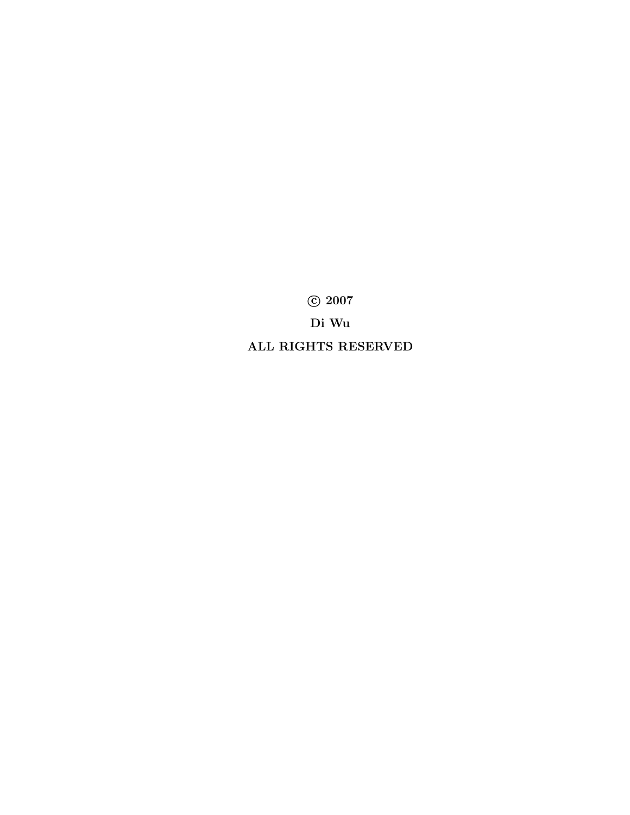°c 2007 Di Wu ALL RIGHTS RESERVED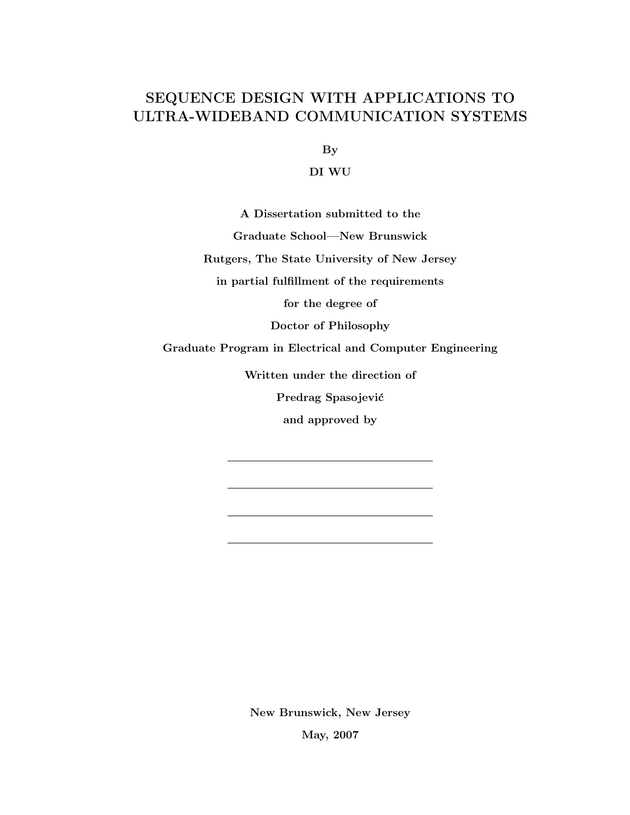# SEQUENCE DESIGN WITH APPLICATIONS TO ULTRA-WIDEBAND COMMUNICATION SYSTEMS

By

DI WU

A Dissertation submitted to the Graduate School—New Brunswick Rutgers, The State University of New Jersey in partial fulfillment of the requirements for the degree of Doctor of Philosophy Graduate Program in Electrical and Computer Engineering Written under the direction of Predrag Spasojević and approved by

> New Brunswick, New Jersey May, 2007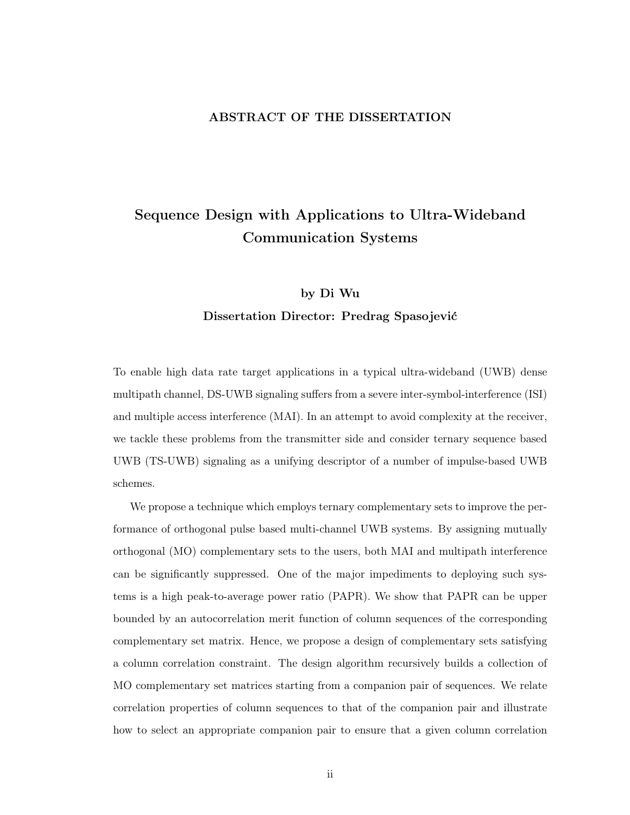### ABSTRACT OF THE DISSERTATION

# Sequence Design with Applications to Ultra-Wideband Communication Systems

# by Di Wu Dissertation Director: Predrag Spasojević

To enable high data rate target applications in a typical ultra-wideband (UWB) dense multipath channel, DS-UWB signaling suffers from a severe inter-symbol-interference (ISI) and multiple access interference (MAI). In an attempt to avoid complexity at the receiver, we tackle these problems from the transmitter side and consider ternary sequence based UWB (TS-UWB) signaling as a unifying descriptor of a number of impulse-based UWB schemes.

We propose a technique which employs ternary complementary sets to improve the performance of orthogonal pulse based multi-channel UWB systems. By assigning mutually orthogonal (MO) complementary sets to the users, both MAI and multipath interference can be significantly suppressed. One of the major impediments to deploying such systems is a high peak-to-average power ratio (PAPR). We show that PAPR can be upper bounded by an autocorrelation merit function of column sequences of the corresponding complementary set matrix. Hence, we propose a design of complementary sets satisfying a column correlation constraint. The design algorithm recursively builds a collection of MO complementary set matrices starting from a companion pair of sequences. We relate correlation properties of column sequences to that of the companion pair and illustrate how to select an appropriate companion pair to ensure that a given column correlation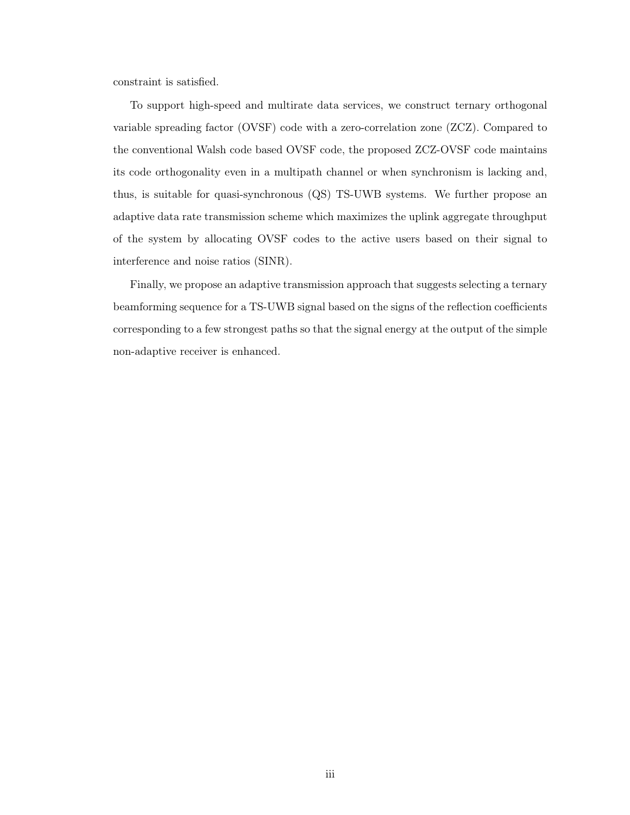constraint is satisfied.

To support high-speed and multirate data services, we construct ternary orthogonal variable spreading factor (OVSF) code with a zero-correlation zone (ZCZ). Compared to the conventional Walsh code based OVSF code, the proposed ZCZ-OVSF code maintains its code orthogonality even in a multipath channel or when synchronism is lacking and, thus, is suitable for quasi-synchronous (QS) TS-UWB systems. We further propose an adaptive data rate transmission scheme which maximizes the uplink aggregate throughput of the system by allocating OVSF codes to the active users based on their signal to interference and noise ratios (SINR).

Finally, we propose an adaptive transmission approach that suggests selecting a ternary beamforming sequence for a TS-UWB signal based on the signs of the reflection coefficients corresponding to a few strongest paths so that the signal energy at the output of the simple non-adaptive receiver is enhanced.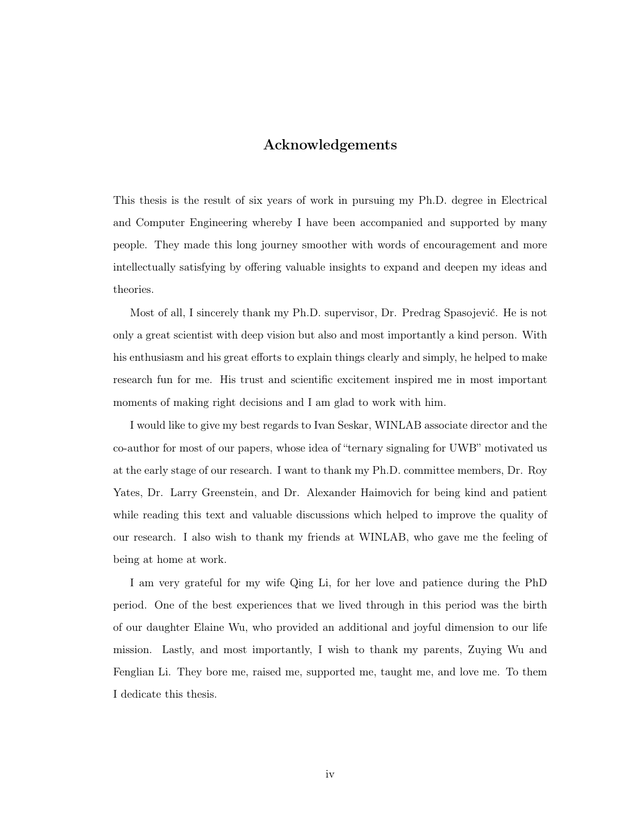## Acknowledgements

This thesis is the result of six years of work in pursuing my Ph.D. degree in Electrical and Computer Engineering whereby I have been accompanied and supported by many people. They made this long journey smoother with words of encouragement and more intellectually satisfying by offering valuable insights to expand and deepen my ideas and theories.

Most of all, I sincerely thank my Ph.D. supervisor, Dr. Predrag Spasojević. He is not only a great scientist with deep vision but also and most importantly a kind person. With his enthusiasm and his great efforts to explain things clearly and simply, he helped to make research fun for me. His trust and scientific excitement inspired me in most important moments of making right decisions and I am glad to work with him.

I would like to give my best regards to Ivan Seskar, WINLAB associate director and the co-author for most of our papers, whose idea of "ternary signaling for UWB" motivated us at the early stage of our research. I want to thank my Ph.D. committee members, Dr. Roy Yates, Dr. Larry Greenstein, and Dr. Alexander Haimovich for being kind and patient while reading this text and valuable discussions which helped to improve the quality of our research. I also wish to thank my friends at WINLAB, who gave me the feeling of being at home at work.

I am very grateful for my wife Qing Li, for her love and patience during the PhD period. One of the best experiences that we lived through in this period was the birth of our daughter Elaine Wu, who provided an additional and joyful dimension to our life mission. Lastly, and most importantly, I wish to thank my parents, Zuying Wu and Fenglian Li. They bore me, raised me, supported me, taught me, and love me. To them I dedicate this thesis.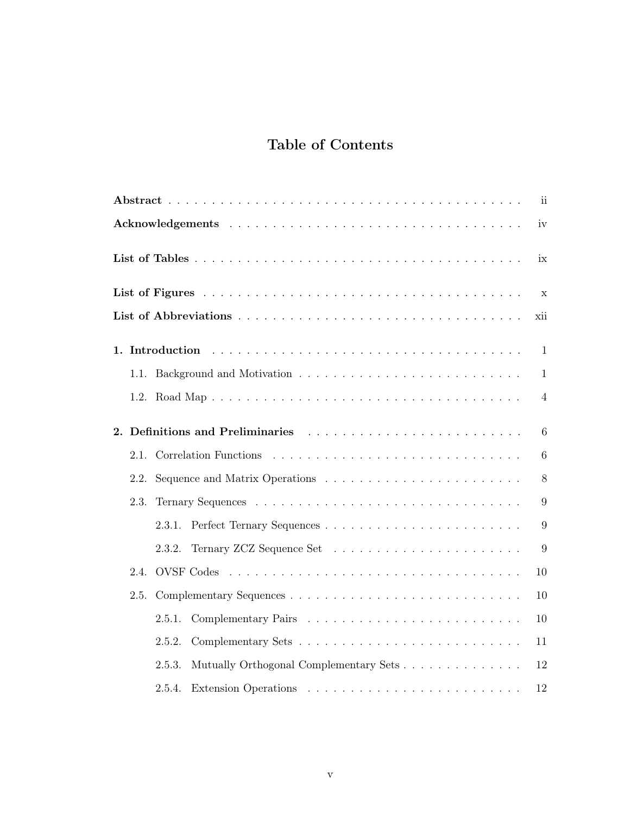# Table of Contents

| $\mathbf{ii}$                                                                                                                                                                                                                        |                 |  |  |  |
|--------------------------------------------------------------------------------------------------------------------------------------------------------------------------------------------------------------------------------------|-----------------|--|--|--|
| iv                                                                                                                                                                                                                                   |                 |  |  |  |
|                                                                                                                                                                                                                                      | ix              |  |  |  |
|                                                                                                                                                                                                                                      | X               |  |  |  |
|                                                                                                                                                                                                                                      | xii             |  |  |  |
|                                                                                                                                                                                                                                      | $\mathbf{1}$    |  |  |  |
|                                                                                                                                                                                                                                      | $\mathbf{1}$    |  |  |  |
|                                                                                                                                                                                                                                      | 4               |  |  |  |
| Definitions and Preliminaries entertainment of the state of the state of the state of the state of the state of the state of the state of the state of the state of the state of the state of the state of the state of the st<br>2. | 6               |  |  |  |
| 2.1.                                                                                                                                                                                                                                 | $6\phantom{.}6$ |  |  |  |
| 2.2.                                                                                                                                                                                                                                 | 8               |  |  |  |
| 2.3.                                                                                                                                                                                                                                 | 9               |  |  |  |
| 2.3.1.                                                                                                                                                                                                                               | 9               |  |  |  |
| 2.3.2.                                                                                                                                                                                                                               | 9               |  |  |  |
| 2.4.                                                                                                                                                                                                                                 | 10              |  |  |  |
| 2.5.                                                                                                                                                                                                                                 | 10              |  |  |  |
| 2.5.1.                                                                                                                                                                                                                               | 10              |  |  |  |
| 2.5.2.                                                                                                                                                                                                                               | 11              |  |  |  |
| Mutually Orthogonal Complementary Sets<br>2.5.3.                                                                                                                                                                                     | 12              |  |  |  |
| 2.5.4.                                                                                                                                                                                                                               | 12              |  |  |  |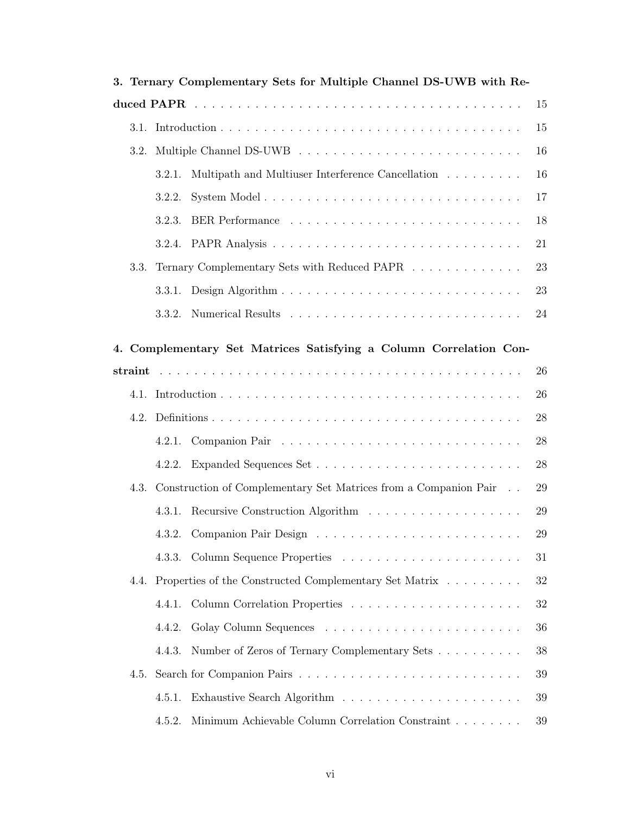|    | 3. Ternary Complementary Sets for Multiple Channel DS-UWB with Re- |        |                                                                            |        |  |
|----|--------------------------------------------------------------------|--------|----------------------------------------------------------------------------|--------|--|
| 15 |                                                                    |        |                                                                            |        |  |
|    |                                                                    |        |                                                                            | 15     |  |
|    | 3.2.                                                               |        |                                                                            | 16     |  |
|    |                                                                    | 3.2.1. | Multipath and Multiuser Interference Cancellation                          | 16     |  |
|    |                                                                    | 3.2.2. |                                                                            | 17     |  |
|    |                                                                    | 3.2.3. |                                                                            | 18     |  |
|    |                                                                    | 3.2.4. |                                                                            | 21     |  |
|    | 3.3.                                                               |        | Ternary Complementary Sets with Reduced PAPR $\ldots \ldots \ldots \ldots$ | 23     |  |
|    |                                                                    | 3.3.1. |                                                                            | 23     |  |
|    |                                                                    | 3.3.2. |                                                                            | 24     |  |
|    |                                                                    |        | 4. Complementary Set Matrices Satisfying a Column Correlation Con-         |        |  |
|    |                                                                    |        |                                                                            | 26     |  |
|    |                                                                    |        |                                                                            | 26     |  |
|    |                                                                    |        |                                                                            | 28     |  |
|    |                                                                    | 4.2.1. |                                                                            | 28     |  |
|    |                                                                    | 4.2.2. |                                                                            | 28     |  |
|    | 4.3.                                                               |        | Construction of Complementary Set Matrices from a Companion Pair           | 29     |  |
|    |                                                                    | 4.3.1. |                                                                            | 29     |  |
|    |                                                                    |        | 4.3.2. Companion Pair Design                                               | $29\,$ |  |
|    |                                                                    | 4.3.3. |                                                                            | 31     |  |
|    |                                                                    |        | 4.4. Properties of the Constructed Complementary Set Matrix                | 32     |  |
|    |                                                                    | 4.4.1. |                                                                            | $32\,$ |  |
|    |                                                                    | 4.4.2. |                                                                            | 36     |  |
|    |                                                                    | 4.4.3. | Number of Zeros of Ternary Complementary Sets                              | 38     |  |
|    | 4.5.                                                               |        |                                                                            | 39     |  |
|    |                                                                    | 4.5.1. |                                                                            | 39     |  |
|    |                                                                    | 4.5.2. | Minimum Achievable Column Correlation Constraint                           | 39     |  |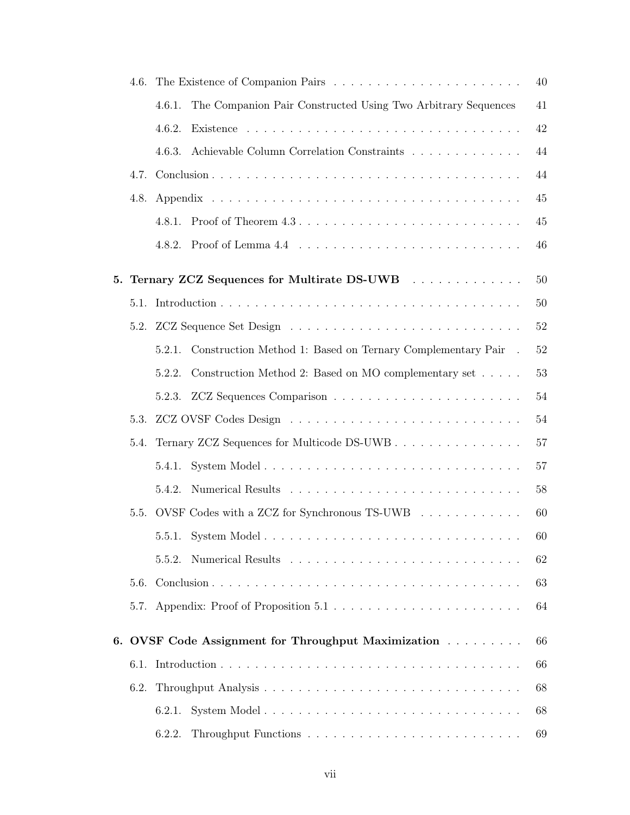|    | 4.6. |                                                                                                   | 40 |
|----|------|---------------------------------------------------------------------------------------------------|----|
|    |      | The Companion Pair Constructed Using Two Arbitrary Sequences<br>4.6.1.                            | 41 |
|    |      | 4.6.2.                                                                                            | 42 |
|    |      | Achievable Column Correlation Constraints<br>4.6.3.                                               | 44 |
|    | 4.7. |                                                                                                   | 44 |
|    | 4.8. |                                                                                                   | 45 |
|    |      | 4.8.1.                                                                                            | 45 |
|    |      | 4.8.2.                                                                                            | 46 |
| 5. |      | Ternary ZCZ Sequences for Multirate DS-UWB                                                        | 50 |
|    | 5.1. |                                                                                                   | 50 |
|    |      |                                                                                                   | 52 |
|    |      | Construction Method 1: Based on Ternary Complementary Pair .<br>5.2.1.                            | 52 |
|    |      | Construction Method 2: Based on MO complementary set<br>5.2.2.                                    | 53 |
|    |      | 5.2.3.                                                                                            | 54 |
|    | 5.3. |                                                                                                   | 54 |
|    | 5.4. | Ternary ZCZ Sequences for Multicode DS-UWB                                                        | 57 |
|    |      | 5.4.1.                                                                                            | 57 |
|    |      | 5.4.2.                                                                                            | 58 |
|    | 5.5. | OVSF Codes with a ZCZ for Synchronous TS-UWB                                                      | 60 |
|    |      |                                                                                                   | 60 |
|    |      | 5.5.2.                                                                                            | 62 |
|    | 5.6. |                                                                                                   | 63 |
|    |      | 5.7. Appendix: Proof of Proposition $5.1 \ldots \ldots \ldots \ldots \ldots \ldots \ldots \ldots$ | 64 |
|    |      | 6. OVSF Code Assignment for Throughput Maximization                                               | 66 |
|    | 6.1. |                                                                                                   | 66 |
|    | 6.2. |                                                                                                   | 68 |
|    |      | 6.2.1.                                                                                            | 68 |
|    |      | 6.2.2.                                                                                            | 69 |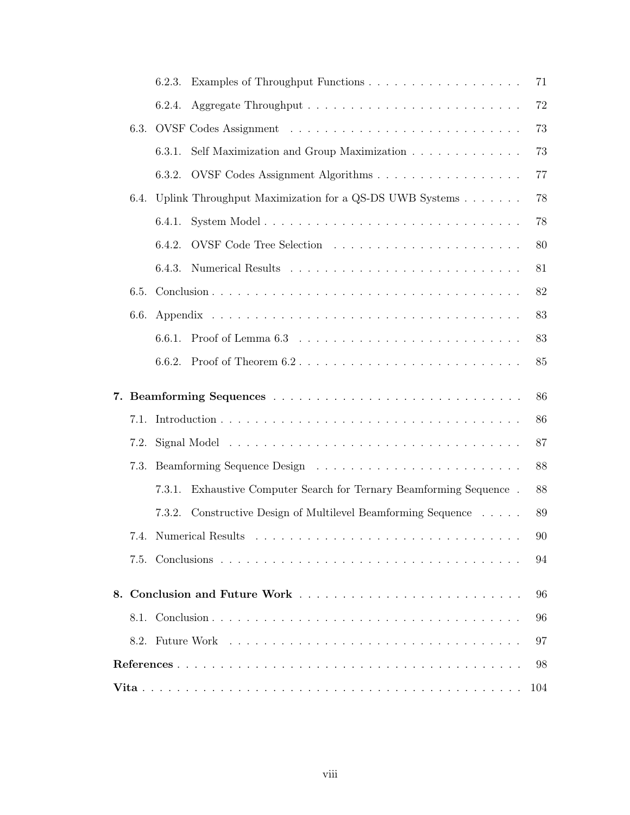|      | 6.2.3. |                                                              | 71     |
|------|--------|--------------------------------------------------------------|--------|
|      | 6.2.4. |                                                              | 72     |
| 6.3. |        |                                                              | 73     |
|      | 6.3.1. | Self Maximization and Group Maximization                     | 73     |
|      | 6.3.2. | OVSF Codes Assignment Algorithms                             | $77\,$ |
| 6.4. |        | Uplink Throughput Maximization for a QS-DS UWB Systems       | 78     |
|      | 6.4.1. |                                                              | 78     |
|      | 6.4.2. |                                                              | 80     |
|      | 6.4.3. |                                                              | 81     |
| 6.5. |        |                                                              | 82     |
| 6.6. |        |                                                              | 83     |
|      | 6.6.1. |                                                              | 83     |
|      | 6.6.2. |                                                              | 85     |
|      |        |                                                              |        |
|      |        |                                                              | 86     |
| 7.1. |        |                                                              | 86     |
| 7.2. |        |                                                              | 87     |
| 7.3. |        |                                                              | 88     |
|      | 7.3.1. | Exhaustive Computer Search for Ternary Beamforming Sequence. | 88     |
|      | 7.3.2. | Constructive Design of Multilevel Beamforming Sequence       | 89     |
|      |        |                                                              | 90     |
|      |        |                                                              | 94     |
|      |        |                                                              | 96     |
|      |        |                                                              | 96     |
|      |        |                                                              | 97     |
|      |        |                                                              | 98     |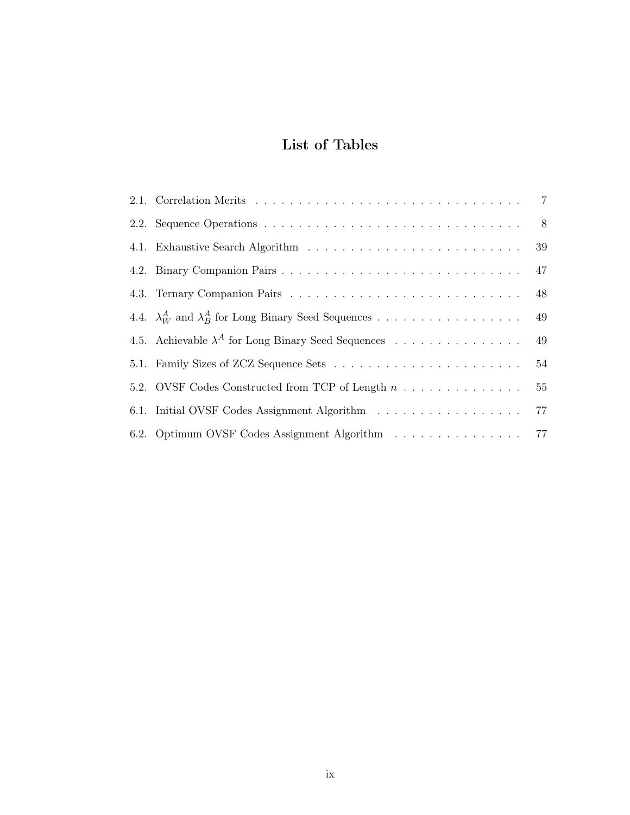# List of Tables

| 2.1. Correlation Merits $\ldots \ldots \ldots \ldots \ldots \ldots \ldots \ldots \ldots \ldots \ldots \ldots$ |    |
|---------------------------------------------------------------------------------------------------------------|----|
|                                                                                                               |    |
|                                                                                                               |    |
|                                                                                                               |    |
|                                                                                                               |    |
|                                                                                                               |    |
| 4.5. Achievable $\lambda^A$ for Long Binary Seed Sequences                                                    | 49 |
|                                                                                                               |    |
| 5.2. OVSF Codes Constructed from TCP of Length $n \ldots \ldots \ldots \ldots$                                | 55 |
|                                                                                                               |    |
| 6.2. Optimum OVSF Codes Assignment Algorithm 77                                                               |    |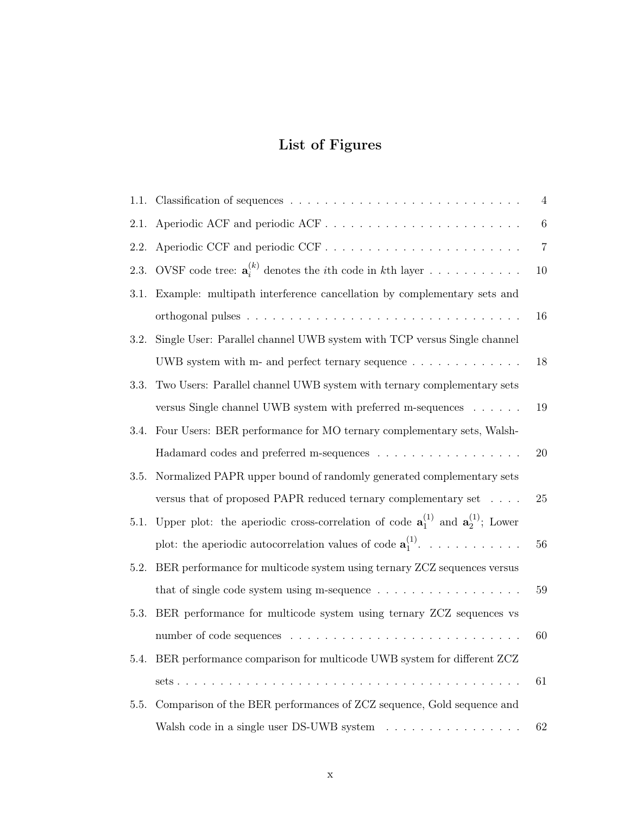# List of Figures

| 1.1. |                                                                                                           | $\overline{4}$ |
|------|-----------------------------------------------------------------------------------------------------------|----------------|
| 2.1. |                                                                                                           | 6              |
| 2.2. |                                                                                                           | $\overline{7}$ |
| 2.3. | OVSF code tree: $\mathbf{a}_i^{(k)}$ denotes the <i>i</i> th code in <i>k</i> th layer                    | 10             |
| 3.1. | Example: multipath interference cancellation by complementary sets and                                    |                |
|      |                                                                                                           | 16             |
| 3.2. | Single User: Parallel channel UWB system with TCP versus Single channel                                   |                |
|      | UWB system with m- and perfect ternary sequence $\dots \dots \dots \dots$                                 | 18             |
| 3.3. | Two Users: Parallel channel UWB system with ternary complementary sets                                    |                |
|      | versus Single channel UWB system with preferred m-sequences                                               | 19             |
| 3.4. | Four Users: BER performance for MO ternary complementary sets, Walsh-                                     |                |
|      | Hadamard codes and preferred m-sequences                                                                  | 20             |
| 3.5. | Normalized PAPR upper bound of randomly generated complementary sets                                      |                |
|      | versus that of proposed PAPR reduced ternary complementary set                                            | 25             |
| 5.1. | Upper plot: the aperiodic cross-correlation of code $\mathbf{a}_1^{(1)}$ and $\mathbf{a}_2^{(1)}$ ; Lower |                |
|      | plot: the aperiodic autocorrelation values of code $\mathbf{a}_1^{(1)}$ .                                 | 56             |
| 5.2. | BER performance for multicode system using ternary ZCZ sequences versus                                   |                |
|      | that of single code system using m-sequence $\ldots \ldots \ldots \ldots \ldots$                          | 59             |
| 5.3. | BER performance for multicode system using ternary ZCZ sequences vs                                       |                |
|      |                                                                                                           | 60             |
|      | 5.4. BER performance comparison for multicode UWB system for different ZCZ                                |                |
|      |                                                                                                           | 61             |
| 5.5. | Comparison of the BER performances of ZCZ sequence, Gold sequence and                                     |                |
|      | Walsh code in a single user DS-UWB system $\ldots \ldots \ldots \ldots \ldots$                            | 62             |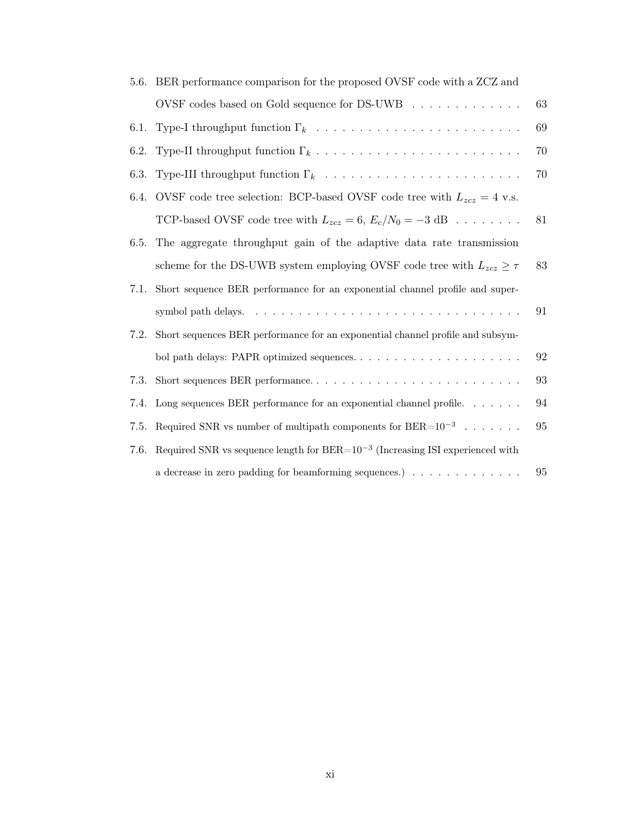| 5.6. | BER performance comparison for the proposed OVSF code with a ZCZ and                                                          |    |
|------|-------------------------------------------------------------------------------------------------------------------------------|----|
|      | OVSF codes based on Gold sequence for DS-UWB $\ldots \ldots \ldots \ldots$                                                    | 63 |
| 6.1. | Type-I throughput function $\Gamma_k$ , $\ldots$ , $\ldots$ , $\ldots$ , $\ldots$ , $\ldots$ , $\ldots$ , $\ldots$ , $\ldots$ | 69 |
| 6.2. |                                                                                                                               | 70 |
| 6.3. |                                                                                                                               | 70 |
| 6.4. | OVSF code tree selection: BCP-based OVSF code tree with $L_{zcz} = 4$ v.s.                                                    |    |
|      | TCP-based OVSF code tree with $L_{zcz} = 6$ , $E_c/N_0 = -3$ dB                                                               | 81 |
| 6.5. | The aggregate throughput gain of the adaptive data rate transmission                                                          |    |
|      | scheme for the DS-UWB system employing OVSF code tree with $L_{zcz} \geq \tau$                                                | 83 |
| 7.1. | Short sequence BER performance for an exponential channel profile and super-                                                  |    |
|      |                                                                                                                               | 91 |
| 7.2. | Short sequences BER performance for an exponential channel profile and subsym-                                                |    |
|      |                                                                                                                               | 92 |
| 7.3. |                                                                                                                               | 93 |
| 7.4. | Long sequences BER performance for an exponential channel profile. $\dots \dots$                                              | 94 |
| 7.5. | Required SNR vs number of multipath components for $\text{BER}{=}10^{-3} \cdot \cdot \cdot \cdot \cdot \cdot$ .               | 95 |
| 7.6. | Required SNR vs sequence length for $BER=10^{-3}$ (Increasing ISI experienced with                                            |    |
|      | a decrease in zero padding for beamforming sequences.) $\ldots \ldots \ldots \ldots$                                          | 95 |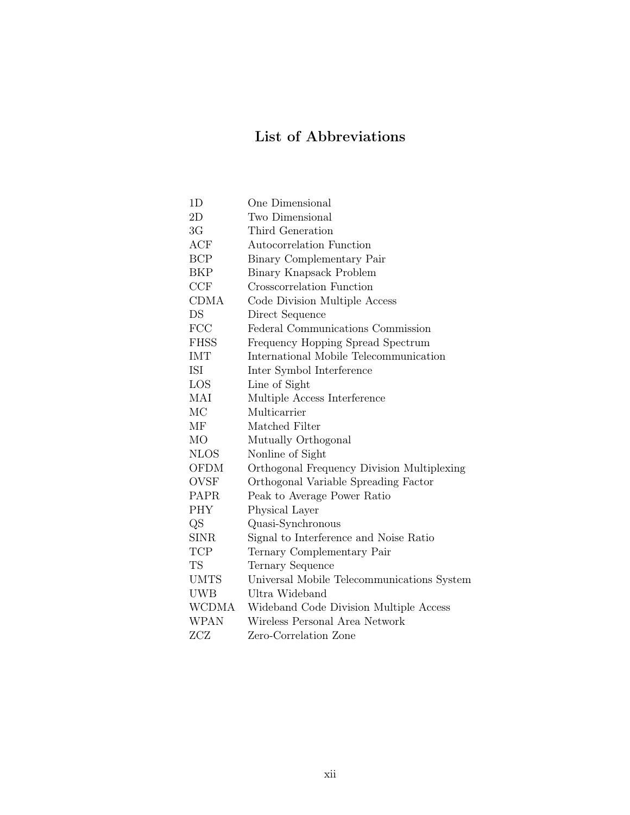# List of Abbreviations

| 1D             | One Dimensional                            |
|----------------|--------------------------------------------|
| 2D             | Two Dimensional                            |
| 3G             | Third Generation                           |
| ACF            | Autocorrelation Function                   |
| <b>BCP</b>     | Binary Complementary Pair                  |
| BKP            | Binary Knapsack Problem                    |
| CCF            | Crosscorrelation Function                  |
| CDMA           | Code Division Multiple Access              |
| DS             | Direct Sequence                            |
| <b>FCC</b>     | Federal Communications Commission          |
| <b>FHSS</b>    | Frequency Hopping Spread Spectrum          |
| IMT            | International Mobile Telecommunication     |
| ISI            | Inter Symbol Interference                  |
| LOS            | Line of Sight                              |
| MAI            | Multiple Access Interference               |
| MC             | Multicarrier                               |
| МF             | Matched Filter                             |
| M <sub>O</sub> | Mutually Orthogonal                        |
| <b>NLOS</b>    | Nonline of Sight                           |
| OFDM           | Orthogonal Frequency Division Multiplexing |
| OVSF           | Orthogonal Variable Spreading Factor       |
| PAPR           | Peak to Average Power Ratio                |
| <b>PHY</b>     | Physical Layer                             |
| QS             | Quasi-Synchronous                          |
| <b>SINR</b>    | Signal to Interference and Noise Ratio     |
| <b>TCP</b>     | Ternary Complementary Pair                 |
| <b>TS</b>      | Ternary Sequence                           |
| <b>UMTS</b>    | Universal Mobile Telecommunications System |
| <b>UWB</b>     | Ultra Wideband                             |
| WCDMA          | Wideband Code Division Multiple Access     |
| <b>WPAN</b>    | Wireless Personal Area Network             |
| ZCZ            | Zero-Correlation Zone                      |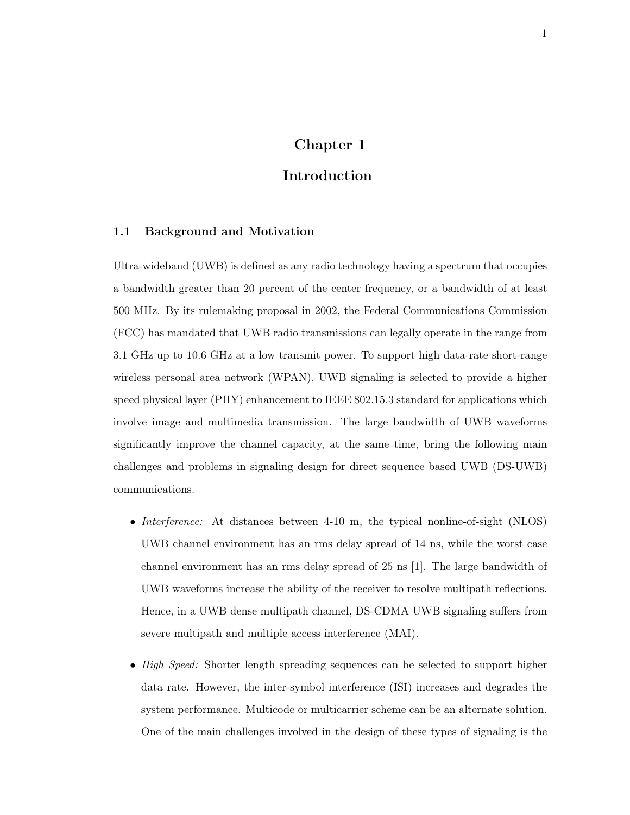# Chapter 1

# Introduction

### 1.1 Background and Motivation

Ultra-wideband (UWB) is defined as any radio technology having a spectrum that occupies a bandwidth greater than 20 percent of the center frequency, or a bandwidth of at least 500 MHz. By its rulemaking proposal in 2002, the Federal Communications Commission (FCC) has mandated that UWB radio transmissions can legally operate in the range from 3.1 GHz up to 10.6 GHz at a low transmit power. To support high data-rate short-range wireless personal area network (WPAN), UWB signaling is selected to provide a higher speed physical layer (PHY) enhancement to IEEE 802.15.3 standard for applications which involve image and multimedia transmission. The large bandwidth of UWB waveforms significantly improve the channel capacity, at the same time, bring the following main challenges and problems in signaling design for direct sequence based UWB (DS-UWB) communications.

- *Interference:* At distances between 4-10 m, the typical nonline-of-sight (NLOS) UWB channel environment has an rms delay spread of 14 ns, while the worst case channel environment has an rms delay spread of 25 ns [1]. The large bandwidth of UWB waveforms increase the ability of the receiver to resolve multipath reflections. Hence, in a UWB dense multipath channel, DS-CDMA UWB signaling suffers from severe multipath and multiple access interference (MAI).
- High Speed: Shorter length spreading sequences can be selected to support higher data rate. However, the inter-symbol interference (ISI) increases and degrades the system performance. Multicode or multicarrier scheme can be an alternate solution. One of the main challenges involved in the design of these types of signaling is the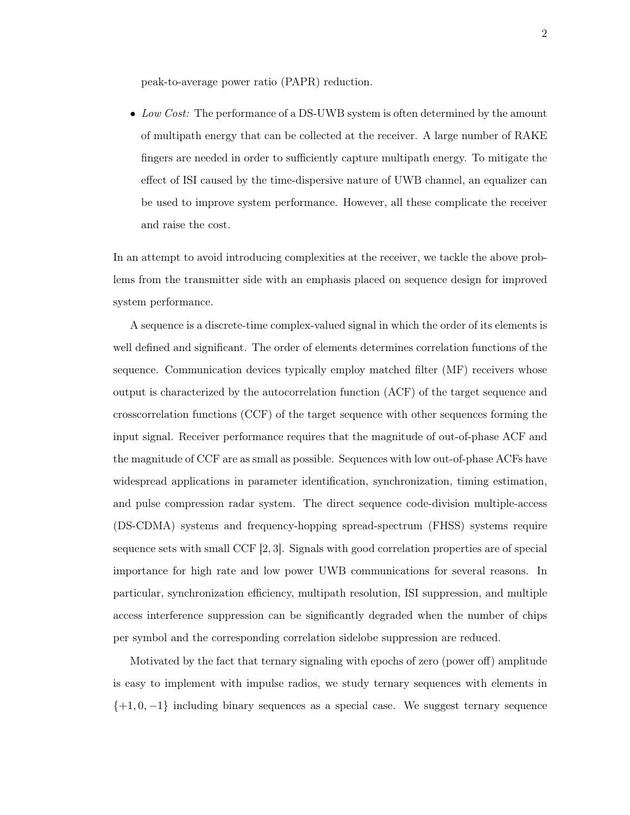peak-to-average power ratio (PAPR) reduction.

• Low Cost: The performance of a DS-UWB system is often determined by the amount of multipath energy that can be collected at the receiver. A large number of RAKE fingers are needed in order to sufficiently capture multipath energy. To mitigate the effect of ISI caused by the time-dispersive nature of UWB channel, an equalizer can be used to improve system performance. However, all these complicate the receiver and raise the cost.

In an attempt to avoid introducing complexities at the receiver, we tackle the above problems from the transmitter side with an emphasis placed on sequence design for improved system performance.

A sequence is a discrete-time complex-valued signal in which the order of its elements is well defined and significant. The order of elements determines correlation functions of the sequence. Communication devices typically employ matched filter (MF) receivers whose output is characterized by the autocorrelation function (ACF) of the target sequence and crosscorrelation functions (CCF) of the target sequence with other sequences forming the input signal. Receiver performance requires that the magnitude of out-of-phase ACF and the magnitude of CCF are as small as possible. Sequences with low out-of-phase ACFs have widespread applications in parameter identification, synchronization, timing estimation, and pulse compression radar system. The direct sequence code-division multiple-access (DS-CDMA) systems and frequency-hopping spread-spectrum (FHSS) systems require sequence sets with small CCF [2, 3]. Signals with good correlation properties are of special importance for high rate and low power UWB communications for several reasons. In particular, synchronization efficiency, multipath resolution, ISI suppression, and multiple access interference suppression can be significantly degraded when the number of chips per symbol and the corresponding correlation sidelobe suppression are reduced.

Motivated by the fact that ternary signaling with epochs of zero (power off) amplitude is easy to implement with impulse radios, we study ternary sequences with elements in  $\{+1, 0, -1\}$  including binary sequences as a special case. We suggest ternary sequence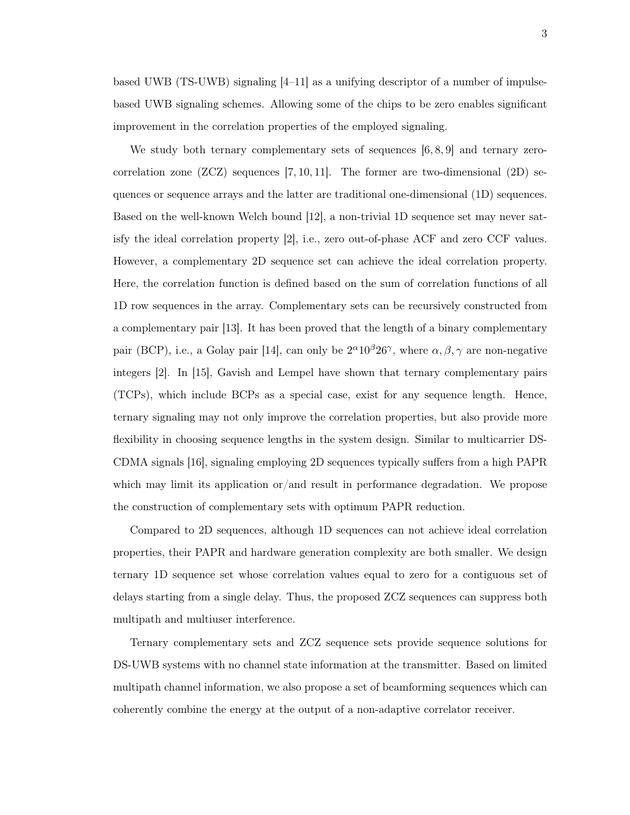3

based UWB (TS-UWB) signaling  $|4-11|$  as a unifying descriptor of a number of impulsebased UWB signaling schemes. Allowing some of the chips to be zero enables significant improvement in the correlation properties of the employed signaling.

We study both ternary complementary sets of sequences  $[6, 8, 9]$  and ternary zerocorrelation zone  $(ZCZ)$  sequences [7, 10, 11]. The former are two-dimensional  $(2D)$  sequences or sequence arrays and the latter are traditional one-dimensional (1D) sequences. Based on the well-known Welch bound [12], a non-trivial 1D sequence set may never satisfy the ideal correlation property [2], i.e., zero out-of-phase ACF and zero CCF values. However, a complementary 2D sequence set can achieve the ideal correlation property. Here, the correlation function is defined based on the sum of correlation functions of all 1D row sequences in the array. Complementary sets can be recursively constructed from a complementary pair [13]. It has been proved that the length of a binary complementary pair (BCP), i.e., a Golay pair [14], can only be  $2^{\alpha}10^{\beta}26^{\gamma}$ , where  $\alpha, \beta, \gamma$  are non-negative integers [2]. In [15], Gavish and Lempel have shown that ternary complementary pairs (TCPs), which include BCPs as a special case, exist for any sequence length. Hence, ternary signaling may not only improve the correlation properties, but also provide more flexibility in choosing sequence lengths in the system design. Similar to multicarrier DS-CDMA signals [16], signaling employing 2D sequences typically suffers from a high PAPR which may limit its application or/and result in performance degradation. We propose the construction of complementary sets with optimum PAPR reduction.

Compared to 2D sequences, although 1D sequences can not achieve ideal correlation properties, their PAPR and hardware generation complexity are both smaller. We design ternary 1D sequence set whose correlation values equal to zero for a contiguous set of delays starting from a single delay. Thus, the proposed ZCZ sequences can suppress both multipath and multiuser interference.

Ternary complementary sets and ZCZ sequence sets provide sequence solutions for DS-UWB systems with no channel state information at the transmitter. Based on limited multipath channel information, we also propose a set of beamforming sequences which can coherently combine the energy at the output of a non-adaptive correlator receiver.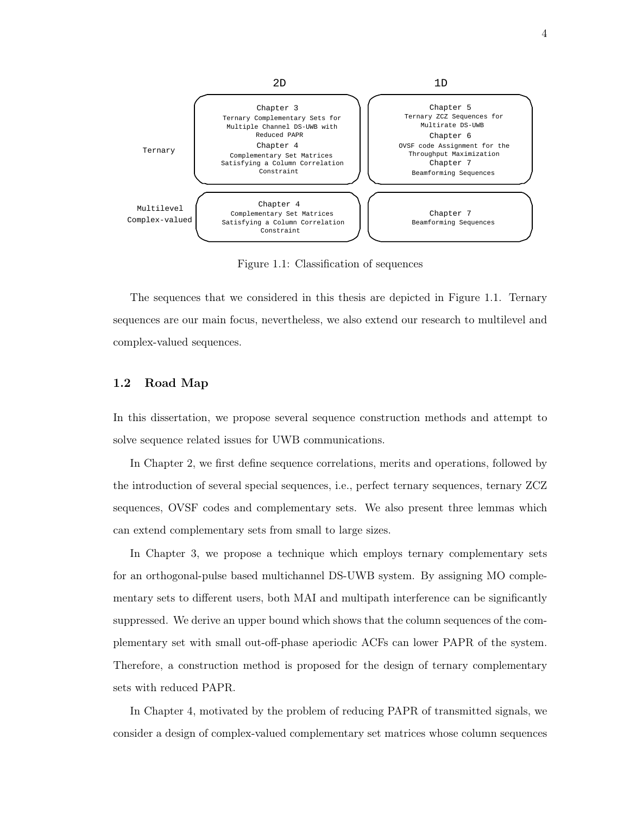

Figure 1.1: Classification of sequences

The sequences that we considered in this thesis are depicted in Figure 1.1. Ternary sequences are our main focus, nevertheless, we also extend our research to multilevel and complex-valued sequences.

### 1.2 Road Map

In this dissertation, we propose several sequence construction methods and attempt to solve sequence related issues for UWB communications.

In Chapter 2, we first define sequence correlations, merits and operations, followed by the introduction of several special sequences, i.e., perfect ternary sequences, ternary ZCZ sequences, OVSF codes and complementary sets. We also present three lemmas which can extend complementary sets from small to large sizes.

In Chapter 3, we propose a technique which employs ternary complementary sets for an orthogonal-pulse based multichannel DS-UWB system. By assigning MO complementary sets to different users, both MAI and multipath interference can be significantly suppressed. We derive an upper bound which shows that the column sequences of the complementary set with small out-off-phase aperiodic ACFs can lower PAPR of the system. Therefore, a construction method is proposed for the design of ternary complementary sets with reduced PAPR.

In Chapter 4, motivated by the problem of reducing PAPR of transmitted signals, we consider a design of complex-valued complementary set matrices whose column sequences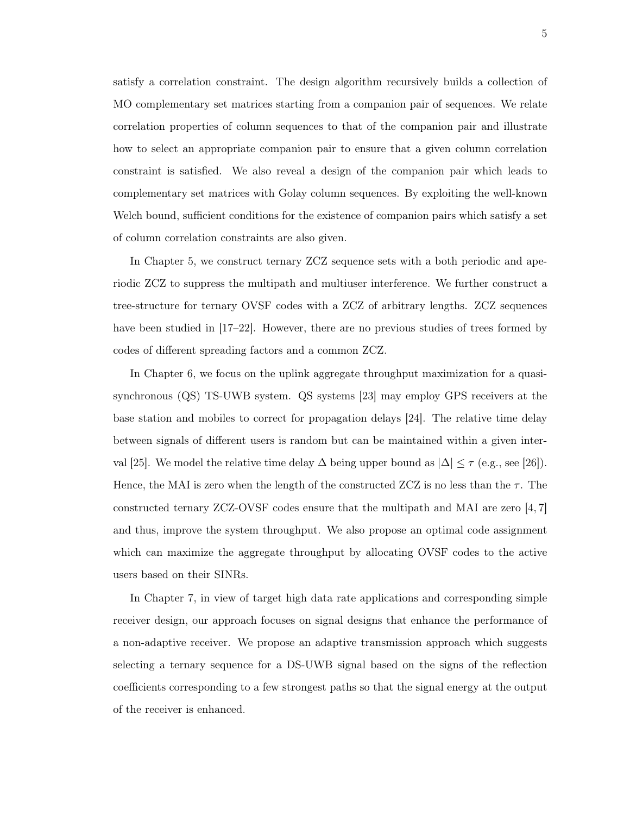satisfy a correlation constraint. The design algorithm recursively builds a collection of MO complementary set matrices starting from a companion pair of sequences. We relate correlation properties of column sequences to that of the companion pair and illustrate how to select an appropriate companion pair to ensure that a given column correlation constraint is satisfied. We also reveal a design of the companion pair which leads to complementary set matrices with Golay column sequences. By exploiting the well-known Welch bound, sufficient conditions for the existence of companion pairs which satisfy a set of column correlation constraints are also given.

In Chapter 5, we construct ternary ZCZ sequence sets with a both periodic and aperiodic ZCZ to suppress the multipath and multiuser interference. We further construct a tree-structure for ternary OVSF codes with a ZCZ of arbitrary lengths. ZCZ sequences have been studied in [17–22]. However, there are no previous studies of trees formed by codes of different spreading factors and a common ZCZ.

In Chapter 6, we focus on the uplink aggregate throughput maximization for a quasisynchronous (QS) TS-UWB system. QS systems [23] may employ GPS receivers at the base station and mobiles to correct for propagation delays [24]. The relative time delay between signals of different users is random but can be maintained within a given interval [25]. We model the relative time delay  $\Delta$  being upper bound as  $|\Delta| \leq \tau$  (e.g., see [26]). Hence, the MAI is zero when the length of the constructed ZCZ is no less than the  $\tau$ . The constructed ternary ZCZ-OVSF codes ensure that the multipath and MAI are zero [4, 7] and thus, improve the system throughput. We also propose an optimal code assignment which can maximize the aggregate throughput by allocating OVSF codes to the active users based on their SINRs.

In Chapter 7, in view of target high data rate applications and corresponding simple receiver design, our approach focuses on signal designs that enhance the performance of a non-adaptive receiver. We propose an adaptive transmission approach which suggests selecting a ternary sequence for a DS-UWB signal based on the signs of the reflection coefficients corresponding to a few strongest paths so that the signal energy at the output of the receiver is enhanced.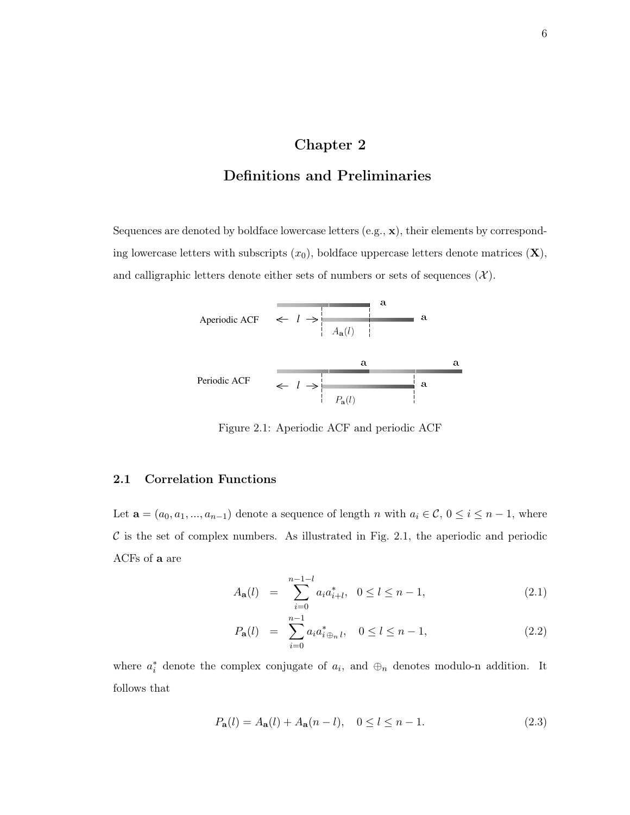# Chapter 2

# Definitions and Preliminaries

Sequences are denoted by boldface lowercase letters (e.g., x), their elements by corresponding lowercase letters with subscripts  $(x_0)$ , boldface uppercase letters denote matrices  $(X)$ , and calligraphic letters denote either sets of numbers or sets of sequences  $(\mathcal{X})$ .



Figure 2.1: Aperiodic ACF and periodic ACF

#### 2.1 Correlation Functions

Let  $\mathbf{a} = (a_0, a_1, ..., a_{n-1})$  denote a sequence of length n with  $a_i \in \mathcal{C}, 0 \leq i \leq n-1$ , where  $\mathcal C$  is the set of complex numbers. As illustrated in Fig. 2.1, the aperiodic and periodic ACFs of a are

$$
A_{\mathbf{a}}(l) = \sum_{i=0}^{n-1-l} a_i a_{i+l}^*, \ \ 0 \le l \le n-1,
$$
\n(2.1)

$$
P_{\mathbf{a}}(l) = \sum_{i=0}^{n-1} a_i a_{i \oplus_n l}^*, \quad 0 \le l \le n-1,
$$
\n(2.2)

where  $a_i^*$  denote the complex conjugate of  $a_i$ , and  $\oplus_n$  denotes modulo-n addition. It follows that

$$
P_{\mathbf{a}}(l) = A_{\mathbf{a}}(l) + A_{\mathbf{a}}(n-l), \quad 0 \le l \le n-1.
$$
 (2.3)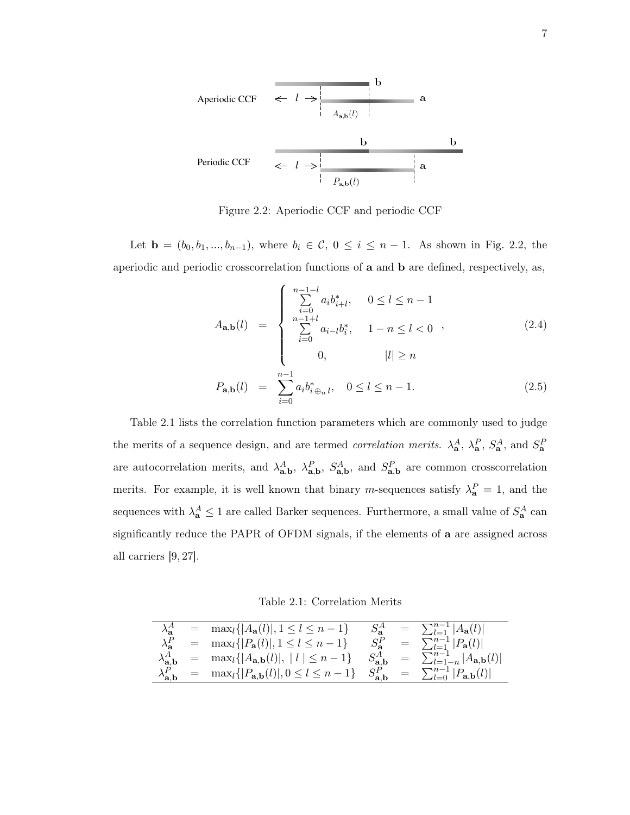

Figure 2.2: Aperiodic CCF and periodic CCF

Let **b** =  $(b_0, b_1, ..., b_{n-1})$ , where  $b_i \in C$ ,  $0 \le i \le n-1$ . As shown in Fig. 2.2, the aperiodic and periodic crosscorrelation functions of a and b are defined, respectively, as,

$$
A_{\mathbf{a},\mathbf{b}}(l) = \begin{cases} \sum_{i=0}^{n-1-l} a_i b_{i+l}^*, & 0 \le l \le n-1\\ \sum_{i=0}^{n-1+l} a_{i-l} b_i^*, & 1-n \le l < 0\\ 0, & |l| \ge n \end{cases}
$$
 (2.4)  

$$
P_{\mathbf{a},\mathbf{b}}(l) = \sum_{i=0}^{n-1} a_i b_{i \oplus_n l}^*, \quad 0 \le l \le n-1.
$$

Table 2.1 lists the correlation function parameters which are commonly used to judge the merits of a sequence design, and are termed *correlation merits.*  $\lambda_{a}^{A}$ ,  $\lambda_{a}^{P}$ ,  $S_{a}^{A}$ , and  $S_{a}^{P}$ are autocorrelation merits, and  $\lambda_{a,b}^A$ ,  $\lambda_{a,b}^P$ ,  $S_{a,b}^A$ , and  $S_{a,b}^P$  are common crosscorrelation merits. For example, it is well known that binary m-sequences satisfy  $\lambda_{a}^{P} = 1$ , and the sequences with  $\lambda_{\mathbf{a}}^A \leq 1$  are called Barker sequences. Furthermore, a small value of  $S_{\mathbf{a}}^A$  can significantly reduce the PAPR of OFDM signals, if the elements of a are assigned across all carriers [9, 27].

Table 2.1: Correlation Merits

|                                         | $=$ | $\max_{l} \{ A_{\mathbf{a}}(l) , 1 \leq l \leq n-1\}$                   |                                 |     | $= \sum_{l=1}^{n-1}  A_{\mathbf{a}}(l) $            |
|-----------------------------------------|-----|-------------------------------------------------------------------------|---------------------------------|-----|-----------------------------------------------------|
| $\lambda_{\mathbf{a}}^P$                |     | $=$ max <sub>l</sub> { $ P_{\bf{a}}(l) $ , $1 \leq l \leq n-1$ }        |                                 | $=$ | $\sum_{l=1}^{n-1}  P_{\bf a}(l) $                   |
| $\lambda_{{\mathbf{a}},{\mathbf{b}}}^A$ |     | $=$ max <sub>l</sub> { $ A_{\mathbf{a},\mathbf{b}}(l) ,  l  \leq n-1$ } | $S_{\mathbf{a},\mathbf{b}}^{A}$ | $=$ | $\sum_{l=1-n}^{n-1}  A_{\mathbf{a},\mathbf{b}}(l) $ |
| $\lambda_{\mathbf{a},\mathbf{b}}^{P}$   | $=$ | $\max_{l} \{ P_{\mathbf{a},\mathbf{b}}(l) , 0 \leq l \leq n-1\}$        |                                 | $=$ | $\sum_{l=0}^{n-1}  P_{\mathbf{a},\mathbf{b}}(l) $   |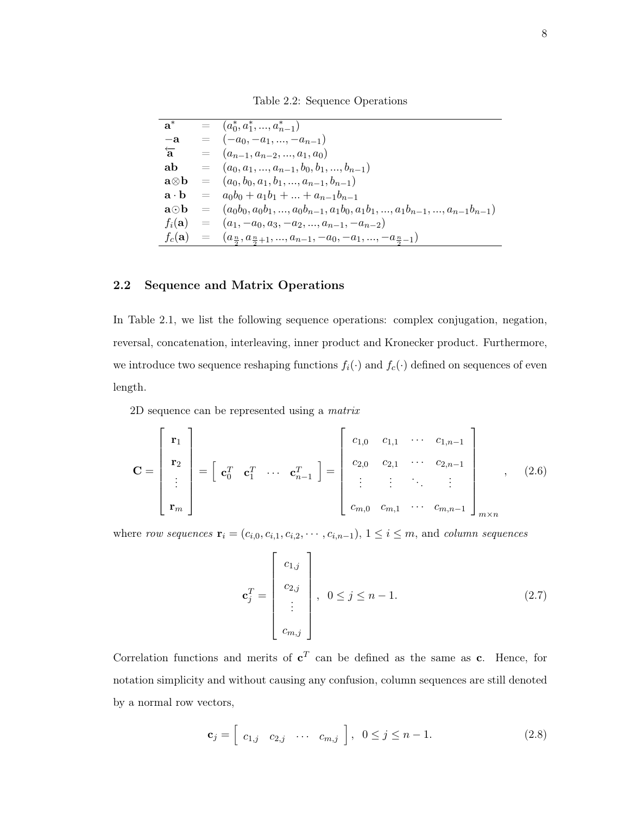Table 2.2: Sequence Operations

| $a^*$               |          | $= (a_0^*, a_1^*, , a_{n-1}^*)$                                                                       |
|---------------------|----------|-------------------------------------------------------------------------------------------------------|
| $-a$                |          | $= (-a_0, -a_1, , -a_{n-1})$                                                                          |
| $\overleftarrow{a}$ |          | $= (a_{n-1}, a_{n-2}, , a_1, a_0)$                                                                    |
| ab                  |          | $= (a_0, a_1, , a_{n-1}, b_0, b_1, , b_{n-1})$                                                        |
| a⊗b                 |          | $= (a_0, b_0, a_1, b_1, , a_{n-1}, b_{n-1})$                                                          |
| a · h               | $=$      | $a_0b_0 + a_1b_1 +  + a_{n-1}b_{n-1}$                                                                 |
| a⊙b                 | $\equiv$ | $(a_0b_0, a_0b_1, , a_0b_{n-1}, a_1b_0, a_1b_1, , a_1b_{n-1}, , a_{n-1}b_{n-1})$                      |
| $f_i(\mathbf{a})$   |          | $= (a_1, -a_0, a_3, -a_2, , a_{n-1}, -a_{n-2})$                                                       |
|                     |          | $f_c(\mathbf{a}) = (a_{\frac{n}{2}}, a_{\frac{n}{2}+1}, , a_{n-1}, -a_0, -a_1, , -a_{\frac{n}{2}-1})$ |

## 2.2 Sequence and Matrix Operations

In Table 2.1, we list the following sequence operations: complex conjugation, negation, reversal, concatenation, interleaving, inner product and Kronecker product. Furthermore, we introduce two sequence reshaping functions  $f_i(\cdot)$  and  $f_c(\cdot)$  defined on sequences of even length.

2D sequence can be represented using a matrix

$$
\mathbf{C} = \begin{bmatrix} \mathbf{r}_1 \\ \mathbf{r}_2 \\ \vdots \\ \mathbf{r}_m \end{bmatrix} = \begin{bmatrix} \mathbf{c}_1^T & \mathbf{c}_1^T & \cdots & \mathbf{c}_{n-1}^T \end{bmatrix} = \begin{bmatrix} c_{1,0} & c_{1,1} & \cdots & c_{1,n-1} \\ c_{2,0} & c_{2,1} & \cdots & c_{2,n-1} \\ \vdots & \vdots & \ddots & \vdots \\ c_{m,0} & c_{m,1} & \cdots & c_{m,n-1} \end{bmatrix}_{m \times n}, \quad (2.6)
$$

where row sequences  $\mathbf{r}_i = (c_{i,0}, c_{i,1}, c_{i,2}, \cdots, c_{i,n-1}), 1 \leq i \leq m$ , and column sequences

$$
\mathbf{c}_j^T = \begin{bmatrix} c_{1,j} \\ c_{2,j} \\ \vdots \\ c_{m,j} \end{bmatrix}, \quad 0 \le j \le n-1.
$$
 (2.7)

Correlation functions and merits of  $c^T$  can be defined as the same as c. Hence, for notation simplicity and without causing any confusion, column sequences are still denoted by a normal row vectors,

$$
\mathbf{c}_{j} = \begin{bmatrix} c_{1,j} & c_{2,j} & \cdots & c_{m,j} \end{bmatrix}, \ 0 \leq j \leq n-1. \tag{2.8}
$$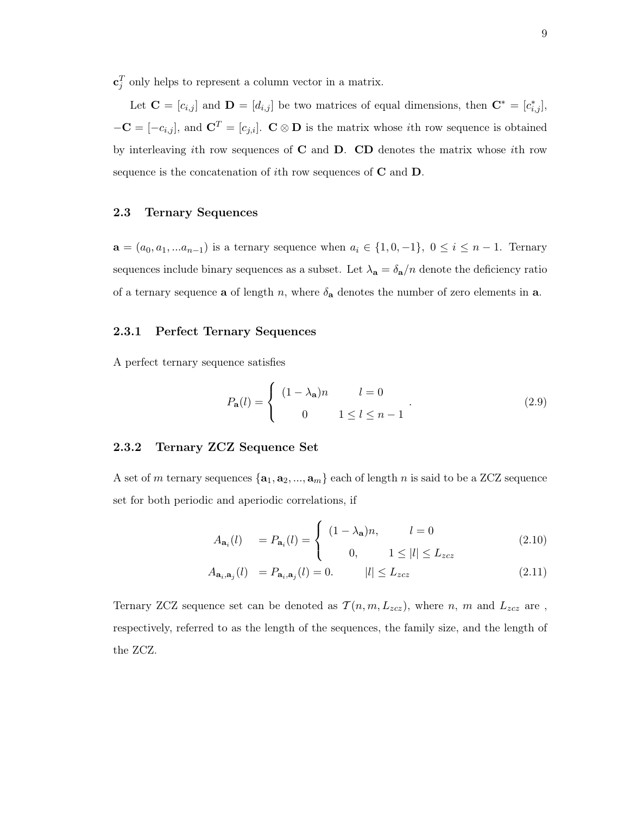$\mathbf{c}_j^T$  only helps to represent a column vector in a matrix.

Let  $\mathbf{C} = [c_{i,j}]$  and  $\mathbf{D} = [d_{i,j}]$  be two matrices of equal dimensions, then  $\mathbf{C}^* = [c^*_{i,j}]$ ,  $-\mathbf{C} = [-c_{i,j}],$  and  $\mathbf{C}^T = [c_{j,i}]. \mathbf{C} \otimes \mathbf{D}$  is the matrix whose *i*th row sequence is obtained by interleaving ith row sequences of  $C$  and  $D$ .  $CD$  denotes the matrix whose ith row sequence is the concatenation of ith row sequences of  $C$  and  $D$ .

### 2.3 Ternary Sequences

 $a = (a_0, a_1, ... a_{n-1})$  is a ternary sequence when  $a_i \in \{1, 0, -1\}$ ,  $0 \le i \le n-1$ . Ternary sequences include binary sequences as a subset. Let  $\lambda_{a} = \delta_{a}/n$  denote the deficiency ratio of a ternary sequence **a** of length n, where  $\delta_{a}$  denotes the number of zero elements in **a**.

### 2.3.1 Perfect Ternary Sequences

A perfect ternary sequence satisfies

$$
P_{\mathbf{a}}(l) = \begin{cases} (1 - \lambda_{\mathbf{a}})n & l = 0 \\ 0 & 1 \le l \le n - 1 \end{cases}
$$
 (2.9)

## 2.3.2 Ternary ZCZ Sequence Set

A set of m ternary sequences  $\{a_1, a_2, ..., a_m\}$  each of length n is said to be a ZCZ sequence set for both periodic and aperiodic correlations, if

$$
A_{\mathbf{a}_i}(l) = P_{\mathbf{a}_i}(l) = \begin{cases} (1 - \lambda_{\mathbf{a}})n, & l = 0 \\ 0, & 1 \le |l| \le L_{zcz} \end{cases}
$$
(2.10)

$$
A_{\mathbf{a}_i, \mathbf{a}_j}(l) = P_{\mathbf{a}_i, \mathbf{a}_j}(l) = 0. \qquad |l| \le L_{zcz} \tag{2.11}
$$

Ternary ZCZ sequence set can be denoted as  $\mathcal{T}(n, m, L_{zcz})$ , where n, m and  $L_{zcz}$  are, respectively, referred to as the length of the sequences, the family size, and the length of the ZCZ.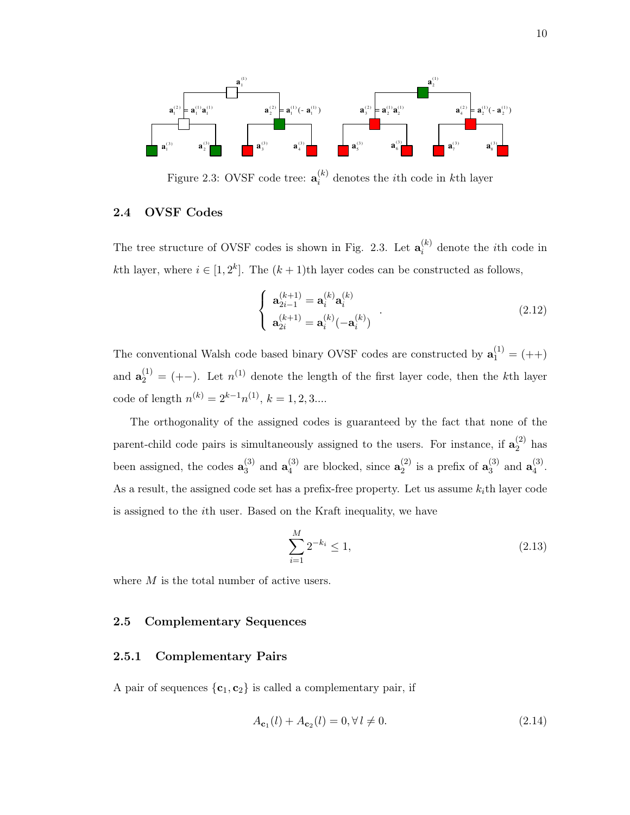

Figure 2.3: OVSF code tree:  $\mathbf{a}_i^{(k)}$  $i^{(k)}$  denotes the *i*<sup>th</sup> code in *k*<sup>th</sup> layer

## 2.4 OVSF Codes

The tree structure of OVSF codes is shown in Fig. 2.3. Let  $\mathbf{a}_i^{(k)}$  $i^{(k)}$  denote the *i*th code in kth layer, where  $i \in [1, 2^k]$ . The  $(k + 1)$ th layer codes can be constructed as follows,

$$
\begin{cases}\n\mathbf{a}_{2i-1}^{(k+1)} = \mathbf{a}_i^{(k)} \mathbf{a}_i^{(k)} \\
\mathbf{a}_{2i}^{(k+1)} = \mathbf{a}_i^{(k)} (-\mathbf{a}_i^{(k)})\n\end{cases} (2.12)
$$

The conventional Walsh code based binary OVSF codes are constructed by  $\mathbf{a}_1^{(1)} = (++)$ and  $\mathbf{a}_2^{(1)} = (+-)$ . Let  $n^{(1)}$  denote the length of the first layer code, then the k<sup>th</sup> layer code of length  $n^{(k)} = 2^{k-1}n^{(1)}$ ,  $k = 1, 2, 3...$ 

The orthogonality of the assigned codes is guaranteed by the fact that none of the parent-child code pairs is simultaneously assigned to the users. For instance, if  $a_2^{(2)}$  $2^{(2)}$  has been assigned, the codes  $\mathbf{a}_3^{(3)}$  $_3^{(3)}$  and  $a_4^{(3)}$  $_4^{(3)}$  are blocked, since  $\mathbf{a}_2^{(2)}$  $\binom{2}{2}$  is a prefix of  $\mathbf{a}_3^{(3)}$  $_3^{(3)}$  and  ${\bf a}_4^{(3)}$  $\frac{1}{4}$ . As a result, the assigned code set has a prefix-free property. Let us assume  $k_i$ th layer code is assigned to the ith user. Based on the Kraft inequality, we have

$$
\sum_{i=1}^{M} 2^{-k_i} \le 1,\tag{2.13}
$$

where M is the total number of active users.

### 2.5 Complementary Sequences

### 2.5.1 Complementary Pairs

A pair of sequences  ${c_1, c_2}$  is called a complementary pair, if

$$
A_{\mathbf{c}_1}(l) + A_{\mathbf{c}_2}(l) = 0, \forall l \neq 0. \tag{2.14}
$$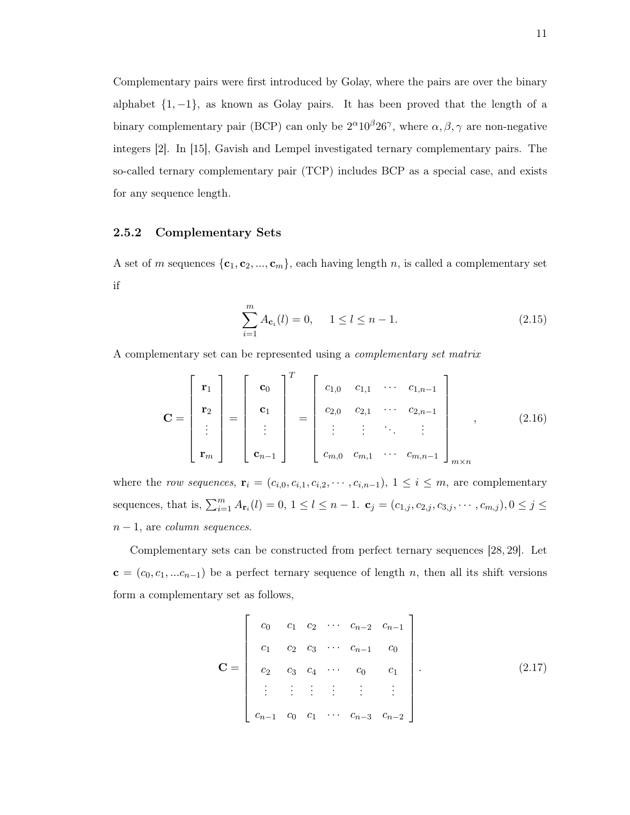Complementary pairs were first introduced by Golay, where the pairs are over the binary alphabet  $\{1, -1\}$ , as known as Golay pairs. It has been proved that the length of a binary complementary pair (BCP) can only be  $2^{\alpha}10^{\beta}26^{\gamma}$ , where  $\alpha, \beta, \gamma$  are non-negative integers [2]. In [15], Gavish and Lempel investigated ternary complementary pairs. The so-called ternary complementary pair (TCP) includes BCP as a special case, and exists for any sequence length.

### 2.5.2 Complementary Sets

A set of m sequences  $\{c_1, c_2, ..., c_m\}$ , each having length n, is called a complementary set if

$$
\sum_{i=1}^{m} A_{\mathbf{c}_i}(l) = 0, \quad 1 \le l \le n - 1.
$$
 (2.15)

A complementary set can be represented using a complementary set matrix

$$
\mathbf{C} = \begin{bmatrix} \mathbf{r}_1 \\ \mathbf{r}_2 \\ \vdots \\ \mathbf{r}_m \end{bmatrix} = \begin{bmatrix} \mathbf{c}_0 \\ \mathbf{c}_1 \\ \vdots \\ \mathbf{c}_{n-1} \end{bmatrix}^T = \begin{bmatrix} c_{1,0} & c_{1,1} & \cdots & c_{1,n-1} \\ c_{2,0} & c_{2,1} & \cdots & c_{2,n-1} \\ \vdots & \vdots & \ddots & \vdots \\ c_{m,0} & c_{m,1} & \cdots & c_{m,n-1} \end{bmatrix}_{m \times n}, \qquad (2.16)
$$

where the row sequences,  $\mathbf{r}_i = (c_{i,0}, c_{i,1}, c_{i,2}, \cdots, c_{i,n-1}), 1 \leq i \leq m$ , are complementary sequences, that is,  $\sum_{i=1}^{m} A_{\mathbf{r}_i}(l) = 0, 1 \le l \le n-1$ .  $\mathbf{c}_j = (c_{1,j}, c_{2,j}, c_{3,j}, \cdots, c_{m,j}), 0 \le j \le n-1$ .  $n-1$ , are *column sequences*.

Complementary sets can be constructed from perfect ternary sequences [28, 29]. Let  $c = (c_0, c_1, ... c_{n-1})$  be a perfect ternary sequence of length n, then all its shift versions form a complementary set as follows,

$$
\mathbf{C} = \begin{bmatrix} c_0 & c_1 & c_2 & \cdots & c_{n-2} & c_{n-1} \\ c_1 & c_2 & c_3 & \cdots & c_{n-1} & c_0 \\ c_2 & c_3 & c_4 & \cdots & c_0 & c_1 \\ \vdots & \vdots & \vdots & \vdots & \vdots & \vdots \\ c_{n-1} & c_0 & c_1 & \cdots & c_{n-3} & c_{n-2} \end{bmatrix} .
$$
 (2.17)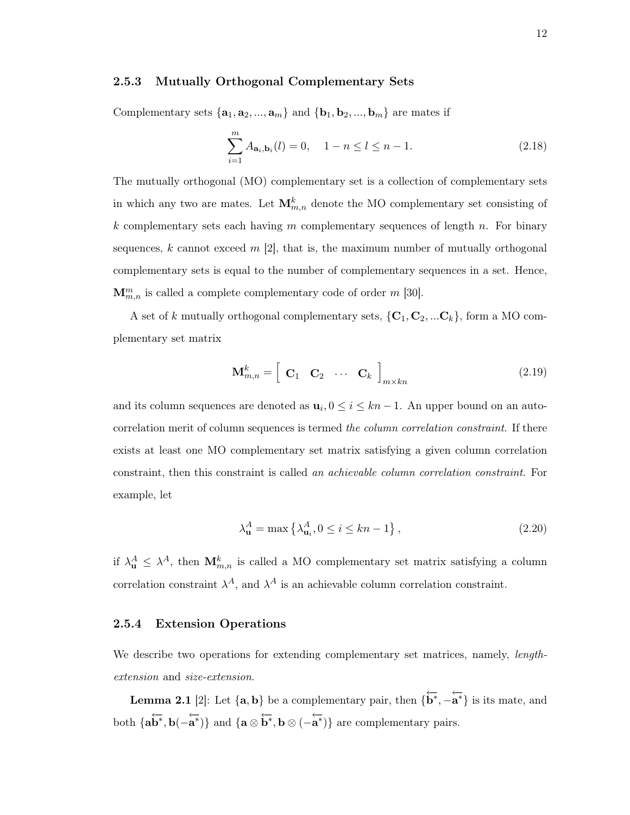#### 2.5.3 Mutually Orthogonal Complementary Sets

Complementary sets  $\{a_1, a_2, ..., a_m\}$  and  $\{b_1, b_2, ..., b_m\}$  are mates if

$$
\sum_{i=1}^{m} A_{\mathbf{a}_i, \mathbf{b}_i}(l) = 0, \quad 1 - n \le l \le n - 1.
$$
 (2.18)

The mutually orthogonal (MO) complementary set is a collection of complementary sets in which any two are mates. Let  $\mathbf{M}_{m,n}^k$  denote the MO complementary set consisting of k complementary sets each having  $m$  complementary sequences of length  $n$ . For binary sequences, k cannot exceed  $m$  [2], that is, the maximum number of mutually orthogonal complementary sets is equal to the number of complementary sequences in a set. Hence,  $\mathbf{M}_{m,n}^{m}$  is called a complete complementary code of order m [30].

A set of k mutually orthogonal complementary sets,  $\{C_1, C_2, ... C_k\}$ , form a MO complementary set matrix

$$
\mathbf{M}_{m,n}^k = \begin{bmatrix} \mathbf{C}_1 & \mathbf{C}_2 & \cdots & \mathbf{C}_k \end{bmatrix}_{m \times kn} \tag{2.19}
$$

and its column sequences are denoted as  $\mathbf{u}_i, 0 \leq i \leq kn-1$ . An upper bound on an autocorrelation merit of column sequences is termed the column correlation constraint. If there exists at least one MO complementary set matrix satisfying a given column correlation constraint, then this constraint is called an achievable column correlation constraint. For example, let

$$
\lambda_{\mathbf{u}}^A = \max \left\{ \lambda_{\mathbf{u}_i}^A, 0 \le i \le kn - 1 \right\},\tag{2.20}
$$

if  $\lambda_{\mathbf{u}}^A \leq \lambda^A$ , then  $\mathbf{M}_{m,n}^k$  is called a MO complementary set matrix satisfying a column correlation constraint  $\lambda^A$ , and  $\lambda^A$  is an achievable column correlation constraint.

#### 2.5.4 Extension Operations

We describe two operations for extending complementary set matrices, namely, *length*extension and size-extension.

**Lemma 2.1** [2]: Let  $\{a, b\}$  be a complementary pair, then  $\{\overleftarrow{b^*}, -\overleftarrow{a^*}\}$  is its mate, and both  $\{a\overline{b^*}, b(-\overline{a^*})\}$  and  $\{a\otimes \overline{b^*}, b\otimes (-\overline{a^*})\}$  are complementary pairs.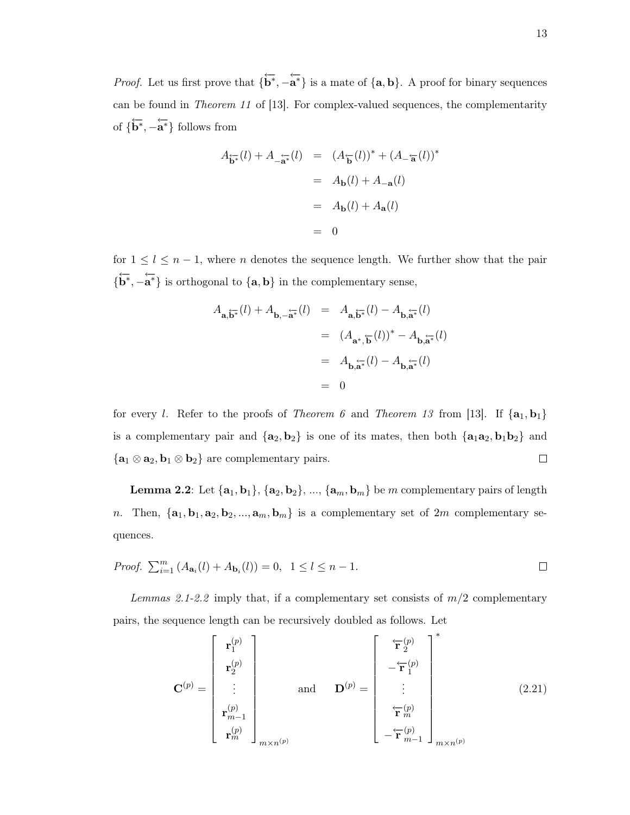*Proof.* Let us first prove that  $\{\overleftarrow{\mathbf{b}^*}, -\overleftarrow{\mathbf{a}^*}\}$  is a mate of  $\{\mathbf{a}, \mathbf{b}\}$ . A proof for binary sequences can be found in Theorem 11 of [13]. For complex-valued sequences, the complementarity of  $\{\overleftarrow{\mathbf{b}}^*, -\overleftarrow{\mathbf{a}}^*\}$  follows from

$$
A_{\overline{\mathbf{b}^*}}(l) + A_{-\overline{\mathbf{a}^*}}(l) = (A_{\overline{\mathbf{b}}}(l))^* + (A_{-\overline{\mathbf{a}}}(l))^*
$$
  

$$
= A_{\mathbf{b}}(l) + A_{-\mathbf{a}}(l)
$$
  

$$
= A_{\mathbf{b}}(l) + A_{\mathbf{a}}(l)
$$
  

$$
= 0
$$

for  $1 \leq l \leq n-1$ , where n denotes the sequence length. We further show that the pair  $\{\overleftarrow{b^*}, -\overleftarrow{a^*}\}$  is orthogonal to  $\{\mathbf{a}, \mathbf{b}\}$  in the complementary sense,

$$
A_{\mathbf{a}, \overleftarrow{\mathbf{b}^*}}(l) + A_{\mathbf{b}, -\overleftarrow{\mathbf{a}^*}}(l) = A_{\mathbf{a}, \overleftarrow{\mathbf{b}^*}}(l) - A_{\mathbf{b}, \overleftarrow{\mathbf{a}^*}}(l)
$$
  

$$
= (A_{\mathbf{a}^*, \overleftarrow{\mathbf{b}}}(l))^* - A_{\mathbf{b}, \overleftarrow{\mathbf{a}^*}}(l)
$$
  

$$
= A_{\mathbf{b}, \overleftarrow{\mathbf{a}^*}}(l) - A_{\mathbf{b}, \overleftarrow{\mathbf{a}^*}}(l)
$$
  

$$
= 0
$$

for every l. Refer to the proofs of Theorem 6 and Theorem 13 from [13]. If  $\{a_1, b_1\}$ is a complementary pair and  $\{a_2, b_2\}$  is one of its mates, then both  $\{a_1a_2, b_1b_2\}$  and  $\{{\bf a}_1\otimes{\bf a}_2, {\bf b}_1\otimes{\bf b}_2\}$  are complementary pairs.  $\Box$ 

**Lemma 2.2**: Let  $\{a_1, b_1\}$ ,  $\{a_2, b_2\}$ , ...,  $\{a_m, b_m\}$  be m complementary pairs of length n. Then,  $\{a_1, b_1, a_2, b_2, ..., a_m, b_m\}$  is a complementary set of  $2m$  complementary sequences.

*Proof.* 
$$
\sum_{i=1}^{m} (A_{\mathbf{a}_i}(l) + A_{\mathbf{b}_i}(l)) = 0, \quad 1 \le l \le n - 1.
$$

Lemmas 2.1-2.2 imply that, if a complementary set consists of  $m/2$  complementary pairs, the sequence length can be recursively doubled as follows. Let

$$
\mathbf{C}^{(p)} = \begin{bmatrix} \mathbf{r}_1^{(p)} \\ \mathbf{r}_2^{(p)} \\ \vdots \\ \mathbf{r}_{m-1}^{(p)} \\ \mathbf{r}_m^{(p)} \end{bmatrix}_{m \times n^{(p)}} \quad \text{and} \quad \mathbf{D}^{(p)} = \begin{bmatrix} \mathbf{\dot{r}}_2^{(p)} \\ -\mathbf{\dot{r}}_1^{(p)} \\ \vdots \\ \mathbf{\dot{r}}_m^{(p)} \\ -\mathbf{\dot{r}}_m^{(p)} \end{bmatrix}_{m \times n^{(p)}}^* \tag{2.21}
$$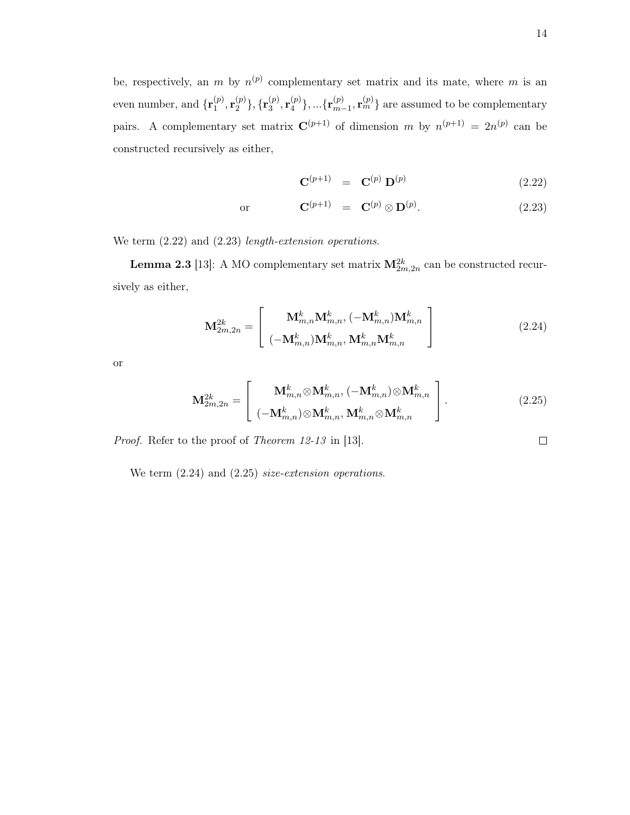14

 $\Box$ 

be, respectively, an m by  $n^{(p)}$  complementary set matrix and its mate, where m is an even number, and  $\{\mathbf{r}_1^{(p)}\}$  $\mathbf{r}_{1}^{(p)},\mathbf{r}_{2}^{(p)}$  $\{{\bf r}_3^{(p)}\},\{{\bf r}_3^{(p)}$  $\mathbf{r}_3^{(p)}, \mathbf{r}_4^{(p)}$  $\{{p \choose 4}\},...{\{{\bf r}^{(p)}_{m-1}\}}$  ${}^{(p)}_{m-1}, \mathbf{r}_{m}^{(p)}$ } are assumed to be complementary pairs. A complementary set matrix  $\mathbf{C}^{(p+1)}$  of dimension m by  $n^{(p+1)} = 2n^{(p)}$  can be constructed recursively as either,

$$
\mathbf{C}^{(p+1)} = \mathbf{C}^{(p)} \mathbf{D}^{(p)} \tag{2.22}
$$

or  $\mathbf{C}^{(p+1)} = \mathbf{C}^{(p)} \otimes \mathbf{D}^{(p)}$ .  $(2.23)$ 

We term  $(2.22)$  and  $(2.23)$  *length-extension operations.* 

**Lemma 2.3** [13]: A MO complementary set matrix  $\mathbf{M}_{2m,2n}^{2k}$  can be constructed recursively as either,

$$
\mathbf{M}_{2m,2n}^{2k} = \begin{bmatrix} \mathbf{M}_{m,n}^{k} \mathbf{M}_{m,n}^{k}, \left( -\mathbf{M}_{m,n}^{k} \right) \mathbf{M}_{m,n}^{k} \\ \left( -\mathbf{M}_{m,n}^{k} \right) \mathbf{M}_{m,n}^{k}, \mathbf{M}_{m,n}^{k} \mathbf{M}_{m,n}^{k} \end{bmatrix}
$$
(2.24)

or

$$
\mathbf{M}_{2m,2n}^{2k} = \begin{bmatrix} \mathbf{M}_{m,n}^{k} \otimes \mathbf{M}_{m,n}^{k}, \left( -\mathbf{M}_{m,n}^{k} \right) \otimes \mathbf{M}_{m,n}^{k} \\ \left( -\mathbf{M}_{m,n}^{k} \right) \otimes \mathbf{M}_{m,n}^{k}, \mathbf{M}_{m,n}^{k} \otimes \mathbf{M}_{m,n}^{k} \end{bmatrix} .
$$
 (2.25)

Proof. Refer to the proof of Theorem 12-13 in [13].

We term  $(2.24)$  and  $(2.25)$  *size-extension operations.*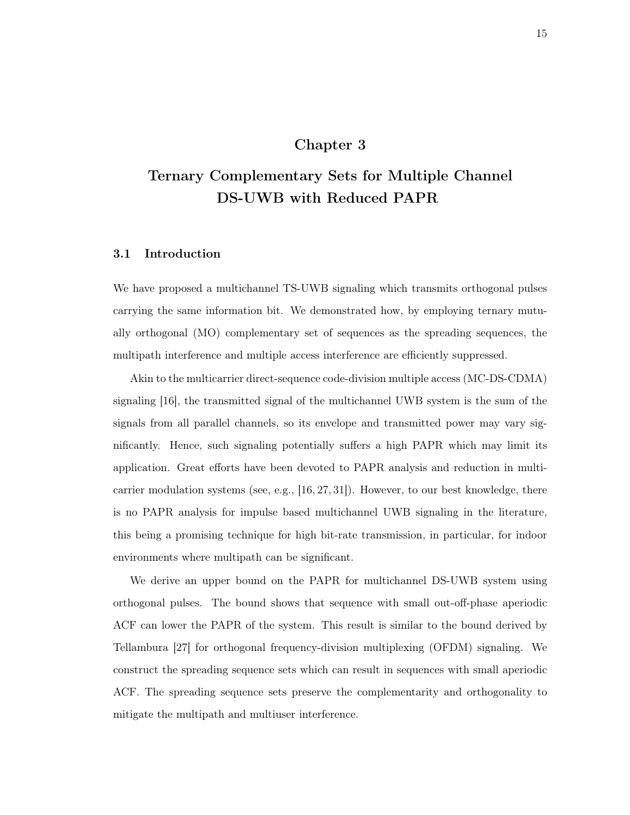# Chapter 3

# Ternary Complementary Sets for Multiple Channel DS-UWB with Reduced PAPR

## 3.1 Introduction

We have proposed a multichannel TS-UWB signaling which transmits orthogonal pulses carrying the same information bit. We demonstrated how, by employing ternary mutually orthogonal (MO) complementary set of sequences as the spreading sequences, the multipath interference and multiple access interference are efficiently suppressed.

Akin to the multicarrier direct-sequence code-division multiple access (MC-DS-CDMA) signaling [16], the transmitted signal of the multichannel UWB system is the sum of the signals from all parallel channels, so its envelope and transmitted power may vary significantly. Hence, such signaling potentially suffers a high PAPR which may limit its application. Great efforts have been devoted to PAPR analysis and reduction in multicarrier modulation systems (see, e.g.,  $[16, 27, 31]$ ). However, to our best knowledge, there is no PAPR analysis for impulse based multichannel UWB signaling in the literature, this being a promising technique for high bit-rate transmission, in particular, for indoor environments where multipath can be significant.

We derive an upper bound on the PAPR for multichannel DS-UWB system using orthogonal pulses. The bound shows that sequence with small out-off-phase aperiodic ACF can lower the PAPR of the system. This result is similar to the bound derived by Tellambura [27] for orthogonal frequency-division multiplexing (OFDM) signaling. We construct the spreading sequence sets which can result in sequences with small aperiodic ACF. The spreading sequence sets preserve the complementarity and orthogonality to mitigate the multipath and multiuser interference.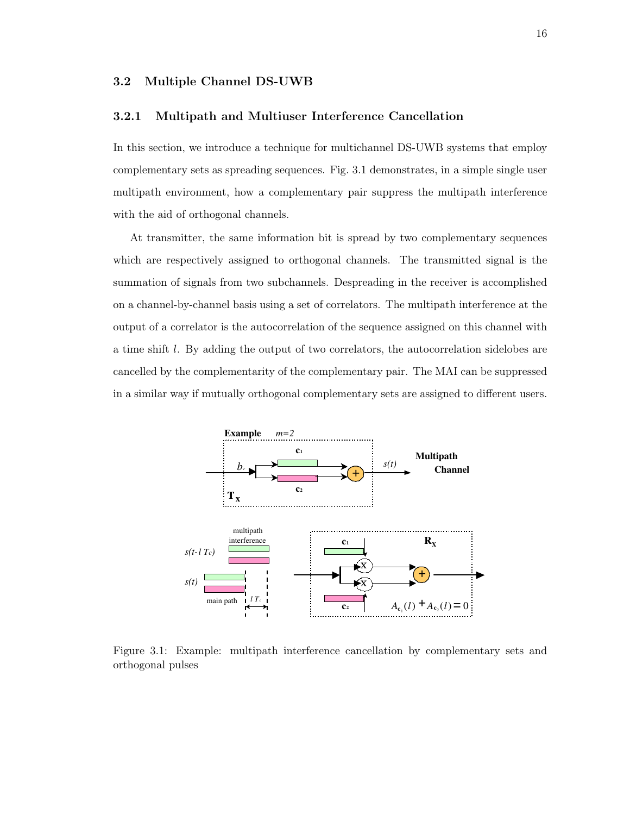### 3.2 Multiple Channel DS-UWB

### 3.2.1 Multipath and Multiuser Interference Cancellation

In this section, we introduce a technique for multichannel DS-UWB systems that employ complementary sets as spreading sequences. Fig. 3.1 demonstrates, in a simple single user multipath environment, how a complementary pair suppress the multipath interference with the aid of orthogonal channels.

At transmitter, the same information bit is spread by two complementary sequences which are respectively assigned to orthogonal channels. The transmitted signal is the summation of signals from two subchannels. Despreading in the receiver is accomplished on a channel-by-channel basis using a set of correlators. The multipath interference at the output of a correlator is the autocorrelation of the sequence assigned on this channel with a time shift l. By adding the output of two correlators, the autocorrelation sidelobes are cancelled by the complementarity of the complementary pair. The MAI can be suppressed in a similar way if mutually orthogonal complementary sets are assigned to different users.



Figure 3.1: Example: multipath interference cancellation by complementary sets and orthogonal pulses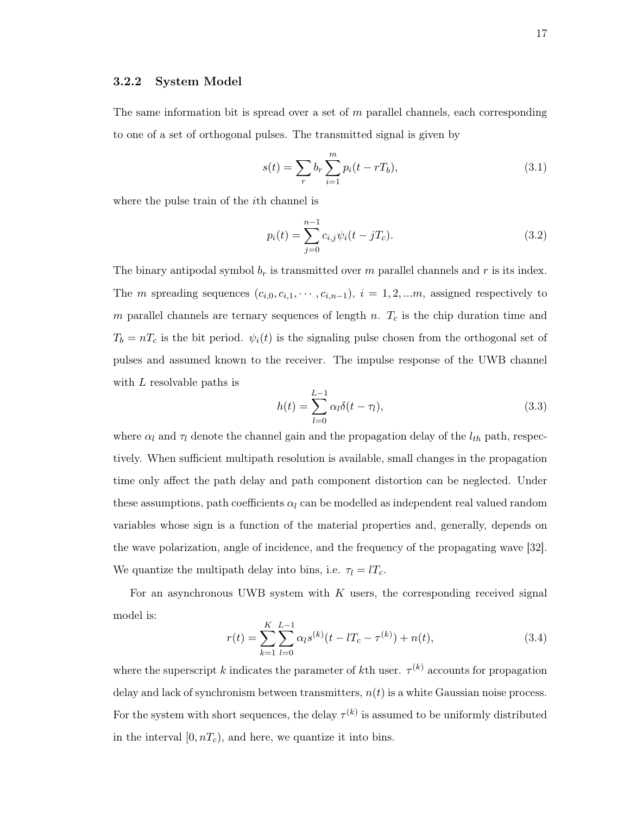#### 3.2.2 System Model

The same information bit is spread over a set of  $m$  parallel channels, each corresponding to one of a set of orthogonal pulses. The transmitted signal is given by

$$
s(t) = \sum_{r} b_r \sum_{i=1}^{m} p_i (t - rT_b),
$$
\n(3.1)

where the pulse train of the *i*th channel is

$$
p_i(t) = \sum_{j=0}^{n-1} c_{i,j} \psi_i(t - jT_c).
$$
 (3.2)

The binary antipodal symbol  $b_r$  is transmitted over m parallel channels and r is its index. The m spreading sequences  $(c_{i,0}, c_{i,1}, \cdots, c_{i,n-1}), i = 1, 2, \ldots m$ , assigned respectively to m parallel channels are ternary sequences of length n.  $T_c$  is the chip duration time and  $T_b = nT_c$  is the bit period.  $\psi_i(t)$  is the signaling pulse chosen from the orthogonal set of pulses and assumed known to the receiver. The impulse response of the UWB channel with L resolvable paths is

$$
h(t) = \sum_{l=0}^{L-1} \alpha_l \delta(t - \tau_l),
$$
\n(3.3)

where  $\alpha_l$  and  $\tau_l$  denote the channel gain and the propagation delay of the  $l_{th}$  path, respectively. When sufficient multipath resolution is available, small changes in the propagation time only affect the path delay and path component distortion can be neglected. Under these assumptions, path coefficients  $\alpha_l$  can be modelled as independent real valued random variables whose sign is a function of the material properties and, generally, depends on the wave polarization, angle of incidence, and the frequency of the propagating wave [32]. We quantize the multipath delay into bins, i.e.  $\tau_l = lT_c$ .

For an asynchronous UWB system with  $K$  users, the corresponding received signal model is:

$$
r(t) = \sum_{k=1}^{K} \sum_{l=0}^{L-1} \alpha_l s^{(k)}(t - lT_c - \tau^{(k)}) + n(t),
$$
\n(3.4)

where the superscript k indicates the parameter of kth user.  $\tau^{(k)}$  accounts for propagation delay and lack of synchronism between transmitters,  $n(t)$  is a white Gaussian noise process. For the system with short sequences, the delay  $\tau^{(k)}$  is assumed to be uniformly distributed in the interval  $[0, nT_c)$ , and here, we quantize it into bins.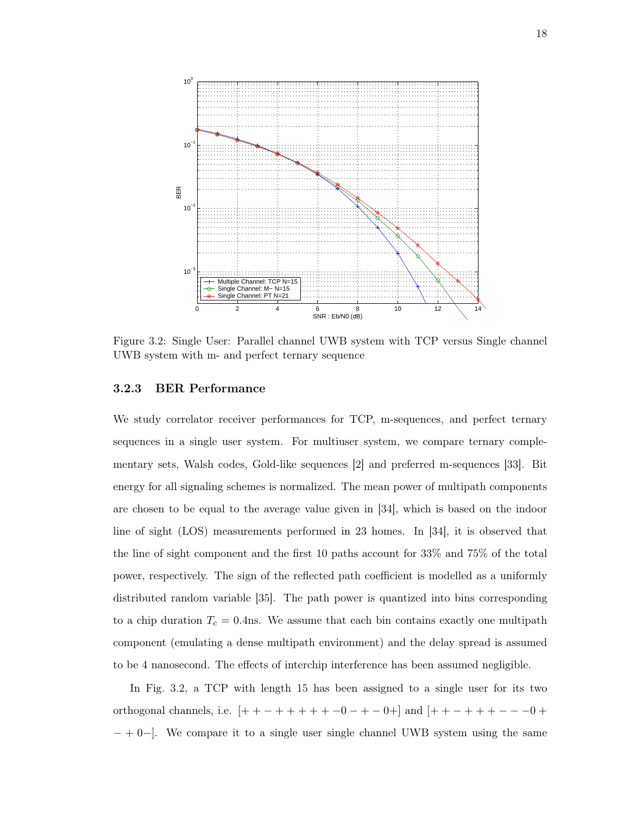

Figure 3.2: Single User: Parallel channel UWB system with TCP versus Single channel UWB system with m- and perfect ternary sequence

#### 3.2.3 BER Performance

We study correlator receiver performances for TCP, m-sequences, and perfect ternary sequences in a single user system. For multiuser system, we compare ternary complementary sets, Walsh codes, Gold-like sequences [2] and preferred m-sequences [33]. Bit energy for all signaling schemes is normalized. The mean power of multipath components are chosen to be equal to the average value given in [34], which is based on the indoor line of sight (LOS) measurements performed in 23 homes. In [34], it is observed that the line of sight component and the first 10 paths account for 33% and 75% of the total power, respectively. The sign of the reflected path coefficient is modelled as a uniformly distributed random variable [35]. The path power is quantized into bins corresponding to a chip duration  $T_c = 0.4$ ns. We assume that each bin contains exactly one multipath component (emulating a dense multipath environment) and the delay spread is assumed to be 4 nanosecond. The effects of interchip interference has been assumed negligible.

In Fig. 3.2, a TCP with length 15 has been assigned to a single user for its two orthogonal channels, i.e.  $[+ + - + + + + + -0 - + -0 +]$  and  $[+ + - + + + + - - -0 +$ − + 0−]. We compare it to a single user single channel UWB system using the same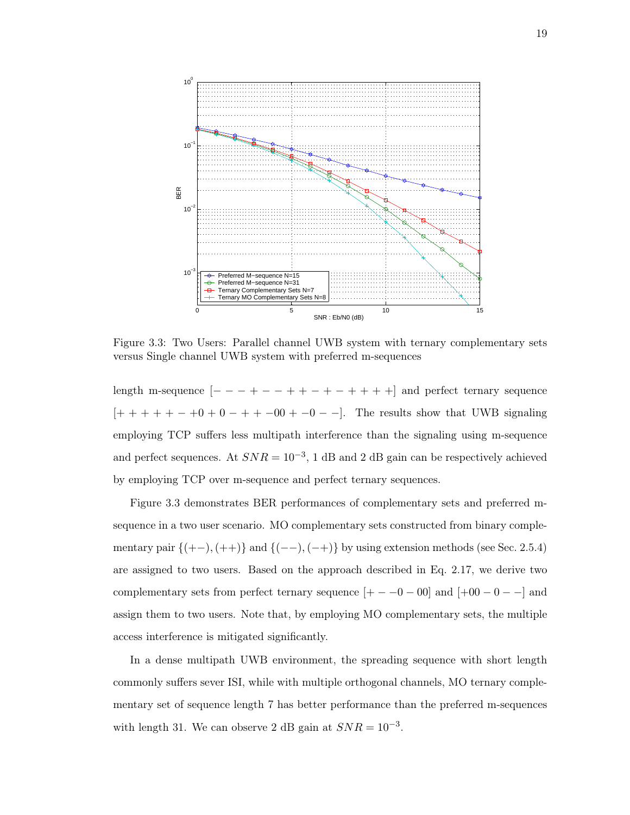

Figure 3.3: Two Users: Parallel channel UWB system with ternary complementary sets versus Single channel UWB system with preferred m-sequences

length m-sequence  $[- - - + - - + + - - + + + + +]$  and perfect ternary sequence  $[ + + + + + - +0 + 0 - + + -00 + -0 - -].$  The results show that UWB signaling employing TCP suffers less multipath interference than the signaling using m-sequence and perfect sequences. At  $SNR = 10^{-3}$ , 1 dB and 2 dB gain can be respectively achieved by employing TCP over m-sequence and perfect ternary sequences.

Figure 3.3 demonstrates BER performances of complementary sets and preferred msequence in a two user scenario. MO complementary sets constructed from binary complementary pair  $\{(+-),(+)\}$  and  $\{(--),(-+)\}$  by using extension methods (see Sec. 2.5.4) are assigned to two users. Based on the approach described in Eq. 2.17, we derive two complementary sets from perfect ternary sequence  $[+ - -0 - 00]$  and  $[+00 - 0 - -]$  and assign them to two users. Note that, by employing MO complementary sets, the multiple access interference is mitigated significantly.

In a dense multipath UWB environment, the spreading sequence with short length commonly suffers sever ISI, while with multiple orthogonal channels, MO ternary complementary set of sequence length 7 has better performance than the preferred m-sequences with length 31. We can observe 2 dB gain at  $SNR = 10^{-3}$ .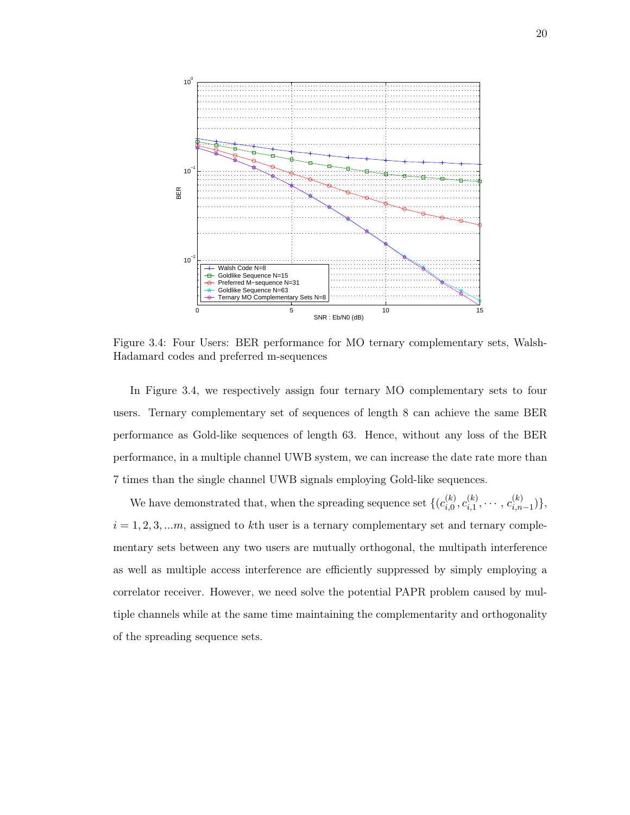

Figure 3.4: Four Users: BER performance for MO ternary complementary sets, Walsh-Hadamard codes and preferred m-sequences

In Figure 3.4, we respectively assign four ternary MO complementary sets to four users. Ternary complementary set of sequences of length 8 can achieve the same BER performance as Gold-like sequences of length 63. Hence, without any loss of the BER performance, in a multiple channel UWB system, we can increase the date rate more than 7 times than the single channel UWB signals employing Gold-like sequences.

We have demonstrated that, when the spreading sequence set  $\{ (c_{i,0}^{(k)} \}$  $\overset{(k)}{\vphantom{\big(}i,0},\vphantom{\big(}\smash{\stackrel{(k)}{\overline{\vphantom{}}}}_{i,1}$  $\binom{(k)}{i,1}, \cdots, c_{i,n}^{(k)}$  $\binom{n}{i,n-1},\$  $i = 1, 2, 3, \ldots m$ , assigned to kth user is a ternary complementary set and ternary complementary sets between any two users are mutually orthogonal, the multipath interference as well as multiple access interference are efficiently suppressed by simply employing a correlator receiver. However, we need solve the potential PAPR problem caused by multiple channels while at the same time maintaining the complementarity and orthogonality of the spreading sequence sets.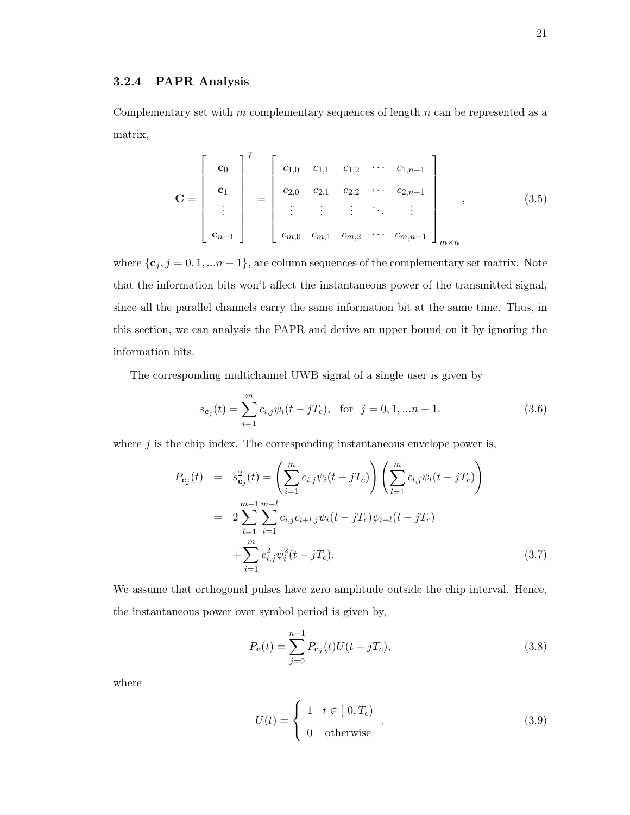#### 3.2.4 PAPR Analysis

Complementary set with  $m$  complementary sequences of length  $n$  can be represented as a matrix,

$$
\mathbf{C} = \begin{bmatrix} \mathbf{c}_0 \\ \mathbf{c}_1 \\ \vdots \\ \mathbf{c}_{n-1} \end{bmatrix}^T = \begin{bmatrix} c_{1,0} & c_{1,1} & c_{1,2} & \cdots & c_{1,n-1} \\ c_{2,0} & c_{2,1} & c_{2,2} & \cdots & c_{2,n-1} \\ \vdots & \vdots & \vdots & \ddots & \vdots \\ c_{m,0} & c_{m,1} & c_{m,2} & \cdots & c_{m,n-1} \end{bmatrix}_{m \times n},
$$
(3.5)

where  $\{c_j, j = 0, 1, \ldots n-1\}$ , are column sequences of the complementary set matrix. Note that the information bits won't affect the instantaneous power of the transmitted signal, since all the parallel channels carry the same information bit at the same time. Thus, in this section, we can analysis the PAPR and derive an upper bound on it by ignoring the information bits.

The corresponding multichannel UWB signal of a single user is given by

$$
s_{\mathbf{c}_j}(t) = \sum_{i=1}^{m} c_{i,j} \psi_i(t - jT_c), \text{ for } j = 0, 1, \dots n - 1.
$$
 (3.6)

where  $j$  is the chip index. The corresponding instantaneous envelope power is,

$$
P_{\mathbf{c}_j}(t) = s_{\mathbf{c}_j}^2(t) = \left(\sum_{i=1}^m c_{i,j} \psi_i(t - jT_c)\right) \left(\sum_{l=1}^m c_{l,j} \psi_l(t - jT_c)\right)
$$
  

$$
= 2 \sum_{l=1}^{m-1} \sum_{i=1}^{m-l} c_{i,j} c_{i+l,j} \psi_i(t - jT_c) \psi_{i+l}(t - jT_c)
$$
  

$$
+ \sum_{i=1}^m c_{i,j}^2 \psi_i^2(t - jT_c).
$$
 (3.7)

We assume that orthogonal pulses have zero amplitude outside the chip interval. Hence, the instantaneous power over symbol period is given by,

$$
P_{\mathbf{c}}(t) = \sum_{j=0}^{n-1} P_{\mathbf{c}_j}(t) U(t - jT_c),
$$
\n(3.8)

where

$$
U(t) = \begin{cases} 1 & t \in [0, T_c) \\ 0 & \text{otherwise} \end{cases}
$$
 (3.9)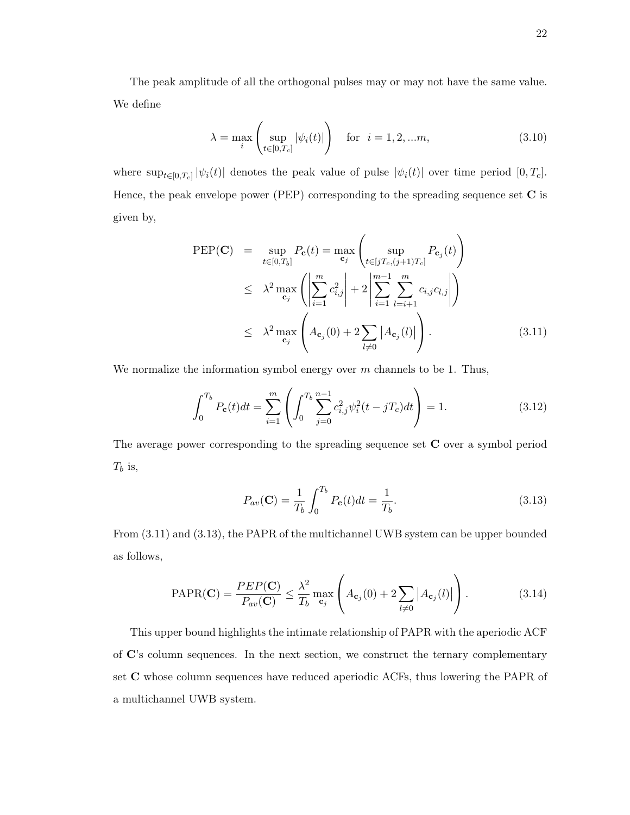The peak amplitude of all the orthogonal pulses may or may not have the same value. We define

$$
\lambda = \max_{i} \left( \sup_{t \in [0, T_c]} |\psi_i(t)| \right) \quad \text{for} \quad i = 1, 2, \dots m,
$$
\n(3.10)

where  $\sup_{t\in[0,T_c]}|\psi_i(t)|$  denotes the peak value of pulse  $|\psi_i(t)|$  over time period  $[0,T_c]$ . Hence, the peak envelope power (PEP) corresponding to the spreading sequence set  $C$  is given by,

$$
\begin{split} \text{PEP}(\mathbf{C}) &= \sup_{t \in [0, T_b]} P_{\mathbf{c}}(t) = \max_{\mathbf{c}_j} \left( \sup_{t \in [jT_c, (j+1)T_c]} P_{\mathbf{c}_j}(t) \right) \\ &\leq \lambda^2 \max_{\mathbf{c}_j} \left( \left| \sum_{i=1}^m c_{i,j}^2 \right| + 2 \left| \sum_{i=1}^{m-1} \sum_{l=i+1}^m c_{i,j} c_{l,j} \right| \right) \\ &\leq \lambda^2 \max_{\mathbf{c}_j} \left( A_{\mathbf{c}_j}(0) + 2 \sum_{l \neq 0} |A_{\mathbf{c}_j}(l)| \right). \end{split} \tag{3.11}
$$

We normalize the information symbol energy over  $m$  channels to be 1. Thus,

$$
\int_0^{T_b} P_c(t)dt = \sum_{i=1}^m \left( \int_0^{T_b} \sum_{j=0}^{n-1} c_{i,j}^2 \psi_i^2(t - jT_c)dt \right) = 1.
$$
 (3.12)

The average power corresponding to the spreading sequence set C over a symbol period  $T_b$  is,

$$
P_{av}(\mathbf{C}) = \frac{1}{T_b} \int_0^{T_b} P_{\mathbf{c}}(t) dt = \frac{1}{T_b}.
$$
 (3.13)

From (3.11) and (3.13), the PAPR of the multichannel UWB system can be upper bounded as follows,

$$
PAPR(\mathbf{C}) = \frac{PEP(\mathbf{C})}{P_{av}(\mathbf{C})} \le \frac{\lambda^2}{T_b} \max_{\mathbf{c}_j} \left( A_{\mathbf{c}_j}(0) + 2 \sum_{l \neq 0} |A_{\mathbf{c}_j}(l)| \right).
$$
 (3.14)

This upper bound highlights the intimate relationship of PAPR with the aperiodic ACF of C's column sequences. In the next section, we construct the ternary complementary set C whose column sequences have reduced aperiodic ACFs, thus lowering the PAPR of a multichannel UWB system.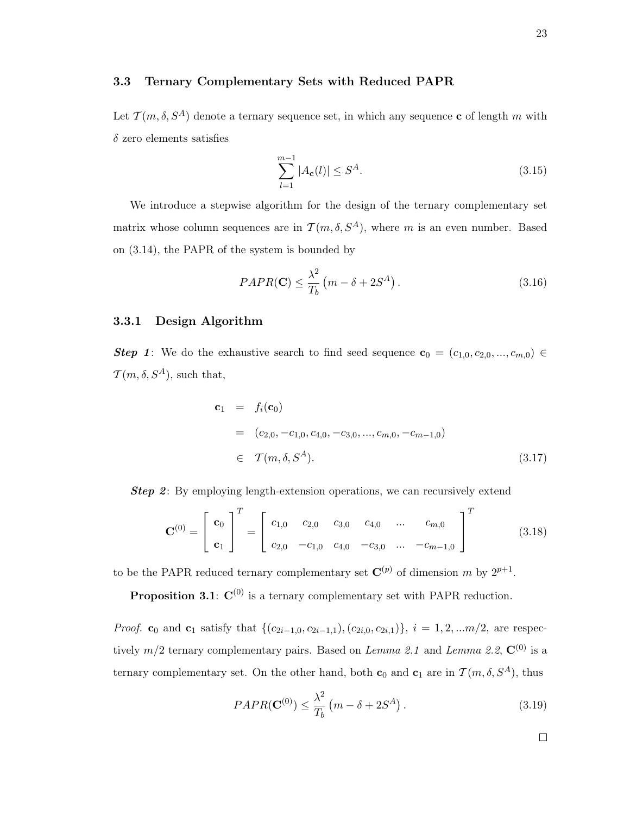### 3.3 Ternary Complementary Sets with Reduced PAPR

Let  $\mathcal{T}(m, \delta, S^A)$  denote a ternary sequence set, in which any sequence **c** of length m with  $\delta$  zero elements satisfies

$$
\sum_{l=1}^{m-1} |A_{\mathbf{c}}(l)| \le S^A. \tag{3.15}
$$

We introduce a stepwise algorithm for the design of the ternary complementary set matrix whose column sequences are in  $\mathcal{T}(m, \delta, S^A)$ , where m is an even number. Based on (3.14), the PAPR of the system is bounded by

$$
PAPR(\mathbf{C}) \le \frac{\lambda^2}{T_b} \left( m - \delta + 2S^A \right). \tag{3.16}
$$

## 3.3.1 Design Algorithm

Step 1: We do the exhaustive search to find seed sequence  $\mathbf{c}_0 = (c_{1,0}, c_{2,0}, ..., c_{m,0}) \in$  $\mathcal{T}(m, \delta, S^A)$ , such that,

$$
\mathbf{c}_1 = f_i(\mathbf{c}_0)
$$
  
=  $(c_{2,0}, -c_{1,0}, c_{4,0}, -c_{3,0}, ..., c_{m,0}, -c_{m-1,0})$   
 $\in \mathcal{T}(m, \delta, S^A).$  (3.17)

**Step 2:** By employing length-extension operations, we can recursively extend

$$
\mathbf{C}^{(0)} = \begin{bmatrix} \mathbf{c}_0 \\ \mathbf{c}_1 \end{bmatrix}^T = \begin{bmatrix} c_{1,0} & c_{2,0} & c_{3,0} & c_{4,0} & \dots & c_{m,0} \\ c_{2,0} & -c_{1,0} & c_{4,0} & -c_{3,0} & \dots & -c_{m-1,0} \end{bmatrix}^T
$$
(3.18)

to be the PAPR reduced ternary complementary set  $\mathbf{C}^{(p)}$  of dimension m by  $2^{p+1}$ .

**Proposition 3.1:**  $C^{(0)}$  is a ternary complementary set with PAPR reduction.

*Proof.* c<sub>0</sub> and c<sub>1</sub> satisfy that  $\{(c_{2i-1,0}, c_{2i-1,1}), (c_{2i,0}, c_{2i,1})\}, i = 1, 2, ...m/2$ , are respectively  $m/2$  ternary complementary pairs. Based on *Lemma 2.1* and *Lemma 2.2*,  $\mathbf{C}^{(0)}$  is a ternary complementary set. On the other hand, both  $\mathbf{c}_0$  and  $\mathbf{c}_1$  are in  $\mathcal{T} (m, \delta, S^A)$ , thus

$$
PAPR(\mathbf{C}^{(0)}) \le \frac{\lambda^2}{T_b} \left( m - \delta + 2S^A \right). \tag{3.19}
$$

 $\Box$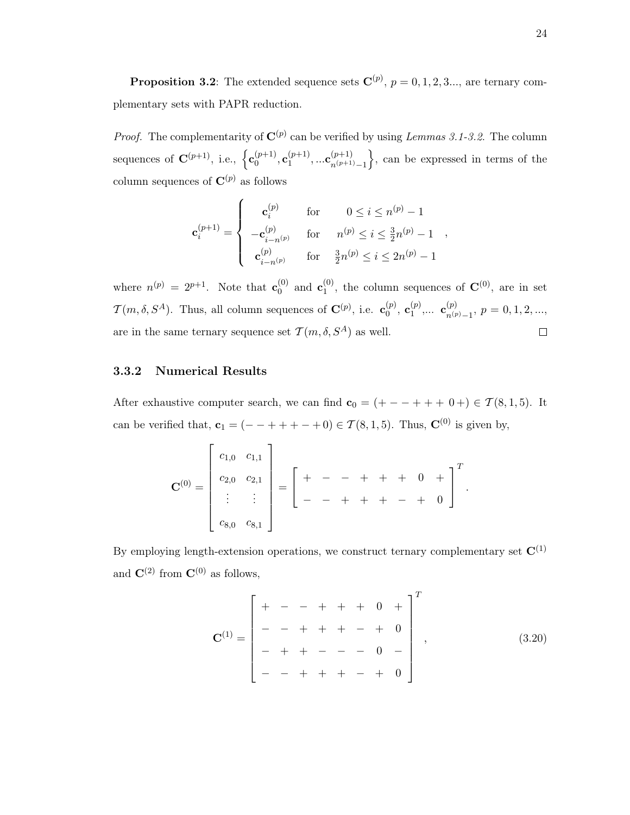**Proposition 3.2**: The extended sequence sets  $\mathbf{C}^{(p)}$ ,  $p = 0, 1, 2, 3...$ , are ternary complementary sets with PAPR reduction.

*Proof.* The complementarity of  $\mathbf{C}^{(p)}$  can be verified by using *Lemmas 3.1-3.2*. The column sequences of  $\mathbf{C}^{(p+1)}$ , i.e.,  $\left\{ \mathbf{c}_0^{(p+1)} \right\}$  ${\mathfrak c}_0^{(p+1)}, {\mathfrak c}_1^{(p+1)}$  ${\mathbf c}^{(p+1)}_{1},...{\mathbf c}^{(p+1)}_{n^{(p+1)}}$  $n^{(p+1)}-1$  $\}$ , can be expressed in terms of the column sequences of  $\mathbf{C}^{(p)}$  as follows

$$
\mathbf{c}_{i}^{(p+1)} = \begin{cases}\n\mathbf{c}_{i}^{(p)} & \text{for } 0 \leq i \leq n^{(p)} - 1 \\
-\mathbf{c}_{i-n^{(p)}}^{(p)} & \text{for } n^{(p)} \leq i \leq \frac{3}{2}n^{(p)} - 1 \\
\mathbf{c}_{i-n^{(p)}}^{(p)} & \text{for } \frac{3}{2}n^{(p)} \leq i \leq 2n^{(p)} - 1\n\end{cases}
$$

where  $n^{(p)} = 2^{p+1}$ . Note that  $\mathbf{c}_0^{(0)}$  $_0^{(0)}$  and  $\mathbf{c}_1^{(0)}$  $_1^{(0)}$ , the column sequences of  $\mathbf{C}^{(0)}$ , are in set  $\mathcal{T}(m, \delta, S^A)$ . Thus, all column sequences of  $\mathbf{C}^{(p)}$ , i.e.  $\mathbf{c}_0^{(p)}$  $_0^{(p)},\ \mathbf{c}_1^{(p)}$  ${\mathbf c}_1^{(p)},...\,\,\, {\mathbf c}_{n^{(p)}}^{(p)}$  $\binom{p}{n(p)}$ <sub>1</sub>,  $p = 0, 1, 2, ...,$ are in the same ternary sequence set  $\mathcal{T}(m, \delta, S^A)$  as well.  $\Box$ 

# 3.3.2 Numerical Results

After exhaustive computer search, we can find  $\mathbf{c}_0 = (+ - - + + + 0 +) \in \mathcal{T}(8, 1, 5)$ . It can be verified that,  $\mathbf{c}_1 = (- - + + + - + 0) \in \mathcal{T}(8, 1, 5)$ . Thus,  $\mathbf{C}^{(0)}$  is given by,

$$
\mathbf{C}^{(0)} = \begin{bmatrix} c_{1,0} & c_{1,1} \\ c_{2,0} & c_{2,1} \\ \vdots & \vdots \\ c_{8,0} & c_{8,1} \end{bmatrix} = \begin{bmatrix} + & - & + & + & 0 & + \\ - & - & + & + & - & + & 0 \end{bmatrix}^T.
$$

By employing length-extension operations, we construct ternary complementary set  $\mathbf{C}^{(1)}$ and  $\mathbf{C}^{(2)}$  from  $\mathbf{C}^{(0)}$  as follows,

$$
\mathbf{C}^{(1)} = \begin{bmatrix} + & - & - & + & + & 0 & + \\ - & - & + & + & - & + & 0 \\ - & - & + & + & - & + & 0 \\ - & + & + & - & - & 0 & - \\ - & - & + & + & + & - & + & 0 \end{bmatrix}^{T},\tag{3.20}
$$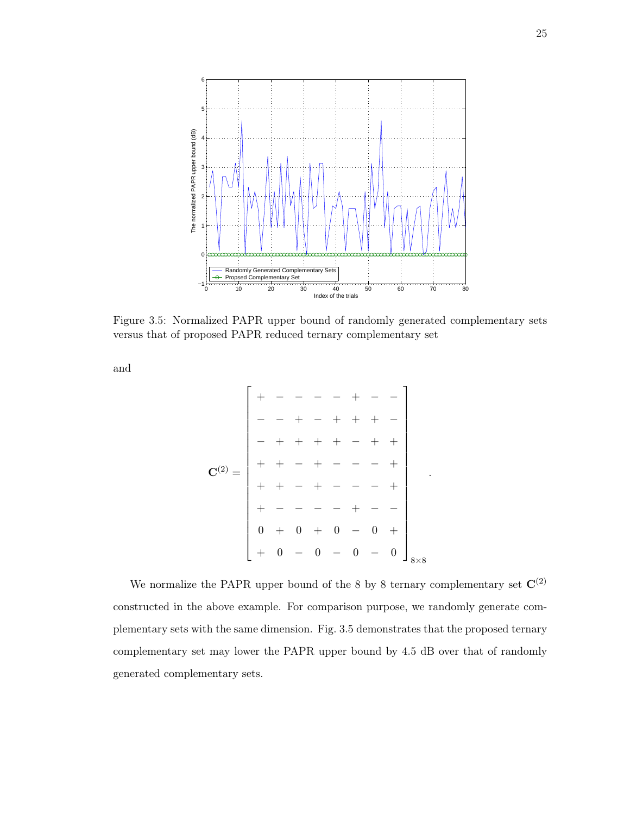

Figure 3.5: Normalized PAPR upper bound of randomly generated complementary sets versus that of proposed PAPR reduced ternary complementary set

and

C (2) = + − − − − + − − − − + − + + + − − + + + + − + + + + − + − − − + + + − + − − − + + − − − − + − − 0 + 0 + 0 − 0 + + 0 − 0 − 0 − 0 8×8

.

We normalize the PAPR upper bound of the 8 by 8 ternary complementary set  $\mathbf{C}^{(2)}$ constructed in the above example. For comparison purpose, we randomly generate complementary sets with the same dimension. Fig. 3.5 demonstrates that the proposed ternary complementary set may lower the PAPR upper bound by 4.5 dB over that of randomly generated complementary sets.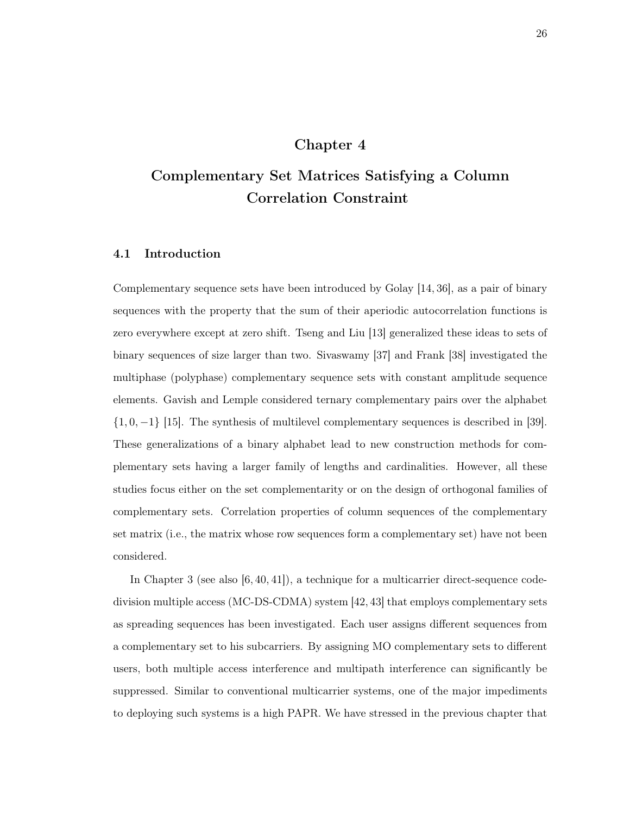# Chapter 4

# Complementary Set Matrices Satisfying a Column Correlation Constraint

# 4.1 Introduction

Complementary sequence sets have been introduced by Golay [14, 36], as a pair of binary sequences with the property that the sum of their aperiodic autocorrelation functions is zero everywhere except at zero shift. Tseng and Liu [13] generalized these ideas to sets of binary sequences of size larger than two. Sivaswamy [37] and Frank [38] investigated the multiphase (polyphase) complementary sequence sets with constant amplitude sequence elements. Gavish and Lemple considered ternary complementary pairs over the alphabet  $\{1,0,-1\}$  [15]. The synthesis of multilevel complementary sequences is described in [39]. These generalizations of a binary alphabet lead to new construction methods for complementary sets having a larger family of lengths and cardinalities. However, all these studies focus either on the set complementarity or on the design of orthogonal families of complementary sets. Correlation properties of column sequences of the complementary set matrix (i.e., the matrix whose row sequences form a complementary set) have not been considered.

In Chapter 3 (see also  $[6, 40, 41]$ ), a technique for a multicarrier direct-sequence codedivision multiple access (MC-DS-CDMA) system [42, 43] that employs complementary sets as spreading sequences has been investigated. Each user assigns different sequences from a complementary set to his subcarriers. By assigning MO complementary sets to different users, both multiple access interference and multipath interference can significantly be suppressed. Similar to conventional multicarrier systems, one of the major impediments to deploying such systems is a high PAPR. We have stressed in the previous chapter that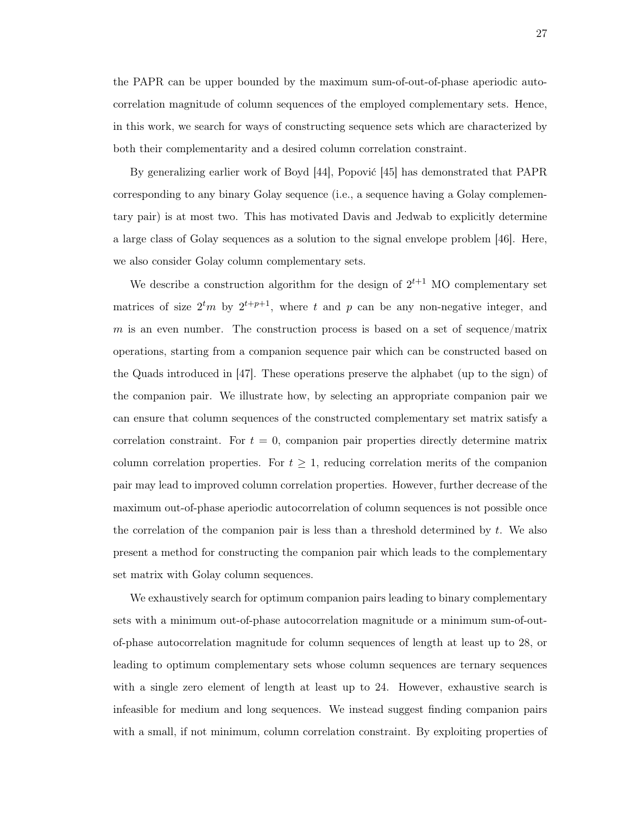the PAPR can be upper bounded by the maximum sum-of-out-of-phase aperiodic autocorrelation magnitude of column sequences of the employed complementary sets. Hence, in this work, we search for ways of constructing sequence sets which are characterized by both their complementarity and a desired column correlation constraint.

By generalizing earlier work of Boyd [44], Popović [45] has demonstrated that PAPR corresponding to any binary Golay sequence (i.e., a sequence having a Golay complementary pair) is at most two. This has motivated Davis and Jedwab to explicitly determine a large class of Golay sequences as a solution to the signal envelope problem [46]. Here, we also consider Golay column complementary sets.

We describe a construction algorithm for the design of  $2^{t+1}$  MO complementary set matrices of size  $2^tm$  by  $2^{t+p+1}$ , where t and p can be any non-negative integer, and  $m$  is an even number. The construction process is based on a set of sequence/matrix operations, starting from a companion sequence pair which can be constructed based on the Quads introduced in [47]. These operations preserve the alphabet (up to the sign) of the companion pair. We illustrate how, by selecting an appropriate companion pair we can ensure that column sequences of the constructed complementary set matrix satisfy a correlation constraint. For  $t = 0$ , companion pair properties directly determine matrix column correlation properties. For  $t \geq 1$ , reducing correlation merits of the companion pair may lead to improved column correlation properties. However, further decrease of the maximum out-of-phase aperiodic autocorrelation of column sequences is not possible once the correlation of the companion pair is less than a threshold determined by  $t$ . We also present a method for constructing the companion pair which leads to the complementary set matrix with Golay column sequences.

We exhaustively search for optimum companion pairs leading to binary complementary sets with a minimum out-of-phase autocorrelation magnitude or a minimum sum-of-outof-phase autocorrelation magnitude for column sequences of length at least up to 28, or leading to optimum complementary sets whose column sequences are ternary sequences with a single zero element of length at least up to 24. However, exhaustive search is infeasible for medium and long sequences. We instead suggest finding companion pairs with a small, if not minimum, column correlation constraint. By exploiting properties of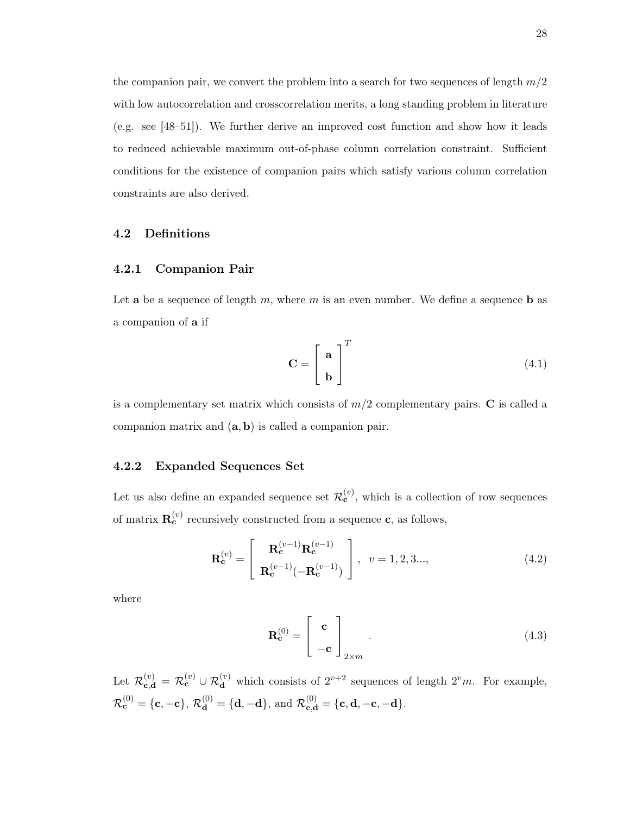the companion pair, we convert the problem into a search for two sequences of length  $m/2$ with low autocorrelation and crosscorrelation merits, a long standing problem in literature (e.g. see [48–51]). We further derive an improved cost function and show how it leads to reduced achievable maximum out-of-phase column correlation constraint. Sufficient conditions for the existence of companion pairs which satisfy various column correlation constraints are also derived.

#### 4.2 Definitions

### 4.2.1 Companion Pair

Let **a** be a sequence of length m, where m is an even number. We define a sequence **b** as a companion of a if

$$
\mathbf{C} = \begin{bmatrix} \mathbf{a} \\ \mathbf{b} \end{bmatrix}^{T} \tag{4.1}
$$

is a complementary set matrix which consists of  $m/2$  complementary pairs.  $\bf{C}$  is called a companion matrix and  $(a, b)$  is called a companion pair.

# 4.2.2 Expanded Sequences Set

Let us also define an expanded sequence set  $\mathcal{R}_{\mathbf{c}}^{(v)}$ , which is a collection of row sequences of matrix  $\mathbf{R}_{\mathbf{c}}^{(v)}$  recursively constructed from a sequence  $\mathbf{c}$ , as follows,

$$
\mathbf{R}_{\mathbf{c}}^{(v)} = \begin{bmatrix} \mathbf{R}_{\mathbf{c}}^{(v-1)} \mathbf{R}_{\mathbf{c}}^{(v-1)} \\ \mathbf{R}_{\mathbf{c}}^{(v-1)} (-\mathbf{R}_{\mathbf{c}}^{(v-1)}) \end{bmatrix}, \ v = 1, 2, 3..., \tag{4.2}
$$

where

$$
\mathbf{R}_{\mathbf{c}}^{(0)} = \begin{bmatrix} \mathbf{c} \\ -\mathbf{c} \end{bmatrix}_{2 \times m}.
$$
 (4.3)

Let  $\mathcal{R}_{\mathbf{c},\mathbf{d}}^{(v)} = \mathcal{R}_{\mathbf{c}}^{(v)} \cup \mathcal{R}_{\mathbf{d}}^{(v)}$  which consists of  $2^{v+2}$  sequences of length  $2^v m$ . For example,  $\mathcal{R}_{\mathbf{c}}^{(0)} = \{\mathbf{c}, \mathbf{-c}\}, \, \mathcal{R}_{\mathbf{d}}^{(0)} = \{\mathbf{d}, \mathbf{-d}\}, \, \text{and} \,\, \mathcal{R}_{\mathbf{c}, \mathbf{d}}^{(0)} = \{\mathbf{c}, \mathbf{d}, \mathbf{-c}, \mathbf{-d}\}.$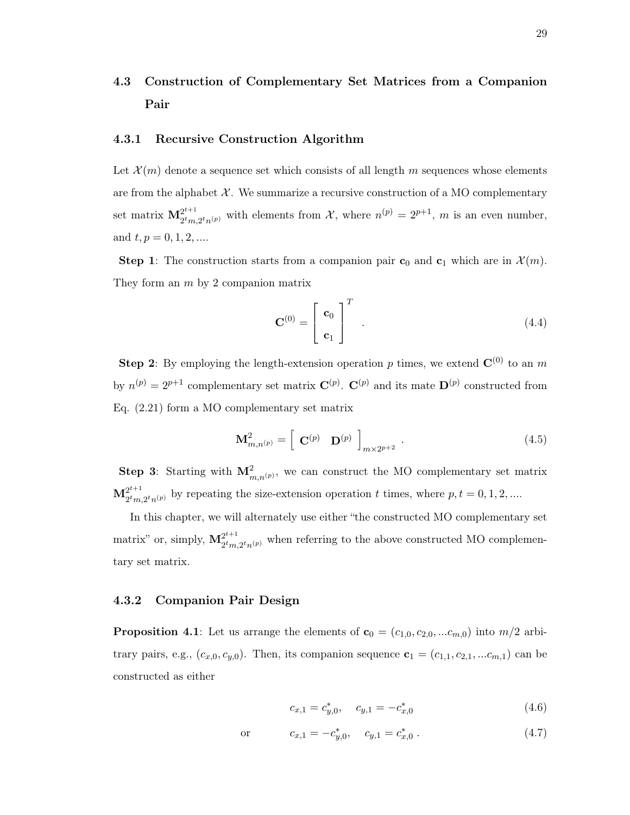# 4.3 Construction of Complementary Set Matrices from a Companion Pair

## 4.3.1 Recursive Construction Algorithm

Let  $\mathcal{X}(m)$  denote a sequence set which consists of all length m sequences whose elements are from the alphabet  $X$ . We summarize a recursive construction of a MO complementary set matrix  $\mathbf{M}^{2^{t+1}}_{\text{atm}}$  $2^{2^{t+1}}_{2^tm,2^tn^{(p)}}$  with elements from X, where  $n^{(p)} = 2^{p+1}$ , m is an even number, and  $t, p = 0, 1, 2, \dots$ 

**Step 1**: The construction starts from a companion pair  $\mathbf{c}_0$  and  $\mathbf{c}_1$  which are in  $\mathcal{X}(m)$ . They form an  $m$  by 2 companion matrix

$$
\mathbf{C}^{(0)} = \begin{bmatrix} \mathbf{c}_0 \\ \mathbf{c}_1 \end{bmatrix}^T
$$
 (4.4)

**Step 2:** By employing the length-extension operation p times, we extend  $\mathbf{C}^{(0)}$  to an m by  $n^{(p)} = 2^{p+1}$  complementary set matrix  $\mathbf{C}^{(p)}$ .  $\mathbf{C}^{(p)}$  and its mate  $\mathbf{D}^{(p)}$  constructed from Eq. (2.21) form a MO complementary set matrix

$$
\mathbf{M}_{m,n^{(p)}}^2 = \begin{bmatrix} \mathbf{C}^{(p)} & \mathbf{D}^{(p)} \end{bmatrix}_{m \times 2^{p+2}} . \tag{4.5}
$$

**Step 3**: Starting with  $\mathbf{M}_{m,n^{(p)}}^2$ , we can construct the MO complementary set matrix  $\mathbf{M}^{2^{t+1}}_{2^{t}m}$  $2^{2^{t+1}}_{2^t m, 2^t n^{(p)}}$  by repeating the size-extension operation t times, where  $p, t = 0, 1, 2, ...$ 

In this chapter, we will alternately use either "the constructed MO complementary set matrix" or, simply,  $\mathbf{M}^{2^{t+1}}_{2tm}$  $2^{2^{r+1}}_{2^tm,2^tn^{(p)}}$  when referring to the above constructed MO complementary set matrix.

### 4.3.2 Companion Pair Design

**Proposition 4.1**: Let us arrange the elements of  $\mathbf{c}_0 = (c_{1,0}, c_{2,0}, ... c_{m,0})$  into  $m/2$  arbitrary pairs, e.g.,  $(c_{x,0}, c_{y,0})$ . Then, its companion sequence  $\mathbf{c}_1 = (c_{1,1}, c_{2,1}, \dots, c_{m,1})$  can be constructed as either

$$
c_{x,1} = c_{y,0}^*, \quad c_{y,1} = -c_{x,0}^* \tag{4.6}
$$

or 
$$
c_{x,1} = -c_{y,0}^*
$$
,  $c_{y,1} = c_{x,0}^*$ . (4.7)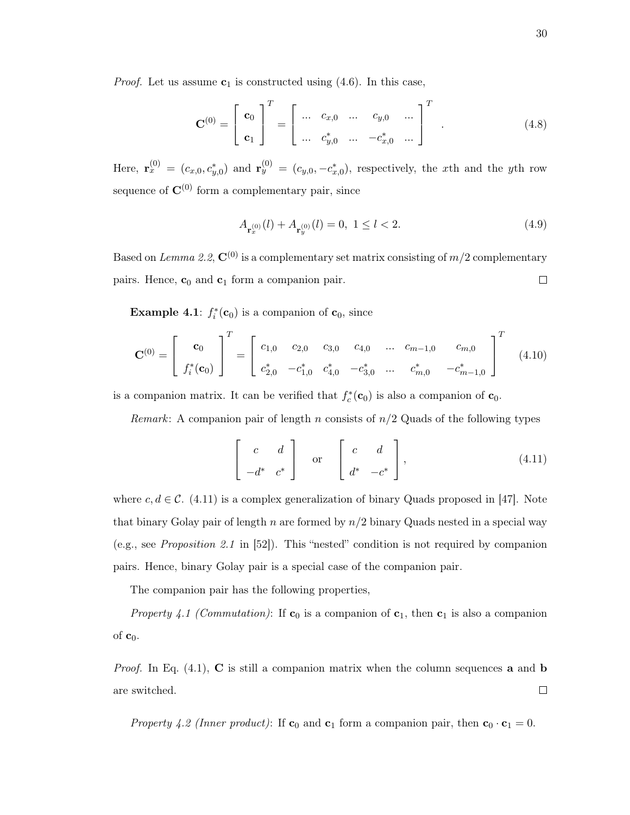*Proof.* Let us assume  $c_1$  is constructed using  $(4.6)$ . In this case,

$$
\mathbf{C}^{(0)} = \begin{bmatrix} \mathbf{c}_0 \\ \mathbf{c}_1 \end{bmatrix}^T = \begin{bmatrix} \dots & c_{x,0} & \dots & c_{y,0} & \dots \\ \dots & c_{y,0}^* & \dots & -c_{x,0}^* & \dots \end{bmatrix}^T
$$
 (4.8)

Here,  $\mathbf{r}_x^{(0)} = (c_{x,0}, c_{y,0}^*)$  and  $\mathbf{r}_y^{(0)} = (c_{y,0}, -c_{x,0}^*)$ , respectively, the xth and the yth row sequence of  $\mathbf{C}^{(0)}$  form a complementary pair, since

$$
A_{\mathbf{r}_x^{(0)}}(l) + A_{\mathbf{r}_y^{(0)}}(l) = 0, \ 1 \le l < 2. \tag{4.9}
$$

Based on Lemma 2.2,  $\mathbf{C}^{(0)}$  is a complementary set matrix consisting of  $m/2$  complementary pairs. Hence,  $c_0$  and  $c_1$  form a companion pair.  $\Box$ 

**Example 4.1**:  $f_i^*(\mathbf{c}_0)$  is a companion of  $\mathbf{c}_0$ , since

$$
\mathbf{C}^{(0)} = \begin{bmatrix} \mathbf{c}_0 \\ f_i^*(\mathbf{c}_0) \end{bmatrix}^T = \begin{bmatrix} c_{1,0} & c_{2,0} & c_{3,0} & c_{4,0} & \dots & c_{m-1,0} & c_{m,0} \\ c_{2,0}^* & -c_{1,0}^* & c_{4,0}^* & -c_{3,0}^* & \dots & c_{m,0}^* & -c_{m-1,0}^* \end{bmatrix}^T
$$
(4.10)

is a companion matrix. It can be verified that  $f_c^*(\mathbf{c}_0)$  is also a companion of  $\mathbf{c}_0$ .

*Remark*: A companion pair of length n consists of  $n/2$  Quads of the following types

$$
\begin{bmatrix} c & d \\ -d^* & c^* \end{bmatrix} \quad \text{or} \quad \begin{bmatrix} c & d \\ d^* & -c^* \end{bmatrix}, \tag{4.11}
$$

where  $c, d \in \mathcal{C}$ . (4.11) is a complex generalization of binary Quads proposed in [47]. Note that binary Golay pair of length n are formed by  $n/2$  binary Quads nested in a special way (e.g., see Proposition 2.1 in [52]). This "nested" condition is not required by companion pairs. Hence, binary Golay pair is a special case of the companion pair.

The companion pair has the following properties,

Property 4.1 (Commutation): If  $\mathbf{c}_0$  is a companion of  $\mathbf{c}_1$ , then  $\mathbf{c}_1$  is also a companion of  $c_0$ .

*Proof.* In Eq.  $(4.1)$ , C is still a companion matrix when the column sequences **a** and **b** are switched.  $\Box$ 

Property 4.2 (Inner product): If  $\mathbf{c}_0$  and  $\mathbf{c}_1$  form a companion pair, then  $\mathbf{c}_0 \cdot \mathbf{c}_1 = 0$ .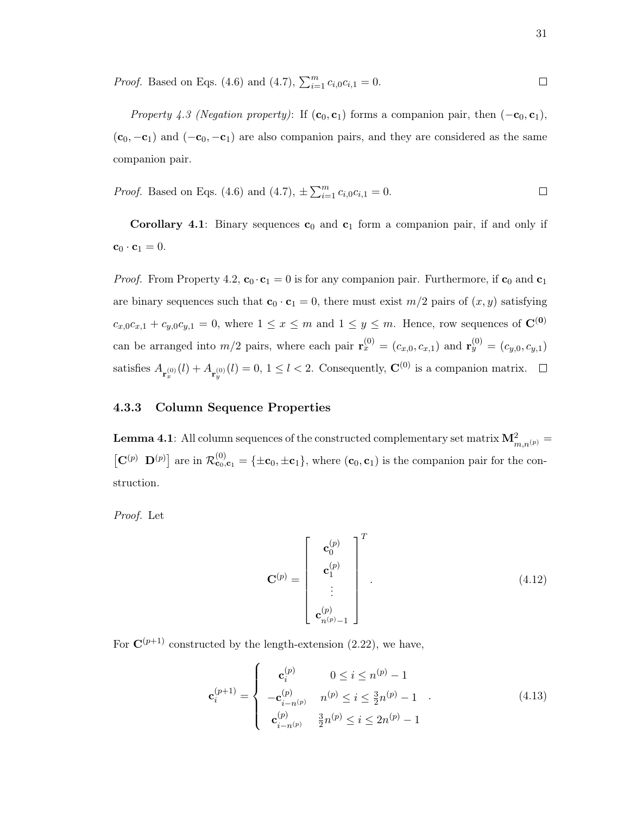*Proof.* Based on Eqs. (4.6) and (4.7), 
$$
\sum_{i=1}^{m} c_{i,0} c_{i,1} = 0
$$
.

Property 4.3 (Negation property): If  $(c_0, c_1)$  forms a companion pair, then  $(-c_0, c_1)$ ,  $(c_0, -c_1)$  and  $(-c_0, -c_1)$  are also companion pairs, and they are considered as the same companion pair.

*Proof.* Based on Eqs. (4.6) and (4.7), 
$$
\pm \sum_{i=1}^{m} c_{i,0} c_{i,1} = 0
$$
.

**Corollary 4.1**: Binary sequences  $c_0$  and  $c_1$  form a companion pair, if and only if  $\mathbf{c}_0 \cdot \mathbf{c}_1 = 0.$ 

*Proof.* From Property 4.2,  $\mathbf{c}_0 \cdot \mathbf{c}_1 = 0$  is for any companion pair. Furthermore, if  $\mathbf{c}_0$  and  $\mathbf{c}_1$ are binary sequences such that  $\mathbf{c}_0 \cdot \mathbf{c}_1 = 0$ , there must exist  $m/2$  pairs of  $(x, y)$  satisfying  $c_{x,0}c_{x,1} + c_{y,0}c_{y,1} = 0$ , where  $1 \le x \le m$  and  $1 \le y \le m$ . Hence, row sequences of  $\mathbb{C}^{(0)}$ can be arranged into  $m/2$  pairs, where each pair  $\mathbf{r}_x^{(0)} = (c_{x,0}, c_{x,1})$  and  $\mathbf{r}_y^{(0)} = (c_{y,0}, c_{y,1})$ satisfies  $A_{\mathbf{r}_x^{(0)}}(l) + A_{\mathbf{r}_y^{(0)}}(l) = 0, 1 \le l < 2$ . Consequently,  $\mathbf{C}^{(0)}$  is a companion matrix.

## 4.3.3 Column Sequence Properties

**Lemma 4.1**: All column sequences of the constructed complementary set matrix  $\mathbf{M}_{m,n^{(p)}}^2 =$  $[\mathbf{C}^{(p)} \ \mathbf{D}^{(p)}]$  are in  $\mathcal{R}_{\mathbf{c}_0,\mathbf{c}_1}^{(0)} = {\pm \mathbf{c}_0, \pm \mathbf{c}_1}$ , where  $(\mathbf{c}_0, \mathbf{c}_1)$  is the companion pair for the construction.

Proof. Let

$$
\mathbf{C}^{(p)} = \begin{bmatrix} \mathbf{c}_0^{(p)} \\ \mathbf{c}_1^{(p)} \\ \vdots \\ \mathbf{c}_{n(p)-1}^{(p)} \end{bmatrix}^T.
$$
 (4.12)

For  $\mathbf{C}^{(p+1)}$  constructed by the length-extension (2.22), we have,

$$
\mathbf{c}_{i}^{(p+1)} = \begin{cases}\n\mathbf{c}_{i}^{(p)} & 0 \leq i \leq n^{(p)} - 1 \\
-\mathbf{c}_{i-n^{(p)}}^{(p)} & n^{(p)} \leq i \leq \frac{3}{2}n^{(p)} - 1 \\
\mathbf{c}_{i-n^{(p)}}^{(p)} & \frac{3}{2}n^{(p)} \leq i \leq 2n^{(p)} - 1\n\end{cases} (4.13)
$$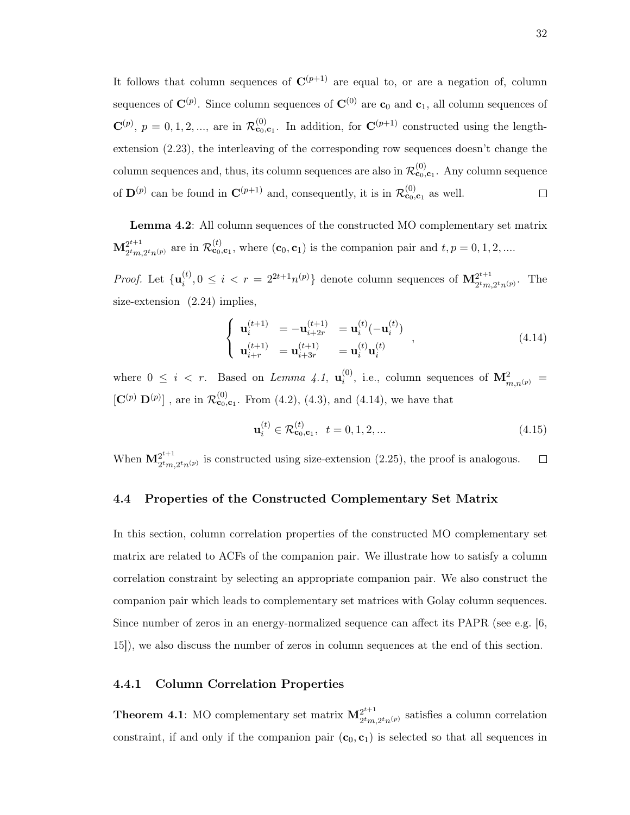It follows that column sequences of  $\mathbf{C}^{(p+1)}$  are equal to, or are a negation of, column sequences of  $\mathbf{C}^{(p)}$ . Since column sequences of  $\mathbf{C}^{(0)}$  are  $\mathbf{c}_0$  and  $\mathbf{c}_1$ , all column sequences of  $\mathbf{C}^{(p)}$ ,  $p = 0, 1, 2, \dots$ , are in  $\mathcal{R}_{\mathbf{c}_0, \mathbf{c}_1}^{(0)}$ . In addition, for  $\mathbf{C}^{(p+1)}$  constructed using the lengthextension (2.23), the interleaving of the corresponding row sequences doesn't change the column sequences and, thus, its column sequences are also in  $\mathcal{R}^{(0)}_{\mathbf{c}_0,\mathbf{c}_1}$ . Any column sequence of  $\mathbf{D}^{(p)}$  can be found in  $\mathbf{C}^{(p+1)}$  and, consequently, it is in  $\mathcal{R}^{(0)}_{\mathbf{c}_0,\mathbf{c}_1}$  as well.  $\Box$ 

Lemma 4.2: All column sequences of the constructed MO complementary set matrix  $\mathbf{M}^{2^{t+1}}_{2^{t}m}$  $2^{t+1}_{2tm,2^tn(p)}$  are in  $\mathcal{R}_{\mathbf{c}_0,\mathbf{c}_1}^{(t)}$ , where  $(\mathbf{c}_0,\mathbf{c}_1)$  is the companion pair and  $t, p = 0, 1, 2, ...$ 

*Proof.* Let  $\{u_i^{(t)}\}$  $i_j^{(t)}, 0 \leq i < r = 2^{2t+1}n^{(p)}\}$  denote column sequences of  $\mathbf{M}_{2^tm}^{2^{t+1}}$  $2^tm,2^tn^{(p)}$ . The size-extension  $(2.24)$  implies,

$$
\begin{cases}\n\mathbf{u}_{i}^{(t+1)} = -\mathbf{u}_{i+2r}^{(t+1)} = \mathbf{u}_{i}^{(t)}(-\mathbf{u}_{i}^{(t)}) \\
\mathbf{u}_{i+r}^{(t+1)} = \mathbf{u}_{i+3r}^{(t+1)} = \mathbf{u}_{i}^{(t)}\mathbf{u}_{i}^{(t)}\n\end{cases},
$$
\n(4.14)

where  $0 \leq i \leq r$ . Based on *Lemma 4.1*,  $\mathbf{u}_i^{(0)}$  $i^{(0)}$ , i.e., column sequences of  ${\bf M}_{m,n^{(p)}}^2 =$  $[\mathbf{C}^{(p)} \mathbf{D}^{(p)}]$ , are in  $\mathcal{R}_{\mathbf{c}_0,\mathbf{c}_1}^{(0)}$ . From (4.2), (4.3), and (4.14), we have that

$$
\mathbf{u}_i^{(t)} \in \mathcal{R}_{\mathbf{c}_0, \mathbf{c}_1}^{(t)}, \ \ t = 0, 1, 2, \dots \tag{4.15}
$$

When  $\mathbf{M}^{2^{t+1}}_{2^tm}$  $2^{2^{t+1}}_{2^t m, 2^t n^{(p)}}$  is constructed using size-extension (2.25), the proof is analogous.  $\Box$ 

# 4.4 Properties of the Constructed Complementary Set Matrix

In this section, column correlation properties of the constructed MO complementary set matrix are related to ACFs of the companion pair. We illustrate how to satisfy a column correlation constraint by selecting an appropriate companion pair. We also construct the companion pair which leads to complementary set matrices with Golay column sequences. Since number of zeros in an energy-normalized sequence can affect its PAPR (see e.g. [6, 15]), we also discuss the number of zeros in column sequences at the end of this section.

# 4.4.1 Column Correlation Properties

**Theorem 4.1**: MO complementary set matrix  $M_{\sigma t_m}^{2^{t+1}}$  $2^{2^{i+1}}$ <br> $2^t m, 2^t n^{(p)}$  satisfies a column correlation constraint, if and only if the companion pair  $(c_0, c_1)$  is selected so that all sequences in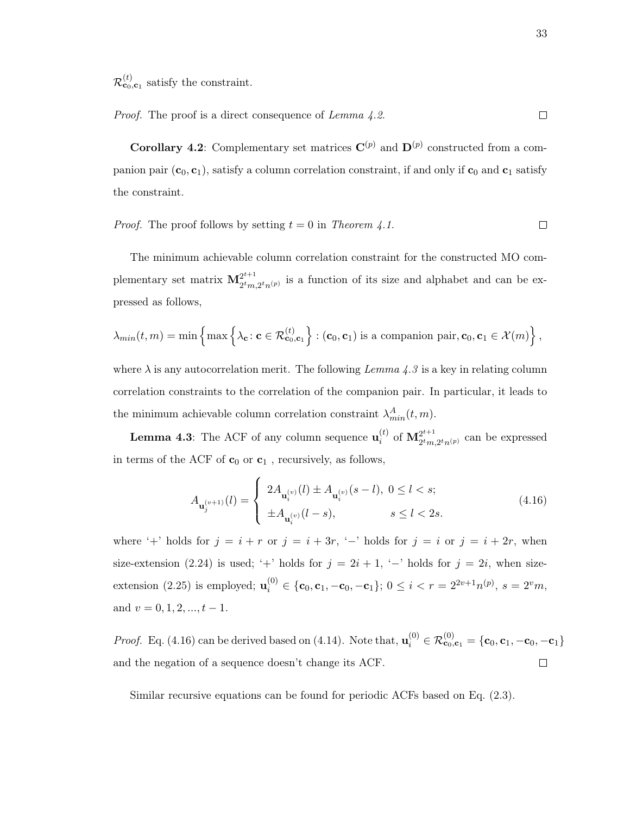$\mathcal{R}^{(t)}_{\mathbf{c}_0,\mathbf{c}_1}$  satisfy the constraint.

Proof. The proof is a direct consequence of Lemma 4.2.  $\Box$ 

**Corollary 4.2**: Complementary set matrices  $\mathbf{C}^{(p)}$  and  $\mathbf{D}^{(p)}$  constructed from a companion pair  $(c_0, c_1)$ , satisfy a column correlation constraint, if and only if  $c_0$  and  $c_1$  satisfy the constraint.

*Proof.* The proof follows by setting  $t = 0$  in Theorem 4.1.  $\Box$ 

The minimum achievable column correlation constraint for the constructed MO complementary set matrix  $\mathbf{M}^{2^{t+1}}_{\text{atm}}$  $2^{2^{r+1}}$ <br> $2^tm,2^tn^{(p)}$  is a function of its size and alphabet and can be expressed as follows,

$$
\lambda_{min}(t,m) = \min \left\{ \max \left\{ \lambda_{\mathbf{c}} : \mathbf{c} \in \mathcal{R}_{\mathbf{c}_0,\mathbf{c}_1}^{(t)} \right\} : (\mathbf{c}_0,\mathbf{c}_1) \text{ is a companion pair}, \mathbf{c}_0, \mathbf{c}_1 \in \mathcal{X}(m) \right\},
$$

where  $\lambda$  is any autocorrelation merit. The following Lemma 4.3 is a key in relating column correlation constraints to the correlation of the companion pair. In particular, it leads to the minimum achievable column correlation constraint  $\lambda_{min}^A(t, m)$ .

**Lemma 4.3**: The ACF of any column sequence  $\mathbf{u}_i^{(t)}$  $\stackrel{(t)}{i}$  of  $\mathbf{M}^{2^{t+1}}_{2^tm}$  $2^{i+1}$ <sub>2</sub><sup>t</sup> $m,2^{i}$ <sub>n</sub> $(p)$  can be expressed in terms of the ACF of  $\mathbf{c}_0$  or  $\mathbf{c}_1$ , recursively, as follows,

$$
A_{\mathbf{u}_{j}^{(v+1)}}(l) = \begin{cases} 2A_{\mathbf{u}_{i}^{(v)}}(l) \pm A_{\mathbf{u}_{i}^{(v)}}(s-l), \ 0 \le l < s; \\ \pm A_{\mathbf{u}_{i}^{(v)}}(l-s), \end{cases} \qquad s \le l < 2s. \tag{4.16}
$$

where '+' holds for  $j = i + r$  or  $j = i + 3r$ , '-' holds for  $j = i$  or  $j = i + 2r$ , when size-extension (2.24) is used; '+' holds for  $j = 2i + 1$ , '-' holds for  $j = 2i$ , when sizeextension (2.25) is employed;  $\mathbf{u}_i^{(0)} \in \{c_0, c_1, -c_0, -c_1\}$ ;  $0 \le i < r = 2^{2v+1}n^{(p)}, s = 2^v m$ , and  $v = 0, 1, 2, ..., t - 1$ .

*Proof.* Eq. (4.16) can be derived based on (4.14). Note that,  $\mathbf{u}_i^{(0)} \in \mathcal{R}_{\mathbf{c}_0, \mathbf{c}_1}^{(0)} = {\mathbf{c}_0, \mathbf{c}_1, -\mathbf{c}_0, -\mathbf{c}_1}$ and the negation of a sequence doesn't change its ACF.  $\Box$ 

Similar recursive equations can be found for periodic ACFs based on Eq. (2.3).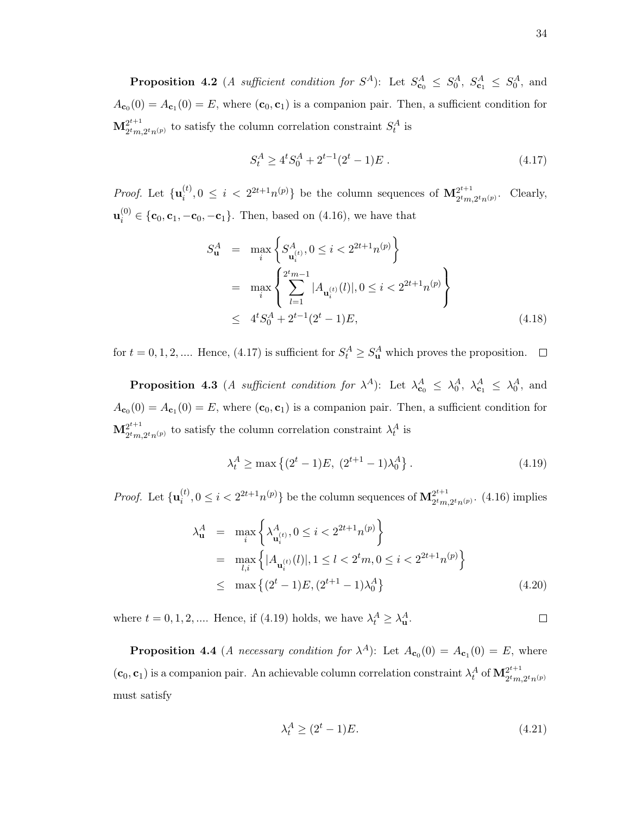**Proposition 4.2** (*A sufficient condition for*  $S^A$ ): Let  $S^A_{\mathbf{c}_0} \leq S^A_0$ ,  $S^A_{\mathbf{c}_1} \leq S^A_0$ , and  $A_{\mathbf{c}_0}(0) = A_{\mathbf{c}_1}(0) = E$ , where  $(\mathbf{c}_0, \mathbf{c}_1)$  is a companion pair. Then, a sufficient condition for  $\mathbf{M}^{2^{t+1}}_{2^{t}m}$  $2^{t+1}_{2^tm,2^tn^{(p)}}$  to satisfy the column correlation constraint  $S_t^A$  is

$$
S_t^A \ge 4^t S_0^A + 2^{t-1} (2^t - 1) E \tag{4.17}
$$

*Proof.* Let  $\{u_i^{(t)}\}$  $i^{(t)}_{i}, 0 \leq i < 2^{2t+1} n^{(p)}$  be the column sequences of  $\mathbf{M}^{2^{t+1}}_{2^t m}$  $\frac{2^{i+1}}{2^tm,2^tn(p)}$ . Clearly,  $\mathbf{u}_i^{(0)} \in \{\mathbf{c}_0, \mathbf{c}_1, -\mathbf{c}_0, -\mathbf{c}_1\}$ . Then, based on (4.16), we have that

$$
S_{\mathbf{u}}^{A} = \max_{i} \left\{ S_{\mathbf{u}_{i}}^{A_{(t)}}, 0 \leq i < 2^{2t+1} n^{(p)} \right\}
$$
  
= 
$$
\max_{i} \left\{ \sum_{l=1}^{2^{t} m - 1} |A_{\mathbf{u}_{i}^{(t)}}(l)|, 0 \leq i < 2^{2t+1} n^{(p)} \right\}
$$
  

$$
\leq 4^{t} S_{0}^{A} + 2^{t-1} (2^{t} - 1) E,
$$
 (4.18)

for  $t = 0, 1, 2, \dots$  Hence, (4.17) is sufficient for  $S_t^A \geq S_u^A$  which proves the proposition.

**Proposition 4.3** (*A sufficient condition for*  $\lambda^A$ ): Let  $\lambda^A_{\mathbf{c}_0} \leq \lambda^A_0$ ,  $\lambda^A_{\mathbf{c}_1} \leq \lambda^A_0$ , and  $A_{\mathbf{c}_0}(0) = A_{\mathbf{c}_1}(0) = E$ , where  $(\mathbf{c}_0, \mathbf{c}_1)$  is a companion pair. Then, a sufficient condition for  $\mathbf{M}^{2^{t+1}}_{2^{t}m}$  $2^{t+1}_{2t_{m},2t_{n}(p)}$  to satisfy the column correlation constraint  $\lambda_t^A$  is

$$
\lambda_t^A \ge \max\left\{ (2^t - 1)E, \ (2^{t+1} - 1)\lambda_0^A \right\}.
$$
 (4.19)

*Proof.* Let  $\{u_i^{(t)}\}$  $\mathbf{M}^{(t)}_{i}, 0 \leq i < 2^{2t+1} n^{(p)}\}$  be the column sequences of  $\mathbf{M}^{2^{t+1}}_{2^tm}$  $2^{i+1}$ <sub>2<sup>t</sup>m,2<sup>t</sup>n<sup>(p)</sup> (4.16) implies</sub>

$$
\lambda_{\mathbf{u}}^{A} = \max_{i} \left\{ \lambda_{\mathbf{u}_{i}}^{A}(i), 0 \leq i < 2^{2t+1} n^{(p)} \right\}
$$
  
\n
$$
= \max_{l,i} \left\{ |A_{\mathbf{u}_{i}}^{(t)}(l)|, 1 \leq l < 2^{t} m, 0 \leq i < 2^{2t+1} n^{(p)} \right\}
$$
  
\n
$$
\leq \max \left\{ (2^{t} - 1) E, (2^{t+1} - 1) \lambda_{0}^{A} \right\}
$$
(4.20)

where  $t = 0, 1, 2, \dots$  Hence, if (4.19) holds, we have  $\lambda_t^A \geq \lambda_{\mathbf{u}}^A$ .  $\Box$ 

**Proposition 4.4** (*A necessary condition for*  $\lambda^A$ ): Let  $A_{\mathbf{c}_0}(0) = A_{\mathbf{c}_1}(0) = E$ , where  $(c_0, c_1)$  is a companion pair. An achievable column correlation constraint  $\lambda_t^A$  of  $\mathbf{M}_{2^tm}^{2^{t+1}}$  $2^tm,2^tn^{(p)}$ must satisfy

$$
\lambda_t^A \ge (2^t - 1)E. \tag{4.21}
$$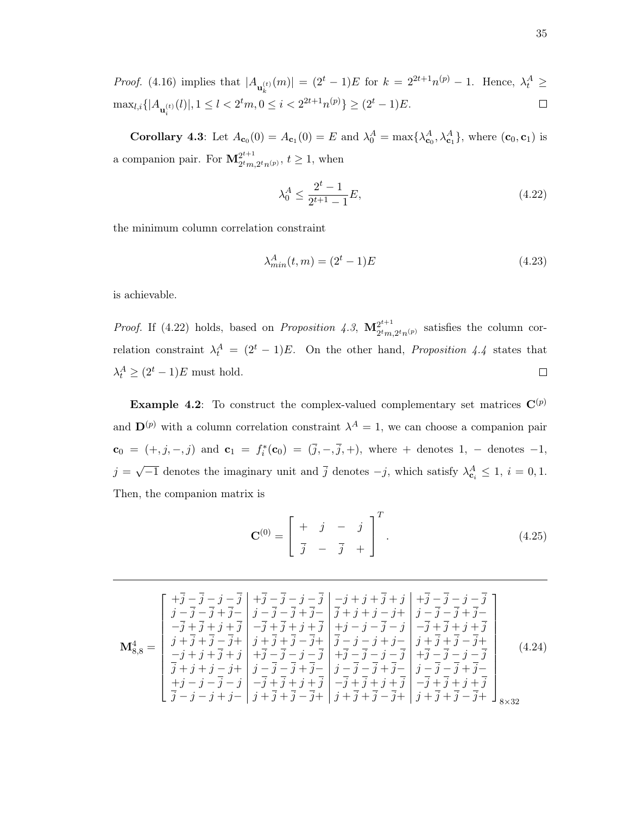*Proof.* (4.16) implies that 
$$
|A_{\mathbf{u}_k^{(t)}}(m)| = (2^t - 1)E
$$
 for  $k = 2^{2t+1}n^{(p)} - 1$ . Hence,  $\lambda_t^A \ge \max_{l,i} \{|A_{\mathbf{u}_i^{(t)}}(l)|, 1 \le l < 2^t m, 0 \le i < 2^{2t+1}n^{(p)}\} \ge (2^t - 1)E$ .

**Corollary 4.3**: Let  $A_{\mathbf{c}_0}(0) = A_{\mathbf{c}_1}(0) = E$  and  $\lambda_0^A = \max\{\lambda_{\mathbf{c}_0}^A, \lambda_{\mathbf{c}_1}^A\}$ , where  $(\mathbf{c}_0, \mathbf{c}_1)$  is a companion pair. For  $\mathbf{M}^{2^{t+1}}_{\sigma_{tm}}$  $\frac{2^{t+1}}{2^t m, 2^t n^{(p)}}, t \ge 1$ , when

$$
\lambda_0^A \le \frac{2^t - 1}{2^{t+1} - 1} E,\tag{4.22}
$$

the minimum column correlation constraint

$$
\lambda_{min}^A(t, m) = (2^t - 1)E\tag{4.23}
$$

is achievable.

*Proof.* If (4.22) holds, based on *Proposition 4.3*,  $\mathbf{M}_{\text{atm}}^{2^{t+1}}$  $2^{2^{r+1}}$ <br> $2^tm,2^tn^{(p)}$  satisfies the column correlation constraint  $\lambda_t^A = (2^t - 1)E$ . On the other hand, *Proposition 4.4* states that  $\lambda_t^A \geq (2^t - 1)E$  must hold.  $\Box$ 

**Example 4.2:** To construct the complex-valued complementary set matrices  $\mathbf{C}^{(p)}$ and  $\mathbf{D}^{(p)}$  with a column correlation constraint  $\lambda^A = 1$ , we can choose a companion pair  $\mathbf{c}_0 = (+, j, -, j)$  and  $\mathbf{c}_1 = f_i^*(\mathbf{c}_0) = (\bar{j}, -, \bar{j}, +)$ , where + denotes 1, - denotes -1,  $j = \sqrt{-1}$  denotes the imaginary unit and  $\overline{j}$  denotes  $-j$ , which satisfy  $\lambda_{\mathbf{c}_i}^A \leq 1$ ,  $i = 0, 1$ . Then, the companion matrix is

$$
\mathbf{C}^{(0)} = \begin{bmatrix} + & j & - & j \\ \frac{\overline{j}}{2} & - & \frac{\overline{j}}{2} & + \end{bmatrix}^{T}.
$$
 (4.25)

| $M_{8.8}^4 =$ | $\left\lceil \begin{array}{c c} +\overline{j}-\overline{j}-j-\overline{j} & +\overline{j}-\overline{j}-j-\overline{j} & -j+j+\overline{j}+j & +\overline{j}-j-j-j \end{array} \right\rceil$<br>$j - \bar{j} - \bar{j} + \bar{j} -  j - \bar{j} - \bar{j} + \bar{j} -  \bar{j} + j + j - j +  j - \bar{j} - \bar{j} + \bar{j} -$<br>$-\overline{j}+\overline{j}+j+\overline{j}$ $-\overline{j}+\overline{j}+j+\overline{j}$ $+j-\overline{j}-j$ $-\overline{j}+j+\overline{j}+j+\overline{j}$<br>$j + \overline{j} + \overline{j} - \overline{j} + j$ $j + \overline{j} + \overline{j} - \overline{j} + j$ $\overline{j} - j - j + j - j$ $j + \overline{j} + \overline{j} - \overline{j} + j$<br>$-j+j+\overline{j}+j +\overline{j}-\overline{j}-j-\overline{j} +\overline{j}-\overline{j}-j-\overline{j} +\overline{j}-\overline{j}-j-\overline{j}$<br>$\overline{j}+j+j-j+\left j-\overline{j}-\overline{j}+\overline{j}-\right j-\overline{j}-\overline{j}+\overline{j}-\left j-\overline{j}-\overline{j}+\overline{j}-\right $<br>$+j-j-\overline{j}-j\left[-\overline{j}+\overline{j}+j+\overline{j}\right]-\overline{j}+\overline{j}+j+\overline{j}\left[-\overline{j}+\overline{j}+j+\overline{j}\right]$<br>$\left[\begin{array}{c c} \overline{j}-j-j+j-\end{array}\right]j+\overline{j}+\overline{j}-\overline{j}+\end{array} \left[\begin{array}{c c} j+\overline{j}+\overline{j}-\overline{j}+\end{array}\right]j+\overline{j}+\overline{j}-\overline{j}+\end{array} \right]_{8\times32}$ |  |  | (4.24) |
|---------------|-------------------------------------------------------------------------------------------------------------------------------------------------------------------------------------------------------------------------------------------------------------------------------------------------------------------------------------------------------------------------------------------------------------------------------------------------------------------------------------------------------------------------------------------------------------------------------------------------------------------------------------------------------------------------------------------------------------------------------------------------------------------------------------------------------------------------------------------------------------------------------------------------------------------------------------------------------------------------------------------------------------------------------------------------------------------------------------------------------------------------------------------------------------------------------------------------------------------------------------------------------------------------------------------------------------------------------------------------------------------------------------------------------------------------------------------------------------------------------------------------------|--|--|--------|
|---------------|-------------------------------------------------------------------------------------------------------------------------------------------------------------------------------------------------------------------------------------------------------------------------------------------------------------------------------------------------------------------------------------------------------------------------------------------------------------------------------------------------------------------------------------------------------------------------------------------------------------------------------------------------------------------------------------------------------------------------------------------------------------------------------------------------------------------------------------------------------------------------------------------------------------------------------------------------------------------------------------------------------------------------------------------------------------------------------------------------------------------------------------------------------------------------------------------------------------------------------------------------------------------------------------------------------------------------------------------------------------------------------------------------------------------------------------------------------------------------------------------------------|--|--|--------|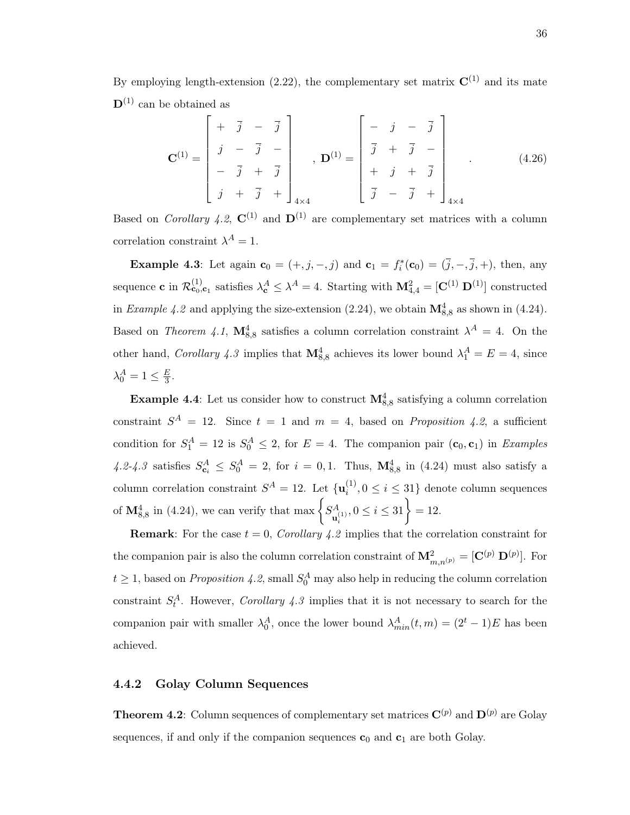By employing length-extension (2.22), the complementary set matrix  $\mathbf{C}^{(1)}$  and its mate  $\mathbf{D}^{(1)}$  can be obtained as

$$
\mathbf{C}^{(1)} = \begin{bmatrix} + & \overline{j} & - & \overline{j} \\ \overline{j} & - & \overline{j} & - \\ - & \overline{j} & + & \overline{j} \\ \overline{j} & + & \overline{j} & + \end{bmatrix}_{4 \times 4}, \quad \mathbf{D}^{(1)} = \begin{bmatrix} - & \overline{j} & - & \overline{j} \\ \overline{j} & + & \overline{j} & - \\ + & \overline{j} & + & \overline{j} \\ \overline{j} & - & \overline{j} & + \end{bmatrix}_{4 \times 4}
$$
(4.26)

Based on Corollary 4.2,  $\mathbf{C}^{(1)}$  and  $\mathbf{D}^{(1)}$  are complementary set matrices with a column correlation constraint  $\lambda^A = 1$ .

**Example 4.3**: Let again  $\mathbf{c}_0 = (+, j, -, j)$  and  $\mathbf{c}_1 = f_i^*(\mathbf{c}_0) = (\overline{j}, -, \overline{j}, +)$ , then, any sequence **c** in  $\mathcal{R}^{(1)}_{\mathbf{c}_0,\mathbf{c}_1}$  satisfies  $\lambda_{\mathbf{c}}^A \leq \lambda^A = 4$ . Starting with  $\mathbf{M}_{4,4}^2 = [\mathbf{C}^{(1)} \mathbf{D}^{(1)}]$  constructed in Example 4.2 and applying the size-extension (2.24), we obtain  $\mathbf{M}_{8,8}^4$  as shown in (4.24). Based on Theorem 4.1,  $\mathbf{M}_{8,8}^4$  satisfies a column correlation constraint  $\lambda^A = 4$ . On the other hand, Corollary 4.3 implies that  $\mathbf{M}_{8,8}^4$  achieves its lower bound  $\lambda_1^A = E = 4$ , since  $\lambda_0^A = 1 \leq \frac{E}{3}$  $\frac{E}{3}$ .

**Example 4.4**: Let us consider how to construct  $\mathbf{M}_{8,8}^4$  satisfying a column correlation constraint  $S^A = 12$ . Since  $t = 1$  and  $m = 4$ , based on *Proposition 4.2*, a sufficient condition for  $S_1^A = 12$  is  $S_0^A \leq 2$ , for  $E = 4$ . The companion pair  $(c_0, c_1)$  in *Examples* 4.2-4.3 satisfies  $S_{\mathbf{c}_i}^A \leq S_0^A = 2$ , for  $i = 0, 1$ . Thus,  $\mathbf{M}_{8,8}^4$  in (4.24) must also satisfy a column correlation constraint  $S^A = 12$ . Let  $\{ \mathbf{u}_i^{(1)} \}$  $i^{(1)}$ ,  $0 \leq i \leq 31$  denote column sequences of  $\mathbf{M}_{8,8}^4$  in (4.24), we can verify that max  $\begin{cases} S_A^A \end{cases}$  $\{u_i^{(1)}, 0 \leq i \leq 31\} = 12.$ 

**Remark:** For the case  $t = 0$ , Corollary 4.2 implies that the correlation constraint for the companion pair is also the column correlation constraint of  $\mathbf{M}^2_{m,n^{(p)}} = [\mathbf{C}^{(p)} \ \mathbf{D}^{(p)}]$ . For  $t \geq 1$ , based on *Proposition 4.2*, small  $S_0^A$  may also help in reducing the column correlation constraint  $S_t^A$ . However, *Corollary 4.3* implies that it is not necessary to search for the companion pair with smaller  $\lambda_0^A$ , once the lower bound  $\lambda_{min}^A(t,m) = (2^t - 1)E$  has been achieved.

## 4.4.2 Golay Column Sequences

**Theorem 4.2**: Column sequences of complementary set matrices  $\mathbf{C}^{(p)}$  and  $\mathbf{D}^{(p)}$  are Golay sequences, if and only if the companion sequences  $c_0$  and  $c_1$  are both Golay.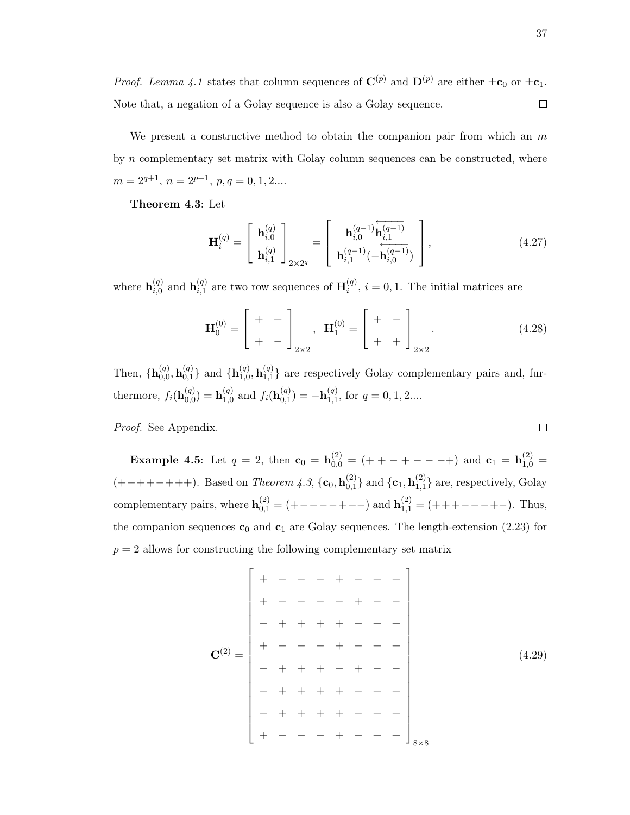We present a constructive method to obtain the companion pair from which an  $m$ by  $n$  complementary set matrix with Golay column sequences can be constructed, where  $m = 2^{q+1}, n = 2^{p+1}, p, q = 0, 1, 2...$ 

Theorem 4.3: Let

$$
\mathbf{H}_{i}^{(q)} = \begin{bmatrix} \mathbf{h}_{i,0}^{(q)} \\ \mathbf{h}_{i,1}^{(q)} \end{bmatrix}_{2 \times 2^{q}} = \begin{bmatrix} \mathbf{h}_{i,0}^{(q-1)} \mathbf{\hat{h}}_{i,1}^{(q-1)} \\ \mathbf{h}_{i,1}^{(q-1)} (-\mathbf{\hat{h}}_{i,0}^{(q-1)}) \end{bmatrix},
$$
(4.27)

where  $\mathbf{h}_{i,0}^{(q)}$  $\mathbf{h}_{i,0}^{(q)}$  and  $\mathbf{h}_{i,1}^{(q)}$  $\mathbf{H}_{i,1}^{(q)}$  are two row sequences of  $\mathbf{H}_{i}^{(q)}$  $i^{(q)}$ ,  $i = 0, 1$ . The initial matrices are

$$
\mathbf{H}_0^{(0)} = \begin{bmatrix} + & + \\ + & - \end{bmatrix}_{2 \times 2}, \quad \mathbf{H}_1^{(0)} = \begin{bmatrix} + & - \\ + & + \end{bmatrix}_{2 \times 2} . \tag{4.28}
$$

Then,  $\{h_{0,0}^{(q)}\}$  $\mathbf{h}_{0,0}^{\left(q\right)}, \mathbf{h}_{0,1}^{\left(q\right)}$  $\mathbf{h}_{0,1}^{(q)}\}$  and  $\{ \mathbf{h}_{1,0}^{(q)}$  $\mathbf{h}_{1,0}^{\left(q\right)}, \mathbf{h}_{1,1}^{\left(q\right)}$  $\{q_{1,1}\}$  are respectively Golay complementary pairs and, furthermore,  $f_i(\mathbf{h}_{0,0}^{(q)})$  $\mathbf{h}_{0,0}^{\left(q\right)})=\mathbf{h}_{1,0}^{\left(q\right)}$  $_{1,0}^{\left( q\right) }$  and  $f_{i}(\mathbf{h}_{0,1}^{\left( q\right) }$  $\mathbf{h}_{0,1}^{(q)} \mathbf{)} = -\mathbf{h}_{1,1}^{(q)}$  $_{1,1}^{(q)}$ , for  $q=0,1,2...$ 

Proof. See Appendix.

**Example 4.5**: Let  $q = 2$ , then  $\mathbf{c}_0 = \mathbf{h}_{0,0}^{(2)} = (+ + - + - - +)$  and  $\mathbf{c}_1 = \mathbf{h}_{1,0}^{(2)} =$  $(+-++-+++)$ . Based on *Theorem 4.3*, { $$  $_{0,1}^{(2)}\}$  and  $\{ {\bf c}_{1}, {\bf h}_{1,1}^{(2)}$  $_{1,1}^{(2)}$ } are, respectively, Golay complementary pairs, where  $\mathbf{h}_{0,1}^{(2)} = (+---+--)$  and  $\mathbf{h}_{1,1}^{(2)} = (+++---+-)$ . Thus, the companion sequences  $\mathbf{c}_0$  and  $\mathbf{c}_1$  are Golay sequences. The length-extension (2.23) for  $p = 2$  allows for constructing the following complementary set matrix

C(2) = + − − − + − + + + − − − − + − − − + + + + − + + + − − − + − + + − + + + − + − − − + + + + − + + − + + + + − + + + − − − + − + + 8×8 (4.29)

$$
\Box
$$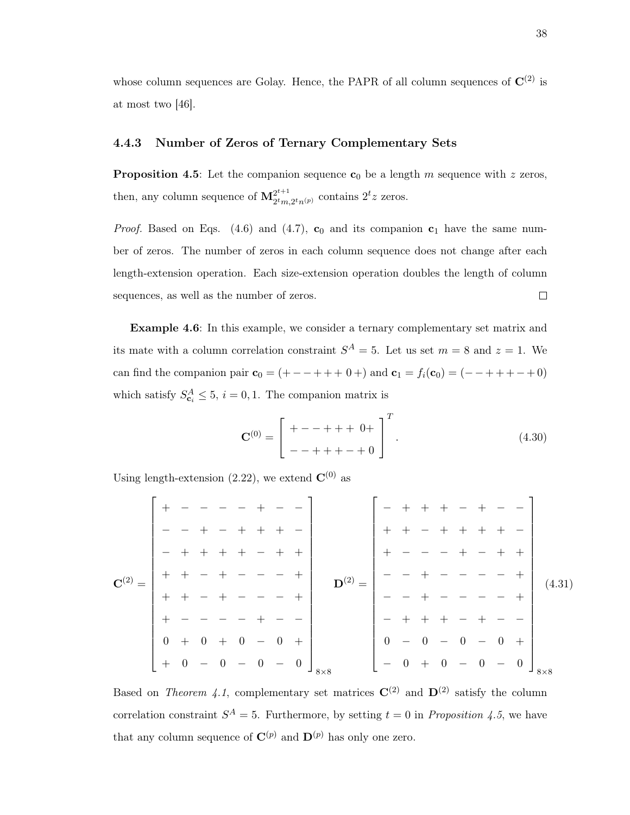whose column sequences are Golay. Hence, the PAPR of all column sequences of  $\mathbf{C}^{(2)}$  is at most two [46].

## 4.4.3 Number of Zeros of Ternary Complementary Sets

**Proposition 4.5**: Let the companion sequence  $c_0$  be a length m sequence with z zeros, then, any column sequence of  $\mathbf{M}^{2^{t+1}}_{2^{t}}$  $2^{t+1}$ <sub>2</sub>t<sub>m</sub>, 2<sup>t</sup><sub>n</sub>(p)</sub> contains  $2^t z$  zeros.

*Proof.* Based on Eqs. (4.6) and (4.7),  $\mathbf{c}_0$  and its companion  $\mathbf{c}_1$  have the same number of zeros. The number of zeros in each column sequence does not change after each length-extension operation. Each size-extension operation doubles the length of column sequences, as well as the number of zeros.  $\Box$ 

Example 4.6: In this example, we consider a ternary complementary set matrix and its mate with a column correlation constraint  $S^A = 5$ . Let us set  $m = 8$  and  $z = 1$ . We can find the companion pair  $\mathbf{c}_0 = (+ - - + + + 0 +)$  and  $\mathbf{c}_1 = f_i(\mathbf{c}_0) = (- - + + + - + 0)$ which satisfy  $S_{\mathbf{c}_i}^A \leq 5$ ,  $i = 0, 1$ . The companion matrix is

$$
\mathbf{C}^{(0)} = \begin{bmatrix} + - - + + + & 0 + \\ - - + + + - + & 0 \end{bmatrix}^{T}.
$$
 (4.30)

Using length-extension (2.22), we extend  $\mathbf{C}^{(0)}$  as

|                                               |                                             |         |     |                               |                          |                |     |                           | $+$                               |       |                |                          |                |                          |                          |     |             |
|-----------------------------------------------|---------------------------------------------|---------|-----|-------------------------------|--------------------------|----------------|-----|---------------------------|-----------------------------------|-------|----------------|--------------------------|----------------|--------------------------|--------------------------|-----|-------------|
|                                               | $\overline{\phantom{m}}$                    | $+$ $+$ |     |                               |                          |                | $+$ |                           |                                   |       |                |                          |                |                          |                          |     |             |
| ${\bf C}^{(2)}=\begin{pmatrix} \end{pmatrix}$ |                                             |         |     |                               |                          |                |     | ${\bf D}^{(2)} =$         |                                   |       |                |                          |                |                          |                          |     | (4.31)      |
|                                               | $\pm$                                       |         |     |                               |                          |                |     |                           |                                   |       |                |                          |                |                          |                          |     |             |
|                                               |                                             |         |     |                               |                          |                |     |                           |                                   |       |                |                          |                |                          |                          |     |             |
|                                               | $\begin{array}{cccc} 0 & + & 0 \end{array}$ |         | $+$ | $\begin{matrix}0\end{matrix}$ |                          | $\overline{0}$ | $+$ |                           | $\begin{bmatrix} 0 \end{bmatrix}$ |       | $\overline{0}$ |                          | $\overline{0}$ |                          |                          | $+$ |             |
|                                               | $  +$                                       | $0 - 0$ |     | $\overline{\phantom{m}}$      | $\overline{\phantom{0}}$ |                |     | $- 0$ $\int_{8 \times 8}$ | $\lfloor - \rfloor$               | $0 +$ |                | $\overline{\phantom{0}}$ |                | $\overline{\phantom{0}}$ | $\overline{\phantom{m}}$ |     | $18\times8$ |

Based on Theorem 4.1, complementary set matrices  $\mathbf{C}^{(2)}$  and  $\mathbf{D}^{(2)}$  satisfy the column correlation constraint  $S^A = 5$ . Furthermore, by setting  $t = 0$  in *Proposition 4.5*, we have that any column sequence of  $\mathbf{C}^{(p)}$  and  $\mathbf{D}^{(p)}$  has only one zero.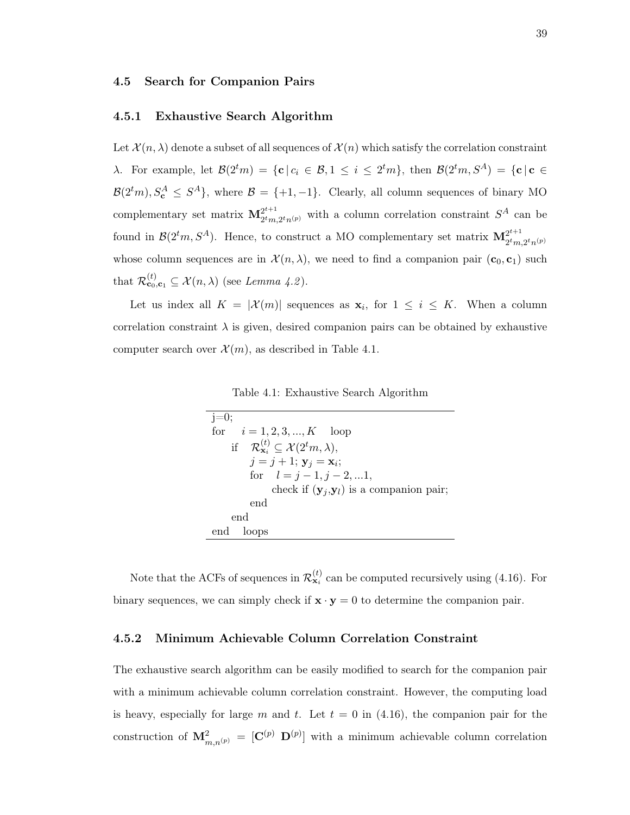## 4.5 Search for Companion Pairs

## 4.5.1 Exhaustive Search Algorithm

Let  $\mathcal{X}(n,\lambda)$  denote a subset of all sequences of  $\mathcal{X}(n)$  which satisfy the correlation constraint λ. For example, let  $\mathcal{B}(2^tm) = \{c \mid c_i \in \mathcal{B}, 1 \le i \le 2^tm\}$ , then  $\mathcal{B}(2^tm, S^A) = \{c \mid c \in \mathcal{B}, 1 \le i \le 2^tm\}$  $\mathcal{B}(2^tm), S^A_{\mathbf{c}} \leq S^A$ , where  $\mathcal{B} = \{+1, -1\}$ . Clearly, all column sequences of binary MO complementary set matrix  $\mathbf{M}_{2tm}^{2^{t+1}}$  $2^{t+1}_{2^tm,2^tn(p)}$  with a column correlation constraint  $S^A$  can be found in  $\mathcal{B}(2^t m, S^A)$ . Hence, to construct a MO complementary set matrix  $\mathbf{M}_{2^t m}^{2^{t+1}}$  $2^tm,2^tn^{(p)}$ whose column sequences are in  $\mathcal{X}(n,\lambda)$ , we need to find a companion pair  $(c_0, c_1)$  such that  $\mathcal{R}^{(t)}_{\mathbf{c}_0,\mathbf{c}_1} \subseteq \mathcal{X}(n,\lambda)$  (see Lemma 4.2).

Let us index all  $K = |\mathcal{X}(m)|$  sequences as  $\mathbf{x}_i$ , for  $1 \leq i \leq K$ . When a column correlation constraint  $\lambda$  is given, desired companion pairs can be obtained by exhaustive computer search over  $\mathcal{X}(m)$ , as described in Table 4.1.

|  | Table 4.1: Exhaustive Search Algorithm |  |  |
|--|----------------------------------------|--|--|
|--|----------------------------------------|--|--|

| $i=0$                                                                        |
|------------------------------------------------------------------------------|
| for $i = 1, 2, 3, , K$ loop                                                  |
| if $\mathcal{R}_{\mathbf{x}_i}^{(t)} \subseteq \mathcal{X}(2^t m, \lambda),$ |
| $j = j + 1;$ $y_j = x_i;$                                                    |
| for $l = j - 1, j - 2,  1,$                                                  |
| check if $(\mathbf{y}_i, \mathbf{y}_l)$ is a companion pair;                 |
| end                                                                          |
| end                                                                          |
| end<br>loops                                                                 |

Note that the ACFs of sequences in  $\mathcal{R}_{\mathbf{x}_i}^{(t)}$  can be computed recursively using (4.16). For binary sequences, we can simply check if  $\mathbf{x} \cdot \mathbf{y} = 0$  to determine the companion pair.

# 4.5.2 Minimum Achievable Column Correlation Constraint

The exhaustive search algorithm can be easily modified to search for the companion pair with a minimum achievable column correlation constraint. However, the computing load is heavy, especially for large m and t. Let  $t = 0$  in (4.16), the companion pair for the construction of  ${\bf M}_{m,n^{(p)}}^2 = [C^{(p)} D^{(p)}]$  with a minimum achievable column correlation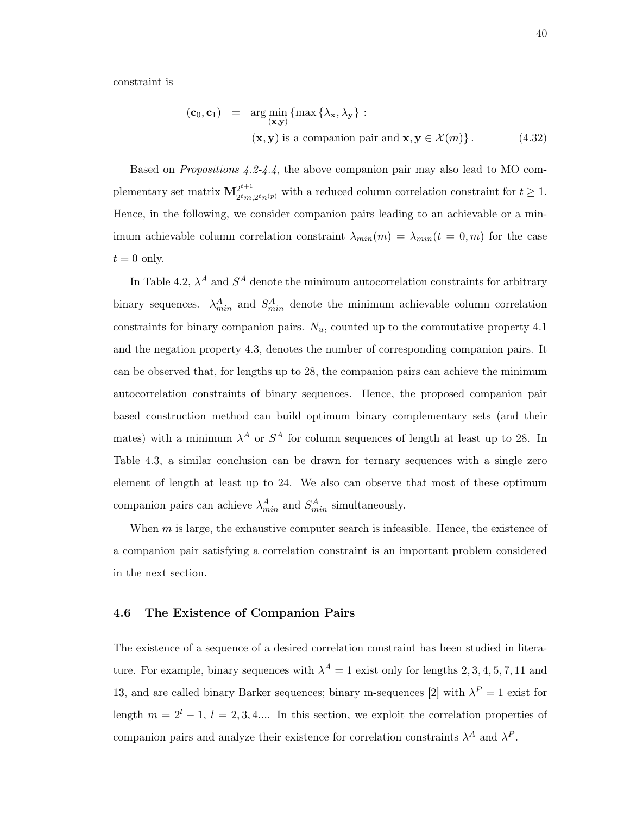constraint is

$$
(\mathbf{c}_0, \mathbf{c}_1) = \arg\min_{(\mathbf{x}, \mathbf{y})} \{ \max \{ \lambda_{\mathbf{x}}, \lambda_{\mathbf{y}} \} : \\ (\mathbf{x}, \mathbf{y}) \text{ is a companion pair and } \mathbf{x}, \mathbf{y} \in \mathcal{X}(m) \}.
$$
 (4.32)

Based on Propositions 4.2-4.4, the above companion pair may also lead to MO complementary set matrix  ${\bf M}_{atm}^{2^{t+1}}$  $2^{2^{t+1}}_{2^tm,2^tn^{(p)}}$  with a reduced column correlation constraint for  $t \geq 1$ . Hence, in the following, we consider companion pairs leading to an achievable or a minimum achievable column correlation constraint  $\lambda_{min}(m) = \lambda_{min}(t = 0, m)$  for the case  $t = 0$  only.

In Table 4.2,  $\lambda^A$  and  $S^A$  denote the minimum autocorrelation constraints for arbitrary binary sequences.  $\lambda_{min}^A$  and  $S_{min}^A$  denote the minimum achievable column correlation constraints for binary companion pairs.  $N_u$ , counted up to the commutative property 4.1 and the negation property 4.3, denotes the number of corresponding companion pairs. It can be observed that, for lengths up to 28, the companion pairs can achieve the minimum autocorrelation constraints of binary sequences. Hence, the proposed companion pair based construction method can build optimum binary complementary sets (and their mates) with a minimum  $\lambda^A$  or  $S^A$  for column sequences of length at least up to 28. In Table 4.3, a similar conclusion can be drawn for ternary sequences with a single zero element of length at least up to 24. We also can observe that most of these optimum companion pairs can achieve  $\lambda_{min}^A$  and  $S_{min}^A$  simultaneously.

When  $m$  is large, the exhaustive computer search is infeasible. Hence, the existence of a companion pair satisfying a correlation constraint is an important problem considered in the next section.

#### 4.6 The Existence of Companion Pairs

The existence of a sequence of a desired correlation constraint has been studied in literature. For example, binary sequences with  $\lambda^A = 1$  exist only for lengths 2, 3, 4, 5, 7, 11 and 13, and are called binary Barker sequences; binary m-sequences [2] with  $\lambda^P = 1$  exist for length  $m = 2^l - 1$ ,  $l = 2, 3, 4...$  In this section, we exploit the correlation properties of companion pairs and analyze their existence for correlation constraints  $\lambda^A$  and  $\lambda^P$ .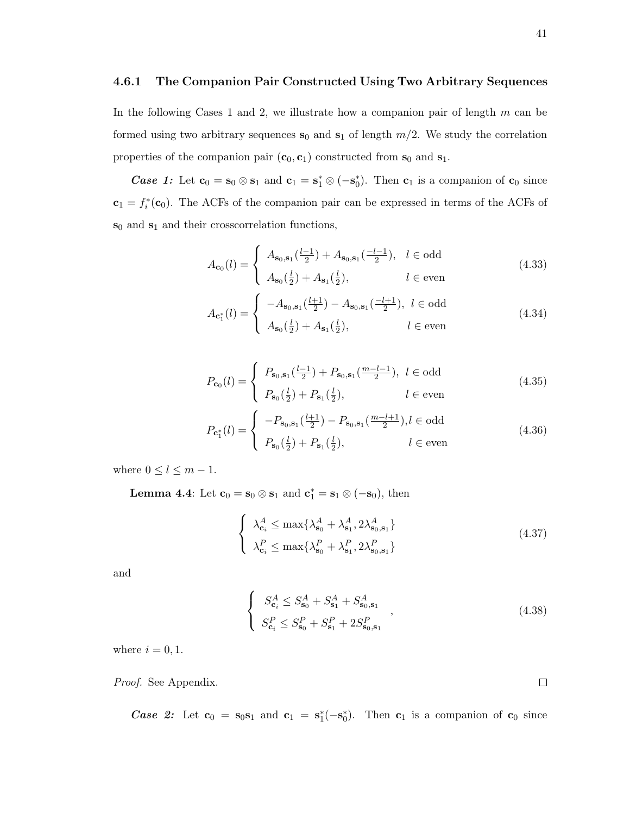## 4.6.1 The Companion Pair Constructed Using Two Arbitrary Sequences

In the following Cases 1 and 2, we illustrate how a companion pair of length  $m$  can be formed using two arbitrary sequences  $s_0$  and  $s_1$  of length  $m/2$ . We study the correlation properties of the companion pair  $(c_0, c_1)$  constructed from  $s_0$  and  $s_1$ .

*Case 1*: Let  $\mathbf{c}_0 = \mathbf{s}_0 \otimes \mathbf{s}_1$  and  $\mathbf{c}_1 = \mathbf{s}_1^* \otimes (-\mathbf{s}_0^*)$ . Then  $\mathbf{c}_1$  is a companion of  $\mathbf{c}_0$  since  $\mathbf{c}_1 = f_i^*(\mathbf{c}_0)$ . The ACFs of the companion pair can be expressed in terms of the ACFs of  $s_0$  and  $s_1$  and their crosscorrelation functions,

$$
A_{\mathbf{c}_0}(l) = \begin{cases} A_{\mathbf{s}_0, \mathbf{s}_1}(\frac{l-1}{2}) + A_{\mathbf{s}_0, \mathbf{s}_1}(\frac{-l-1}{2}), & l \in \text{odd} \\ A_{\mathbf{s}_0}(\frac{l}{2}) + A_{\mathbf{s}_1}(\frac{l}{2}), & l \in \text{even} \end{cases}
$$
(4.33)

$$
A_{\mathbf{c}_{1}^{*}}(l) = \begin{cases} -A_{\mathbf{s}_{0},\mathbf{s}_{1}}(\frac{l+1}{2}) - A_{\mathbf{s}_{0},\mathbf{s}_{1}}(\frac{-l+1}{2}), & l \in \text{odd} \\ A_{\mathbf{s}_{0}}(\frac{l}{2}) + A_{\mathbf{s}_{1}}(\frac{l}{2}), & l \in \text{even} \end{cases}
$$
(4.34)

$$
P_{\mathbf{c}_0}(l) = \begin{cases} P_{\mathbf{s}_0, \mathbf{s}_1}(\frac{l-1}{2}) + P_{\mathbf{s}_0, \mathbf{s}_1}(\frac{m-l-1}{2}), & l \in \text{odd} \\ P_{\mathbf{s}_0}(\frac{l}{2}) + P_{\mathbf{s}_1}(\frac{l}{2}), & l \in \text{even} \end{cases}
$$
(4.35)

$$
P_{\mathbf{c}_1^*}(l) = \begin{cases} -P_{\mathbf{s}_0, \mathbf{s}_1}(\frac{l+1}{2}) - P_{\mathbf{s}_0, \mathbf{s}_1}(\frac{m-l+1}{2}), l \in \text{odd} \\ P_{\mathbf{s}_0}(\frac{l}{2}) + P_{\mathbf{s}_1}(\frac{l}{2}), & l \in \text{even} \end{cases}
$$
(4.36)

where  $0 \leq l \leq m-1$ .

**Lemma 4.4**: Let  $\mathbf{c}_0 = \mathbf{s}_0 \otimes \mathbf{s}_1$  and  $\mathbf{c}_1^* = \mathbf{s}_1 \otimes (-\mathbf{s}_0)$ , then

$$
\begin{cases} \lambda_{\mathbf{c}_i}^A \le \max\{\lambda_{\mathbf{s}_0}^A + \lambda_{\mathbf{s}_1}^A, 2\lambda_{\mathbf{s}_0, \mathbf{s}_1}^A\} \\ \lambda_{\mathbf{c}_i}^P \le \max\{\lambda_{\mathbf{s}_0}^P + \lambda_{\mathbf{s}_1}^P, 2\lambda_{\mathbf{s}_0, \mathbf{s}_1}^P\} \end{cases} \tag{4.37}
$$

and

$$
\begin{cases}\nS_{\mathbf{c}_i}^A \leq S_{\mathbf{s}_0}^A + S_{\mathbf{s}_1}^A + S_{\mathbf{s}_0, \mathbf{s}_1}^A \\
S_{\mathbf{c}_i}^P \leq S_{\mathbf{s}_0}^P + S_{\mathbf{s}_1}^P + 2S_{\mathbf{s}_0, \mathbf{s}_1}^P\n\end{cases},
$$
\n(4.38)

where  $i = 0, 1$ .

Proof. See Appendix.

*Case 2:* Let  $\mathbf{c}_0 = \mathbf{s}_0 \mathbf{s}_1$  and  $\mathbf{c}_1 = \mathbf{s}_1^*(-\mathbf{s}_0^*)$ . Then  $\mathbf{c}_1$  is a companion of  $\mathbf{c}_0$  since

 $\Box$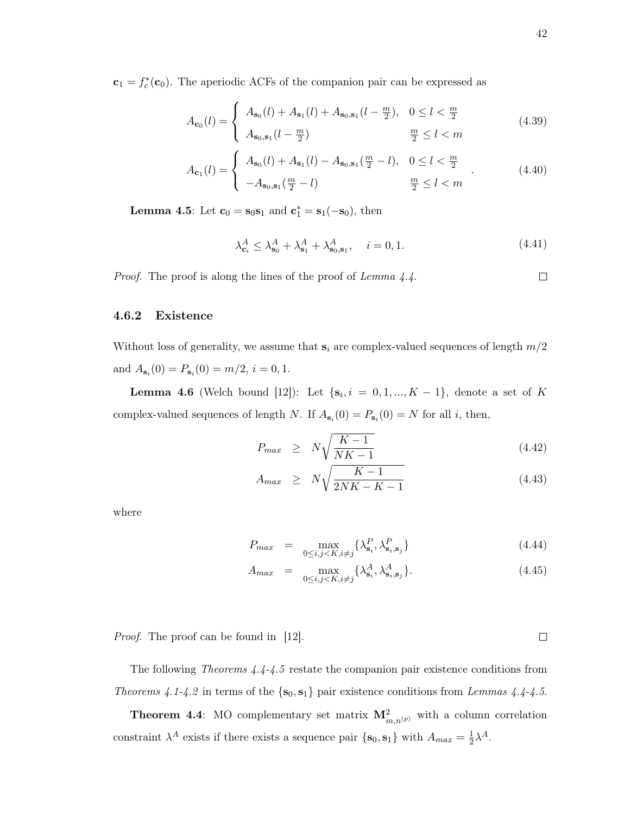$\mathbf{c}_1 = f_c^*(\mathbf{c}_0)$ . The aperiodic ACFs of the companion pair can be expressed as

$$
A_{\mathbf{c}_0}(l) = \begin{cases} A_{\mathbf{s}_0}(l) + A_{\mathbf{s}_1}(l) + A_{\mathbf{s}_0, \mathbf{s}_1}(l - \frac{m}{2}), & 0 \le l < \frac{m}{2} \\ A_{\mathbf{s}_0, \mathbf{s}_1}(l - \frac{m}{2}) & \frac{m}{2} \le l < m \end{cases}
$$
(4.39)

$$
A_{\mathbf{c}_1}(l) = \begin{cases} A_{\mathbf{s}_0}(l) + A_{\mathbf{s}_1}(l) - A_{\mathbf{s}_0, \mathbf{s}_1}(\frac{m}{2} - l), & 0 \le l < \frac{m}{2} \\ -A_{\mathbf{s}_0, \mathbf{s}_1}(\frac{m}{2} - l) & \frac{m}{2} \le l < m \end{cases}
$$
 (4.40)

**Lemma 4.5**: Let  $\mathbf{c}_0 = \mathbf{s}_0 \mathbf{s}_1$  and  $\mathbf{c}_1^* = \mathbf{s}_1(-\mathbf{s}_0)$ , then

$$
\lambda_{c_i}^A \le \lambda_{s_0}^A + \lambda_{s_1}^A + \lambda_{s_0, s_1}^A, \quad i = 0, 1.
$$
\n(4.41)

Proof. The proof is along the lines of the proof of Lemma 4.4.

## 4.6.2 Existence

Without loss of generality, we assume that  $s_i$  are complex-valued sequences of length  $m/2$ and  $A_{\mathbf{s}_i}(0) = P_{\mathbf{s}_i}(0) = m/2, i = 0, 1.$ 

**Lemma 4.6** (Welch bound [12]): Let  $\{s_i, i = 0, 1, ..., K - 1\}$ , denote a set of K complex-valued sequences of length N. If  $A_{s_i}(0) = P_{s_i}(0) = N$  for all i, then,

$$
P_{max} \geq N \sqrt{\frac{K-1}{NK-1}} \tag{4.42}
$$

$$
A_{max} \geq N \sqrt{\frac{K-1}{2NK-K-1}} \tag{4.43}
$$

where

$$
P_{max} = \max_{0 \le i,j \le K, i \ne j} \{ \lambda_{\mathbf{s}_i}^P, \lambda_{\mathbf{s}_i, \mathbf{s}_j}^P \}
$$
(4.44)

$$
A_{max} = \max_{0 \le i,j \le K, i \ne j} \{ \lambda_{\mathbf{s}_i}^A, \lambda_{\mathbf{s}_i, \mathbf{s}_j}^A \}.
$$
 (4.45)

*Proof.* The proof can be found in [12].

The following Theorems 4.4-4.5 restate the companion pair existence conditions from Theorems 4.1-4.2 in terms of the  $\{s_0, s_1\}$  pair existence conditions from Lemmas 4.4-4.5.

**Theorem 4.4**: MO complementary set matrix  $\mathbf{M}_{m,n^{(p)}}^2$  with a column correlation constraint  $\lambda^A$  exists if there exists a sequence pair  $\{s_0, s_1\}$  with  $A_{max} = \frac{1}{2}$  $\frac{1}{2}\lambda^A$ .

 $\Box$ 

 $\Box$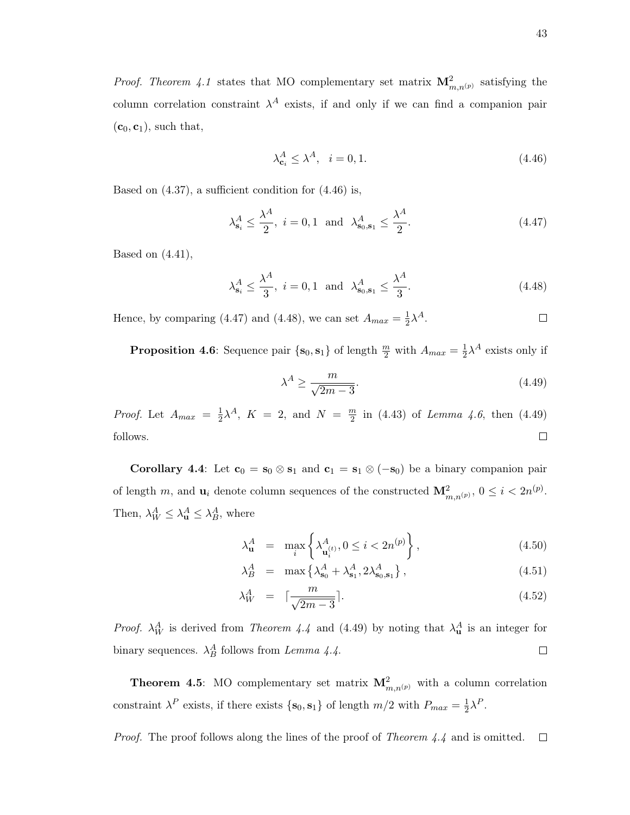*Proof. Theorem 4.1* states that MO complementary set matrix  $\mathbf{M}_{m,n^{(p)}}^2$  satisfying the column correlation constraint  $\lambda^A$  exists, if and only if we can find a companion pair  $(c_0, c_1)$ , such that,

$$
\lambda_{\mathbf{c}_i}^A \le \lambda^A, \quad i = 0, 1. \tag{4.46}
$$

Based on (4.37), a sufficient condition for (4.46) is,

$$
\lambda_{\mathbf{s}_i}^A \le \frac{\lambda^A}{2}, \ i = 0, 1 \ \text{and} \ \lambda_{\mathbf{s}_0, \mathbf{s}_1}^A \le \frac{\lambda^A}{2}.\tag{4.47}
$$

Based on  $(4.41)$ ,

$$
\lambda_{s_i}^A \le \frac{\lambda^A}{3}, \ i = 0, 1 \text{ and } \lambda_{s_0, s_1}^A \le \frac{\lambda^A}{3}.
$$
\n(4.48)

Hence, by comparing (4.47) and (4.48), we can set  $A_{max} = \frac{1}{2}$  $\frac{1}{2}\lambda^A$ .  $\Box$ 

**Proposition 4.6**: Sequence pair  $\{s_0, s_1\}$  of length  $\frac{m}{2}$  with  $A_{max} = \frac{1}{2}$  $\frac{1}{2}\lambda^A$  exists only if

$$
\lambda^A \ge \frac{m}{\sqrt{2m-3}}.\tag{4.49}
$$

*Proof.* Let  $A_{max} = \frac{1}{2}$  $\frac{1}{2}\lambda^A$ ,  $K = 2$ , and  $N = \frac{m}{2}$  $\frac{m}{2}$  in (4.43) of *Lemma 4.6*, then (4.49)  $\Box$ follows.

Corollary 4.4: Let  $c_0 = s_0 \otimes s_1$  and  $c_1 = s_1 \otimes (-s_0)$  be a binary companion pair of length m, and  $\mathbf{u}_i$  denote column sequences of the constructed  $\mathbf{M}_{m,n^{(p)}}^2$ ,  $0 \leq i < 2n^{(p)}$ . Then,  $\lambda_W^A \leq \lambda_{\mathbf{u}}^A \leq \lambda_B^A$ , where

$$
\lambda_{\mathbf{u}}^A = \max_i \left\{ \lambda_{\mathbf{u}_i^{(t)}}^A, 0 \le i < 2n^{(p)} \right\},\tag{4.50}
$$

$$
\lambda_B^A = \max \left\{ \lambda_{\mathbf{s}_0}^A + \lambda_{\mathbf{s}_1}^A, 2\lambda_{\mathbf{s}_0, \mathbf{s}_1}^A \right\},\tag{4.51}
$$

$$
\lambda_W^A = \left[ \frac{m}{\sqrt{2m - 3}} \right]. \tag{4.52}
$$

*Proof.*  $\lambda_W^A$  is derived from *Theorem 4.4* and (4.49) by noting that  $\lambda_u^A$  is an integer for binary sequences.  $\lambda_B^A$  follows from Lemma 4.4.  $\Box$ 

**Theorem 4.5**: MO complementary set matrix  $\mathbf{M}_{m,n^{(p)}}^2$  with a column correlation constraint  $\lambda^P$  exists, if there exists  $\{s_0, s_1\}$  of length  $m/2$  with  $P_{max} = \frac{1}{2}$  $\frac{1}{2}\lambda^P$ .

Proof. The proof follows along the lines of the proof of Theorem 4.4 and is omitted.  $\Box$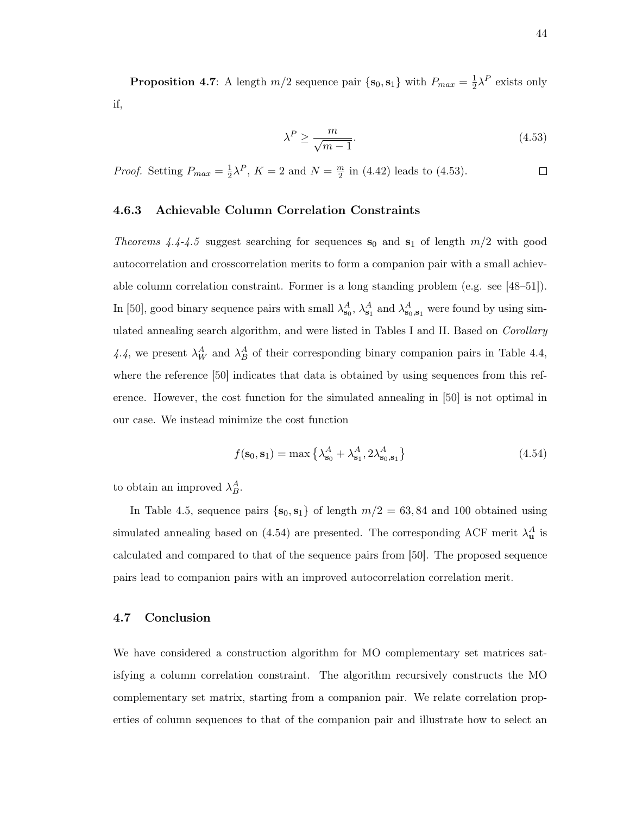**Proposition 4.7**: A length  $m/2$  sequence pair  $\{s_0, s_1\}$  with  $P_{max} = \frac{1}{2}$  $\frac{1}{2}\lambda^P$  exists only if,

$$
\lambda^P \ge \frac{m}{\sqrt{m-1}}.\tag{4.53}
$$

*Proof.* Setting  $P_{max} = \frac{1}{2}$  $\frac{1}{2}\lambda^P$ ,  $K=2$  and  $N=\frac{m}{2}$  $\frac{m}{2}$  in (4.42) leads to (4.53).  $\Box$ 

# 4.6.3 Achievable Column Correlation Constraints

Theorems 4.4-4.5 suggest searching for sequences  $s_0$  and  $s_1$  of length  $m/2$  with good autocorrelation and crosscorrelation merits to form a companion pair with a small achievable column correlation constraint. Former is a long standing problem (e.g. see [48–51]). In [50], good binary sequence pairs with small  $\lambda_{s_0}^A$ ,  $\lambda_{s_1}^A$  and  $\lambda_{s_0,s_1}^A$  were found by using simulated annealing search algorithm, and were listed in Tables I and II. Based on *Corollary* 4.4, we present  $\lambda_W^A$  and  $\lambda_B^A$  of their corresponding binary companion pairs in Table 4.4, where the reference [50] indicates that data is obtained by using sequences from this reference. However, the cost function for the simulated annealing in [50] is not optimal in our case. We instead minimize the cost function

$$
f(\mathbf{s}_0, \mathbf{s}_1) = \max \left\{ \lambda_{\mathbf{s}_0}^A + \lambda_{\mathbf{s}_1}^A, 2\lambda_{\mathbf{s}_0, \mathbf{s}_1}^A \right\} \tag{4.54}
$$

to obtain an improved  $\lambda_B^A$ .

In Table 4.5, sequence pairs  $\{s_0, s_1\}$  of length  $m/2 = 63, 84$  and 100 obtained using simulated annealing based on (4.54) are presented. The corresponding ACF merit  $\lambda_{\mathbf{u}}^A$  is calculated and compared to that of the sequence pairs from [50]. The proposed sequence pairs lead to companion pairs with an improved autocorrelation correlation merit.

## 4.7 Conclusion

We have considered a construction algorithm for MO complementary set matrices satisfying a column correlation constraint. The algorithm recursively constructs the MO complementary set matrix, starting from a companion pair. We relate correlation properties of column sequences to that of the companion pair and illustrate how to select an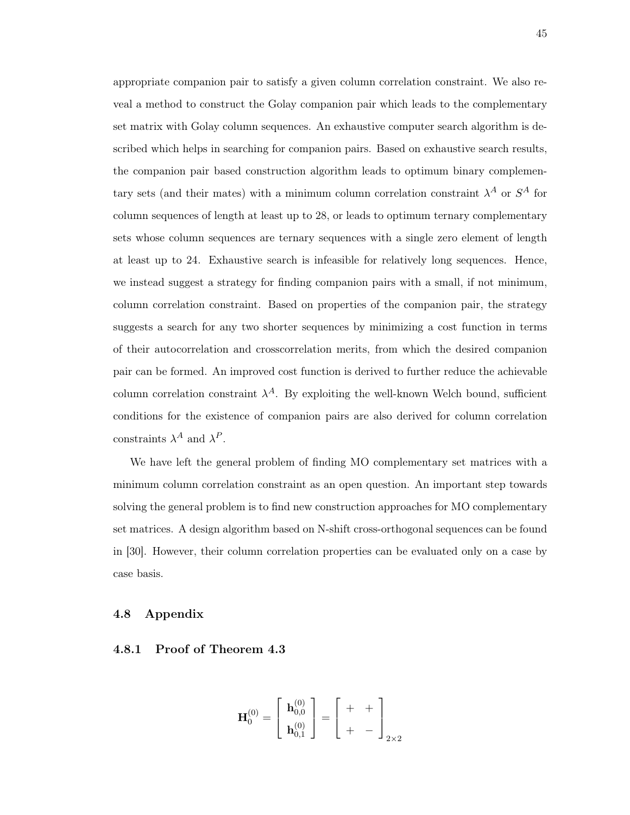appropriate companion pair to satisfy a given column correlation constraint. We also reveal a method to construct the Golay companion pair which leads to the complementary set matrix with Golay column sequences. An exhaustive computer search algorithm is described which helps in searching for companion pairs. Based on exhaustive search results, the companion pair based construction algorithm leads to optimum binary complementary sets (and their mates) with a minimum column correlation constraint  $\lambda^A$  or  $S^A$  for column sequences of length at least up to 28, or leads to optimum ternary complementary sets whose column sequences are ternary sequences with a single zero element of length at least up to 24. Exhaustive search is infeasible for relatively long sequences. Hence, we instead suggest a strategy for finding companion pairs with a small, if not minimum, column correlation constraint. Based on properties of the companion pair, the strategy suggests a search for any two shorter sequences by minimizing a cost function in terms of their autocorrelation and crosscorrelation merits, from which the desired companion pair can be formed. An improved cost function is derived to further reduce the achievable column correlation constraint  $\lambda^A$ . By exploiting the well-known Welch bound, sufficient conditions for the existence of companion pairs are also derived for column correlation constraints  $\lambda^A$  and  $\lambda^P$ .

We have left the general problem of finding MO complementary set matrices with a minimum column correlation constraint as an open question. An important step towards solving the general problem is to find new construction approaches for MO complementary set matrices. A design algorithm based on N-shift cross-orthogonal sequences can be found in [30]. However, their column correlation properties can be evaluated only on a case by case basis.

## 4.8 Appendix

#### 4.8.1 Proof of Theorem 4.3

$$
\mathbf{H}_{0}^{(0)} = \begin{bmatrix} \mathbf{h}_{0,0}^{(0)} \\ \mathbf{h}_{0,1}^{(0)} \end{bmatrix} = \begin{bmatrix} + & + \\ + & - \end{bmatrix}_{2 \times 2}
$$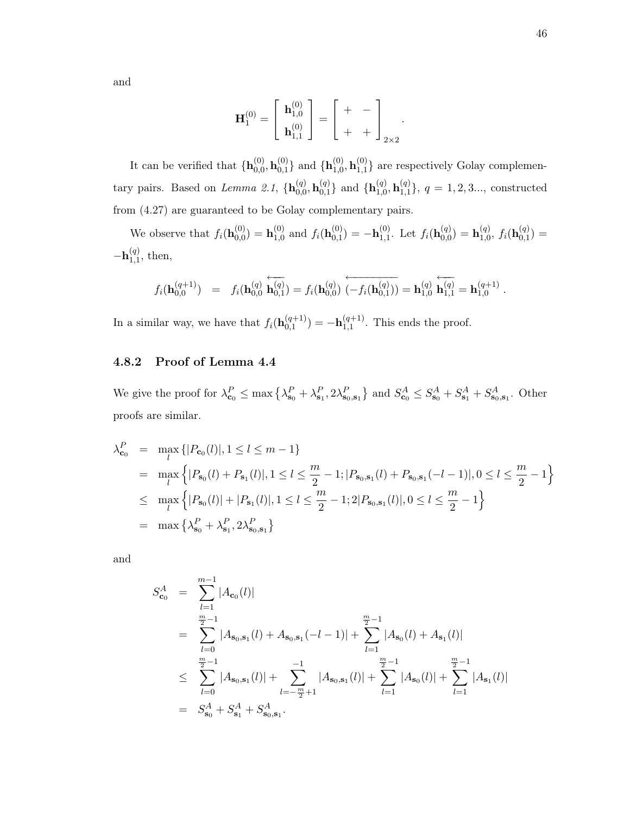and

$$
\mathbf{H}_{1}^{(0)} = \left[ \begin{array}{c} \mathbf{h}_{1,0}^{(0)} \\ \mathbf{h}_{1,1}^{(0)} \end{array} \right] = \left[ \begin{array}{cc} + & - \\ + & + \end{array} \right]_{2 \times 2}.
$$

It can be verified that  $\{\mathbf{h}_{0,0}^{(0)}\}$  $\mathbf{h}_{0,0}^{\left(0\right)}, \mathbf{h}_{0,1}^{\left(0\right)}$  $\mathbf{h}_{0,1}^{(0)}$ } and  $\{\mathbf{h}_{1,0}^{(0)}$  $\mathbf{h}_{1,0}^{\left(0\right)}, \mathbf{h}_{1,1}^{\left(0\right)}$  $_{1,1}^{(0)}$ } are respectively Golay complementary pairs. Based on Lemma 2.1,  $\{h_{0,0}^{(q)}\}$  $\mathbf{h}_{0,0}^{\left(q\right)}, \mathbf{h}_{0,1}^{\left(q\right)}$  $\mathbf{h}_{0,1}^{(q)}\}$  and  $\{\mathbf{h}_{1,0}^{(q)}$  $\mathbf{h}_{1,0}^{\left(q\right)}, \mathbf{h}_{1,1}^{\left(q\right)}$  ${q \choose 1,1}, q = 1, 2, 3...,$  constructed from (4.27) are guaranteed to be Golay complementary pairs.

We observe that  $f_i(\mathbf{h}_{0,0}^{(0)})$  $\mathbf{h}_{0,0}^{(0)})=\mathbf{h}_{1,0}^{(0)}$  $_{1,0}^{(0)}$  and  $f_i(\mathbf{h}_{0,1}^{(0)})$  $\mathbf{b}_{0,1}^{(0)}) = -\mathbf{h}_{1,1}^{(0)}$  $_{1,1}^{(0)}$ . Let  $f_i(\mathbf{h}_{0,0}^{(q)})$  $\mathbf{h}_{0,0}^{\left(q\right)})=\mathbf{h}_{1,0}^{\left(q\right)}$  $_{1,0}^{(q)},\ f_i(\mathbf{h}_{0,1}^{(q)})$  $\binom{(q)}{0,1} =$  $- \mathbf{h}_{1,1}^{(q)}$  $_{1,1}^{(q)}$ , then,

$$
f_i(\mathbf{h}_{0,0}^{(q+1)}) = f_i(\mathbf{h}_{0,0}^{(q)} \stackrel{\leftarrow}{\mathbf{h}_{0,1}^{(q)}}) = f_i(\mathbf{h}_{0,0}^{(q)}) \stackrel{\leftarrow}{(-f_i(\mathbf{h}_{0,1}^{(q)}))} = \mathbf{h}_{1,0}^{(q)} \stackrel{\leftarrow}{\mathbf{h}_{1,1}^{(q)}} = \mathbf{h}_{1,0}^{(q+1)}.
$$

In a similar way, we have that  $f_i(\mathbf{h}_{0,1}^{(q+1)})$  $\binom{(q+1)}{0,1} = -\mathbf{h}_{1,1}^{(q+1)}$  $_{1,1}^{(q+1)}$ . This ends the proof.

# 4.8.2 Proof of Lemma 4.4

We give the proof for  $\lambda_{\mathbf{c}_0}^P \le \max\left\{\lambda_{\mathbf{s}_0}^P + \lambda_{\mathbf{s}_1}^P, 2\lambda_{\mathbf{s}_0,\mathbf{s}_1}^P\right\}$  and  $S_{\mathbf{c}_0}^A \le S_{\mathbf{s}_0}^A + S_{\mathbf{s}_1}^A + S_{\mathbf{s}_0,\mathbf{s}_1}^A$ . Other proofs are similar.

$$
\lambda_{\mathbf{c}_0}^P = \max_l \{|P_{\mathbf{c}_0}(l)|, 1 \le l \le m - 1\}
$$
  
\n
$$
= \max_l \{|P_{\mathbf{s}_0}(l) + P_{\mathbf{s}_1}(l)|, 1 \le l \le \frac{m}{2} - 1; |P_{\mathbf{s}_0, \mathbf{s}_1}(l) + P_{\mathbf{s}_0, \mathbf{s}_1}(-l - 1)|, 0 \le l \le \frac{m}{2} - 1\}
$$
  
\n
$$
\le \max_l \{|P_{\mathbf{s}_0}(l)| + |P_{\mathbf{s}_1}(l)|, 1 \le l \le \frac{m}{2} - 1; 2|P_{\mathbf{s}_0, \mathbf{s}_1}(l)|, 0 \le l \le \frac{m}{2} - 1\}
$$
  
\n
$$
= \max_l \{\lambda_{\mathbf{s}_0}^P + \lambda_{\mathbf{s}_1}^P, 2\lambda_{\mathbf{s}_0, \mathbf{s}_1}^P\}
$$

and

$$
S_{\mathbf{c}_0}^A = \sum_{l=1}^{m-1} |A_{\mathbf{c}_0}(l)|
$$
  
\n
$$
= \sum_{l=0}^{\frac{m}{2}-1} |A_{\mathbf{s}_0,\mathbf{s}_1}(l) + A_{\mathbf{s}_0,\mathbf{s}_1}(-l-1)| + \sum_{l=1}^{\frac{m}{2}-1} |A_{\mathbf{s}_0}(l) + A_{\mathbf{s}_1}(l)|
$$
  
\n
$$
\leq \sum_{l=0}^{\frac{m}{2}-1} |A_{\mathbf{s}_0,\mathbf{s}_1}(l)| + \sum_{l=-\frac{m}{2}+1}^{-1} |A_{\mathbf{s}_0,\mathbf{s}_1}(l)| + \sum_{l=1}^{\frac{m}{2}-1} |A_{\mathbf{s}_0}(l)| + \sum_{l=1}^{\frac{m}{2}-1} |A_{\mathbf{s}_1}(l)|
$$
  
\n
$$
= S_{\mathbf{s}_0}^A + S_{\mathbf{s}_1}^A + S_{\mathbf{s}_0,\mathbf{s}_1}^A.
$$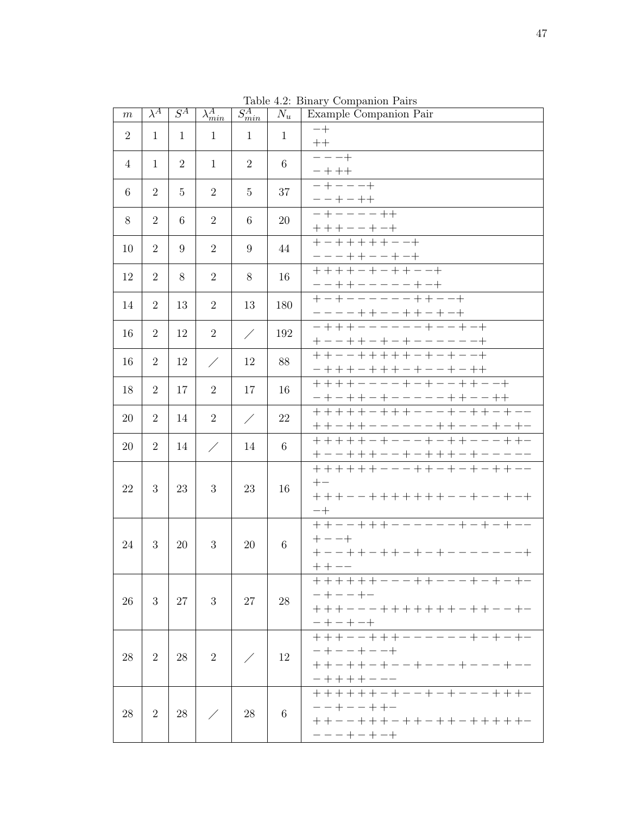| $\,m$          | $\lambda^A$    | $S^A$          | $\lambda_{min}^{A}$ | $S_{min}^A$    | $N_u$           | Example Companion Pair                                                                                 |
|----------------|----------------|----------------|---------------------|----------------|-----------------|--------------------------------------------------------------------------------------------------------|
| $\overline{2}$ | $\mathbf{1}$   | 1              | $\mathbf{1}$        | $\mathbf{1}$   | $\mathbf{1}$    | $-+$<br>$++$                                                                                           |
| 4              | $\mathbf{1}$   | $\overline{2}$ | $\mathbf{1}$        | $\overline{2}$ | 6               | $-- +$<br>$\begin{array}{c c} - + + + & \\ - + - - - + \end{array}$                                    |
| 6              | $\overline{2}$ | $\overline{5}$ | $\overline{2}$      | 5              | 37              | $\frac{- - + - + +}{- + - - - - + +}$                                                                  |
| 8              | $\overline{2}$ | 6              | $\overline{2}$      | 6              | 20              | $+++--+-+$                                                                                             |
| 10             | $\overline{2}$ | 9              | $\overline{2}$      | 9              | 44              | $+ - + + + + + - - +$                                                                                  |
| 12             | $\overline{2}$ | 8              | $\overline{2}$      | 8              | 16              |                                                                                                        |
| 14             | $\overline{2}$ | 13             | $\overline{2}$      | 13             | 180             |                                                                                                        |
| 16             | $\overline{2}$ | 12             | $\overline{2}$      | Ϊ              | 192             | <u>----++--++-+-+</u><br>-+++------+--+-+<br><u>+--++-+-+------+</u>                                   |
| 16             | $\overline{2}$ | 12             | $\diagup$           | 12             | 88              | ++--+++++-+-+--+                                                                                       |
| 18             | $\overline{2}$ | 17             | $\overline{2}$      | 17             | 16              | $- + - + + - + - - - - - + + - - + +$                                                                  |
| 20             | $\overline{2}$ | 14             | $\overline{2}$      | $\diagup$      | 22              | +++++-+++---+-++-+--                                                                                   |
| 20             | $\overline{2}$ | 14             | ∕                   | 14             | $6\phantom{.}6$ | <u>++-++------++---+-+-</u><br>+++++-+---++++---++                                                     |
| 22             | 3              | 23             | 3                   | 23             | 16              | +--+++--+-+++-+-----<br>++++++---++-+-+-++--<br>$+-$<br>+++--+++++++--+--+-+<br>$-+$                   |
| 24             | 3              | 20             | 3                   | 20             | $6\phantom{.}6$ | ___<br>++--+++------+-+-+--<br>$+ - - +$<br>$+ - - + + - + + - + - + - - - - - - +$<br>$++--$          |
| 26             | 3              | 27             | 3                   | 27             | 28              | $- + - - + -$<br>+ + + - - - + + + + + + + - + + - - + -<br>$- + - + - +$                              |
| 28             | $\overline{2}$ | 28             | $\overline{2}$      | ∕              | 12              | +++--+++------+-+-+-<br>$- + - - + - - +$<br>$++-++-+--+---+---+--$<br>-++++---<br>++++++-+--+-+---+++ |
| 28             | $\overline{2}$ | 28             |                     | 28             | 6               | $- - + - - + + -$<br>+ + - - + + + - + + - + + - + + + + + -<br>$--++-+-+$                             |

Table 4.2: Binary Companion Pairs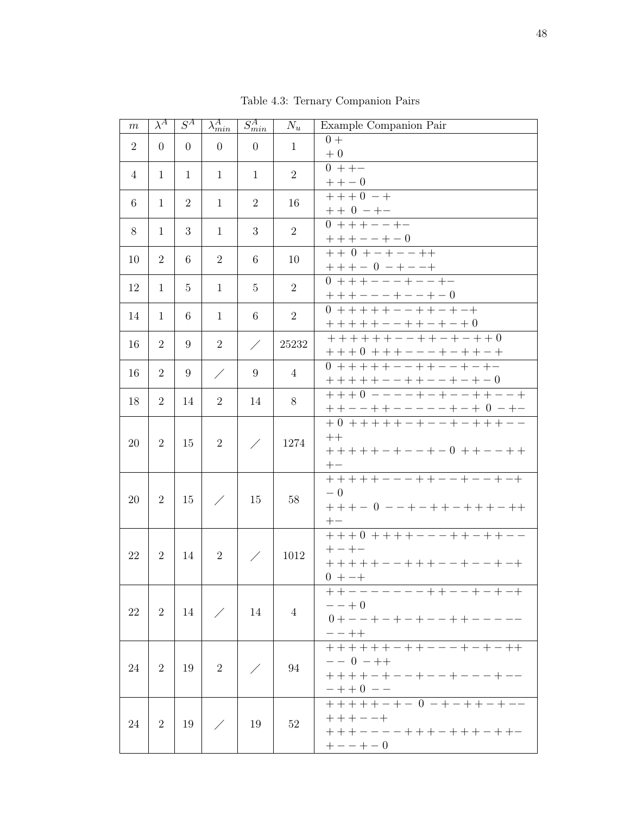| m              | $\lambda^A$    | $S^A$          | $\lambda_{min}^{A}$ | $S_{min}^{A}$  | $N_u$          | Example Companion Pair                                                                                      |
|----------------|----------------|----------------|---------------------|----------------|----------------|-------------------------------------------------------------------------------------------------------------|
| $\overline{2}$ | $\overline{0}$ | $\Omega$       | $\theta$            | $\overline{0}$ | $\mathbf{1}$   | $0+$<br>$+0$                                                                                                |
| $\overline{4}$ | $\mathbf{1}$   | $\mathbf{1}$   | 1                   | 1              | 2              | $0 + + -$<br>$++-0$                                                                                         |
| 6              | 1              | $\overline{2}$ | 1                   | $\overline{2}$ | 16             | $+ + + 0 - +$<br>$+$ + 0 - + -                                                                              |
| 8              | 1              | 3              | 1                   | 3              | $\overline{2}$ | $+++--+-0$<br>++0 +-+--++                                                                                   |
| 10             | $\overline{2}$ | 6              | $\overline{2}$      | 6              | 10             |                                                                                                             |
| 12             | $\mathbf{1}$   | 5              | $\mathbf{1}$        | 5              | $\overline{2}$ | $+ + + - 0 - + - - +$<br>0 + + + - - - + - - + -                                                            |
| 14             | $\mathbf{1}$   | 6              | $\mathbf{1}$        | 6              | $\overline{2}$ | $++++--++--+-++$                                                                                            |
| 16             | $\overline{2}$ | 9              | $\overline{2}$      | $\diagup$      | 25232          | $+++++++--++-++-$<br>$+ + + 0 + + + - - - + - + + - +$                                                      |
| 16             | $\overline{2}$ | 9              | $\diagup$           | 9              | 4              | $0$ + + + + + - - + + - - + - + -                                                                           |
| 18             | $\overline{2}$ | 14             | $\overline{2}$      | 14             | 8              | +++++--++--+-+-0<br>+++0 ----+-+--++--+<br>++--++-----+-+ 0 -+-<br>+0 +++++-+---+-+++--                     |
| 20             | $\overline{2}$ | 15             | $\overline{2}$      |                | 1274           | $++$<br>$++++-+--+-0++--++$<br>$+-$                                                                         |
| 20             | $\overline{2}$ | 15             | ∕                   | 15             | 58             | +++++---++--+--+-+<br>$-0$<br>$+++-0--+-++-+++-++$<br>$+-$                                                  |
| 22             | 2              | 14             | $\overline{2}$      |                | 1012           | $++++--+++-++--$<br>$+-+-$<br>+ + + + + - - + + + - - + - - + - +<br>$0 + - +$                              |
| 22             | $\overline{2}$ | 14             |                     | 14             | $\overline{4}$ | ++-------++--+-+-+<br>$- - + 0$<br>$0 + - - + - + - + - - + + - - - - -$<br>$- - + +$                       |
| 24             | $\overline{2}$ | 19             | $\overline{2}$      |                | 94             | $- - 0 - + +$<br>$+ + + + - + - - + - - + - - + - -$<br>$-$ + + 0 - -<br>++ + + + - + - 0 - + - + + - + - - |
| 24             | $\overline{2}$ | 19             |                     | 19             | 52             | $+++--+$<br>+ + + - - - - + + + - + + + - + + -<br>$+ - - + - 0$                                            |

Table 4.3: Ternary Companion Pairs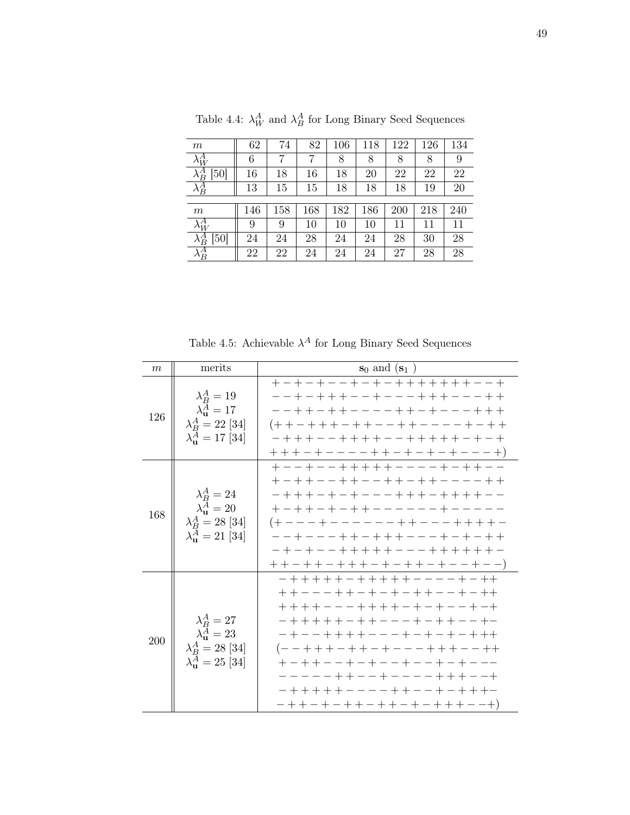| m                     | 62     | 74  | 82  | 106 | 118 | 122 | 126 | 134 |
|-----------------------|--------|-----|-----|-----|-----|-----|-----|-----|
| $\lambda_W^A$         | 6      | 7   | 7   | 8   | 8   | 8   | 8   | 9   |
| $\lambda^A_B$<br>[50] | 16     | 18  | 16  | 18  | 20  | 22  | 22  | 22  |
| $\lambda^A_B$         | 13     | 15  | 15  | 18  | 18  | 18  | 19  | 20  |
|                       |        |     |     |     |     |     |     |     |
| m                     | 146    | 158 | 168 | 182 | 186 | 200 | 218 | 240 |
| $\lambda_W^A$         | 9      | 9   | 10  | 10  | 10  | 11  | 11  | 11  |
| $\lambda_B^A$<br>[50] | $24\,$ | 24  | 28  | 24  | 24  | 28  | 30  | 28  |
| $\lambda^A_B$         | 22     | 22  | 24  | 24  | 24  | 27  | 28  | 28  |

Table 4.4:  $\lambda_W^A$  and  $\lambda_B^A$  for Long Binary Seed Sequences

Table 4.5: Achievable  $\lambda^A$  for Long Binary Seed Sequences

| m   | merits                                                                                                        | $s_0$ and $(s_1)$                                                                                                                                                                                                                                                                                                                                            |
|-----|---------------------------------------------------------------------------------------------------------------|--------------------------------------------------------------------------------------------------------------------------------------------------------------------------------------------------------------------------------------------------------------------------------------------------------------------------------------------------------------|
| 126 | $\lambda_B^A=19$<br>$\lambda_{\rm u}^A = 17$<br>$\lambda_B^A = 22$ [34]<br>$\lambda_{\rm u}^A = 17$ [34]      | +-+-+--+-+-+++++++---+<br>--+-+++--+---+++---++<br>--++-++----++-+---+++<br>(++-+++-++--++----+-+<br>$++++----+++-+-+-+--+-+)$                                                                                                                                                                                                                               |
| 168 | $\lambda^A_B = 24$<br>$\lambda_{\rm u}^A = 20$<br>$\lambda_B^A = 28 \; [34]$<br>$\lambda_{\rm u}^A = 21$ [34] | +--+--+++++----+-+--<br>+-++--++--++-++---++<br>- + + + - + - + - - - + + + - + + + + - -<br>+-++-+-++------+----<br>(+---+------++---++++<br>--+---++-+++---+-+-++<br>$++-++-+++--++-+--+--)$                                                                                                                                                               |
| 200 | $\lambda^A_B = 27$<br>$\lambda_{\rm u}^A = 23$<br>$\lambda_B^A = 28$ [34]<br>$\lambda_{\rm u}^A = 25$ [34]    | - + + + + + - + + + + + - - - - + - ++<br>+ + - - - + + - + - + - + + - - + - + +<br>$-$ + + + + + - + + - - - + - + + - - + -<br>- + - - + + + + - - - + - + - + - + + +<br>(--+++-++-+---+++--++<br>$+ - + + - - + - + - - + - - + - - - -$<br>-----++--+----+++--+<br>- + + + + + - - - - + + - - + - + + + -<br>$- + + - + - + + - + + - + + + + - - +)$ |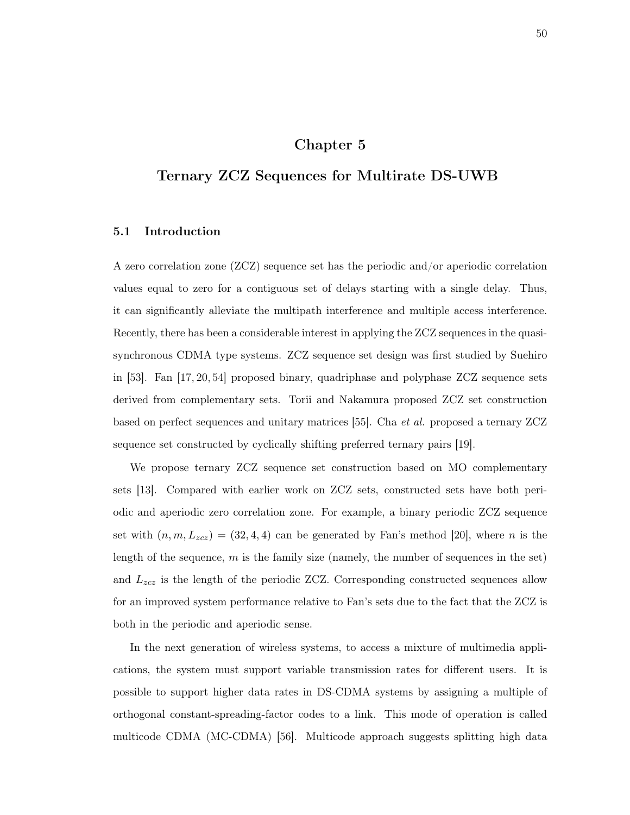# Chapter 5

# Ternary ZCZ Sequences for Multirate DS-UWB

# 5.1 Introduction

A zero correlation zone (ZCZ) sequence set has the periodic and/or aperiodic correlation values equal to zero for a contiguous set of delays starting with a single delay. Thus, it can significantly alleviate the multipath interference and multiple access interference. Recently, there has been a considerable interest in applying the ZCZ sequences in the quasisynchronous CDMA type systems. ZCZ sequence set design was first studied by Suehiro in [53]. Fan [17, 20, 54] proposed binary, quadriphase and polyphase ZCZ sequence sets derived from complementary sets. Torii and Nakamura proposed ZCZ set construction based on perfect sequences and unitary matrices [55]. Cha et al. proposed a ternary ZCZ sequence set constructed by cyclically shifting preferred ternary pairs [19].

We propose ternary ZCZ sequence set construction based on MO complementary sets [13]. Compared with earlier work on ZCZ sets, constructed sets have both periodic and aperiodic zero correlation zone. For example, a binary periodic ZCZ sequence set with  $(n, m, L_{zcz}) = (32, 4, 4)$  can be generated by Fan's method [20], where n is the length of the sequence,  $m$  is the family size (namely, the number of sequences in the set) and  $L_{zcz}$  is the length of the periodic ZCZ. Corresponding constructed sequences allow for an improved system performance relative to Fan's sets due to the fact that the ZCZ is both in the periodic and aperiodic sense.

In the next generation of wireless systems, to access a mixture of multimedia applications, the system must support variable transmission rates for different users. It is possible to support higher data rates in DS-CDMA systems by assigning a multiple of orthogonal constant-spreading-factor codes to a link. This mode of operation is called multicode CDMA (MC-CDMA) [56]. Multicode approach suggests splitting high data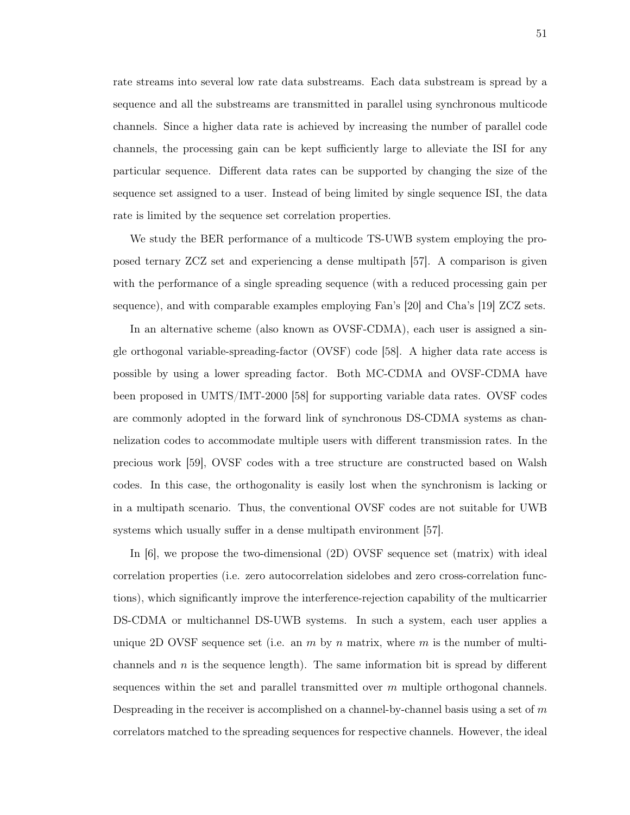rate streams into several low rate data substreams. Each data substream is spread by a sequence and all the substreams are transmitted in parallel using synchronous multicode channels. Since a higher data rate is achieved by increasing the number of parallel code channels, the processing gain can be kept sufficiently large to alleviate the ISI for any particular sequence. Different data rates can be supported by changing the size of the sequence set assigned to a user. Instead of being limited by single sequence ISI, the data rate is limited by the sequence set correlation properties.

We study the BER performance of a multicode TS-UWB system employing the proposed ternary ZCZ set and experiencing a dense multipath [57]. A comparison is given with the performance of a single spreading sequence (with a reduced processing gain per sequence), and with comparable examples employing Fan's [20] and Cha's [19] ZCZ sets.

In an alternative scheme (also known as OVSF-CDMA), each user is assigned a single orthogonal variable-spreading-factor (OVSF) code [58]. A higher data rate access is possible by using a lower spreading factor. Both MC-CDMA and OVSF-CDMA have been proposed in UMTS/IMT-2000 [58] for supporting variable data rates. OVSF codes are commonly adopted in the forward link of synchronous DS-CDMA systems as channelization codes to accommodate multiple users with different transmission rates. In the precious work [59], OVSF codes with a tree structure are constructed based on Walsh codes. In this case, the orthogonality is easily lost when the synchronism is lacking or in a multipath scenario. Thus, the conventional OVSF codes are not suitable for UWB systems which usually suffer in a dense multipath environment [57].

In [6], we propose the two-dimensional (2D) OVSF sequence set (matrix) with ideal correlation properties (i.e. zero autocorrelation sidelobes and zero cross-correlation functions), which significantly improve the interference-rejection capability of the multicarrier DS-CDMA or multichannel DS-UWB systems. In such a system, each user applies a unique 2D OVSF sequence set (i.e. an  $m$  by  $n$  matrix, where  $m$  is the number of multichannels and  $n$  is the sequence length). The same information bit is spread by different sequences within the set and parallel transmitted over  $m$  multiple orthogonal channels. Despreading in the receiver is accomplished on a channel-by-channel basis using a set of  $m$ correlators matched to the spreading sequences for respective channels. However, the ideal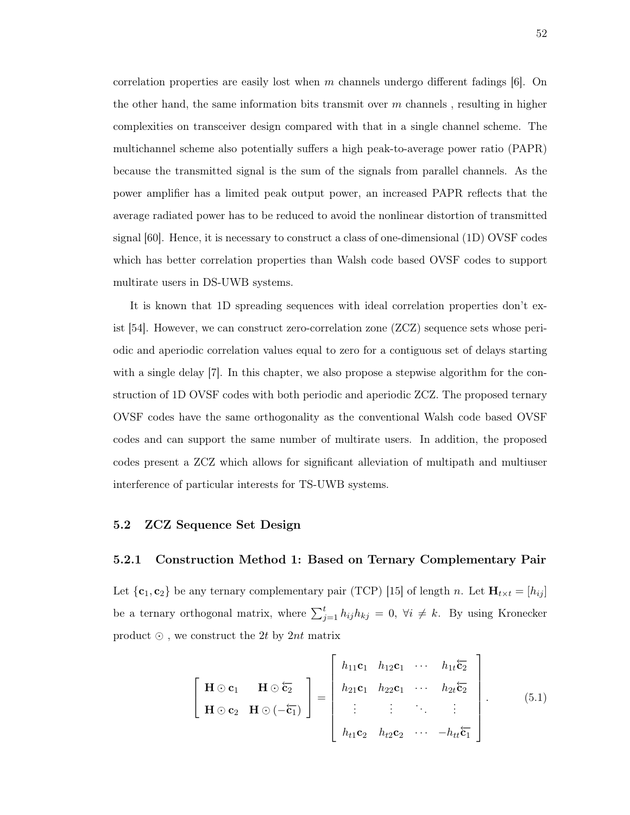correlation properties are easily lost when m channels undergo different fadings  $|6|$ . On the other hand, the same information bits transmit over  $m$  channels, resulting in higher complexities on transceiver design compared with that in a single channel scheme. The multichannel scheme also potentially suffers a high peak-to-average power ratio (PAPR) because the transmitted signal is the sum of the signals from parallel channels. As the power amplifier has a limited peak output power, an increased PAPR reflects that the average radiated power has to be reduced to avoid the nonlinear distortion of transmitted signal [60]. Hence, it is necessary to construct a class of one-dimensional (1D) OVSF codes which has better correlation properties than Walsh code based OVSF codes to support multirate users in DS-UWB systems.

It is known that 1D spreading sequences with ideal correlation properties don't exist [54]. However, we can construct zero-correlation zone (ZCZ) sequence sets whose periodic and aperiodic correlation values equal to zero for a contiguous set of delays starting with a single delay [7]. In this chapter, we also propose a stepwise algorithm for the construction of 1D OVSF codes with both periodic and aperiodic ZCZ. The proposed ternary OVSF codes have the same orthogonality as the conventional Walsh code based OVSF codes and can support the same number of multirate users. In addition, the proposed codes present a ZCZ which allows for significant alleviation of multipath and multiuser interference of particular interests for TS-UWB systems.

### 5.2 ZCZ Sequence Set Design

#### 5.2.1 Construction Method 1: Based on Ternary Complementary Pair

Let  $\{c_1, c_2\}$  be any ternary complementary pair (TCP) [15] of length n. Let  $H_{t \times t} = [h_{ij}]$ be a ternary orthogonal matrix, where  $\sum_{j=1}^{t} h_{ij}h_{kj} = 0$ ,  $\forall i \neq k$ . By using Kronecker product  $\odot$ , we construct the 2t by 2nt matrix

$$
\begin{bmatrix}\n\mathbf{H} \odot \mathbf{c}_1 & \mathbf{H} \odot \overleftarrow{\mathbf{c}_2} \\
\mathbf{H} \odot \mathbf{c}_2 & \mathbf{H} \odot (-\overleftarrow{\mathbf{c}_1})\n\end{bmatrix} = \begin{bmatrix}\nh_{11}\mathbf{c}_1 & h_{12}\mathbf{c}_1 & \cdots & h_{1t}\overleftarrow{\mathbf{c}_2} \\
h_{21}\mathbf{c}_1 & h_{22}\mathbf{c}_1 & \cdots & h_{2t}\overleftarrow{\mathbf{c}_2} \\
\vdots & \vdots & \ddots & \vdots \\
h_{t1}\mathbf{c}_2 & h_{t2}\mathbf{c}_2 & \cdots & -h_{tt}\overleftarrow{\mathbf{c}_1}\n\end{bmatrix}.
$$
\n(5.1)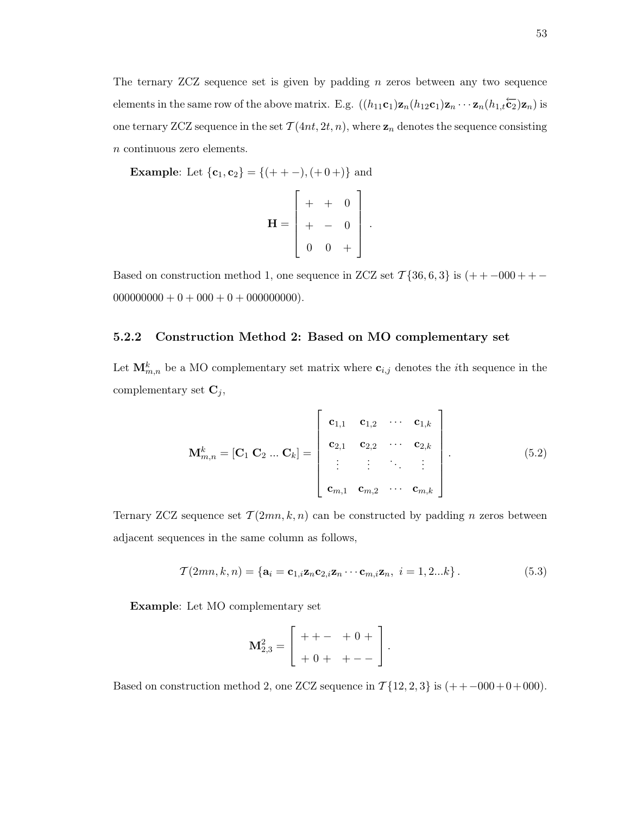The ternary ZCZ sequence set is given by padding n zeros between any two sequence elements in the same row of the above matrix. E.g.  $((h_{11}\mathbf{c}_1)\mathbf{z}_n(h_{12}\mathbf{c}_1)\mathbf{z}_n\cdots\mathbf{z}_n(h_{1,t}\overleftarrow{\mathbf{c}_2})\mathbf{z}_n)$  is one ternary ZCZ sequence in the set  $\mathcal{T}(4nt, 2t, n)$ , where  $\mathbf{z}_n$  denotes the sequence consisting n continuous zero elements.

**Example:** Let  $\{c_1, c_2\} = \{(+ + -), (+0 +)\}$  and

$$
\mathbf{H} = \begin{bmatrix} + & + & 0 \\ + & - & 0 \\ 0 & 0 & + \end{bmatrix}.
$$

Based on construction method 1, one sequence in ZCZ set  $\mathcal{T}{36, 6, 3}$  is  $(++-000++ 000000000 + 0 + 000 + 0 + 000000000$ .

## 5.2.2 Construction Method 2: Based on MO complementary set

Let  $\mathbf{M}_{m,n}^k$  be a MO complementary set matrix where  $\mathbf{c}_{i,j}$  denotes the *i*th sequence in the complementary set  $\mathbf{C}_j$ ,

$$
\mathbf{M}_{m,n}^{k} = [\mathbf{C}_{1} \ \mathbf{C}_{2} \ \dots \ \mathbf{C}_{k}] = \begin{bmatrix} \mathbf{c}_{1,1} & \mathbf{c}_{1,2} & \cdots & \mathbf{c}_{1,k} \\ \mathbf{c}_{2,1} & \mathbf{c}_{2,2} & \cdots & \mathbf{c}_{2,k} \\ \vdots & \vdots & \ddots & \vdots \\ \mathbf{c}_{m,1} & \mathbf{c}_{m,2} & \cdots & \mathbf{c}_{m,k} \end{bmatrix} .
$$
 (5.2)

Ternary ZCZ sequence set  $\mathcal{T}(2mn, k, n)$  can be constructed by padding *n* zeros between adjacent sequences in the same column as follows,

$$
\mathcal{T}(2mn, k, n) = \{ \mathbf{a}_i = \mathbf{c}_{1,i} \mathbf{z}_n \mathbf{c}_{2,i} \mathbf{z}_n \cdots \mathbf{c}_{m,i} \mathbf{z}_n, \ i = 1, 2...k \}.
$$
 (5.3)

Example: Let MO complementary set

$$
\mathbf{M}_{2,3}^2 = \left[ \begin{array}{cccc} + + - & +0 + \\ +0 + & + - - \end{array} \right].
$$

Based on construction method 2, one ZCZ sequence in  $\mathcal{T}{12, 2, 3}$  is  $(++0.00+0+0.00)$ .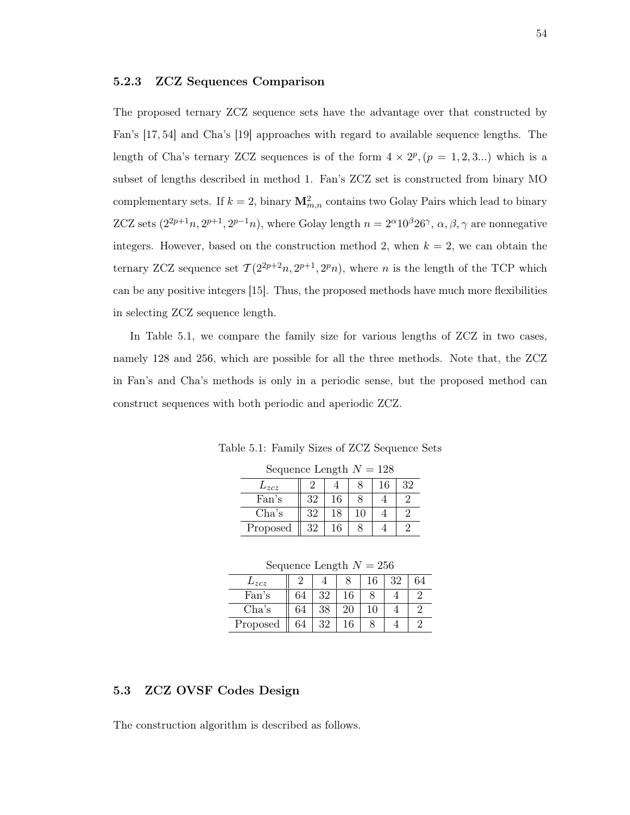## 5.2.3 ZCZ Sequences Comparison

The proposed ternary ZCZ sequence sets have the advantage over that constructed by Fan's [17, 54] and Cha's [19] approaches with regard to available sequence lengths. The length of Cha's ternary ZCZ sequences is of the form  $4 \times 2^p$ ,  $(p = 1, 2, 3...)$  which is a subset of lengths described in method 1. Fan's ZCZ set is constructed from binary MO complementary sets. If  $k = 2$ , binary  $\mathbf{M}_{m,n}^2$  contains two Golay Pairs which lead to binary ZCZ sets  $(2^{2p+1}n, 2^{p-1}n)$ , where Golay length  $n = 2^{\alpha}10^{\beta}26^{\gamma}$ ,  $\alpha, \beta, \gamma$  are nonnegative integers. However, based on the construction method 2, when  $k = 2$ , we can obtain the ternary ZCZ sequence set  $\mathcal{T}(2^{2p+2}n, 2^{p+1}, 2^p n)$ , where n is the length of the TCP which can be any positive integers [15]. Thus, the proposed methods have much more flexibilities in selecting ZCZ sequence length.

In Table 5.1, we compare the family size for various lengths of ZCZ in two cases, namely 128 and 256, which are possible for all the three methods. Note that, the ZCZ in Fan's and Cha's methods is only in a periodic sense, but the proposed method can construct sequences with both periodic and aperiodic ZCZ.

Table 5.1: Family Sizes of ZCZ Sequence Sets

| Sequence Length $N = 128$ |    |    |    |    |    |  |  |  |  |
|---------------------------|----|----|----|----|----|--|--|--|--|
| $L_{zcz}$                 |    |    |    | 16 | 32 |  |  |  |  |
| Fan's                     | 32 | 16 |    |    |    |  |  |  |  |
| Cha's                     | 32 | 18 | 10 |    |    |  |  |  |  |
| Proposed                  | 32 | 16 |    |    |    |  |  |  |  |

Sequence Length  $N = 256$ 

| .        |    |    |    |    |    |  |  |  |
|----------|----|----|----|----|----|--|--|--|
| $_{zcz}$ |    |    |    | 16 | 32 |  |  |  |
| Fan's    |    | 32 | 16 |    |    |  |  |  |
| Cha's    | 64 | 38 | 20 |    |    |  |  |  |
| Proposed | 64 | 32 |    |    |    |  |  |  |

# 5.3 ZCZ OVSF Codes Design

The construction algorithm is described as follows.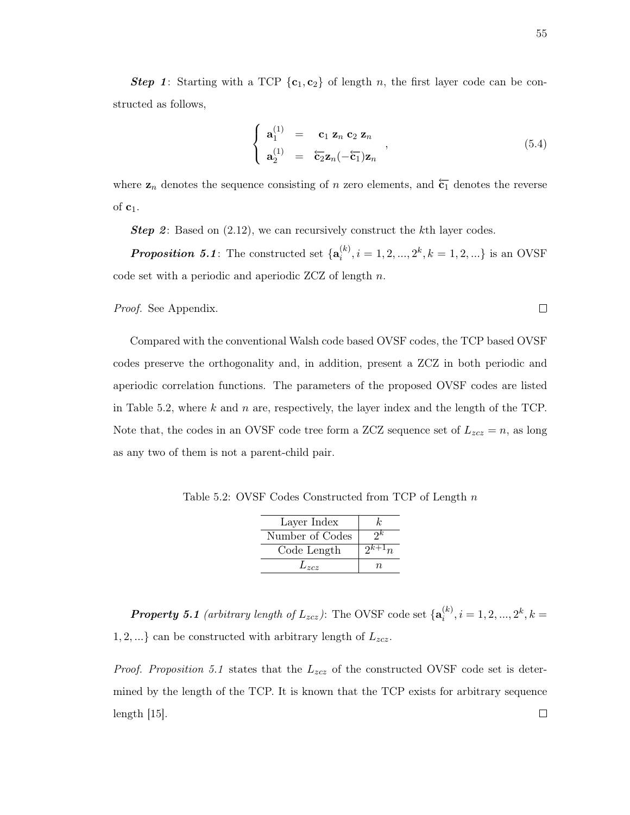**Step 1:** Starting with a TCP  $\{c_1, c_2\}$  of length n, the first layer code can be constructed as follows,

$$
\begin{cases}\n\mathbf{a}_1^{(1)} = \mathbf{c}_1 \mathbf{z}_n \mathbf{c}_2 \mathbf{z}_n \\
\mathbf{a}_2^{(1)} = \overleftarrow{\mathbf{c}_2} \mathbf{z}_n (-\overleftarrow{\mathbf{c}_1}) \mathbf{z}_n\n\end{cases},\n\tag{5.4}
$$

where  $z_n$  denotes the sequence consisting of n zero elements, and  $\overleftarrow{c_1}$  denotes the reverse of  $c_1$ .

**Step 2:** Based on  $(2.12)$ , we can recursively construct the kth layer codes.

**Proposition 5.1**: The constructed set  $\{\mathbf{a}_i^{(k)}\}$  $i^{(k)}$ ,  $i = 1, 2, ..., 2^k, k = 1, 2, ...$ } is an OVSF code set with a periodic and aperiodic ZCZ of length n.

Proof. See Appendix.

Compared with the conventional Walsh code based OVSF codes, the TCP based OVSF codes preserve the orthogonality and, in addition, present a ZCZ in both periodic and aperiodic correlation functions. The parameters of the proposed OVSF codes are listed in Table 5.2, where k and n are, respectively, the layer index and the length of the TCP. Note that, the codes in an OVSF code tree form a ZCZ sequence set of  $L_{zcz} = n$ , as long as any two of them is not a parent-child pair.

Table 5.2: OVSF Codes Constructed from TCP of Length n

| Layer Index     | k.       |
|-----------------|----------|
| Number of Codes | $\gamma$ |
| Code Length     |          |
| $L_{zcz}$       | п.       |

**Property 5.1** (arbitrary length of  $L_{zcz}$ ): The OVSF code set  $\{\mathbf{a}_i^{(k)}\}$  $i^{(k)}$ ,  $i = 1, 2, ..., 2^k, k =$  $1, 2, \ldots$  can be constructed with arbitrary length of  $L_{zcz}$ .

*Proof. Proposition 5.1* states that the  $L_{zcz}$  of the constructed OVSF code set is determined by the length of the TCP. It is known that the TCP exists for arbitrary sequence length [15]. $\Box$ 

 $\Box$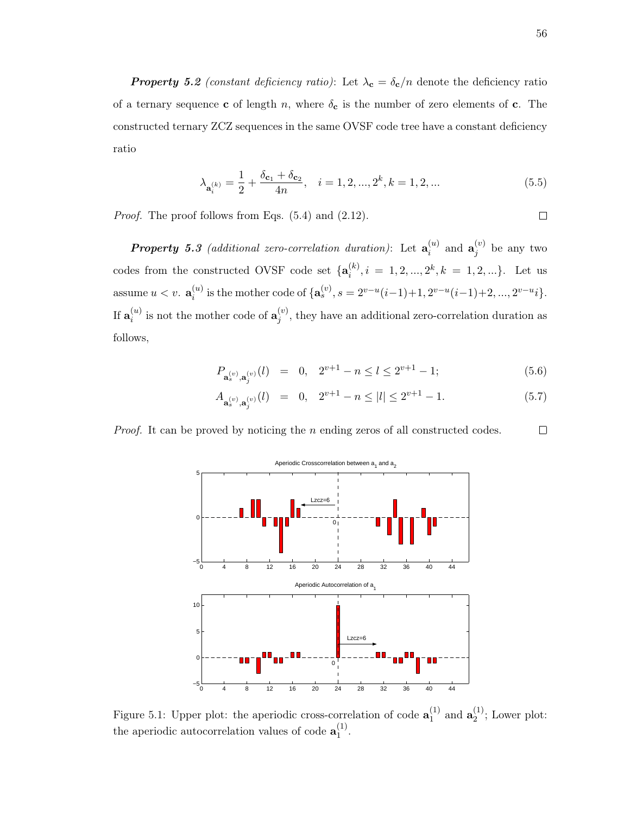**Property 5.2** (constant deficiency ratio): Let  $\lambda_c = \delta_c/n$  denote the deficiency ratio of a ternary sequence **c** of length n, where  $\delta_{\mathbf{c}}$  is the number of zero elements of **c**. The constructed ternary ZCZ sequences in the same OVSF code tree have a constant deficiency ratio

$$
\lambda_{\mathbf{a}_{i}^{(k)}} = \frac{1}{2} + \frac{\delta_{\mathbf{c}_{1}} + \delta_{\mathbf{c}_{2}}}{4n}, \quad i = 1, 2, ..., 2^{k}, k = 1, 2, ... \tag{5.5}
$$

Proof. The proof follows from Eqs.  $(5.4)$  and  $(2.12)$ .

**Property 5.3** (additional zero-correlation duration): Let  $a_i^{(u)}$  $\mathbf{a}_i^{(u)}$  and  $\mathbf{a}_j^{(v)}$  $j^{(v)}$  be any two codes from the constructed OVSF code set  $\{a_i^{(k)}\}$  $i^{(k)}$ ,  $i = 1, 2, ..., 2^k, k = 1, 2, ...$ . Let us assume  $u < v$ .  $\mathbf{a}_{i}^{(u)}$  $i^{(u)}_i$  is the mother code of  $\{a_s^{(v)}, s = 2^{v-u}(i-1)+1, 2^{v-u}(i-1)+2, ..., 2^{v-u}i\}.$ If  $\mathbf{a}_i^{(u)}$  $\mathbf{a}_{i}^{(u)}$  is not the mother code of  $\mathbf{a}_{j}^{(v)}$  $j^{(v)}$ , they have an additional zero-correlation duration as follows,

$$
P_{\mathbf{a}_s^{(v)},\mathbf{a}_j^{(v)}}(l) = 0, \quad 2^{v+1} - n \le l \le 2^{v+1} - 1; \tag{5.6}
$$

$$
A_{\mathbf{a}_s^{(v)},\mathbf{a}_j^{(v)}}(l) = 0, \quad 2^{v+1} - n \le |l| \le 2^{v+1} - 1. \tag{5.7}
$$

*Proof.* It can be proved by noticing the  $n$  ending zeros of all constructed codes.  $\Box$ 



Figure 5.1: Upper plot: the aperiodic cross-correlation of code  $\mathbf{a}_1^{(1)}$  $_1^{(1)}$  and  $a_2^{(1)}$  $2^{(1)}$ ; Lower plot: the aperiodic autocorrelation values of code  $\mathbf{a}_1^{(1)}$  $\frac{1}{1}$ .

 $\Box$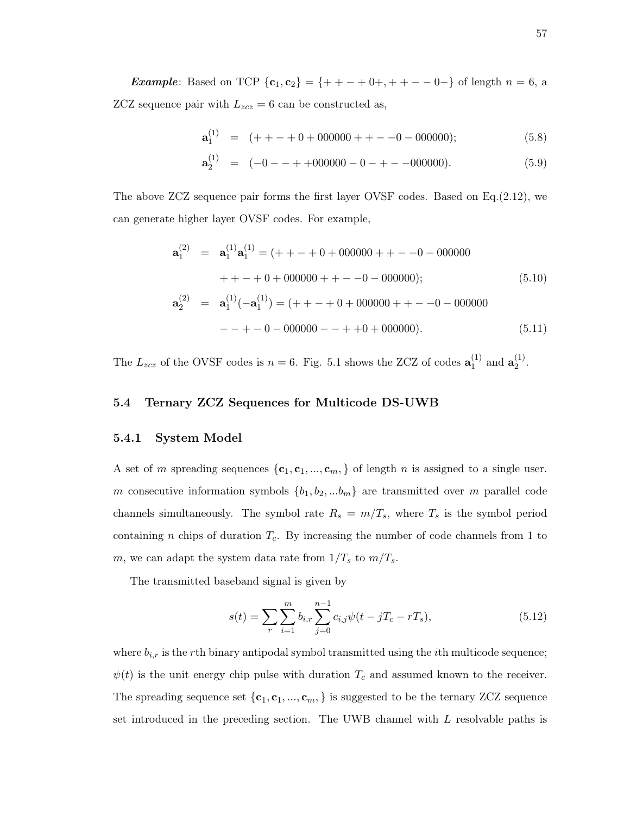**Example:** Based on TCP  ${c_1, c_2} = { + + - + 0 +, + + - - 0 - }$  of length  $n = 6$ , a ZCZ sequence pair with  $L_{zcz} = 6$  can be constructed as,

$$
\mathbf{a}_1^{(1)} = (+ + - + 0 + 000000 + + - -0 - 000000); \tag{5.8}
$$

$$
\mathbf{a}_2^{(1)} = (-0 - + +000000 - 0 - + -000000). \tag{5.9}
$$

The above ZCZ sequence pair forms the first layer OVSF codes. Based on Eq.(2.12), we can generate higher layer OVSF codes. For example,

$$
\mathbf{a}_{1}^{(2)} = \mathbf{a}_{1}^{(1)} \mathbf{a}_{1}^{(1)} = (+ + - + 0 + 000000 + + - -0 - 000000 + + - -0 - 000000)
$$
  
 
$$
+ + - + 0 + 000000 + - -0 - 0000000;
$$
 (5.10)  
\n
$$
\mathbf{a}_{2}^{(2)} = \mathbf{a}_{1}^{(1)}(-\mathbf{a}_{1}^{(1)}) = (+ + - + 0 + 000000 + -0 - 000000 - + -0 - 000000 - + - + -0 - 000000).
$$
 (5.11)

The  $L_{zcz}$  of the OVSF codes is  $n = 6$ . Fig. 5.1 shows the ZCZ of codes  $\mathbf{a}_1^{(1)}$  $a_1^{(1)}$  and  $a_2^{(1)}$  $\frac{(1)}{2}$ .

## 5.4 Ternary ZCZ Sequences for Multicode DS-UWB

## 5.4.1 System Model

A set of m spreading sequences  $\{c_1, c_1, ..., c_m\}$  of length n is assigned to a single user. m consecutive information symbols  ${b_1, b_2, ... b_m}$  are transmitted over m parallel code channels simultaneously. The symbol rate  $R_s = m/T_s$ , where  $T_s$  is the symbol period containing n chips of duration  $T_c$ . By increasing the number of code channels from 1 to m, we can adapt the system data rate from  $1/T_s$  to  $m/T_s$ .

The transmitted baseband signal is given by

$$
s(t) = \sum_{r} \sum_{i=1}^{m} b_{i,r} \sum_{j=0}^{n-1} c_{i,j} \psi(t - jT_c - rT_s),
$$
\n(5.12)

where  $b_{i,r}$  is the rth binary antipodal symbol transmitted using the *i*th multicode sequence;  $\psi(t)$  is the unit energy chip pulse with duration  $T_c$  and assumed known to the receiver. The spreading sequence set  $\{c_1, c_1, ..., c_m\}$  is suggested to be the ternary ZCZ sequence set introduced in the preceding section. The UWB channel with L resolvable paths is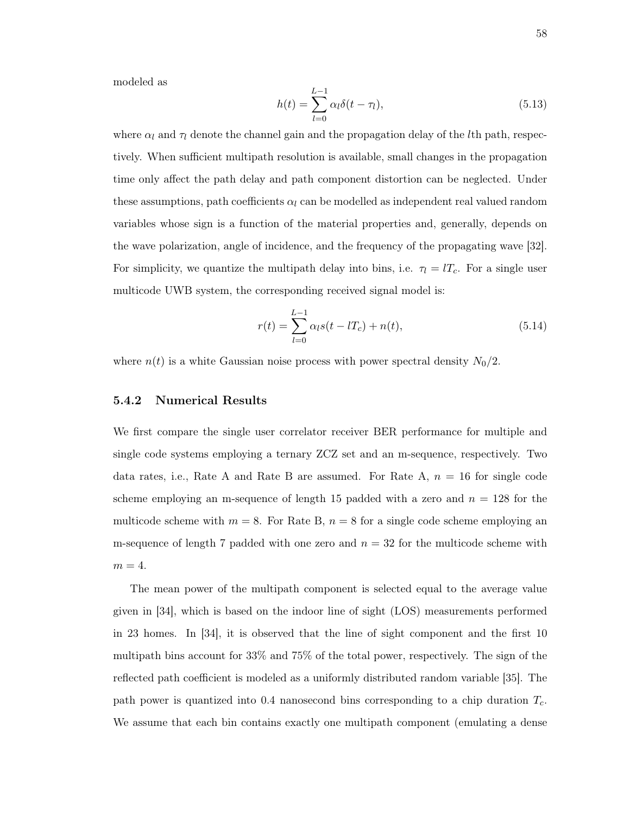modeled as

$$
h(t) = \sum_{l=0}^{L-1} \alpha_l \delta(t - \tau_l),
$$
\n(5.13)

where  $\alpha_l$  and  $\tau_l$  denote the channel gain and the propagation delay of the *l*th path, respectively. When sufficient multipath resolution is available, small changes in the propagation time only affect the path delay and path component distortion can be neglected. Under these assumptions, path coefficients  $\alpha_l$  can be modelled as independent real valued random variables whose sign is a function of the material properties and, generally, depends on the wave polarization, angle of incidence, and the frequency of the propagating wave [32]. For simplicity, we quantize the multipath delay into bins, i.e.  $\tau_l = lT_c$ . For a single user multicode UWB system, the corresponding received signal model is:

$$
r(t) = \sum_{l=0}^{L-1} \alpha_l s(t - lT_c) + n(t),
$$
\n(5.14)

where  $n(t)$  is a white Gaussian noise process with power spectral density  $N_0/2$ .

#### 5.4.2 Numerical Results

We first compare the single user correlator receiver BER performance for multiple and single code systems employing a ternary ZCZ set and an m-sequence, respectively. Two data rates, i.e., Rate A and Rate B are assumed. For Rate A,  $n = 16$  for single code scheme employing an m-sequence of length 15 padded with a zero and  $n = 128$  for the multicode scheme with  $m = 8$ . For Rate B,  $n = 8$  for a single code scheme employing an m-sequence of length 7 padded with one zero and  $n = 32$  for the multicode scheme with  $m = 4$ .

The mean power of the multipath component is selected equal to the average value given in [34], which is based on the indoor line of sight (LOS) measurements performed in 23 homes. In [34], it is observed that the line of sight component and the first 10 multipath bins account for 33% and 75% of the total power, respectively. The sign of the reflected path coefficient is modeled as a uniformly distributed random variable [35]. The path power is quantized into 0.4 nanosecond bins corresponding to a chip duration  $T_c$ . We assume that each bin contains exactly one multipath component (emulating a dense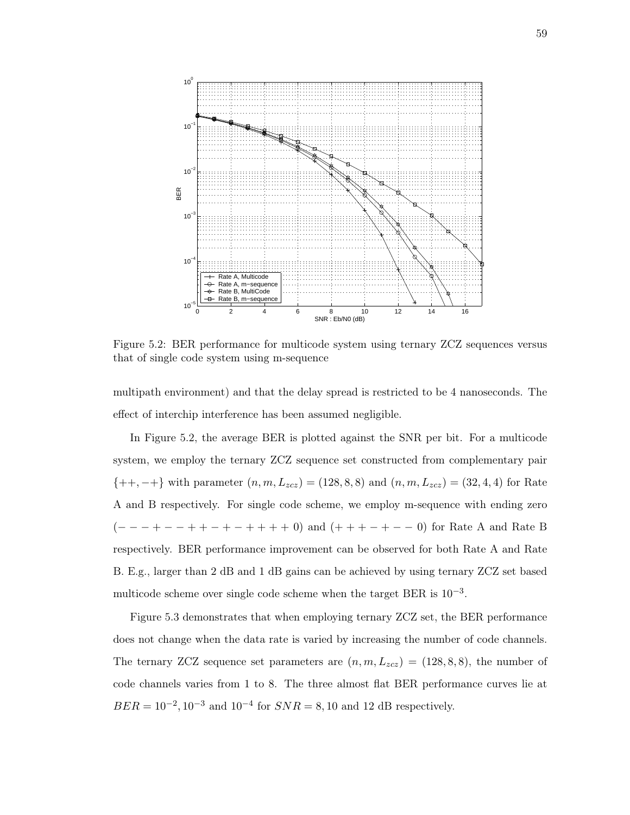

Figure 5.2: BER performance for multicode system using ternary ZCZ sequences versus that of single code system using m-sequence

multipath environment) and that the delay spread is restricted to be 4 nanoseconds. The effect of interchip interference has been assumed negligible.

In Figure 5.2, the average BER is plotted against the SNR per bit. For a multicode system, we employ the ternary ZCZ sequence set constructed from complementary pair  ${+, -+\}$  with parameter  $(n, m, L_{zcz}) = (128, 8, 8)$  and  $(n, m, L_{zcz}) = (32, 4, 4)$  for Rate A and B respectively. For single code scheme, we employ m-sequence with ending zero  $(− - - + - - + + - + - + + + + 0)$  and  $(++ + - + - 0)$  for Rate A and Rate B respectively. BER performance improvement can be observed for both Rate A and Rate B. E.g., larger than 2 dB and 1 dB gains can be achieved by using ternary ZCZ set based multicode scheme over single code scheme when the target BER is 10<sup>-3</sup>.

Figure 5.3 demonstrates that when employing ternary ZCZ set, the BER performance does not change when the data rate is varied by increasing the number of code channels. The ternary ZCZ sequence set parameters are  $(n, m, L_{zcz}) = (128, 8, 8)$ , the number of code channels varies from 1 to 8. The three almost flat BER performance curves lie at  $BER = 10^{-2}, 10^{-3}$  and  $10^{-4}$  for  $SNR = 8, 10$  and 12 dB respectively.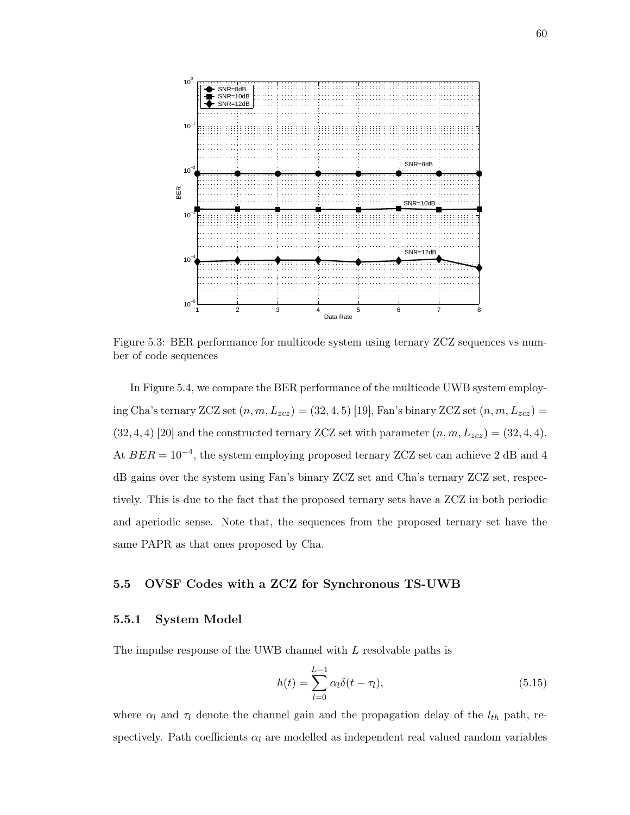

Figure 5.3: BER performance for multicode system using ternary ZCZ sequences vs number of code sequences

In Figure 5.4, we compare the BER performance of the multicode UWB system employing Cha's ternary ZCZ set  $(n, m, L_{zcz}) = (32, 4, 5)$  [19], Fan's binary ZCZ set  $(n, m, L_{zcz}) =$  $(32, 4, 4)$  [20] and the constructed ternary ZCZ set with parameter  $(n, m, L_{zcz}) = (32, 4, 4)$ . At  $BER = 10^{-4}$ , the system employing proposed ternary ZCZ set can achieve 2 dB and 4 dB gains over the system using Fan's binary ZCZ set and Cha's ternary ZCZ set, respectively. This is due to the fact that the proposed ternary sets have a ZCZ in both periodic and aperiodic sense. Note that, the sequences from the proposed ternary set have the same PAPR as that ones proposed by Cha.

## 5.5 OVSF Codes with a ZCZ for Synchronous TS-UWB

#### 5.5.1 System Model

The impulse response of the UWB channel with L resolvable paths is

$$
h(t) = \sum_{l=0}^{L-1} \alpha_l \delta(t - \tau_l),
$$
\n(5.15)

where  $\alpha_l$  and  $\tau_l$  denote the channel gain and the propagation delay of the  $l_{th}$  path, respectively. Path coefficients  $\alpha_l$  are modelled as independent real valued random variables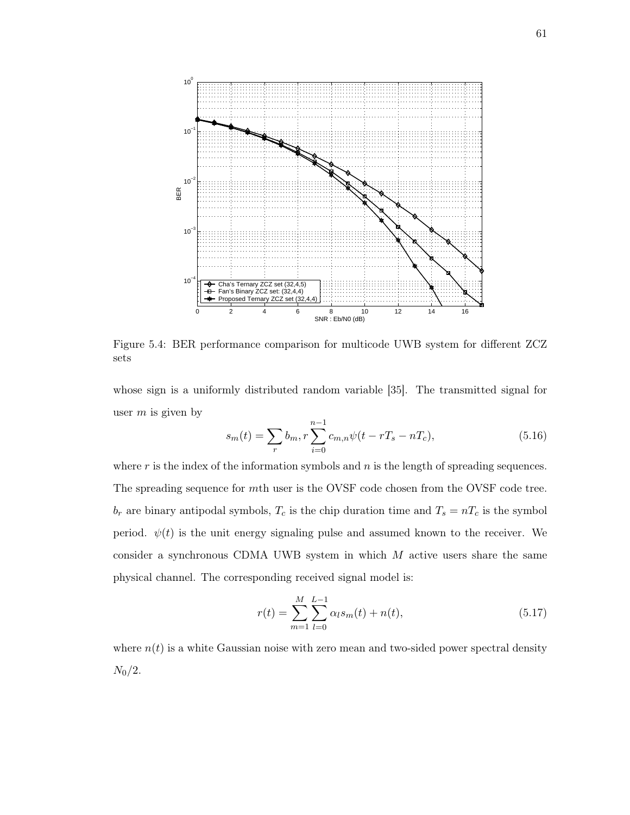

Figure 5.4: BER performance comparison for multicode UWB system for different ZCZ sets

whose sign is a uniformly distributed random variable [35]. The transmitted signal for user  $m$  is given by

$$
s_m(t) = \sum_r b_m, r \sum_{i=0}^{n-1} c_{m,n} \psi(t - rT_s - nT_c),
$$
\n(5.16)

where  $r$  is the index of the information symbols and  $n$  is the length of spreading sequences. The spreading sequence for mth user is the OVSF code chosen from the OVSF code tree.  $b_r$  are binary antipodal symbols,  $T_c$  is the chip duration time and  $T_s = nT_c$  is the symbol period.  $\psi(t)$  is the unit energy signaling pulse and assumed known to the receiver. We consider a synchronous CDMA UWB system in which  $M$  active users share the same physical channel. The corresponding received signal model is:

$$
r(t) = \sum_{m=1}^{M} \sum_{l=0}^{L-1} \alpha_l s_m(t) + n(t),
$$
\n(5.17)

where  $n(t)$  is a white Gaussian noise with zero mean and two-sided power spectral density  $N_0/2$ .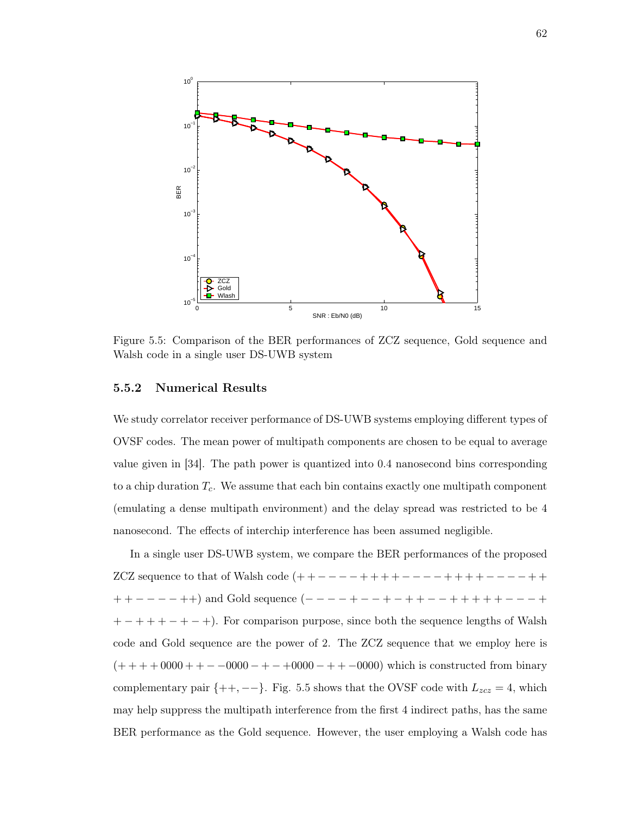

Figure 5.5: Comparison of the BER performances of ZCZ sequence, Gold sequence and Walsh code in a single user DS-UWB system

#### 5.5.2 Numerical Results

We study correlator receiver performance of DS-UWB systems employing different types of OVSF codes. The mean power of multipath components are chosen to be equal to average value given in [34]. The path power is quantized into 0.4 nanosecond bins corresponding to a chip duration  $T_c$ . We assume that each bin contains exactly one multipath component (emulating a dense multipath environment) and the delay spread was restricted to be 4 nanosecond. The effects of interchip interference has been assumed negligible.

In a single user DS-UWB system, we compare the BER performances of the proposed ZCZ sequence to that of Walsh code  $(+ + - - - + + + + + - - - - + + + + + - - - - + + + +$  $++---++$ ) and Gold sequence  $(-----+--+--++-++-++++---+$  $+ - + + + - + - +$ ). For comparison purpose, since both the sequence lengths of Walsh code and Gold sequence are the power of 2. The ZCZ sequence that we employ here is  $(+ + + + 0000 + + - 0000 - + - 0000 - + + -0000)$  which is constructed from binary complementary pair  $\{+, --\}$ . Fig. 5.5 shows that the OVSF code with  $L_{zcz} = 4$ , which may help suppress the multipath interference from the first 4 indirect paths, has the same BER performance as the Gold sequence. However, the user employing a Walsh code has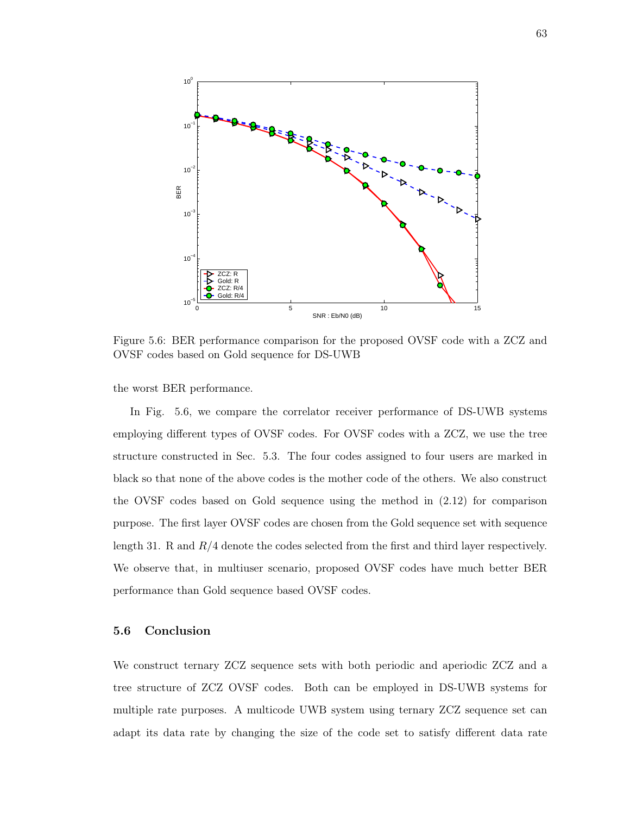

Figure 5.6: BER performance comparison for the proposed OVSF code with a ZCZ and OVSF codes based on Gold sequence for DS-UWB

the worst BER performance.

In Fig. 5.6, we compare the correlator receiver performance of DS-UWB systems employing different types of OVSF codes. For OVSF codes with a ZCZ, we use the tree structure constructed in Sec. 5.3. The four codes assigned to four users are marked in black so that none of the above codes is the mother code of the others. We also construct the OVSF codes based on Gold sequence using the method in (2.12) for comparison purpose. The first layer OVSF codes are chosen from the Gold sequence set with sequence length 31. R and R/4 denote the codes selected from the first and third layer respectively. We observe that, in multiuser scenario, proposed OVSF codes have much better BER performance than Gold sequence based OVSF codes.

## 5.6 Conclusion

We construct ternary ZCZ sequence sets with both periodic and aperiodic ZCZ and a tree structure of ZCZ OVSF codes. Both can be employed in DS-UWB systems for multiple rate purposes. A multicode UWB system using ternary ZCZ sequence set can adapt its data rate by changing the size of the code set to satisfy different data rate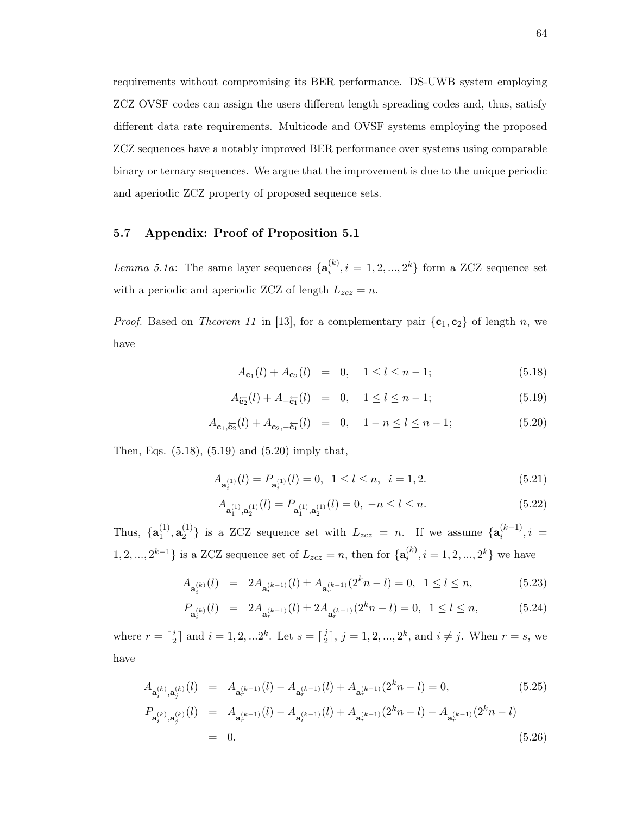requirements without compromising its BER performance. DS-UWB system employing ZCZ OVSF codes can assign the users different length spreading codes and, thus, satisfy different data rate requirements. Multicode and OVSF systems employing the proposed ZCZ sequences have a notably improved BER performance over systems using comparable binary or ternary sequences. We argue that the improvement is due to the unique periodic and aperiodic ZCZ property of proposed sequence sets.

## 5.7 Appendix: Proof of Proposition 5.1

*Lemma 5.1a*: The same layer sequences  $\{a_i^{(k)}\}$  $i^{(k)}$ ,  $i = 1, 2, ..., 2^k$  form a ZCZ sequence set with a periodic and aperiodic ZCZ of length  $L_{zcz} = n$ .

*Proof.* Based on *Theorem 11* in [13], for a complementary pair  $\{c_1, c_2\}$  of length n, we have

$$
A_{\mathbf{c}_1}(l) + A_{\mathbf{c}_2}(l) = 0, \quad 1 \le l \le n - 1; \tag{5.18}
$$

$$
A_{\overleftarrow{\mathbf{c}_2}}(l) + A_{-\overleftarrow{\mathbf{c}_1}}(l) = 0, \quad 1 \le l \le n - 1; \tag{5.19}
$$

$$
A_{\mathbf{c}_1, \overline{\mathbf{c}_2}}(l) + A_{\mathbf{c}_2, -\overline{\mathbf{c}_1}}(l) = 0, \quad 1 - n \le l \le n - 1; \tag{5.20}
$$

Then, Eqs. (5.18), (5.19) and (5.20) imply that,

$$
A_{\mathbf{a}_i^{(1)}}(l) = P_{\mathbf{a}_i^{(1)}}(l) = 0, \ \ 1 \le l \le n, \ \ i = 1, 2. \tag{5.21}
$$

$$
A_{\mathbf{a}_1^{(1)},\mathbf{a}_2^{(1)}}(l) = P_{\mathbf{a}_1^{(1)},\mathbf{a}_2^{(1)}}(l) = 0, -n \le l \le n.
$$
 (5.22)

Thus,  $\{a_1^{(1)}\}$  $\overset{(1)}{1},\textbf{a}_2^{(1)}$  $\{a_i^{(1)}\}$  is a ZCZ sequence set with  $L_{zcz} = n$ . If we assume  $\{a_i^{(k-1)}\}$  $i^{(\kappa-1)}$ ,  $i =$  $1, 2, ..., 2^{k-1}$  is a ZCZ sequence set of  $L_{zcz} = n$ , then for  $\{a_i^{(k)}\}$  $i^{(k)}$ ,  $i = 1, 2, ..., 2^{k}$  we have

$$
A_{\mathbf{a}_i^{(k)}}(l) = 2A_{\mathbf{a}_r^{(k-1)}}(l) \pm A_{\mathbf{a}_r^{(k-1)}}(2^k n - l) = 0, \ \ 1 \le l \le n,\tag{5.23}
$$

$$
P_{\mathbf{a}_i^{(k)}}(l) = 2A_{\mathbf{a}_r^{(k-1)}}(l) \pm 2A_{\mathbf{a}_r^{(k-1)}}(2^k n - l) = 0, \ \ 1 \le l \le n,\tag{5.24}
$$

where  $r = \lceil \frac{i}{2} \rceil$  $\frac{i}{2}$  and  $i = 1, 2, ... 2^k$ . Let  $s = \lceil \frac{j}{2} \rceil$  $(\frac{j}{2}), j = 1, 2, ..., 2^k, \text{ and } i \neq j. \text{ When } r = s, \text{ we}$ have

$$
A_{\mathbf{a}_{i}^{(k)},\mathbf{a}_{j}^{(k)}}(l) = A_{\mathbf{a}_{r}^{(k-1)}}(l) - A_{\mathbf{a}_{r}^{(k-1)}}(l) + A_{\mathbf{a}_{r}^{(k-1)}}(2^{k}n - l) = 0,
$$
(5.25)  
\n
$$
P_{\mathbf{a}_{i}^{(k)},\mathbf{a}_{j}^{(k)}}(l) = A_{\mathbf{a}_{r}^{(k-1)}}(l) - A_{\mathbf{a}_{r}^{(k-1)}}(l) + A_{\mathbf{a}_{r}^{(k-1)}}(2^{k}n - l) - A_{\mathbf{a}_{r}^{(k-1)}}(2^{k}n - l)
$$
\n
$$
= 0.
$$
(5.26)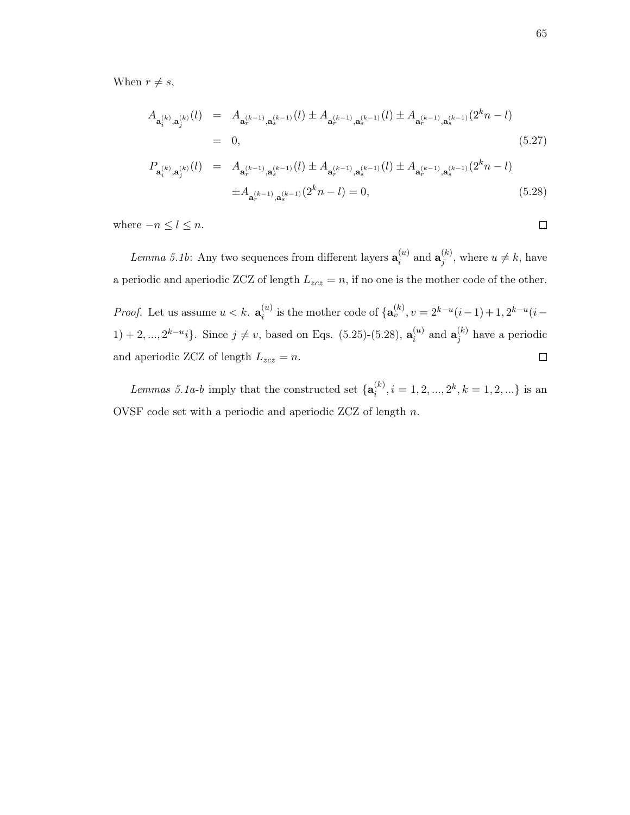When  $r \neq s$ ,

$$
A_{\mathbf{a}_{i}^{(k)},\mathbf{a}_{j}^{(k)}}(l) = A_{\mathbf{a}_{r}^{(k-1)},\mathbf{a}_{s}^{(k-1)}}(l) \pm A_{\mathbf{a}_{r}^{(k-1)},\mathbf{a}_{s}^{(k-1)}}(l) \pm A_{\mathbf{a}_{r}^{(k-1)},\mathbf{a}_{s}^{(k-1)}}(2^{k}n-l)
$$
\n
$$
= 0, \qquad (5.27)
$$
\n
$$
P_{\mathbf{a}_{i}^{(k)},\mathbf{a}_{j}^{(k)}}(l) = A_{\mathbf{a}_{r}^{(k-1)},\mathbf{a}_{s}^{(k-1)}}(l) \pm A_{\mathbf{a}_{r}^{(k-1)},\mathbf{a}_{s}^{(k-1)}}(l) \pm A_{\mathbf{a}_{r}^{(k-1)},\mathbf{a}_{s}^{(k-1)}}(2^{k}n-l)
$$
\n
$$
\pm A_{\mathbf{a}_{r}^{(k-1)},\mathbf{a}_{s}^{(k-1)}}(2^{k}n-l) = 0, \qquad (5.28)
$$

where  $-n \leq l \leq n$ .

Lemma 5.1b: Any two sequences from different layers  $\mathbf{a}_i^{(u)}$  $\mathbf{a}_i^{(u)}$  and  $\mathbf{a}_j^{(k)}$  $j^{(k)}$ , where  $u \neq k$ , have a periodic and aperiodic ZCZ of length  $L_{zcz} = n$ , if no one is the mother code of the other. *Proof.* Let us assume  $u < k$ .  $\mathbf{a}_{i}^{(u)}$  $i^{(u)}$  is the mother code of  $\{a_v^{(k)}, v = 2^{k-u}(i-1) + 1, 2^{k-u}(i-1)\}$  $1) + 2, ..., 2^{k-u}i$ . Since  $j \neq v$ , based on Eqs. (5.25)-(5.28),  $\mathbf{a}_i^{(u)}$  $a_i^{(u)}$  and  $\mathbf{a}_j^{(k)}$  $j^{(\kappa)}$  have a periodic and aperiodic ZCZ of length  $L_{zcz} = n$ .  $\Box$ 

Lemmas 5.1a-b imply that the constructed set  $\{a_i^{(k)}\}$  $i^{(k)}, i = 1, 2, ..., 2^k, k = 1, 2, ...\}$  is an OVSF code set with a periodic and aperiodic ZCZ of length n.

 $\Box$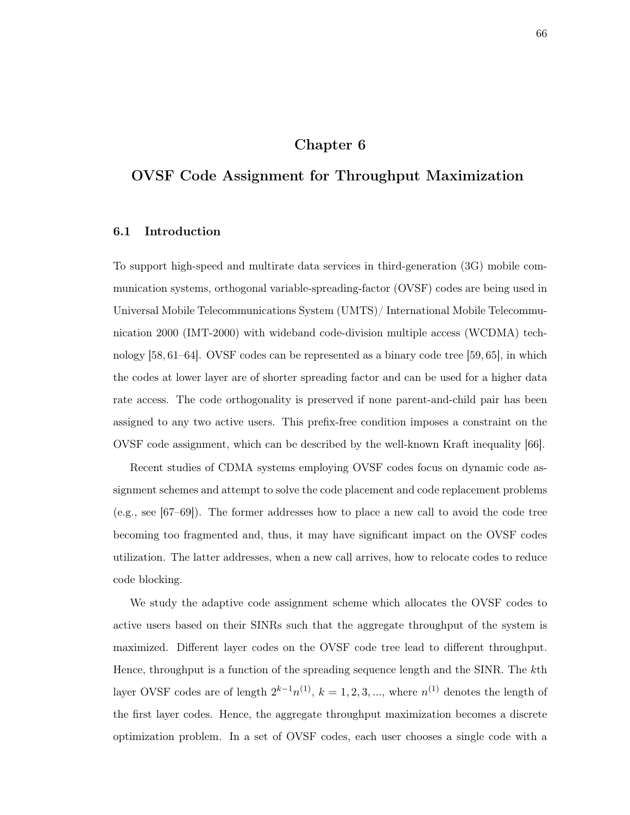## Chapter 6

# OVSF Code Assignment for Throughput Maximization

## 6.1 Introduction

To support high-speed and multirate data services in third-generation (3G) mobile communication systems, orthogonal variable-spreading-factor (OVSF) codes are being used in Universal Mobile Telecommunications System (UMTS)/ International Mobile Telecommunication 2000 (IMT-2000) with wideband code-division multiple access (WCDMA) technology [58, 61–64]. OVSF codes can be represented as a binary code tree [59, 65], in which the codes at lower layer are of shorter spreading factor and can be used for a higher data rate access. The code orthogonality is preserved if none parent-and-child pair has been assigned to any two active users. This prefix-free condition imposes a constraint on the OVSF code assignment, which can be described by the well-known Kraft inequality [66].

Recent studies of CDMA systems employing OVSF codes focus on dynamic code assignment schemes and attempt to solve the code placement and code replacement problems (e.g., see [67–69]). The former addresses how to place a new call to avoid the code tree becoming too fragmented and, thus, it may have significant impact on the OVSF codes utilization. The latter addresses, when a new call arrives, how to relocate codes to reduce code blocking.

We study the adaptive code assignment scheme which allocates the OVSF codes to active users based on their SINRs such that the aggregate throughput of the system is maximized. Different layer codes on the OVSF code tree lead to different throughput. Hence, throughput is a function of the spreading sequence length and the SINR. The kth layer OVSF codes are of length  $2^{k-1}n^{(1)}$ ,  $k = 1, 2, 3, ...$ , where  $n^{(1)}$  denotes the length of the first layer codes. Hence, the aggregate throughput maximization becomes a discrete optimization problem. In a set of OVSF codes, each user chooses a single code with a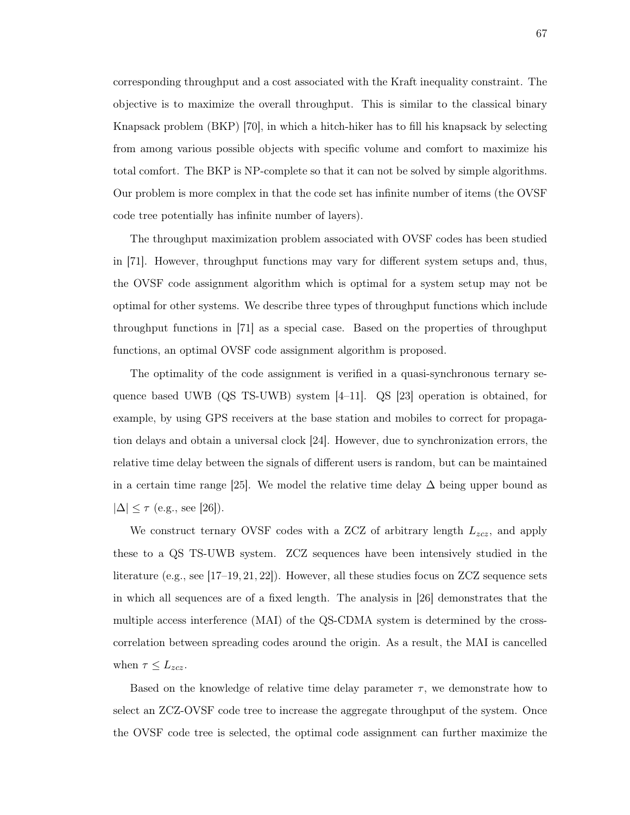corresponding throughput and a cost associated with the Kraft inequality constraint. The objective is to maximize the overall throughput. This is similar to the classical binary Knapsack problem (BKP) [70], in which a hitch-hiker has to fill his knapsack by selecting from among various possible objects with specific volume and comfort to maximize his total comfort. The BKP is NP-complete so that it can not be solved by simple algorithms. Our problem is more complex in that the code set has infinite number of items (the OVSF code tree potentially has infinite number of layers).

The throughput maximization problem associated with OVSF codes has been studied in [71]. However, throughput functions may vary for different system setups and, thus, the OVSF code assignment algorithm which is optimal for a system setup may not be optimal for other systems. We describe three types of throughput functions which include throughput functions in [71] as a special case. Based on the properties of throughput functions, an optimal OVSF code assignment algorithm is proposed.

The optimality of the code assignment is verified in a quasi-synchronous ternary sequence based UWB (QS TS-UWB) system [4–11]. QS [23] operation is obtained, for example, by using GPS receivers at the base station and mobiles to correct for propagation delays and obtain a universal clock [24]. However, due to synchronization errors, the relative time delay between the signals of different users is random, but can be maintained in a certain time range [25]. We model the relative time delay  $\Delta$  being upper bound as  $|\Delta| \leq \tau$  (e.g., see [26]).

We construct ternary OVSF codes with a ZCZ of arbitrary length  $L_{zcz}$ , and apply these to a QS TS-UWB system. ZCZ sequences have been intensively studied in the literature (e.g., see [17–19, 21, 22]). However, all these studies focus on ZCZ sequence sets in which all sequences are of a fixed length. The analysis in [26] demonstrates that the multiple access interference (MAI) of the QS-CDMA system is determined by the crosscorrelation between spreading codes around the origin. As a result, the MAI is cancelled when  $\tau \leq L_{zcz}$ .

Based on the knowledge of relative time delay parameter  $\tau$ , we demonstrate how to select an ZCZ-OVSF code tree to increase the aggregate throughput of the system. Once the OVSF code tree is selected, the optimal code assignment can further maximize the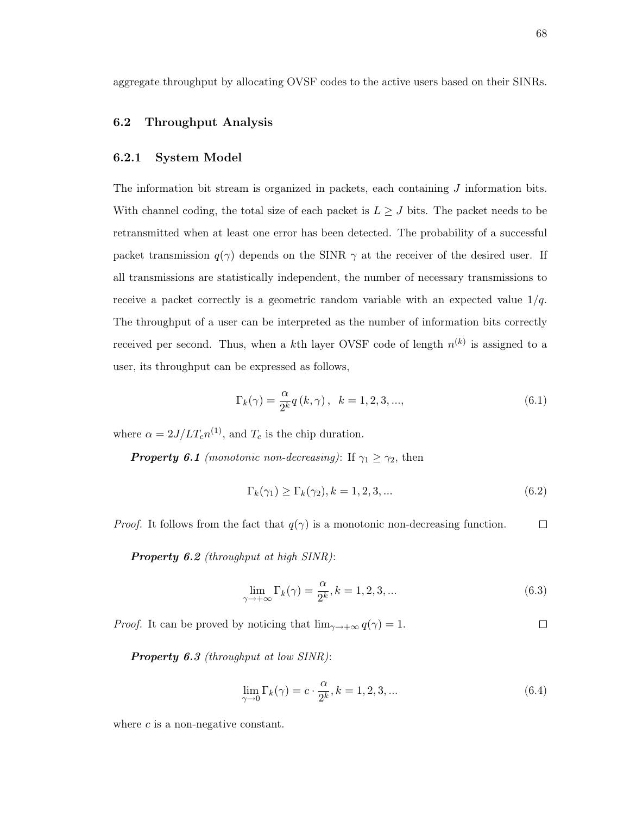aggregate throughput by allocating OVSF codes to the active users based on their SINRs.

#### 6.2 Throughput Analysis

#### 6.2.1 System Model

The information bit stream is organized in packets, each containing J information bits. With channel coding, the total size of each packet is  $L \geq J$  bits. The packet needs to be retransmitted when at least one error has been detected. The probability of a successful packet transmission  $q(\gamma)$  depends on the SINR  $\gamma$  at the receiver of the desired user. If all transmissions are statistically independent, the number of necessary transmissions to receive a packet correctly is a geometric random variable with an expected value  $1/q$ . The throughput of a user can be interpreted as the number of information bits correctly received per second. Thus, when a kth layer OVSF code of length  $n^{(k)}$  is assigned to a user, its throughput can be expressed as follows,

$$
\Gamma_k(\gamma) = \frac{\alpha}{2^k} q(k, \gamma), \quad k = 1, 2, 3, ..., \tag{6.1}
$$

where  $\alpha = 2J/LT_c n^{(1)}$ , and  $T_c$  is the chip duration.

**Property 6.1** (monotonic non-decreasing): If  $\gamma_1 \geq \gamma_2$ , then

$$
\Gamma_k(\gamma_1) \ge \Gamma_k(\gamma_2), k = 1, 2, 3, \dots \tag{6.2}
$$

*Proof.* It follows from the fact that  $q(\gamma)$  is a monotonic non-decreasing function.  $\Box$ 

Property 6.2 (throughput at high SINR):

$$
\lim_{\gamma \to +\infty} \Gamma_k(\gamma) = \frac{\alpha}{2^k}, k = 1, 2, 3, \dots
$$
\n(6.3)

*Proof.* It can be proved by noticing that  $\lim_{\gamma \to +\infty} q(\gamma) = 1$ .  $\Box$ 

Property 6.3 (throughput at low SINR):

$$
\lim_{\gamma \to 0} \Gamma_k(\gamma) = c \cdot \frac{\alpha}{2^k}, k = 1, 2, 3, \dots
$$
\n(6.4)

where  $c$  is a non-negative constant.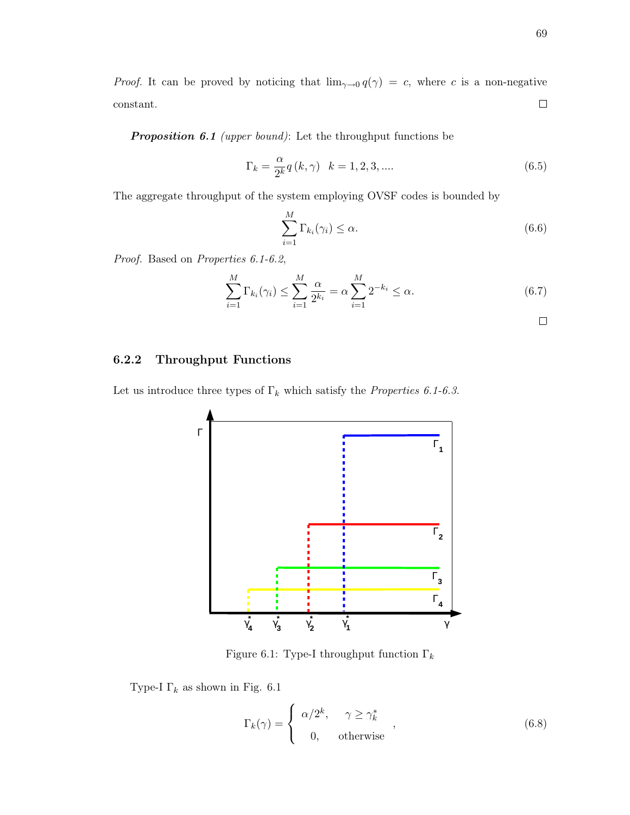*Proof.* It can be proved by noticing that  $\lim_{\gamma \to 0} q(\gamma) = c$ , where c is a non-negative  $\Box$ constant.

Proposition 6.1 (upper bound): Let the throughput functions be

$$
\Gamma_k = \frac{\alpha}{2^k} q(k, \gamma) \quad k = 1, 2, 3, \dots
$$
\n(6.5)

The aggregate throughput of the system employing OVSF codes is bounded by

$$
\sum_{i=1}^{M} \Gamma_{k_i}(\gamma_i) \le \alpha.
$$
\n(6.6)

Proof. Based on Properties 6.1-6.2,

$$
\sum_{i=1}^{M} \Gamma_{k_i}(\gamma_i) \le \sum_{i=1}^{M} \frac{\alpha}{2^{k_i}} = \alpha \sum_{i=1}^{M} 2^{-k_i} \le \alpha.
$$
 (6.7)

## 6.2.2 Throughput Functions

Let us introduce three types of  $\Gamma_k$  which satisfy the *Properties 6.1-6.3*.



Figure 6.1: Type-I throughput function  $\Gamma_k$ 

Type-I $\Gamma_k$  as shown in Fig. 6.1

$$
\Gamma_k(\gamma) = \begin{cases} \alpha/2^k, & \gamma \ge \gamma_k^* \\ 0, & \text{otherwise} \end{cases}
$$
 (6.8)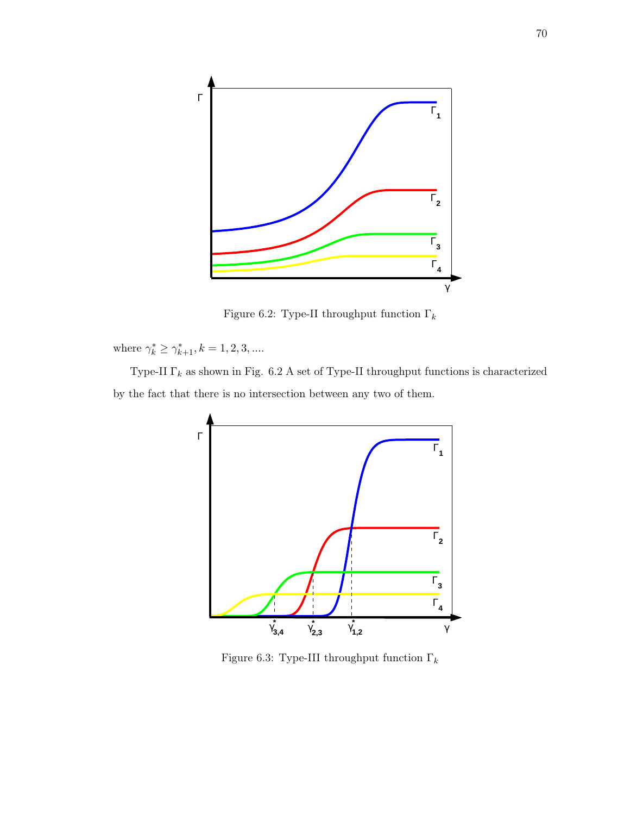

Figure 6.2: Type-II throughput function  $\Gamma_k$ 

where  $\gamma_k^* \geq \gamma_{k+1}^*, k = 1, 2, 3, ...$ 

Type-II $\Gamma_k$  as shown in Fig. 6.2 A set of Type-II throughput functions is characterized by the fact that there is no intersection between any two of them.



Figure 6.3: Type-III throughput function  $\Gamma_k$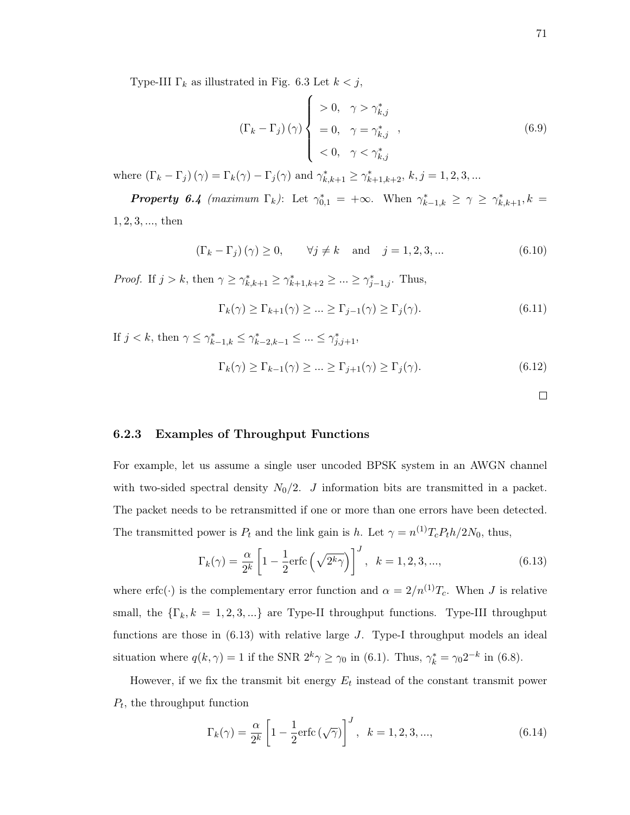Type-III  $\Gamma_k$  as illustrated in Fig. 6.3 Let  $k < j$ ,

$$
\left(\Gamma_{k} - \Gamma_{j}\right)(\gamma)\begin{cases} > 0, \quad \gamma > \gamma_{k,j}^{*} \\ &= 0, \quad \gamma = \gamma_{k,j}^{*} \\ &< 0, \quad \gamma < \gamma_{k,j}^{*} \end{cases},\tag{6.9}
$$

where  $(\Gamma_k - \Gamma_j)(\gamma) = \Gamma_k(\gamma) - \Gamma_j(\gamma)$  and  $\gamma_{k,k+1}^* \ge \gamma_{k+1,k+2}^*$ ,  $k, j = 1, 2, 3, ...$ 

**Property 6.4** (maximum  $\Gamma_k$ ): Let  $\gamma_{0,1}^* = +\infty$ . When  $\gamma_{k-1,k}^* \geq \gamma \geq \gamma_{k,k+1}^*, k =$ 1, 2, 3, ..., then

$$
\left(\Gamma_k - \Gamma_j\right)(\gamma) \ge 0, \qquad \forall j \ne k \quad \text{and} \quad j = 1, 2, 3, \dots \tag{6.10}
$$

*Proof.* If  $j > k$ , then  $\gamma \geq \gamma_{k,k+1}^* \geq \gamma_{k+1,k+2}^* \geq \ldots \geq \gamma_{j-1,j}^*$ . Thus,

$$
\Gamma_k(\gamma) \ge \Gamma_{k+1}(\gamma) \ge \dots \ge \Gamma_{j-1}(\gamma) \ge \Gamma_j(\gamma). \tag{6.11}
$$

If  $j < k$ , then  $\gamma \leq \gamma_{k-1,k}^* \leq \gamma_{k-2,k-1}^* \leq ... \leq \gamma_{j,j+1}^*$ ,

$$
\Gamma_k(\gamma) \ge \Gamma_{k-1}(\gamma) \ge \dots \ge \Gamma_{j+1}(\gamma) \ge \Gamma_j(\gamma). \tag{6.12}
$$

 $\Box$ 

#### 6.2.3 Examples of Throughput Functions

For example, let us assume a single user uncoded BPSK system in an AWGN channel with two-sided spectral density  $N_0/2$ . J information bits are transmitted in a packet. The packet needs to be retransmitted if one or more than one errors have been detected. The transmitted power is  $P_t$  and the link gain is h. Let  $\gamma = n^{(1)}T_cP_th/2N_0$ , thus,

$$
\Gamma_k(\gamma) = \frac{\alpha}{2^k} \left[ 1 - \frac{1}{2} \text{erfc}\left(\sqrt{2^k \gamma}\right) \right]^J, \quad k = 1, 2, 3, \dots,
$$
\n(6.13)

where erfc(·) is the complementary error function and  $\alpha = 2/n^{(1)}T_c$ . When J is relative small, the  ${\{\Gamma_k, k = 1, 2, 3, ...\}$  are Type-II throughput functions. Type-III throughput functions are those in  $(6.13)$  with relative large J. Type-I throughput models an ideal situation where  $q(k, \gamma) = 1$  if the SNR  $2^k \gamma \ge \gamma_0$  in (6.1). Thus,  $\gamma_k^* = \gamma_0 2^{-k}$  in (6.8).

However, if we fix the transmit bit energy  $E_t$  instead of the constant transmit power  $P_t$ , the throughput function

$$
\Gamma_k(\gamma) = \frac{\alpha}{2^k} \left[ 1 - \frac{1}{2} \text{erfc}\left(\sqrt{\gamma}\right) \right]^J, \ \ k = 1, 2, 3, ..., \tag{6.14}
$$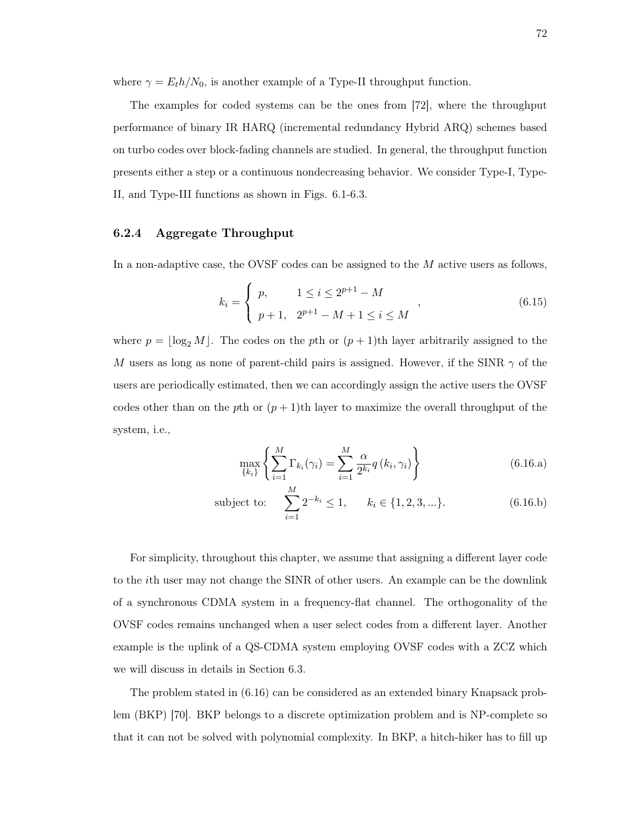where  $\gamma = E_t h/N_0$ , is another example of a Type-II throughput function.

The examples for coded systems can be the ones from [72], where the throughput performance of binary IR HARQ (incremental redundancy Hybrid ARQ) schemes based on turbo codes over block-fading channels are studied. In general, the throughput function presents either a step or a continuous nondecreasing behavior. We consider Type-I, Type-II, and Type-III functions as shown in Figs. 6.1-6.3.

### 6.2.4 Aggregate Throughput

In a non-adaptive case, the OVSF codes can be assigned to the M active users as follows,

$$
k_i = \begin{cases} p, & 1 \le i \le 2^{p+1} - M \\ p+1, & 2^{p+1} - M + 1 \le i \le M \end{cases}
$$
 (6.15)

where  $p = \log_2 M$ . The codes on the pth or  $(p + 1)$ th layer arbitrarily assigned to the M users as long as none of parent-child pairs is assigned. However, if the SINR  $\gamma$  of the users are periodically estimated, then we can accordingly assign the active users the OVSF codes other than on the pth or  $(p+1)$ th layer to maximize the overall throughput of the system, i.e.,

$$
\max_{\{k_i\}} \left\{ \sum_{i=1}^{M} \Gamma_{k_i}(\gamma_i) = \sum_{i=1}^{M} \frac{\alpha}{2^{k_i}} q(k_i, \gamma_i) \right\}
$$
(6.16.a)

subject to: 
$$
\sum_{i=1}^{M} 2^{-k_i} \le 1, \qquad k_i \in \{1, 2, 3, ...\}.
$$
 (6.16.b)

For simplicity, throughout this chapter, we assume that assigning a different layer code to the ith user may not change the SINR of other users. An example can be the downlink of a synchronous CDMA system in a frequency-flat channel. The orthogonality of the OVSF codes remains unchanged when a user select codes from a different layer. Another example is the uplink of a QS-CDMA system employing OVSF codes with a ZCZ which we will discuss in details in Section 6.3.

The problem stated in (6.16) can be considered as an extended binary Knapsack problem (BKP) [70]. BKP belongs to a discrete optimization problem and is NP-complete so that it can not be solved with polynomial complexity. In BKP, a hitch-hiker has to fill up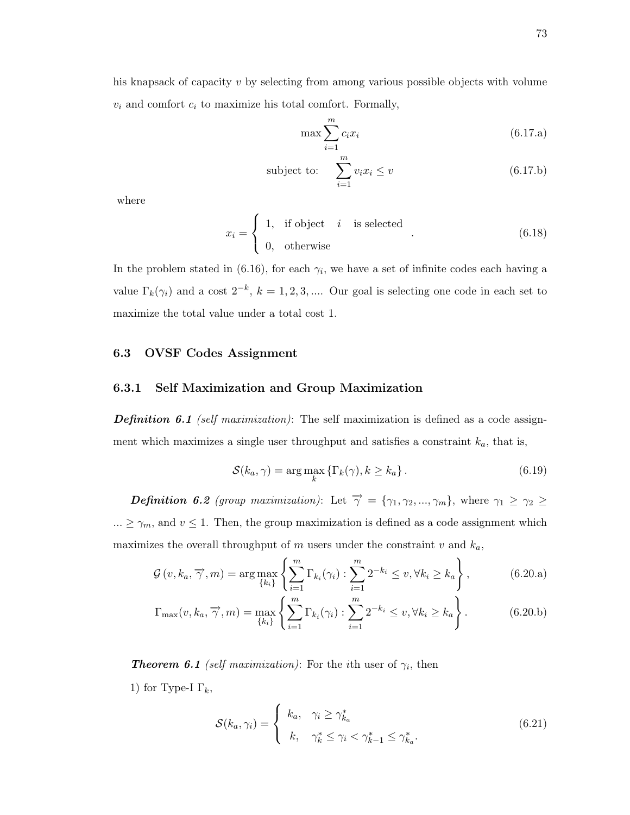his knapsack of capacity v by selecting from among various possible objects with volume  $v_i$  and comfort  $c_i$  to maximize his total comfort. Formally,

$$
\max \sum_{i=1}^{m} c_i x_i \tag{6.17.a}
$$

subject to: 
$$
\sum_{i=1}^{m} v_i x_i \le v
$$
 (6.17.b)

where

$$
x_i = \begin{cases} 1, & \text{if object} \quad i \quad \text{is selected} \\ 0, & \text{otherwise} \end{cases} . \tag{6.18}
$$

In the problem stated in (6.16), for each  $\gamma_i$ , we have a set of infinite codes each having a value  $\Gamma_k(\gamma_i)$  and a cost  $2^{-k}$ ,  $k = 1, 2, 3, ...$  Our goal is selecting one code in each set to maximize the total value under a total cost 1.

#### 6.3 OVSF Codes Assignment

#### 6.3.1 Self Maximization and Group Maximization

**Definition 6.1** (self maximization): The self maximization is defined as a code assignment which maximizes a single user throughput and satisfies a constraint  $k_a$ , that is,

$$
S(k_a, \gamma) = \arg\max_k \left\{ \Gamma_k(\gamma), k \ge k_a \right\}.
$$
\n(6.19)

**Definition 6.2** (group maximization): Let  $\overrightarrow{\gamma} = {\gamma_1, \gamma_2, ..., \gamma_m}$ , where  $\gamma_1 \geq \gamma_2 \geq$ ...  $\geq \gamma_m$ , and  $v \leq 1$ . Then, the group maximization is defined as a code assignment which maximizes the overall throughput of m users under the constraint v and  $k_a$ ,

$$
\mathcal{G}\left(v,k_a,\overrightarrow{\gamma},m\right) = \arg\max_{\{k_i\}} \left\{ \sum_{i=1}^m \Gamma_{k_i}(\gamma_i) : \sum_{i=1}^m 2^{-k_i} \le v, \forall k_i \ge k_a \right\},\tag{6.20.a}
$$

$$
\Gamma_{\max}(v, k_a, \overrightarrow{\gamma}, m) = \max_{\{k_i\}} \left\{ \sum_{i=1}^m \Gamma_{k_i}(\gamma_i) : \sum_{i=1}^m 2^{-k_i} \le v, \forall k_i \ge k_a \right\}.
$$
 (6.20.b)

**Theorem 6.1** (self maximization): For the ith user of  $\gamma_i$ , then

1) for Type-I  $\Gamma_k$ ,

$$
S(k_a, \gamma_i) = \begin{cases} k_a, & \gamma_i \ge \gamma_{k_a}^* \\ k, & \gamma_k^* \le \gamma_i < \gamma_{k-1}^* \le \gamma_{k_a}^*. \end{cases} \tag{6.21}
$$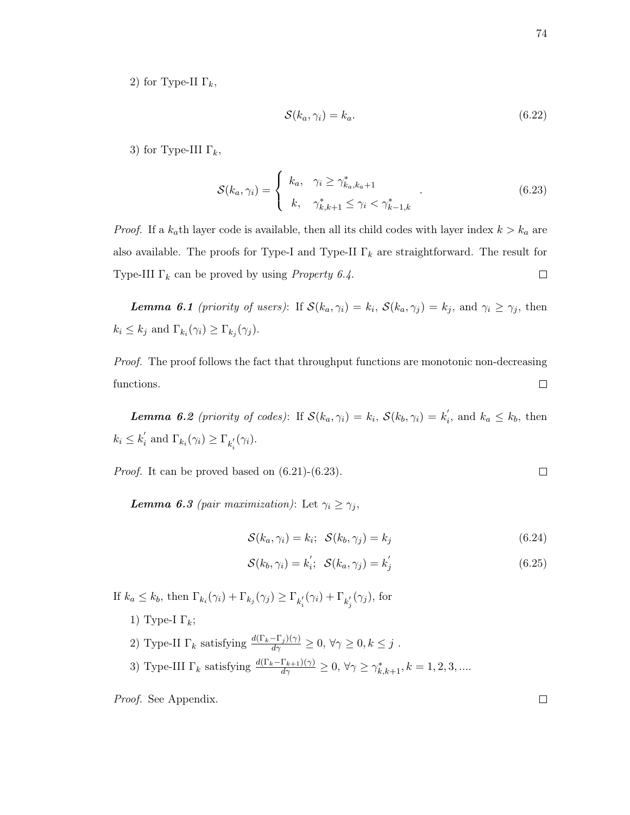2) for Type-II  $\Gamma_k$ ,

$$
\mathcal{S}(k_a, \gamma_i) = k_a. \tag{6.22}
$$

3) for Type-III  $\Gamma_k$ ,

$$
S(k_a, \gamma_i) = \begin{cases} k_a, & \gamma_i \ge \gamma_{k_a, k_a + 1}^* \\ k, & \gamma_{k, k+1}^* \le \gamma_i < \gamma_{k-1, k}^* \end{cases} \tag{6.23}
$$

*Proof.* If a  $k_a$ th layer code is available, then all its child codes with layer index  $k > k_a$  are also available. The proofs for Type-I and Type-II  $\Gamma_k$  are straightforward. The result for Type-III  $\Gamma_k$  can be proved by using *Property 6.4*.  $\Box$ 

**Lemma 6.1** (priority of users): If  $\mathcal{S}(k_a, \gamma_i) = k_i$ ,  $\mathcal{S}(k_a, \gamma_j) = k_j$ , and  $\gamma_i \geq \gamma_j$ , then  $k_i \leq k_j$  and  $\Gamma_{k_i}(\gamma_i) \geq \Gamma_{k_j}(\gamma_j)$ .

Proof. The proof follows the fact that throughput functions are monotonic non-decreasing functions.  $\Box$ 

**Lemma 6.2** (priority of codes): If  $\mathcal{S}(k_a, \gamma_i) = k_i$ ,  $\mathcal{S}(k_b, \gamma_i) = k'_i$  $i<sub>i</sub>$ , and  $k_a \leq k_b$ , then  $k_i \leq k^{'}_i$  $\Gamma_i$  and  $\Gamma_{k_i}(\gamma_i) \geq \Gamma_{k'_i}(\gamma_i)$ .

Proof. It can be proved based on (6.21)-(6.23).

**Lemma 6.3** (pair maximization): Let  $\gamma_i \geq \gamma_j$ ,

$$
S(k_a, \gamma_i) = k_i; \quad S(k_b, \gamma_j) = k_j \tag{6.24}
$$

$$
\mathcal{S}(k_b, \gamma_i) = k_i'; \quad \mathcal{S}(k_a, \gamma_j) = k_j' \tag{6.25}
$$

If  $k_a \leq k_b$ , then  $\Gamma_{k_i}(\gamma_i) + \Gamma_{k_j}(\gamma_j) \geq \Gamma_{k'_i}(\gamma_i) + \Gamma_{k'_j}(\gamma_j)$ , for

- 1) Type-I Γ<sub>k</sub>;
- 2) Type-II  $\Gamma_k$  satisfying  $\frac{d(\Gamma_k-\Gamma_j)(\gamma)}{d\gamma}\geq 0$ ,  $\forall \gamma\geq 0, k\leq j$ . 3) Type-III  $\Gamma_k$  satisfying  $\frac{d(\Gamma_k-\Gamma_{k+1})(\gamma)}{d\gamma}\geq 0$ ,  $\forall \gamma\geq \gamma^*_{k,k+1}, k=1,2,3,...$

Proof. See Appendix.

 $\Box$ 

 $\Box$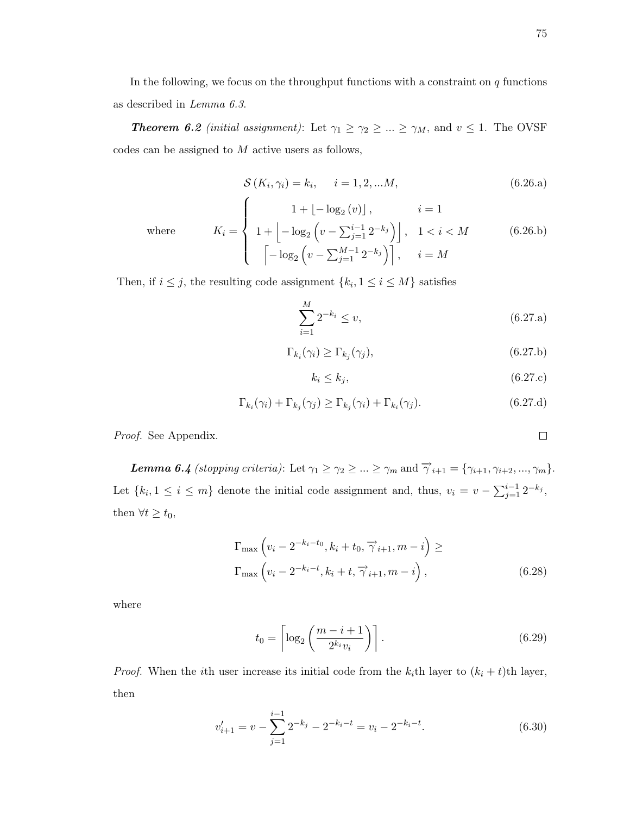In the following, we focus on the throughput functions with a constraint on  $q$  functions as described in Lemma 6.3.

**Theorem 6.2** (initial assignment): Let  $\gamma_1 \geq \gamma_2 \geq ... \geq \gamma_M$ , and  $v \leq 1$ . The OVSF codes can be assigned to M active users as follows,

$$
S(K_i, \gamma_i) = k_i, \quad i = 1, 2, \dots M,
$$
\n(6.26.a)

 $where$ 

$$
K_{i} = \begin{cases} 1 + \lfloor -\log_{2}(v) \rfloor, & i = 1 \\ 1 + \lfloor -\log_{2}\left(v - \sum_{j=1}^{i-1} 2^{-k_{j}}\right) \rfloor, & 1 < i < M \\ \left[ -\log_{2}\left(v - \sum_{j=1}^{M-1} 2^{-k_{j}}\right) \right], & i = M \end{cases}
$$
(6.26.b)

Then, if  $i \leq j$ , the resulting code assignment  $\{k_i, 1 \leq i \leq M\}$  satisfies

 $\sqrt{ }$ 

$$
\sum_{i=1}^{M} 2^{-k_i} \le v,\tag{6.27.a}
$$

$$
\Gamma_{k_i}(\gamma_i) \ge \Gamma_{k_j}(\gamma_j),\tag{6.27.b}
$$

$$
k_i \le k_j,\tag{6.27.c}
$$

$$
\Gamma_{k_i}(\gamma_i) + \Gamma_{k_j}(\gamma_j) \ge \Gamma_{k_j}(\gamma_i) + \Gamma_{k_i}(\gamma_j). \tag{6.27.d}
$$

Proof. See Appendix.

**Lemma 6.4** (stopping criteria): Let  $\gamma_1 \geq \gamma_2 \geq \ldots \geq \gamma_m$  and  $\overrightarrow{\gamma}_{i+1} = {\gamma_{i+1}, \gamma_{i+2}, \ldots, \gamma_m}.$ Let  $\{k_i, 1 \leq i \leq m\}$  denote the initial code assignment and, thus,  $v_i = v - \sum_{j=1}^{i-1} 2^{-k_j}$ , then  $\forall t \geq t_0$ ,

$$
\Gamma_{\max}\left(v_i - 2^{-k_i - t_0}, k_i + t_0, \overrightarrow{\gamma}_{i+1}, m - i\right) \ge
$$
\n
$$
\Gamma_{\max}\left(v_i - 2^{-k_i - t}, k_i + t, \overrightarrow{\gamma}_{i+1}, m - i\right),
$$
\n(6.28)

where

$$
t_0 = \left\lceil \log_2 \left( \frac{m - i + 1}{2^{k_i} v_i} \right) \right\rceil. \tag{6.29}
$$

*Proof.* When the *i*th user increase its initial code from the  $k_i$ th layer to  $(k_i + t)$ th layer, then

$$
v'_{i+1} = v - \sum_{j=1}^{i-1} 2^{-k_j} - 2^{-k_i - t} = v_i - 2^{-k_i - t}.
$$
 (6.30)

$$
\Box
$$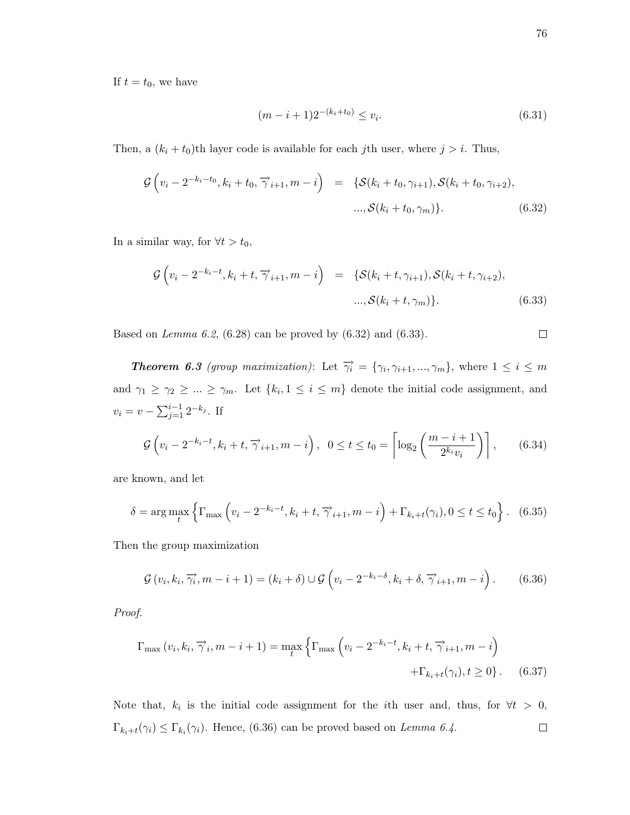If  $t = t_0$ , we have

$$
(m-i+1)2^{-(k_i+t_0)} \le v_i.
$$
\n(6.31)

Then, a  $(k_i + t_0)$ th layer code is available for each jth user, where  $j > i$ . Thus,

$$
\mathcal{G}\left(v_i - 2^{-k_i - t_0}, k_i + t_0, \overrightarrow{\gamma}_{i+1}, m - i\right) = \{ \mathcal{S}(k_i + t_0, \gamma_{i+1}), \mathcal{S}(k_i + t_0, \gamma_{i+2}), \dots, \mathcal{S}(k_i + t_0, \gamma_m) \}.
$$
\n(6.32)

In a similar way, for  $\forall t > t_0$ ,

$$
\mathcal{G}\left(v_i - 2^{-k_i - t}, k_i + t, \overrightarrow{\gamma}_{i+1}, m - i\right) = \{ \mathcal{S}(k_i + t, \gamma_{i+1}), \mathcal{S}(k_i + t, \gamma_{i+2}), \dots, \mathcal{S}(k_i + t, \gamma_m) \}.
$$
\n(6.33)

Based on Lemma 6.2,  $(6.28)$  can be proved by  $(6.32)$  and  $(6.33)$ .

**Theorem 6.3** (group maximization): Let  $\overrightarrow{\gamma_i} = {\gamma_i, \gamma_{i+1}, ..., \gamma_m}$ , where  $1 \leq i \leq m$ and  $\gamma_1 \geq \gamma_2 \geq ... \geq \gamma_m$ . Let  $\{k_i, 1 \leq i \leq m\}$  denote the initial code assignment, and  $v_i = v - \sum_{j=1}^{i-1} 2^{-k_j}$ . If

$$
\mathcal{G}\left(v_i - 2^{-k_i - t}, k_i + t, \overrightarrow{\gamma}_{i+1}, m - i\right), \quad 0 \le t \le t_0 = \left\lceil \log_2\left(\frac{m - i + 1}{2^{k_i} v_i}\right) \right\rceil, \tag{6.34}
$$

are known, and let

$$
\delta = \arg\max_{t} \left\{ \Gamma_{\max} \left( v_i - 2^{-k_i - t}, k_i + t, \overrightarrow{\gamma}_{i+1}, m - i \right) + \Gamma_{k_i + t}(\gamma_i), 0 \le t \le t_0 \right\}. \tag{6.35}
$$

Then the group maximization

$$
\mathcal{G}\left(v_i, k_i, \overrightarrow{\gamma_i}, m-i+1\right) = (k_i + \delta) \cup \mathcal{G}\left(v_i - 2^{-k_i - \delta}, k_i + \delta, \overrightarrow{\gamma}_{i+1}, m-i\right). \tag{6.36}
$$

Proof.

$$
\Gamma_{\max}(v_i, k_i, \overrightarrow{\gamma}_i, m-i+1) = \max_t \left\{ \Gamma_{\max} \left( v_i - 2^{-k_i - t}, k_i + t, \overrightarrow{\gamma}_{i+1}, m-i \right) + \Gamma_{k_i + t}(\gamma_i), t \ge 0 \right\}.
$$
 (6.37)

Note that,  $k_i$  is the initial code assignment for the *i*th user and, thus, for  $\forall t > 0$ ,  $\Box$  $\Gamma_{k_i+t}(\gamma_i) \leq \Gamma_{k_i}(\gamma_i)$ . Hence, (6.36) can be proved based on *Lemma 6.4*.

 $\Box$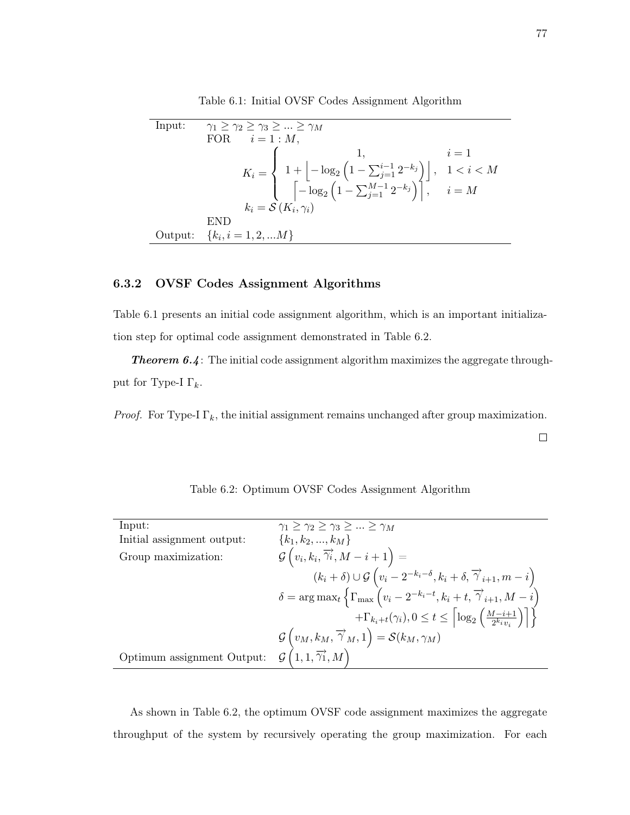Table 6.1: Initial OVSF Codes Assignment Algorithm

| Input: | $\gamma_1 > \gamma_2 > \gamma_3 >  > \gamma_M$                                                                                                                                                                                       |  |
|--------|--------------------------------------------------------------------------------------------------------------------------------------------------------------------------------------------------------------------------------------|--|
|        | FOR $i=1:M$ ,                                                                                                                                                                                                                        |  |
|        |                                                                                                                                                                                                                                      |  |
|        | $K_i = \begin{cases} 1, & i = 1 \\ 1 + \left\lfloor -\log_2\left(1 - \sum_{j=1}^{i-1} 2^{-k_j}\right) \right\rfloor, & 1 < i < M \\ \left\lceil -\log_2\left(1 - \sum_{j=1}^{M-1} 2^{-k_j}\right) \right\rceil, & i = M \end{cases}$ |  |
|        |                                                                                                                                                                                                                                      |  |
|        | $k_i = \mathcal{S}(K_i, \gamma_i)$                                                                                                                                                                                                   |  |
|        | END                                                                                                                                                                                                                                  |  |
|        | Output: ${k_i, i = 1, 2,  M}$                                                                                                                                                                                                        |  |

## 6.3.2 OVSF Codes Assignment Algorithms

Table 6.1 presents an initial code assignment algorithm, which is an important initialization step for optimal code assignment demonstrated in Table 6.2.

**Theorem 6.4:** The initial code assignment algorithm maximizes the aggregate throughput for Type-I  $\Gamma_k$ .

*Proof.* For Type-I  $\Gamma_k$ , the initial assignment remains unchanged after group maximization.

 $\Box$ 

| Input:                     | $\gamma_1 \geq \gamma_2 \geq \gamma_3 \geq  \geq \gamma_M$                                                                             |
|----------------------------|----------------------------------------------------------------------------------------------------------------------------------------|
| Initial assignment output: | ${k_1, k_2, , k_M}$                                                                                                                    |
| Group maximization:        | $\mathcal{G}\left(v_{i},k_{i},\overrightarrow{\gamma_{i}},M-i+1\right) =$                                                              |
|                            | $(k_i + \delta) \cup \mathcal{G}\left(v_i - 2^{-k_i-\delta}, k_i + \delta, \overrightarrow{\gamma}_{i+1}, m - i\right)$                |
|                            | $\delta = \arg \max_t \left\{ \Gamma_{\max} \left( v_i - 2^{-k_i - t}, k_i + t, \overrightarrow{\gamma}_{i+1}, M - i \right) \right\}$ |
|                            | $+\Gamma_{k_i+t}(\gamma_i), 0 \leq t \leq \left\lceil \log_2\left(\frac{M-i+1}{2^{k_i}m}\right) \right\rceil \right\}$                 |
|                            | $\mathcal{G}\left(v_M,k_M,\overrightarrow{\gamma}_M,1\right)=\mathcal{S}(k_M,\gamma_M)$                                                |
| Optimum assignment Output: | $\mathcal{G}\left(1,1,\overrightarrow{\gamma_1},M\right)$                                                                              |

Table 6.2: Optimum OVSF Codes Assignment Algorithm

As shown in Table 6.2, the optimum OVSF code assignment maximizes the aggregate throughput of the system by recursively operating the group maximization. For each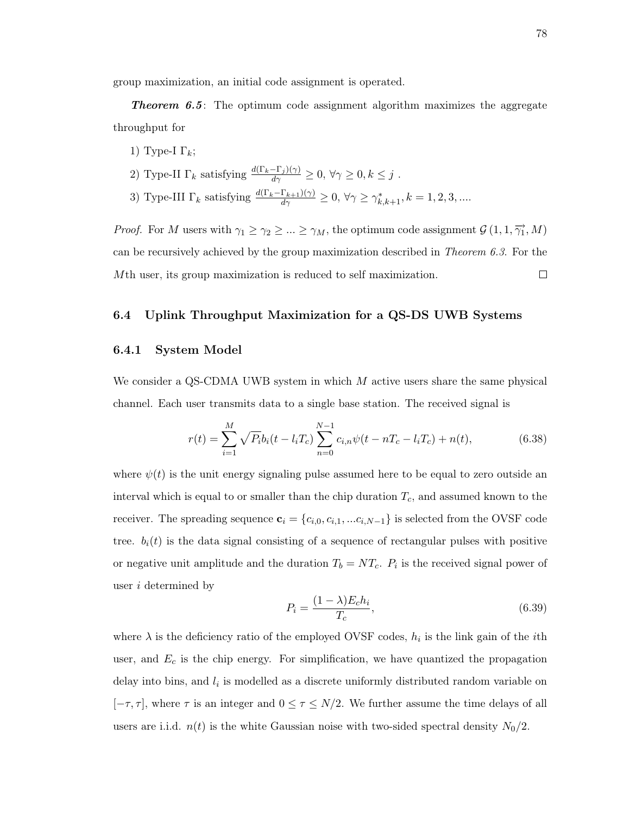group maximization, an initial code assignment is operated.

**Theorem 6.5**: The optimum code assignment algorithm maximizes the aggregate throughput for

- 1) Type-I  $\Gamma_k$ ;
- 2) Type-II  $\Gamma_k$  satisfying  $\frac{d(\Gamma_k-\Gamma_j)(\gamma)}{d\gamma}\geq 0$ ,  $\forall \gamma\geq 0, k\leq j$ .
- 3) Type-III  $\Gamma_k$  satisfying  $\frac{d(\Gamma_k-\Gamma_{k+1})(\gamma)}{d\gamma}\geq 0$ ,  $\forall \gamma\geq \gamma^*_{k,k+1}, k=1,2,3,...$

*Proof.* For M users with  $\gamma_1 \ge \gamma_2 \ge ... \ge \gamma_M$ , the optimum code assignment  $\mathcal{G}(1, 1, \overrightarrow{\gamma_1}, M)$ can be recursively achieved by the group maximization described in *Theorem 6.3*. For the Mth user, its group maximization is reduced to self maximization.  $\Box$ 

#### 6.4 Uplink Throughput Maximization for a QS-DS UWB Systems

#### 6.4.1 System Model

We consider a QS-CDMA UWB system in which M active users share the same physical channel. Each user transmits data to a single base station. The received signal is

$$
r(t) = \sum_{i=1}^{M} \sqrt{P_i} b_i (t - l_i T_c) \sum_{n=0}^{N-1} c_{i,n} \psi(t - nT_c - l_i T_c) + n(t),
$$
\n(6.38)

where  $\psi(t)$  is the unit energy signaling pulse assumed here to be equal to zero outside an interval which is equal to or smaller than the chip duration  $T_c$ , and assumed known to the receiver. The spreading sequence  $\mathbf{c}_i = \{c_{i,0}, c_{i,1}, \dots c_{i,N-1}\}$  is selected from the OVSF code tree.  $b_i(t)$  is the data signal consisting of a sequence of rectangular pulses with positive or negative unit amplitude and the duration  $T_b = NT_c$ .  $P_i$  is the received signal power of user i determined by

$$
P_i = \frac{(1 - \lambda)E_c h_i}{T_c},\tag{6.39}
$$

where  $\lambda$  is the deficiency ratio of the employed OVSF codes,  $h_i$  is the link gain of the *i*th user, and  $E_c$  is the chip energy. For simplification, we have quantized the propagation delay into bins, and  $l_i$  is modelled as a discrete uniformly distributed random variable on  $[-\tau, \tau]$ , where  $\tau$  is an integer and  $0 \le \tau \le N/2$ . We further assume the time delays of all users are i.i.d.  $n(t)$  is the white Gaussian noise with two-sided spectral density  $N_0/2$ .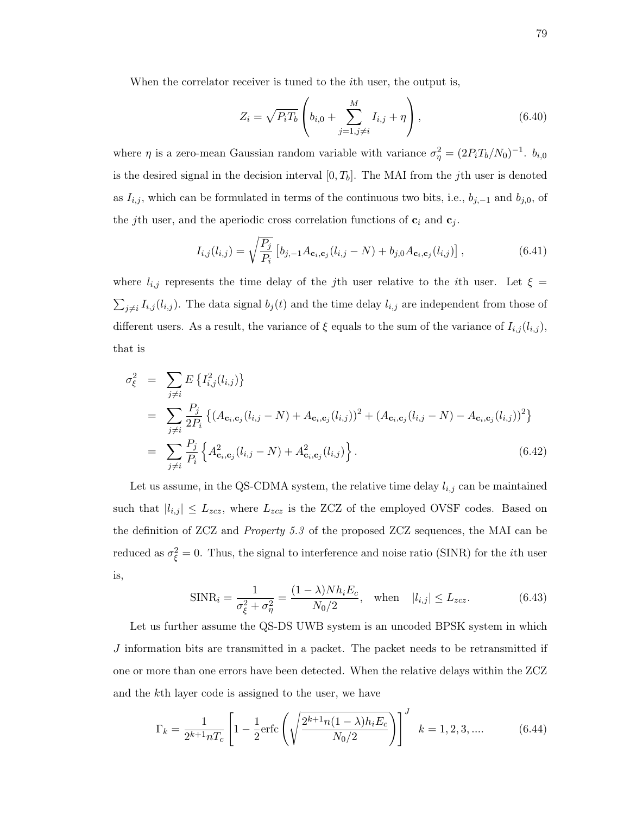When the correlator receiver is tuned to the *i*th user, the output is,

$$
Z_i = \sqrt{P_i T_b} \left( b_{i,0} + \sum_{j=1,j \neq i}^{M} I_{i,j} + \eta \right), \tag{6.40}
$$

where  $\eta$  is a zero-mean Gaussian random variable with variance  $\sigma_{\eta}^2 = (2P_iT_b/N_0)^{-1}$ .  $b_{i,0}$ is the desired signal in the decision interval  $[0, T_b]$ . The MAI from the jth user is denoted as  $I_{i,j}$ , which can be formulated in terms of the continuous two bits, i.e.,  $b_{j,-1}$  and  $b_{j,0}$ , of the jth user, and the aperiodic cross correlation functions of  $c_i$  and  $c_j$ .

$$
I_{i,j}(l_{i,j}) = \sqrt{\frac{P_j}{P_i}} \left[ b_{j,-1} A_{\mathbf{c}_i, \mathbf{c}_j} (l_{i,j} - N) + b_{j,0} A_{\mathbf{c}_i, \mathbf{c}_j} (l_{i,j}) \right],
$$
(6.41)

where  $l_{i,j}$  represents the time delay of the jth user relative to the ith user. Let  $\xi =$  $\sum_{j\neq i} I_{i,j}(l_{i,j})$ . The data signal  $b_j(t)$  and the time delay  $l_{i,j}$  are independent from those of different users. As a result, the variance of  $\xi$  equals to the sum of the variance of  $I_{i,j}(l_{i,j}),$ that is

$$
\sigma_{\xi}^{2} = \sum_{j \neq i} E \{ I_{i,j}^{2}(l_{i,j}) \}
$$
\n
$$
= \sum_{j \neq i} \frac{P_{j}}{2P_{i}} \{ (A_{\mathbf{c}_{i}, \mathbf{c}_{j}}(l_{i,j} - N) + A_{\mathbf{c}_{i}, \mathbf{c}_{j}}(l_{i,j}))^{2} + (A_{\mathbf{c}_{i}, \mathbf{c}_{j}}(l_{i,j} - N) - A_{\mathbf{c}_{i}, \mathbf{c}_{j}}(l_{i,j}))^{2} \}
$$
\n
$$
= \sum_{j \neq i} \frac{P_{j}}{P_{i}} \{ A_{\mathbf{c}_{i}, \mathbf{c}_{j}}^{2}(l_{i,j} - N) + A_{\mathbf{c}_{i}, \mathbf{c}_{j}}^{2}(l_{i,j}) \}.
$$
\n(6.42)

Let us assume, in the QS-CDMA system, the relative time delay  $l_{i,j}$  can be maintained such that  $|l_{i,j}| \leq L_{zcz}$ , where  $L_{zcz}$  is the ZCZ of the employed OVSF codes. Based on the definition of ZCZ and Property 5.3 of the proposed ZCZ sequences, the MAI can be reduced as  $\sigma_{\xi}^2 = 0$ . Thus, the signal to interference and noise ratio (SINR) for the *i*th user is,

$$
\text{SINR}_{i} = \frac{1}{\sigma_{\xi}^{2} + \sigma_{\eta}^{2}} = \frac{(1 - \lambda) N h_{i} E_{c}}{N_{0}/2}, \quad \text{when} \quad |l_{i,j}| \le L_{zcz}.
$$
 (6.43)

Let us further assume the QS-DS UWB system is an uncoded BPSK system in which J information bits are transmitted in a packet. The packet needs to be retransmitted if one or more than one errors have been detected. When the relative delays within the ZCZ and the kth layer code is assigned to the user, we have

$$
\Gamma_k = \frac{1}{2^{k+1} n T_c} \left[ 1 - \frac{1}{2} \text{erfc}\left( \sqrt{\frac{2^{k+1} n (1-\lambda) h_i E_c}{N_0/2}} \right) \right]^J \quad k = 1, 2, 3, \dots \tag{6.44}
$$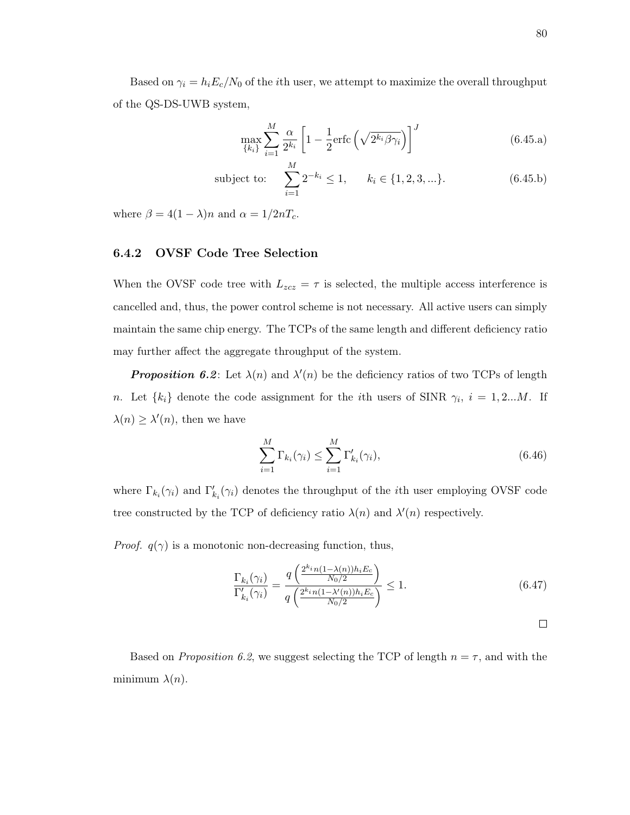Based on  $\gamma_i = h_i E_c/N_0$  of the *i*th user, we attempt to maximize the overall throughput of the QS-DS-UWB system,

$$
\max_{\{k_i\}} \sum_{i=1}^{M} \frac{\alpha}{2^{k_i}} \left[ 1 - \frac{1}{2} \text{erfc}\left(\sqrt{2^{k_i} \beta \gamma_i}\right) \right]^J \tag{6.45.a}
$$

subject to: 
$$
\sum_{i=1}^{M} 2^{-k_i} \le 1, \qquad k_i \in \{1, 2, 3, ...\}.
$$
 (6.45.b)

where  $\beta = 4(1 - \lambda)n$  and  $\alpha = 1/2nT_c$ .

#### 6.4.2 OVSF Code Tree Selection

When the OVSF code tree with  $L_{zcz} = \tau$  is selected, the multiple access interference is cancelled and, thus, the power control scheme is not necessary. All active users can simply maintain the same chip energy. The TCPs of the same length and different deficiency ratio may further affect the aggregate throughput of the system.

**Proposition 6.2**: Let  $\lambda(n)$  and  $\lambda'(n)$  be the deficiency ratios of two TCPs of length *n*. Let  $\{k_i\}$  denote the code assignment for the *i*th users of SINR  $\gamma_i$ ,  $i = 1, 2...M$ . If  $\lambda(n) \geq \lambda'(n)$ , then we have

$$
\sum_{i=1}^{M} \Gamma_{k_i}(\gamma_i) \le \sum_{i=1}^{M} \Gamma'_{k_i}(\gamma_i),\tag{6.46}
$$

where  $\Gamma_{k_i}(\gamma_i)$  and  $\Gamma'_{k_i}(\gamma_i)$  denotes the throughput of the *i*<sup>th</sup> user employing OVSF code tree constructed by the TCP of deficiency ratio  $\lambda(n)$  and  $\lambda'(n)$  respectively.

*Proof.*  $q(\gamma)$  is a monotonic non-decreasing function, thus,

$$
\frac{\Gamma_{k_i}(\gamma_i)}{\Gamma'_{k_i}(\gamma_i)} = \frac{q\left(\frac{2^{k_i}n(1-\lambda(n))h_iE_c}{N_0/2}\right)}{q\left(\frac{2^{k_i}n(1-\lambda'(n))h_iE_c}{N_0/2}\right)} \le 1.
$$
\n(6.47)

 $\Box$ 

Based on *Proposition 6.2*, we suggest selecting the TCP of length  $n = \tau$ , and with the minimum  $\lambda(n)$ .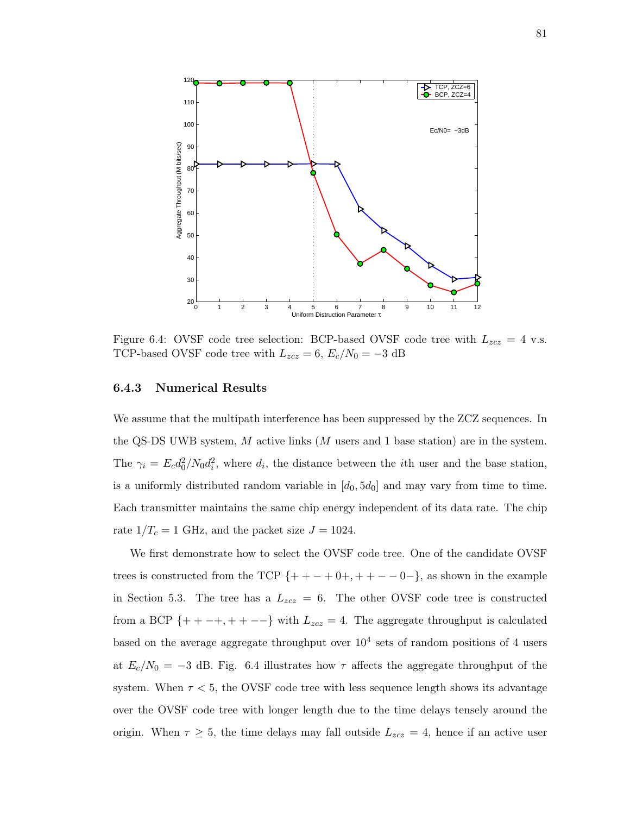

Figure 6.4: OVSF code tree selection: BCP-based OVSF code tree with  $L_{zcz} = 4$  v.s. TCP-based OVSF code tree with  $L_{zcz} = 6$ ,  $E_c/N_0 = -3$  dB

#### 6.4.3 Numerical Results

We assume that the multipath interference has been suppressed by the ZCZ sequences. In the QS-DS UWB system,  $M$  active links  $(M$  users and 1 base station) are in the system. The  $\gamma_i = E_c d_0^2/N_0 d_i^2$ , where  $d_i$ , the distance between the *i*th user and the base station, is a uniformly distributed random variable in  $[d_0, 5d_0]$  and may vary from time to time. Each transmitter maintains the same chip energy independent of its data rate. The chip rate  $1/T_c = 1$  GHz, and the packet size  $J = 1024$ .

We first demonstrate how to select the OVSF code tree. One of the candidate OVSF trees is constructed from the TCP  $\{++-+0+,++--0-\}$ , as shown in the example in Section 5.3. The tree has a  $L_{zcz} = 6$ . The other OVSF code tree is constructed from a BCP {++-+, ++--} with  $L_{zcz} = 4$ . The aggregate throughput is calculated based on the average aggregate throughput over  $10^4$  sets of random positions of 4 users at  $E_c/N_0 = -3$  dB. Fig. 6.4 illustrates how  $\tau$  affects the aggregate throughput of the system. When  $\tau < 5$ , the OVSF code tree with less sequence length shows its advantage over the OVSF code tree with longer length due to the time delays tensely around the origin. When  $\tau \geq 5$ , the time delays may fall outside  $L_{zcz} = 4$ , hence if an active user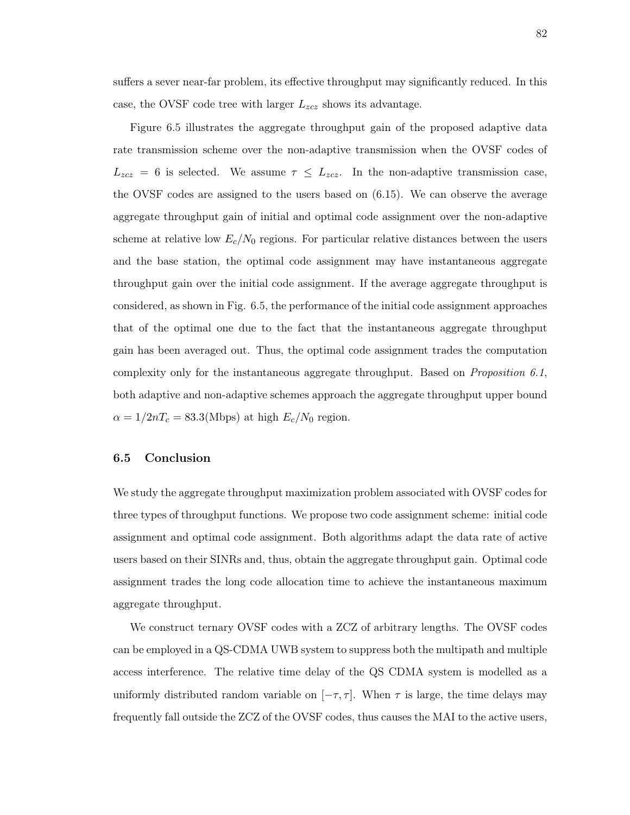suffers a sever near-far problem, its effective throughput may significantly reduced. In this case, the OVSF code tree with larger  $L_{zcz}$  shows its advantage.

Figure 6.5 illustrates the aggregate throughput gain of the proposed adaptive data rate transmission scheme over the non-adaptive transmission when the OVSF codes of  $L_{zcz} = 6$  is selected. We assume  $\tau \leq L_{zcz}$ . In the non-adaptive transmission case, the OVSF codes are assigned to the users based on (6.15). We can observe the average aggregate throughput gain of initial and optimal code assignment over the non-adaptive scheme at relative low  $E_c/N_0$  regions. For particular relative distances between the users and the base station, the optimal code assignment may have instantaneous aggregate throughput gain over the initial code assignment. If the average aggregate throughput is considered, as shown in Fig. 6.5, the performance of the initial code assignment approaches that of the optimal one due to the fact that the instantaneous aggregate throughput gain has been averaged out. Thus, the optimal code assignment trades the computation complexity only for the instantaneous aggregate throughput. Based on Proposition 6.1, both adaptive and non-adaptive schemes approach the aggregate throughput upper bound  $\alpha = 1/2nT_c = 83.3(Mbps)$  at high  $E_c/N_0$  region.

#### 6.5 Conclusion

We study the aggregate throughput maximization problem associated with OVSF codes for three types of throughput functions. We propose two code assignment scheme: initial code assignment and optimal code assignment. Both algorithms adapt the data rate of active users based on their SINRs and, thus, obtain the aggregate throughput gain. Optimal code assignment trades the long code allocation time to achieve the instantaneous maximum aggregate throughput.

We construct ternary OVSF codes with a ZCZ of arbitrary lengths. The OVSF codes can be employed in a QS-CDMA UWB system to suppress both the multipath and multiple access interference. The relative time delay of the QS CDMA system is modelled as a uniformly distributed random variable on  $[-\tau, \tau]$ . When  $\tau$  is large, the time delays may frequently fall outside the ZCZ of the OVSF codes, thus causes the MAI to the active users,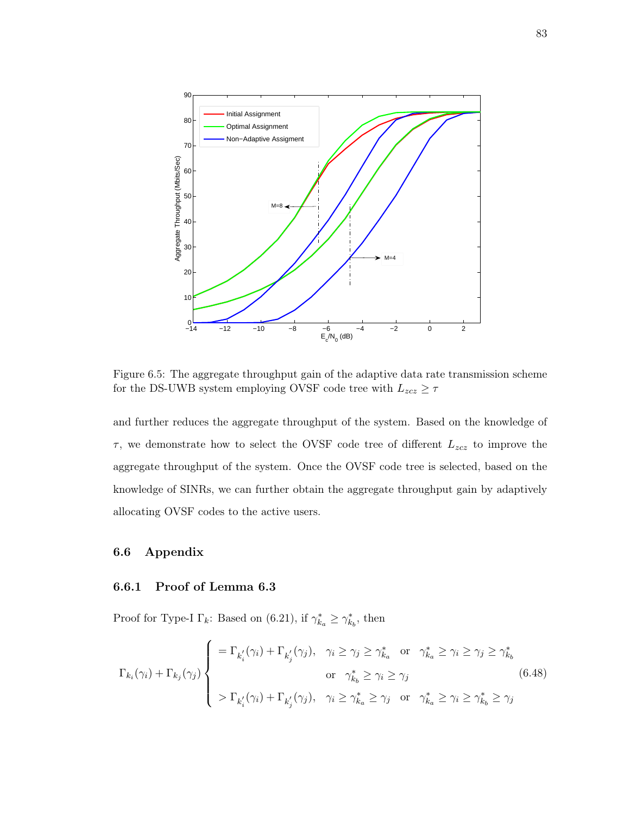

Figure 6.5: The aggregate throughput gain of the adaptive data rate transmission scheme for the DS-UWB system employing OVSF code tree with  $L_{zcz} \geq \tau$ 

and further reduces the aggregate throughput of the system. Based on the knowledge of  $\tau$ , we demonstrate how to select the OVSF code tree of different  $L_{zcz}$  to improve the aggregate throughput of the system. Once the OVSF code tree is selected, based on the knowledge of SINRs, we can further obtain the aggregate throughput gain by adaptively allocating OVSF codes to the active users.

#### 6.6 Appendix

#### 6.6.1 Proof of Lemma 6.3

Proof for Type-I  $\Gamma_k$ : Based on (6.21), if  $\gamma_{k_a}^* \geq \gamma_{k_b}^*$ , then

$$
\Gamma_{k_i}(\gamma_i) + \Gamma_{k_j}(\gamma_j) \begin{cases}\n= \Gamma_{k'_i}(\gamma_i) + \Gamma_{k'_j}(\gamma_j), & \gamma_i \ge \gamma_j \ge \gamma_{k_a}^* \text{ or } \gamma_{k_a}^* \ge \gamma_i \ge \gamma_j \text{ for } \gamma_{k_b}^* \ge \gamma_i \ge \gamma_j \text{ for } \gamma_{k_a}^* \ge \gamma_i \ge \gamma_j \end{cases}
$$
\n
$$
\Gamma_{k_i}(\gamma_i) + \Gamma_{k'_j}(\gamma_i) + \Gamma_{k'_j}(\gamma_j), \quad \gamma_i \ge \gamma_{k_a}^* \ge \gamma_j \text{ or } \gamma_{k_a}^* \ge \gamma_i \ge \gamma_{k_b}^* \ge \gamma_j \tag{6.48}
$$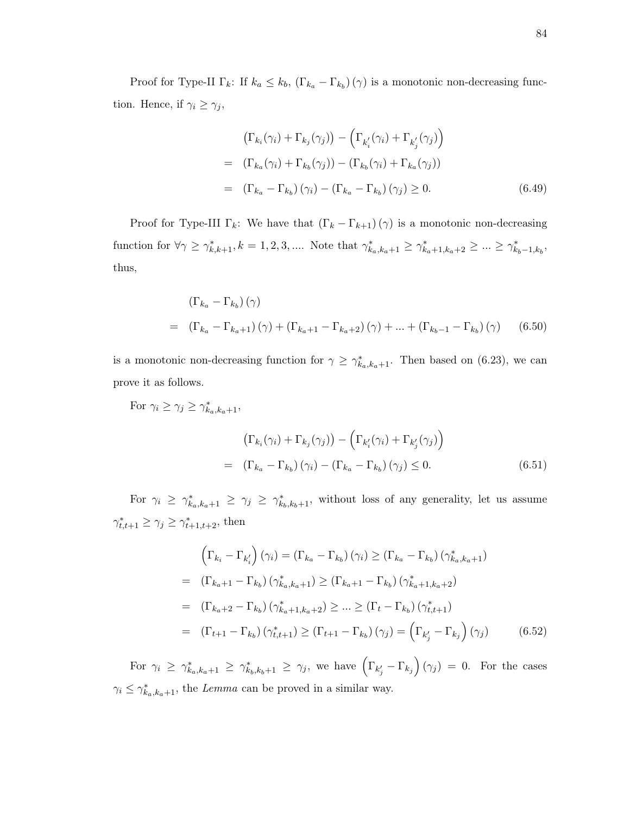Proof for Type-II  $\Gamma_k$ : If  $k_a \leq k_b$ ,  $(\Gamma_{k_a} - \Gamma_{k_b})$  ( $\gamma$ ) is a monotonic non-decreasing function. Hence, if  $\gamma_i \geq \gamma_j$ ,

$$
\left(\Gamma_{k_i}(\gamma_i) + \Gamma_{k_j}(\gamma_j)\right) - \left(\Gamma_{k'_i}(\gamma_i) + \Gamma_{k'_j}(\gamma_j)\right)
$$
\n
$$
= (\Gamma_{k_a}(\gamma_i) + \Gamma_{k_b}(\gamma_j)) - (\Gamma_{k_b}(\gamma_i) + \Gamma_{k_a}(\gamma_j))
$$
\n
$$
= (\Gamma_{k_a} - \Gamma_{k_b})(\gamma_i) - (\Gamma_{k_a} - \Gamma_{k_b})(\gamma_j) \ge 0. \tag{6.49}
$$

Proof for Type-III  $\Gamma_k$ : We have that  $(\Gamma_k - \Gamma_{k+1})(\gamma)$  is a monotonic non-decreasing function for  $\forall \gamma \geq \gamma_{k,k+1}^*$ ,  $k = 1, 2, 3, ...$  Note that  $\gamma_{k_a,k_a+1}^* \geq \gamma_{k_a+1,k_a+2}^* \geq ... \geq \gamma_{k_b-1,k_b}^*$ thus,

$$
\left(\Gamma_{k_a} - \Gamma_{k_b}\right)(\gamma)
$$
\n
$$
= \left(\Gamma_{k_a} - \Gamma_{k_a+1}\right)(\gamma) + \left(\Gamma_{k_a+1} - \Gamma_{k_a+2}\right)(\gamma) + \dots + \left(\Gamma_{k_b-1} - \Gamma_{k_b}\right)(\gamma) \tag{6.50}
$$

is a monotonic non-decreasing function for  $\gamma \geq \gamma_{k_a,k_a+1}^*$ . Then based on (6.23), we can prove it as follows.

For 
$$
\gamma_i \ge \gamma_j \ge \gamma_{k_a, k_a+1}^*
$$
,  
\n
$$
\left(\Gamma_{k_i}(\gamma_i) + \Gamma_{k_j}(\gamma_j)\right) - \left(\Gamma_{k'_i}(\gamma_i) + \Gamma_{k'_j}(\gamma_j)\right)
$$
\n
$$
= \left(\Gamma_{k_a} - \Gamma_{k_b}\right)(\gamma_i) - \left(\Gamma_{k_a} - \Gamma_{k_b}\right)(\gamma_j) \le 0.
$$
\n(6.51)

For  $\gamma_i \geq \gamma_{k_a,k_a+1}^* \geq \gamma_j \geq \gamma_{k_b,k_b+1}^*$ , without loss of any generality, let us assume  $\gamma_{t,t+1}^* \geq \gamma_j \geq \gamma_{t+1,t+2}^*$ , then

$$
\left(\Gamma_{k_i} - \Gamma_{k'_i}\right)(\gamma_i) = \left(\Gamma_{k_a} - \Gamma_{k_b}\right)(\gamma_i) \ge \left(\Gamma_{k_a} - \Gamma_{k_b}\right)(\gamma_{k_a,k_a+1}^*)
$$
\n
$$
= \left(\Gamma_{k_a+1} - \Gamma_{k_b}\right)(\gamma_{k_a,k_a+1}^*) \ge \left(\Gamma_{k_a+1} - \Gamma_{k_b}\right)(\gamma_{k_a+1,k_a+2}^*)
$$
\n
$$
= \left(\Gamma_{k_a+2} - \Gamma_{k_b}\right)(\gamma_{k_a+1,k_a+2}^*) \ge \dots \ge \left(\Gamma_t - \Gamma_{k_b}\right)(\gamma_{t,t+1}^*)
$$
\n
$$
= \left(\Gamma_{t+1} - \Gamma_{k_b}\right)(\gamma_{t,t+1}^*) \ge \left(\Gamma_{t+1} - \Gamma_{k_b}\right)(\gamma_j) = \left(\Gamma_{k'_j} - \Gamma_{k_j}\right)(\gamma_j) \qquad (6.52)
$$

For  $\gamma_i \geq \gamma_{k_a,k_a+1}^* \geq \gamma_{k_b,k_b+1} \geq \gamma_j$ , we have  $\left(\Gamma_{k'_j}-\Gamma_{k_j}\right)(\gamma_j)=0$ . For the cases  $\gamma_i \leq \gamma_{k_a,k_a+1}^*$ , the Lemma can be proved in a similar way.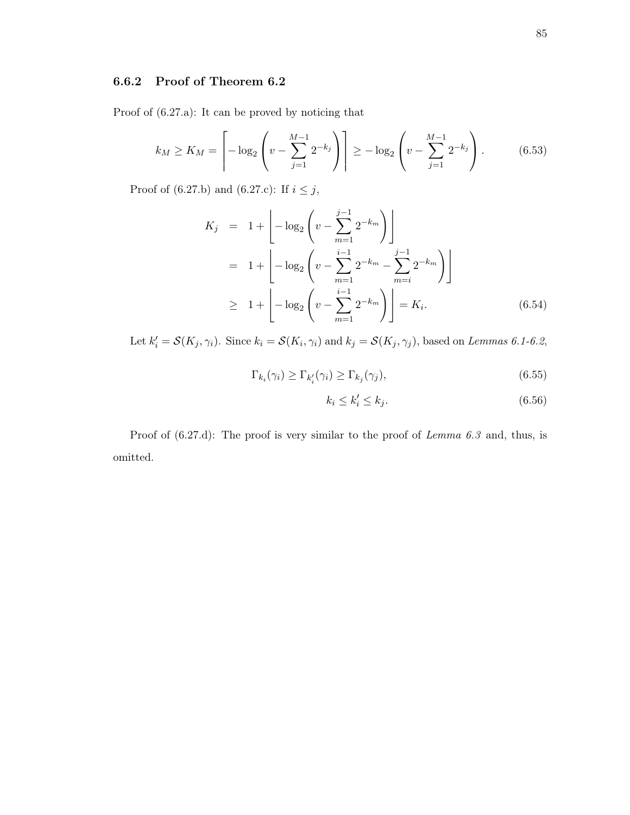# 6.6.2 Proof of Theorem 6.2

Proof of (6.27.a): It can be proved by noticing that

$$
k_M \ge K_M = \left[ -\log_2 \left( v - \sum_{j=1}^{M-1} 2^{-k_j} \right) \right] \ge -\log_2 \left( v - \sum_{j=1}^{M-1} 2^{-k_j} \right). \tag{6.53}
$$

Proof of (6.27.b) and (6.27.c): If  $i\leq j,$ 

$$
K_{j} = 1 + \left[ -\log_{2} \left( v - \sum_{m=1}^{j-1} 2^{-k_{m}} \right) \right]
$$
  
= 1 + \left[ -\log\_{2} \left( v - \sum\_{m=1}^{i-1} 2^{-k\_{m}} - \sum\_{m=i}^{j-1} 2^{-k\_{m}} \right) \right]   
\ge 1 + \left[ -\log\_{2} \left( v - \sum\_{m=1}^{i-1} 2^{-k\_{m}} \right) \right] = K\_{i}. \tag{6.54}

Let  $k'_i = \mathcal{S}(K_j, \gamma_i)$ . Since  $k_i = \mathcal{S}(K_i, \gamma_i)$  and  $k_j = \mathcal{S}(K_j, \gamma_j)$ , based on Lemmas 6.1-6.2,

$$
\Gamma_{k_i}(\gamma_i) \ge \Gamma_{k'_i}(\gamma_i) \ge \Gamma_{k_j}(\gamma_j),\tag{6.55}
$$

$$
k_i \le k'_i \le k_j. \tag{6.56}
$$

Proof of  $(6.27.d)$ : The proof is very similar to the proof of *Lemma 6.3* and, thus, is omitted.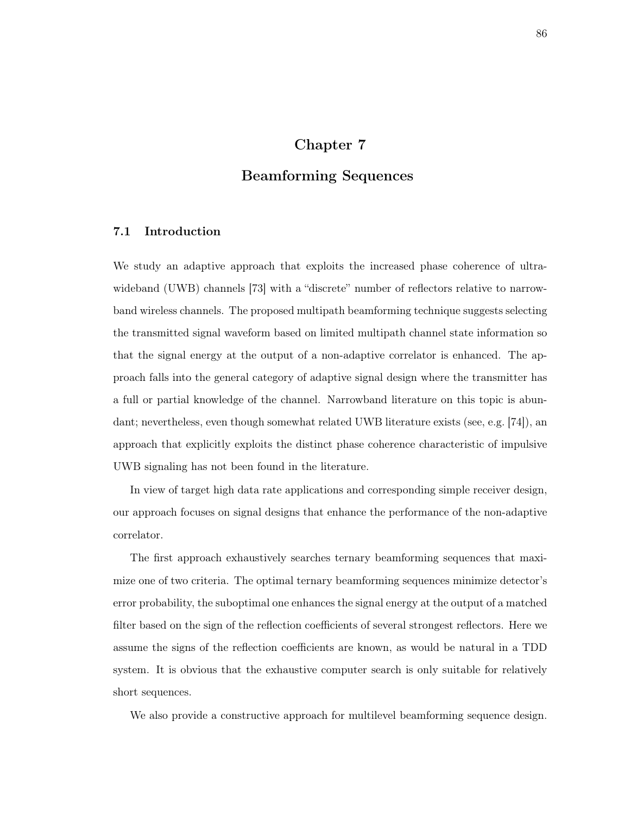# Chapter 7

# Beamforming Sequences

## 7.1 Introduction

We study an adaptive approach that exploits the increased phase coherence of ultrawideband (UWB) channels [73] with a "discrete" number of reflectors relative to narrowband wireless channels. The proposed multipath beamforming technique suggests selecting the transmitted signal waveform based on limited multipath channel state information so that the signal energy at the output of a non-adaptive correlator is enhanced. The approach falls into the general category of adaptive signal design where the transmitter has a full or partial knowledge of the channel. Narrowband literature on this topic is abundant; nevertheless, even though somewhat related UWB literature exists (see, e.g. [74]), an approach that explicitly exploits the distinct phase coherence characteristic of impulsive UWB signaling has not been found in the literature.

In view of target high data rate applications and corresponding simple receiver design, our approach focuses on signal designs that enhance the performance of the non-adaptive correlator.

The first approach exhaustively searches ternary beamforming sequences that maximize one of two criteria. The optimal ternary beamforming sequences minimize detector's error probability, the suboptimal one enhances the signal energy at the output of a matched filter based on the sign of the reflection coefficients of several strongest reflectors. Here we assume the signs of the reflection coefficients are known, as would be natural in a TDD system. It is obvious that the exhaustive computer search is only suitable for relatively short sequences.

We also provide a constructive approach for multilevel beamforming sequence design.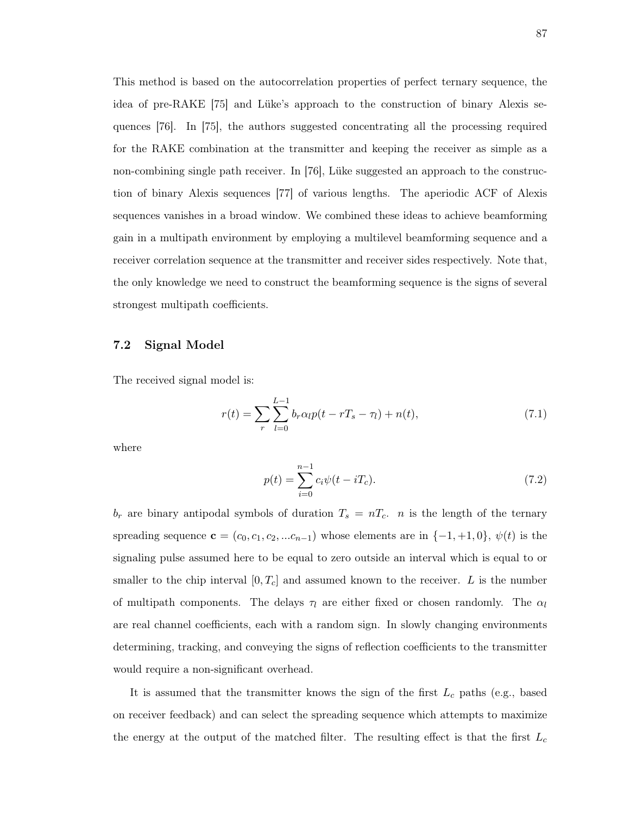This method is based on the autocorrelation properties of perfect ternary sequence, the idea of pre-RAKE [75] and Lüke's approach to the construction of binary Alexis sequences [76]. In [75], the authors suggested concentrating all the processing required for the RAKE combination at the transmitter and keeping the receiver as simple as a non-combining single path receiver. In [76], Lüke suggested an approach to the construction of binary Alexis sequences [77] of various lengths. The aperiodic ACF of Alexis sequences vanishes in a broad window. We combined these ideas to achieve beamforming gain in a multipath environment by employing a multilevel beamforming sequence and a receiver correlation sequence at the transmitter and receiver sides respectively. Note that, the only knowledge we need to construct the beamforming sequence is the signs of several strongest multipath coefficients.

#### 7.2 Signal Model

The received signal model is:

$$
r(t) = \sum_{r} \sum_{l=0}^{L-1} b_r \alpha_l p(t - rT_s - \tau_l) + n(t), \qquad (7.1)
$$

where

$$
p(t) = \sum_{i=0}^{n-1} c_i \psi(t - iT_c).
$$
 (7.2)

 $b_r$  are binary antipodal symbols of duration  $T_s = nT_c$ . *n* is the length of the ternary spreading sequence  $\mathbf{c} = (c_0, c_1, c_2, ... c_{n-1})$  whose elements are in  $\{-1, +1, 0\}$ ,  $\psi(t)$  is the signaling pulse assumed here to be equal to zero outside an interval which is equal to or smaller to the chip interval  $[0, T_c]$  and assumed known to the receiver. L is the number of multipath components. The delays  $\tau_l$  are either fixed or chosen randomly. The  $\alpha_l$ are real channel coefficients, each with a random sign. In slowly changing environments determining, tracking, and conveying the signs of reflection coefficients to the transmitter would require a non-significant overhead.

It is assumed that the transmitter knows the sign of the first  $L_c$  paths (e.g., based on receiver feedback) and can select the spreading sequence which attempts to maximize the energy at the output of the matched filter. The resulting effect is that the first  $L_c$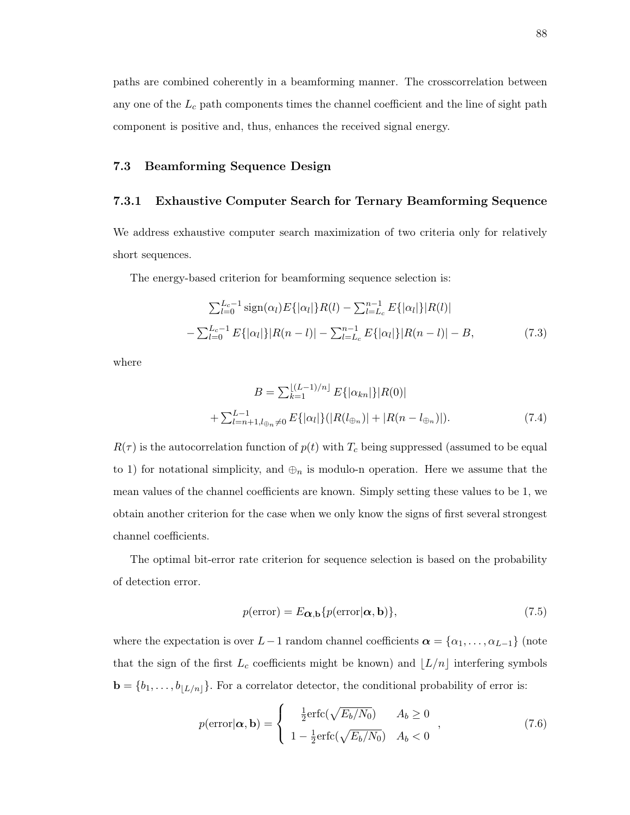paths are combined coherently in a beamforming manner. The crosscorrelation between any one of the  $L_c$  path components times the channel coefficient and the line of sight path component is positive and, thus, enhances the received signal energy.

## 7.3 Beamforming Sequence Design

#### 7.3.1 Exhaustive Computer Search for Ternary Beamforming Sequence

We address exhaustive computer search maximization of two criteria only for relatively short sequences.

The energy-based criterion for beamforming sequence selection is:

$$
\sum_{l=0}^{L_c-1} \text{sign}(\alpha_l) E\{|\alpha_l|\} R(l) - \sum_{l=L_c}^{n-1} E\{|\alpha_l|\} |R(l)|
$$
  
-
$$
\sum_{l=0}^{L_c-1} E\{|\alpha_l|\} |R(n-l)| - \sum_{l=L_c}^{n-1} E\{|\alpha_l|\} |R(n-l)| - B,
$$
 (7.3)

where

$$
B = \sum_{k=1}^{\lfloor (L-1)/n \rfloor} E\{|\alpha_{kn}|\} |R(0)|
$$
  
+ 
$$
\sum_{l=n+1, l \oplus n}^{L-1} E\{|\alpha_l|\} (|R(l_{\oplus n})| + |R(n - l_{\oplus n})|).
$$
 (7.4)

 $R(\tau)$  is the autocorrelation function of  $p(t)$  with  $T_c$  being suppressed (assumed to be equal to 1) for notational simplicity, and  $\oplus_n$  is modulo-n operation. Here we assume that the mean values of the channel coefficients are known. Simply setting these values to be 1, we obtain another criterion for the case when we only know the signs of first several strongest channel coefficients.

The optimal bit-error rate criterion for sequence selection is based on the probability of detection error.

$$
p(\text{error}) = E_{\alpha, \mathbf{b}} \{ p(\text{error}|\alpha, \mathbf{b}) \},\tag{7.5}
$$

where the expectation is over  $L-1$  random channel coefficients  $\boldsymbol{\alpha} = {\alpha_1, \ldots, \alpha_{L-1}}$  (note that the sign of the first  $L_c$  coefficients might be known) and  $\lfloor L/n \rfloor$  interfering symbols  $\mathbf{b} = \{b_1, \ldots, b_{|L/n|}\}.$  For a correlator detector, the conditional probability of error is:

$$
p(\text{error}|\boldsymbol{\alpha}, \mathbf{b}) = \begin{cases} \frac{1}{2}\text{erfc}(\sqrt{E_b/N_0}) & A_b \ge 0\\ 1 - \frac{1}{2}\text{erfc}(\sqrt{E_b/N_0}) & A_b < 0 \end{cases}, \tag{7.6}
$$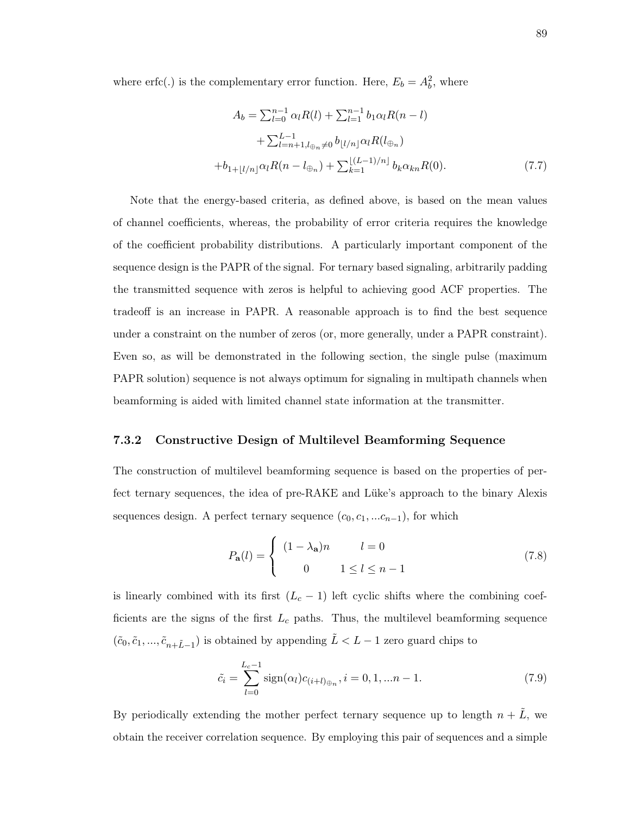where erfc(.) is the complementary error function. Here,  $E_b = A_b^2$ , where

$$
A_b = \sum_{l=0}^{n-1} \alpha_l R(l) + \sum_{l=1}^{n-1} b_1 \alpha_l R(n-l)
$$
  
+ 
$$
\sum_{l=n+1, l \oplus n}^{L-1} \neq 0 \quad b_{\lfloor l/n \rfloor} \alpha_l R(l_{\oplus n})
$$
  
+ 
$$
b_{1+\lfloor l/n \rfloor} \alpha_l R(n-l_{\oplus n}) + \sum_{k=1}^{\lfloor (L-1)/n \rfloor} b_k \alpha_{kn} R(0).
$$
 (7.7)

Note that the energy-based criteria, as defined above, is based on the mean values of channel coefficients, whereas, the probability of error criteria requires the knowledge of the coefficient probability distributions. A particularly important component of the sequence design is the PAPR of the signal. For ternary based signaling, arbitrarily padding the transmitted sequence with zeros is helpful to achieving good ACF properties. The tradeoff is an increase in PAPR. A reasonable approach is to find the best sequence under a constraint on the number of zeros (or, more generally, under a PAPR constraint). Even so, as will be demonstrated in the following section, the single pulse (maximum PAPR solution) sequence is not always optimum for signaling in multipath channels when beamforming is aided with limited channel state information at the transmitter.

## 7.3.2 Constructive Design of Multilevel Beamforming Sequence

The construction of multilevel beamforming sequence is based on the properties of perfect ternary sequences, the idea of pre-RAKE and Lüke's approach to the binary Alexis sequences design. A perfect ternary sequence  $(c_0, c_1, ... c_{n-1})$ , for which

$$
P_{\mathbf{a}}(l) = \begin{cases} (1 - \lambda_{\mathbf{a}})n & l = 0 \\ 0 & 1 \le l \le n - 1 \end{cases}
$$
 (7.8)

is linearly combined with its first  $(L<sub>c</sub> - 1)$  left cyclic shifts where the combining coefficients are the signs of the first  $L_c$  paths. Thus, the multilevel beamforming sequence  $(\tilde{c}_0, \tilde{c}_1, ..., \tilde{c}_{n+\tilde{L}-1})$  is obtained by appending  $\tilde{L} < L-1$  zero guard chips to

$$
\tilde{c}_i = \sum_{l=0}^{L_c - 1} \text{sign}(\alpha_l) c_{(i+l)_{\oplus n}}, i = 0, 1, \dots n - 1.
$$
\n(7.9)

By periodically extending the mother perfect ternary sequence up to length  $n + \tilde{L}$ , we obtain the receiver correlation sequence. By employing this pair of sequences and a simple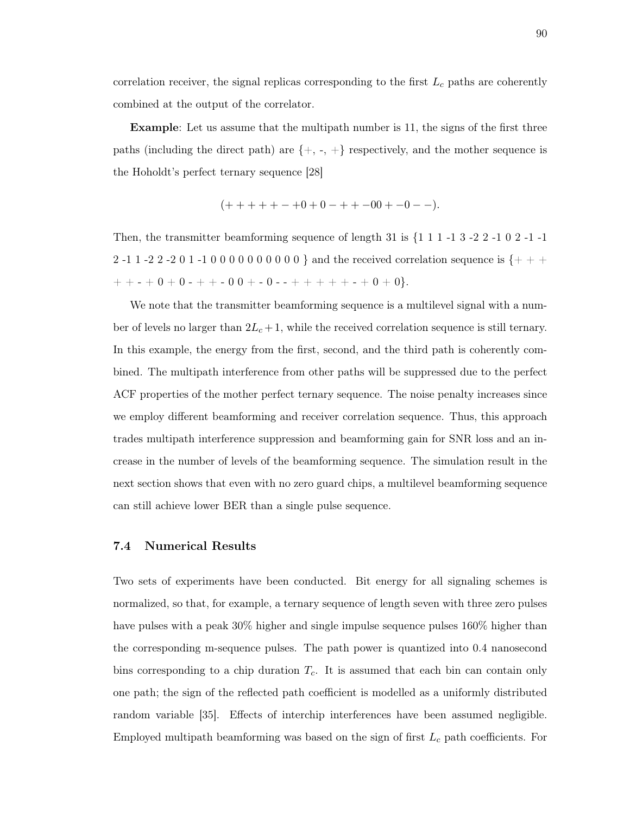correlation receiver, the signal replicas corresponding to the first  $L_c$  paths are coherently combined at the output of the correlator.

Example: Let us assume that the multipath number is 11, the signs of the first three paths (including the direct path) are  $\{+, -, +\}$  respectively, and the mother sequence is the Hoholdt's perfect ternary sequence [28]

$$
(++++-0+0+0-++-00+--).
$$

Then, the transmitter beamforming sequence of length 31 is  $\{1\ 1\ 1\ -1\ 3\ -2\ 2\ -1\ 0\ 2\ -1\ -1\}$ 2 -1 1 -2 2 -2 0 1 -1 0 0 0 0 0 0 0 0 0 0 0  $\}$  and the received correlation sequence is {+ + +  $+ + - + 0 + 0 - + + - 0 0 + - 0 - - + + + + + + - + 0 + 0$ .

We note that the transmitter beamforming sequence is a multilevel signal with a number of levels no larger than  $2L_c + 1$ , while the received correlation sequence is still ternary. In this example, the energy from the first, second, and the third path is coherently combined. The multipath interference from other paths will be suppressed due to the perfect ACF properties of the mother perfect ternary sequence. The noise penalty increases since we employ different beamforming and receiver correlation sequence. Thus, this approach trades multipath interference suppression and beamforming gain for SNR loss and an increase in the number of levels of the beamforming sequence. The simulation result in the next section shows that even with no zero guard chips, a multilevel beamforming sequence can still achieve lower BER than a single pulse sequence.

#### 7.4 Numerical Results

Two sets of experiments have been conducted. Bit energy for all signaling schemes is normalized, so that, for example, a ternary sequence of length seven with three zero pulses have pulses with a peak 30% higher and single impulse sequence pulses 160% higher than the corresponding m-sequence pulses. The path power is quantized into 0.4 nanosecond bins corresponding to a chip duration  $T_c$ . It is assumed that each bin can contain only one path; the sign of the reflected path coefficient is modelled as a uniformly distributed random variable [35]. Effects of interchip interferences have been assumed negligible. Employed multipath beamforming was based on the sign of first  $L_c$  path coefficients. For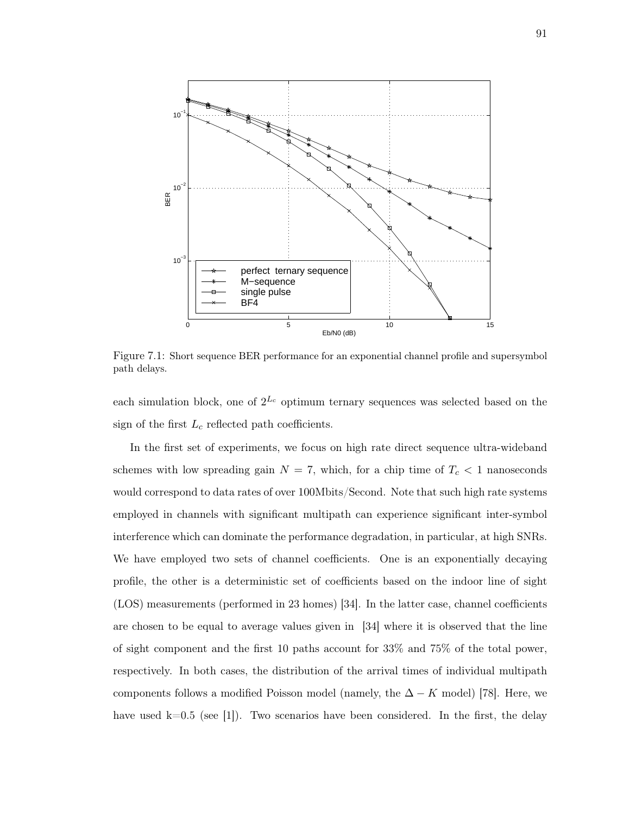

Figure 7.1: Short sequence BER performance for an exponential channel profile and supersymbol path delays.

each simulation block, one of  $2^{L_c}$  optimum ternary sequences was selected based on the sign of the first  $L_c$  reflected path coefficients.

In the first set of experiments, we focus on high rate direct sequence ultra-wideband schemes with low spreading gain  $N = 7$ , which, for a chip time of  $T_c < 1$  nanoseconds would correspond to data rates of over 100Mbits/Second. Note that such high rate systems employed in channels with significant multipath can experience significant inter-symbol interference which can dominate the performance degradation, in particular, at high SNRs. We have employed two sets of channel coefficients. One is an exponentially decaying profile, the other is a deterministic set of coefficients based on the indoor line of sight (LOS) measurements (performed in 23 homes) [34]. In the latter case, channel coefficients are chosen to be equal to average values given in [34] where it is observed that the line of sight component and the first 10 paths account for 33% and 75% of the total power, respectively. In both cases, the distribution of the arrival times of individual multipath components follows a modified Poisson model (namely, the  $\Delta - K$  model) [78]. Here, we have used  $k=0.5$  (see [1]). Two scenarios have been considered. In the first, the delay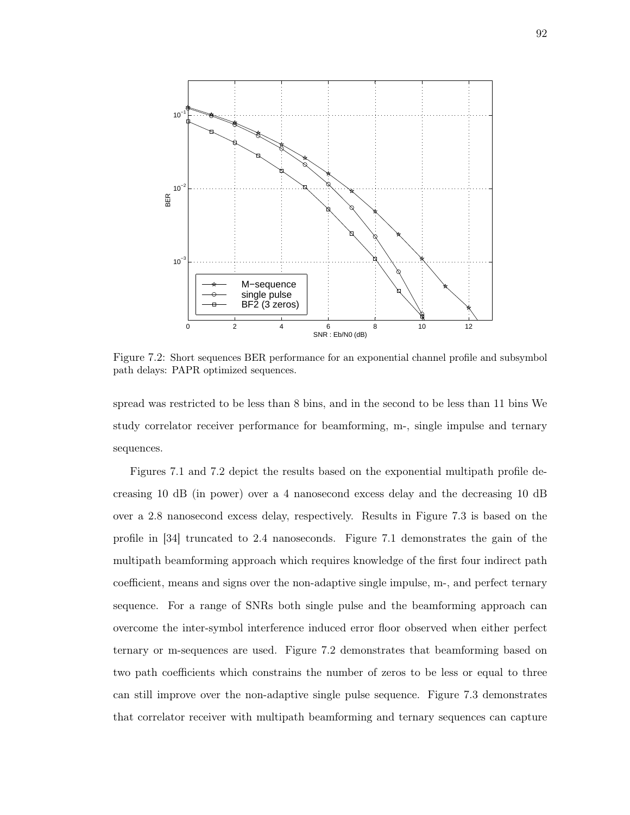

Figure 7.2: Short sequences BER performance for an exponential channel profile and subsymbol path delays: PAPR optimized sequences.

spread was restricted to be less than 8 bins, and in the second to be less than 11 bins We study correlator receiver performance for beamforming, m-, single impulse and ternary sequences.

Figures 7.1 and 7.2 depict the results based on the exponential multipath profile decreasing 10 dB (in power) over a 4 nanosecond excess delay and the decreasing 10 dB over a 2.8 nanosecond excess delay, respectively. Results in Figure 7.3 is based on the profile in [34] truncated to 2.4 nanoseconds. Figure 7.1 demonstrates the gain of the multipath beamforming approach which requires knowledge of the first four indirect path coefficient, means and signs over the non-adaptive single impulse, m-, and perfect ternary sequence. For a range of SNRs both single pulse and the beamforming approach can overcome the inter-symbol interference induced error floor observed when either perfect ternary or m-sequences are used. Figure 7.2 demonstrates that beamforming based on two path coefficients which constrains the number of zeros to be less or equal to three can still improve over the non-adaptive single pulse sequence. Figure 7.3 demonstrates that correlator receiver with multipath beamforming and ternary sequences can capture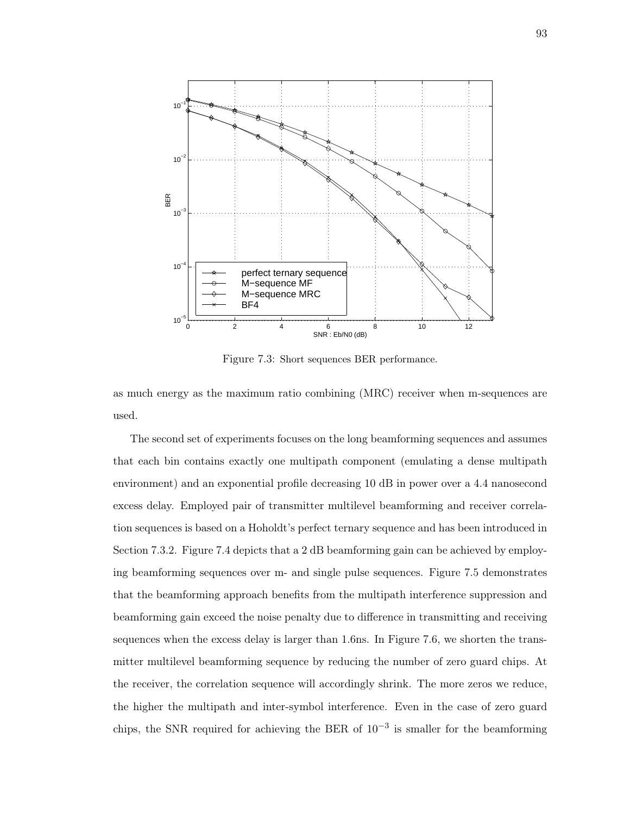

Figure 7.3: Short sequences BER performance.

as much energy as the maximum ratio combining (MRC) receiver when m-sequences are used.

The second set of experiments focuses on the long beamforming sequences and assumes that each bin contains exactly one multipath component (emulating a dense multipath environment) and an exponential profile decreasing 10 dB in power over a 4.4 nanosecond excess delay. Employed pair of transmitter multilevel beamforming and receiver correlation sequences is based on a Hoholdt's perfect ternary sequence and has been introduced in Section 7.3.2. Figure 7.4 depicts that a 2 dB beamforming gain can be achieved by employing beamforming sequences over m- and single pulse sequences. Figure 7.5 demonstrates that the beamforming approach benefits from the multipath interference suppression and beamforming gain exceed the noise penalty due to difference in transmitting and receiving sequences when the excess delay is larger than 1.6ns. In Figure 7.6, we shorten the transmitter multilevel beamforming sequence by reducing the number of zero guard chips. At the receiver, the correlation sequence will accordingly shrink. The more zeros we reduce, the higher the multipath and inter-symbol interference. Even in the case of zero guard chips, the SNR required for achieving the BER of 10−<sup>3</sup> is smaller for the beamforming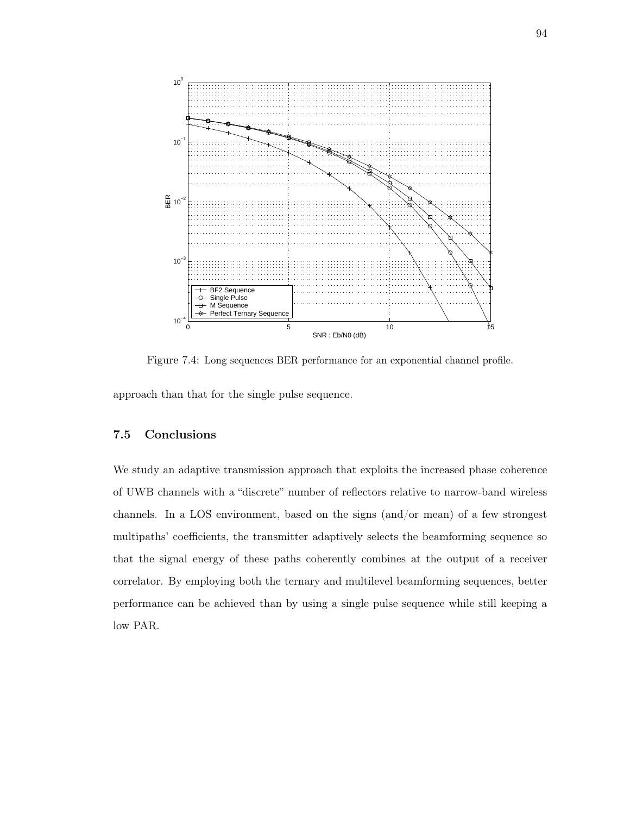

Figure 7.4: Long sequences BER performance for an exponential channel profile.

approach than that for the single pulse sequence.

## 7.5 Conclusions

We study an adaptive transmission approach that exploits the increased phase coherence of UWB channels with a "discrete" number of reflectors relative to narrow-band wireless channels. In a LOS environment, based on the signs (and/or mean) of a few strongest multipaths' coefficients, the transmitter adaptively selects the beamforming sequence so that the signal energy of these paths coherently combines at the output of a receiver correlator. By employing both the ternary and multilevel beamforming sequences, better performance can be achieved than by using a single pulse sequence while still keeping a low PAR.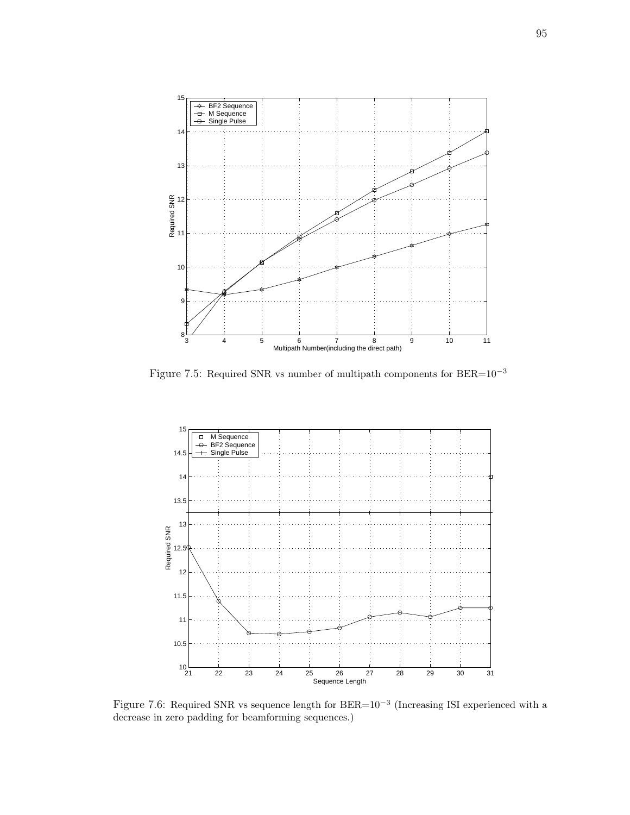

Figure 7.5: Required SNR vs number of multipath components for  $\rm BER{=}10^{-3}$ 



Figure 7.6: Required SNR vs sequence length for  $BER=10^{-3}$  (Increasing ISI experienced with a decrease in zero padding for beamforming sequences.)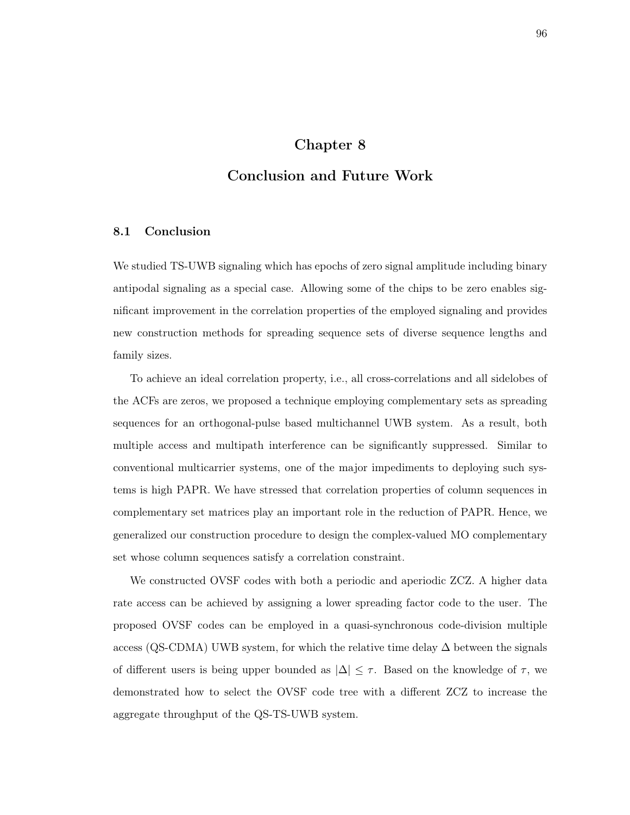## Chapter 8

## Conclusion and Future Work

#### 8.1 Conclusion

We studied TS-UWB signaling which has epochs of zero signal amplitude including binary antipodal signaling as a special case. Allowing some of the chips to be zero enables significant improvement in the correlation properties of the employed signaling and provides new construction methods for spreading sequence sets of diverse sequence lengths and family sizes.

To achieve an ideal correlation property, i.e., all cross-correlations and all sidelobes of the ACFs are zeros, we proposed a technique employing complementary sets as spreading sequences for an orthogonal-pulse based multichannel UWB system. As a result, both multiple access and multipath interference can be significantly suppressed. Similar to conventional multicarrier systems, one of the major impediments to deploying such systems is high PAPR. We have stressed that correlation properties of column sequences in complementary set matrices play an important role in the reduction of PAPR. Hence, we generalized our construction procedure to design the complex-valued MO complementary set whose column sequences satisfy a correlation constraint.

We constructed OVSF codes with both a periodic and aperiodic ZCZ. A higher data rate access can be achieved by assigning a lower spreading factor code to the user. The proposed OVSF codes can be employed in a quasi-synchronous code-division multiple access (QS-CDMA) UWB system, for which the relative time delay  $\Delta$  between the signals of different users is being upper bounded as  $|\Delta| \leq \tau$ . Based on the knowledge of  $\tau$ , we demonstrated how to select the OVSF code tree with a different ZCZ to increase the aggregate throughput of the QS-TS-UWB system.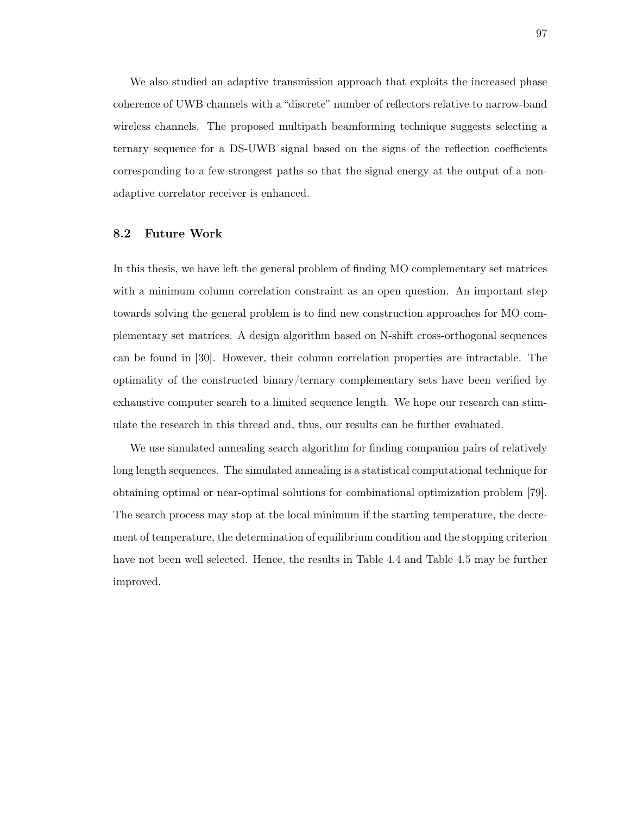We also studied an adaptive transmission approach that exploits the increased phase coherence of UWB channels with a "discrete" number of reflectors relative to narrow-band wireless channels. The proposed multipath beamforming technique suggests selecting a ternary sequence for a DS-UWB signal based on the signs of the reflection coefficients corresponding to a few strongest paths so that the signal energy at the output of a nonadaptive correlator receiver is enhanced.

#### 8.2 Future Work

In this thesis, we have left the general problem of finding MO complementary set matrices with a minimum column correlation constraint as an open question. An important step towards solving the general problem is to find new construction approaches for MO complementary set matrices. A design algorithm based on N-shift cross-orthogonal sequences can be found in [30]. However, their column correlation properties are intractable. The optimality of the constructed binary/ternary complementary sets have been verified by exhaustive computer search to a limited sequence length. We hope our research can stimulate the research in this thread and, thus, our results can be further evaluated.

We use simulated annealing search algorithm for finding companion pairs of relatively long length sequences. The simulated annealing is a statistical computational technique for obtaining optimal or near-optimal solutions for combinational optimization problem [79]. The search process may stop at the local minimum if the starting temperature, the decrement of temperature, the determination of equilibrium condition and the stopping criterion have not been well selected. Hence, the results in Table 4.4 and Table 4.5 may be further improved.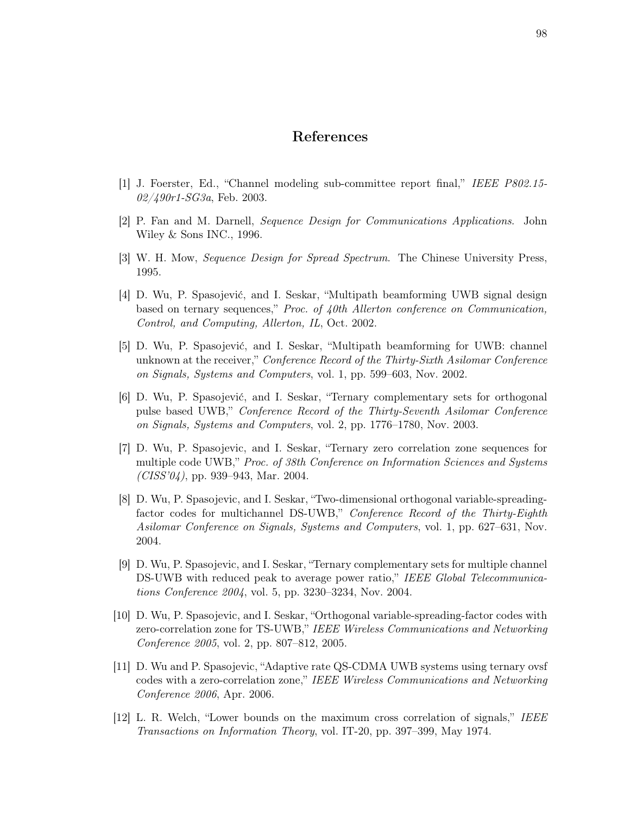### References

- [1] J. Foerster, Ed., "Channel modeling sub-committee report final," IEEE P802.15-  $02/490r1-SG3a$ , Feb. 2003.
- [2] P. Fan and M. Darnell, Sequence Design for Communications Applications. John Wiley & Sons INC., 1996.
- [3] W. H. Mow, Sequence Design for Spread Spectrum. The Chinese University Press, 1995.
- [4] D. Wu, P. Spasojević, and I. Seskar, "Multipath beamforming UWB signal design based on ternary sequences," Proc. of 40th Allerton conference on Communication, Control, and Computing, Allerton, IL, Oct. 2002.
- [5] D. Wu, P. Spasojević, and I. Seskar, "Multipath beamforming for UWB: channel unknown at the receiver," *Conference Record of the Thirty-Sixth Asilomar Conference* on Signals, Systems and Computers, vol. 1, pp. 599–603, Nov. 2002.
- [6] D. Wu, P. Spasojević, and I. Seskar, "Ternary complementary sets for orthogonal pulse based UWB," Conference Record of the Thirty-Seventh Asilomar Conference on Signals, Systems and Computers, vol. 2, pp. 1776–1780, Nov. 2003.
- [7] D. Wu, P. Spasojevic, and I. Seskar, "Ternary zero correlation zone sequences for multiple code UWB," Proc. of 38th Conference on Information Sciences and Systems  $(CISS'04)$ , pp. 939–943, Mar. 2004.
- [8] D. Wu, P. Spasojevic, and I. Seskar, "Two-dimensional orthogonal variable-spreadingfactor codes for multichannel DS-UWB," Conference Record of the Thirty-Eighth Asilomar Conference on Signals, Systems and Computers, vol. 1, pp. 627–631, Nov. 2004.
- [9] D. Wu, P. Spasojevic, and I. Seskar, "Ternary complementary sets for multiple channel DS-UWB with reduced peak to average power ratio," IEEE Global Telecommunications Conference 2004, vol. 5, pp. 3230–3234, Nov. 2004.
- [10] D. Wu, P. Spasojevic, and I. Seskar, "Orthogonal variable-spreading-factor codes with zero-correlation zone for TS-UWB," IEEE Wireless Communications and Networking Conference 2005, vol. 2, pp. 807–812, 2005.
- [11] D. Wu and P. Spasojevic, "Adaptive rate QS-CDMA UWB systems using ternary ovsf codes with a zero-correlation zone," IEEE Wireless Communications and Networking Conference 2006, Apr. 2006.
- [12] L. R. Welch, "Lower bounds on the maximum cross correlation of signals," IEEE Transactions on Information Theory, vol. IT-20, pp. 397–399, May 1974.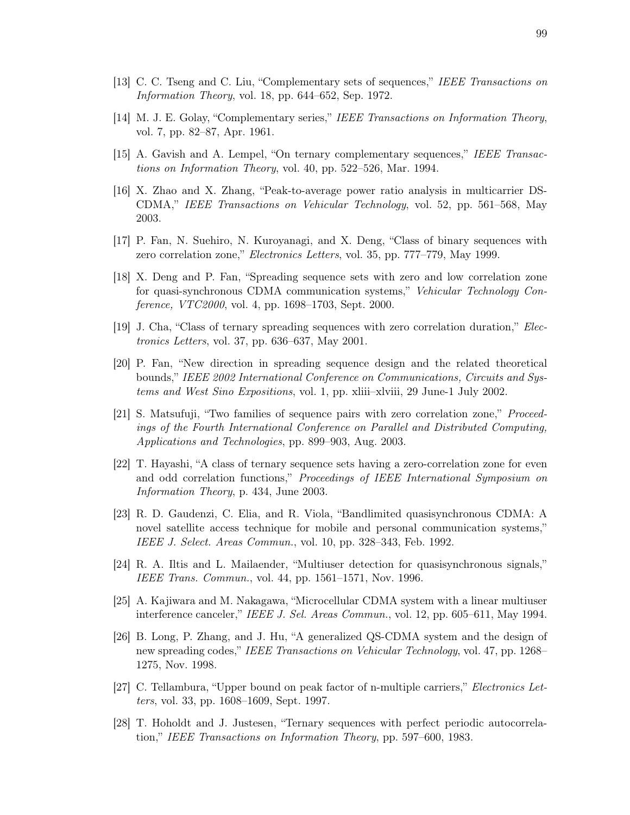- [13] C. C. Tseng and C. Liu, "Complementary sets of sequences," IEEE Transactions on Information Theory, vol. 18, pp. 644–652, Sep. 1972.
- [14] M. J. E. Golay, "Complementary series," IEEE Transactions on Information Theory, vol. 7, pp. 82–87, Apr. 1961.
- [15] A. Gavish and A. Lempel, "On ternary complementary sequences," IEEE Transactions on Information Theory, vol. 40, pp. 522–526, Mar. 1994.
- [16] X. Zhao and X. Zhang, "Peak-to-average power ratio analysis in multicarrier DS-CDMA," IEEE Transactions on Vehicular Technology, vol. 52, pp. 561–568, May 2003.
- [17] P. Fan, N. Suehiro, N. Kuroyanagi, and X. Deng, "Class of binary sequences with zero correlation zone," Electronics Letters, vol. 35, pp. 777–779, May 1999.
- [18] X. Deng and P. Fan, "Spreading sequence sets with zero and low correlation zone for quasi-synchronous CDMA communication systems," Vehicular Technology Conference, VTC2000, vol. 4, pp. 1698–1703, Sept. 2000.
- [19] J. Cha, "Class of ternary spreading sequences with zero correlation duration," Electronics Letters, vol. 37, pp. 636–637, May 2001.
- [20] P. Fan, "New direction in spreading sequence design and the related theoretical bounds," IEEE 2002 International Conference on Communications, Circuits and Systems and West Sino Expositions, vol. 1, pp. xliii–xlviii, 29 June-1 July 2002.
- [21] S. Matsufuji, "Two families of sequence pairs with zero correlation zone," Proceedings of the Fourth International Conference on Parallel and Distributed Computing, Applications and Technologies, pp. 899–903, Aug. 2003.
- [22] T. Hayashi, "A class of ternary sequence sets having a zero-correlation zone for even and odd correlation functions," Proceedings of IEEE International Symposium on Information Theory, p. 434, June 2003.
- [23] R. D. Gaudenzi, C. Elia, and R. Viola, "Bandlimited quasisynchronous CDMA: A novel satellite access technique for mobile and personal communication systems," IEEE J. Select. Areas Commun., vol. 10, pp. 328–343, Feb. 1992.
- [24] R. A. Iltis and L. Mailaender, "Multiuser detection for quasisynchronous signals," IEEE Trans. Commun., vol. 44, pp. 1561–1571, Nov. 1996.
- [25] A. Kajiwara and M. Nakagawa, "Microcellular CDMA system with a linear multiuser interference canceler," IEEE J. Sel. Areas Commun., vol. 12, pp. 605–611, May 1994.
- [26] B. Long, P. Zhang, and J. Hu, "A generalized QS-CDMA system and the design of new spreading codes," IEEE Transactions on Vehicular Technology, vol. 47, pp. 1268– 1275, Nov. 1998.
- [27] C. Tellambura, "Upper bound on peak factor of n-multiple carriers," Electronics Letters, vol. 33, pp. 1608–1609, Sept. 1997.
- [28] T. Hoholdt and J. Justesen, "Ternary sequences with perfect periodic autocorrelation," IEEE Transactions on Information Theory, pp. 597–600, 1983.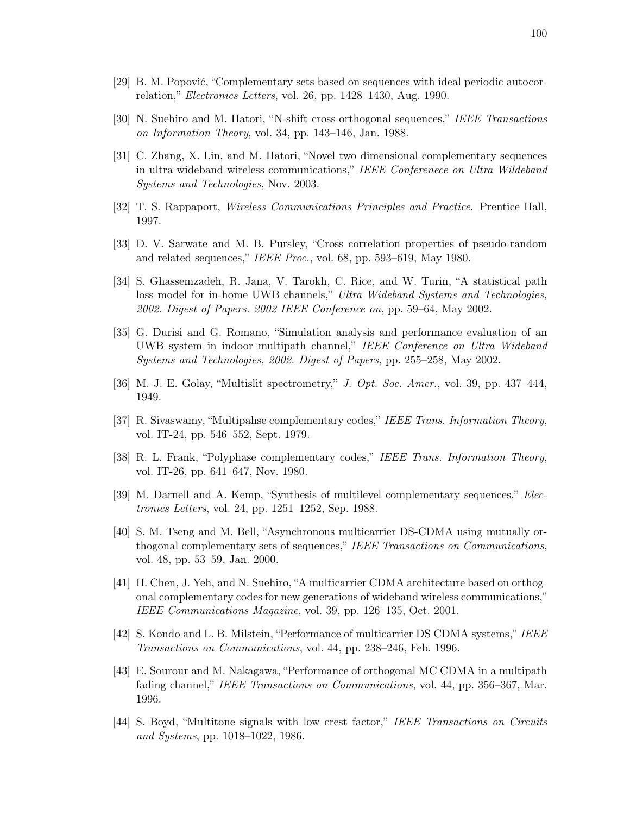- [29] B. M. Popović, "Complementary sets based on sequences with ideal periodic autocorrelation," Electronics Letters, vol. 26, pp. 1428–1430, Aug. 1990.
- [30] N. Suehiro and M. Hatori, "N-shift cross-orthogonal sequences," IEEE Transactions on Information Theory, vol. 34, pp. 143–146, Jan. 1988.
- [31] C. Zhang, X. Lin, and M. Hatori, "Novel two dimensional complementary sequences in ultra wideband wireless communications," IEEE Conferenece on Ultra Wildeband Systems and Technologies, Nov. 2003.
- [32] T. S. Rappaport, Wireless Communications Principles and Practice. Prentice Hall, 1997.
- [33] D. V. Sarwate and M. B. Pursley, "Cross correlation properties of pseudo-random and related sequences," IEEE Proc., vol. 68, pp. 593–619, May 1980.
- [34] S. Ghassemzadeh, R. Jana, V. Tarokh, C. Rice, and W. Turin, "A statistical path loss model for in-home UWB channels," Ultra Wideband Systems and Technologies, 2002. Digest of Papers. 2002 IEEE Conference on, pp. 59–64, May 2002.
- [35] G. Durisi and G. Romano, "Simulation analysis and performance evaluation of an UWB system in indoor multipath channel," IEEE Conference on Ultra Wideband Systems and Technologies, 2002. Digest of Papers, pp. 255–258, May 2002.
- [36] M. J. E. Golay, "Multislit spectrometry," J. Opt. Soc. Amer., vol. 39, pp. 437–444, 1949.
- [37] R. Sivaswamy, "Multipahse complementary codes," IEEE Trans. Information Theory, vol. IT-24, pp. 546–552, Sept. 1979.
- [38] R. L. Frank, "Polyphase complementary codes," IEEE Trans. Information Theory, vol. IT-26, pp. 641–647, Nov. 1980.
- [39] M. Darnell and A. Kemp, "Synthesis of multilevel complementary sequences," Electronics Letters, vol. 24, pp. 1251–1252, Sep. 1988.
- [40] S. M. Tseng and M. Bell, "Asynchronous multicarrier DS-CDMA using mutually orthogonal complementary sets of sequences," IEEE Transactions on Communications, vol. 48, pp. 53–59, Jan. 2000.
- [41] H. Chen, J. Yeh, and N. Suehiro, "A multicarrier CDMA architecture based on orthogonal complementary codes for new generations of wideband wireless communications," IEEE Communications Magazine, vol. 39, pp. 126–135, Oct. 2001.
- [42] S. Kondo and L. B. Milstein, "Performance of multicarrier DS CDMA systems," IEEE Transactions on Communications, vol. 44, pp. 238–246, Feb. 1996.
- [43] E. Sourour and M. Nakagawa, "Performance of orthogonal MC CDMA in a multipath fading channel," IEEE Transactions on Communications, vol. 44, pp. 356-367, Mar. 1996.
- [44] S. Boyd, "Multitone signals with low crest factor," IEEE Transactions on Circuits and Systems, pp. 1018–1022, 1986.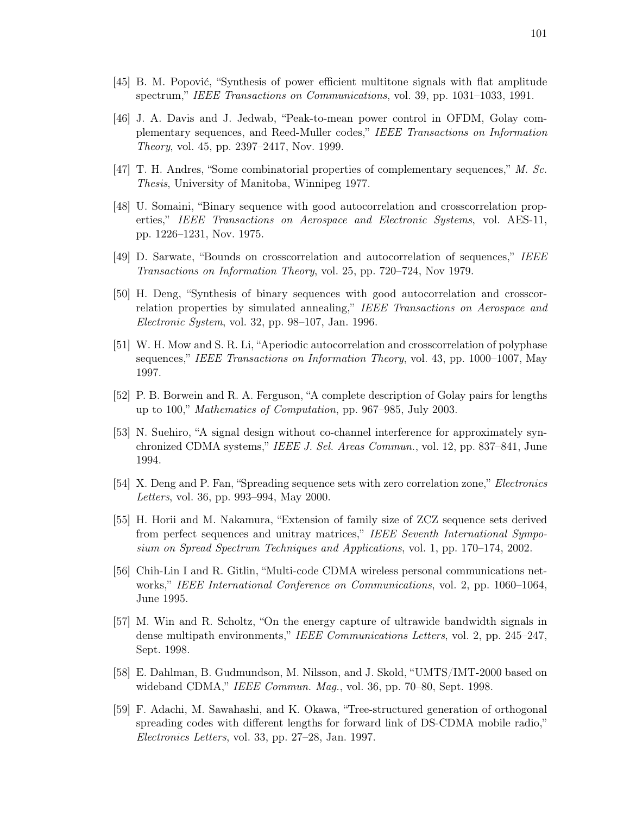- [45] B. M. Popović, "Synthesis of power efficient multitone signals with flat amplitude spectrum," IEEE Transactions on Communications, vol. 39, pp. 1031–1033, 1991.
- [46] J. A. Davis and J. Jedwab, "Peak-to-mean power control in OFDM, Golay complementary sequences, and Reed-Muller codes," IEEE Transactions on Information Theory, vol. 45, pp. 2397–2417, Nov. 1999.
- [47] T. H. Andres, "Some combinatorial properties of complementary sequences," M. Sc. Thesis, University of Manitoba, Winnipeg 1977.
- [48] U. Somaini, "Binary sequence with good autocorrelation and crosscorrelation properties," IEEE Transactions on Aerospace and Electronic Systems, vol. AES-11, pp. 1226–1231, Nov. 1975.
- [49] D. Sarwate, "Bounds on crosscorrelation and autocorrelation of sequences," IEEE Transactions on Information Theory, vol. 25, pp. 720–724, Nov 1979.
- [50] H. Deng, "Synthesis of binary sequences with good autocorrelation and crosscorrelation properties by simulated annealing," IEEE Transactions on Aerospace and Electronic System, vol. 32, pp. 98–107, Jan. 1996.
- [51] W. H. Mow and S. R. Li, "Aperiodic autocorrelation and crosscorrelation of polyphase sequences," IEEE Transactions on Information Theory, vol. 43, pp. 1000–1007, May 1997.
- [52] P. B. Borwein and R. A. Ferguson, "A complete description of Golay pairs for lengths up to 100," Mathematics of Computation, pp. 967–985, July 2003.
- [53] N. Suehiro, "A signal design without co-channel interference for approximately synchronized CDMA systems," IEEE J. Sel. Areas Commun., vol. 12, pp. 837–841, June 1994.
- [54] X. Deng and P. Fan, "Spreading sequence sets with zero correlation zone," Electronics Letters, vol. 36, pp. 993–994, May 2000.
- [55] H. Horii and M. Nakamura, "Extension of family size of ZCZ sequence sets derived from perfect sequences and unitray matrices," IEEE Seventh International Symposium on Spread Spectrum Techniques and Applications, vol. 1, pp. 170–174, 2002.
- [56] Chih-Lin I and R. Gitlin, "Multi-code CDMA wireless personal communications networks," IEEE International Conference on Communications, vol. 2, pp. 1060–1064, June 1995.
- [57] M. Win and R. Scholtz, "On the energy capture of ultrawide bandwidth signals in dense multipath environments," IEEE Communications Letters, vol. 2, pp. 245–247, Sept. 1998.
- [58] E. Dahlman, B. Gudmundson, M. Nilsson, and J. Skold, "UMTS/IMT-2000 based on wideband CDMA," IEEE Commun. Maq., vol. 36, pp. 70–80, Sept. 1998.
- [59] F. Adachi, M. Sawahashi, and K. Okawa, "Tree-structured generation of orthogonal spreading codes with different lengths for forward link of DS-CDMA mobile radio," Electronics Letters, vol. 33, pp. 27–28, Jan. 1997.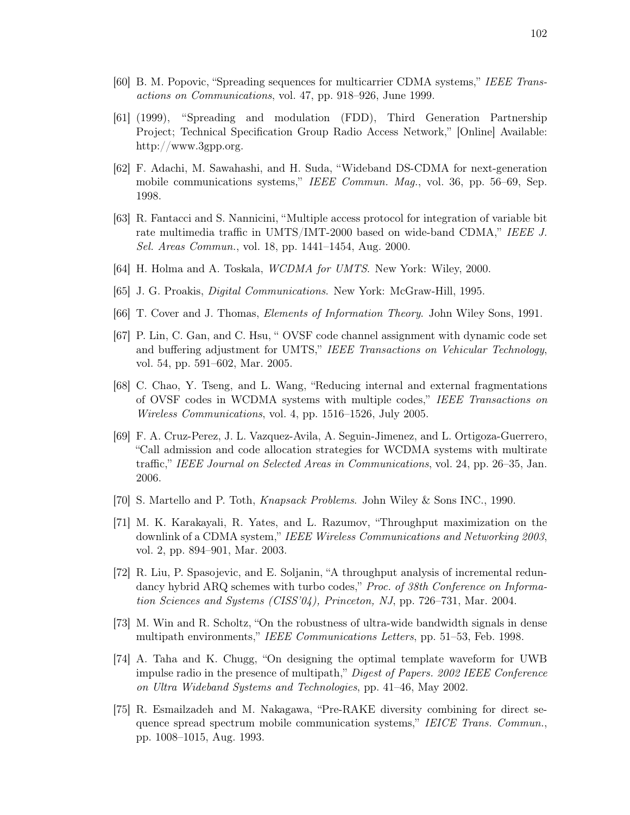- [60] B. M. Popovic, "Spreading sequences for multicarrier CDMA systems," IEEE Transactions on Communications, vol. 47, pp. 918–926, June 1999.
- [61] (1999), "Spreading and modulation (FDD), Third Generation Partnership Project; Technical Specification Group Radio Access Network," [Online] Available: http://www.3gpp.org.
- [62] F. Adachi, M. Sawahashi, and H. Suda, "Wideband DS-CDMA for next-generation mobile communications systems," IEEE Commun. Mag., vol. 36, pp. 56–69, Sep. 1998.
- [63] R. Fantacci and S. Nannicini, "Multiple access protocol for integration of variable bit rate multimedia traffic in UMTS/IMT-2000 based on wide-band CDMA," IEEE J. Sel. Areas Commun., vol. 18, pp. 1441–1454, Aug. 2000.
- [64] H. Holma and A. Toskala, WCDMA for UMTS. New York: Wiley, 2000.
- [65] J. G. Proakis, Digital Communications. New York: McGraw-Hill, 1995.
- [66] T. Cover and J. Thomas, Elements of Information Theory. John Wiley Sons, 1991.
- [67] P. Lin, C. Gan, and C. Hsu, " OVSF code channel assignment with dynamic code set and buffering adjustment for UMTS," IEEE Transactions on Vehicular Technology, vol. 54, pp. 591–602, Mar. 2005.
- [68] C. Chao, Y. Tseng, and L. Wang, "Reducing internal and external fragmentations of OVSF codes in WCDMA systems with multiple codes," IEEE Transactions on Wireless Communications, vol. 4, pp. 1516–1526, July 2005.
- [69] F. A. Cruz-Perez, J. L. Vazquez-Avila, A. Seguin-Jimenez, and L. Ortigoza-Guerrero, "Call admission and code allocation strategies for WCDMA systems with multirate traffic," IEEE Journal on Selected Areas in Communications, vol. 24, pp. 26–35, Jan. 2006.
- [70] S. Martello and P. Toth, Knapsack Problems. John Wiley & Sons INC., 1990.
- [71] M. K. Karakayali, R. Yates, and L. Razumov, "Throughput maximization on the downlink of a CDMA system," IEEE Wireless Communications and Networking 2003, vol. 2, pp. 894–901, Mar. 2003.
- [72] R. Liu, P. Spasojevic, and E. Soljanin, "A throughput analysis of incremental redundancy hybrid ARQ schemes with turbo codes," *Proc. of 38th Conference on Informa*tion Sciences and Systems (CISS'04), Princeton, NJ, pp. 726–731, Mar. 2004.
- [73] M. Win and R. Scholtz, "On the robustness of ultra-wide bandwidth signals in dense multipath environments," IEEE Communications Letters, pp. 51–53, Feb. 1998.
- [74] A. Taha and K. Chugg, "On designing the optimal template waveform for UWB impulse radio in the presence of multipath," Digest of Papers. 2002 IEEE Conference on Ultra Wideband Systems and Technologies, pp. 41–46, May 2002.
- [75] R. Esmailzadeh and M. Nakagawa, "Pre-RAKE diversity combining for direct sequence spread spectrum mobile communication systems," IEICE Trans. Commun., pp. 1008–1015, Aug. 1993.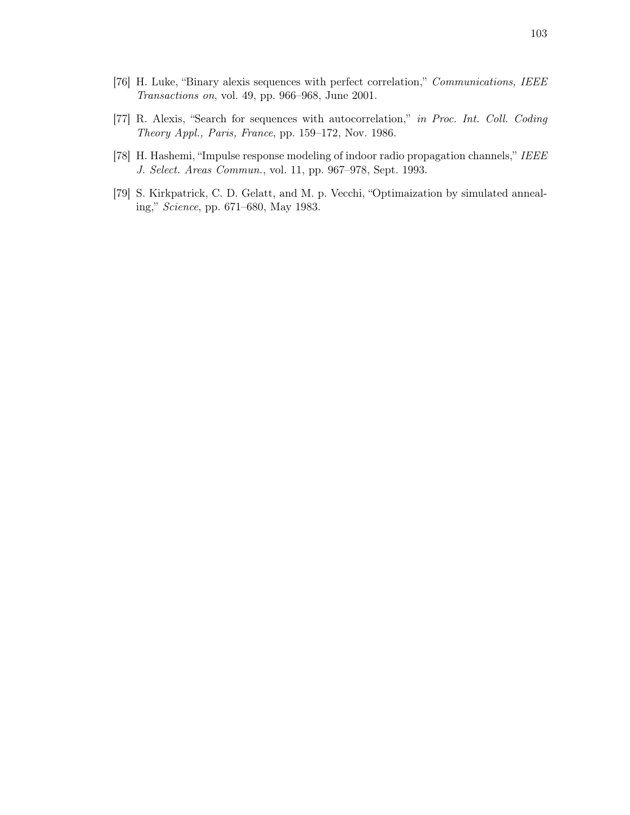- [76] H. Luke, "Binary alexis sequences with perfect correlation," Communications, IEEE Transactions on, vol. 49, pp. 966–968, June 2001.
- [77] R. Alexis, "Search for sequences with autocorrelation," in Proc. Int. Coll. Coding Theory Appl., Paris, France, pp. 159–172, Nov. 1986.
- [78] H. Hashemi, "Impulse response modeling of indoor radio propagation channels," IEEE J. Select. Areas Commun., vol. 11, pp. 967–978, Sept. 1993.
- [79] S. Kirkpatrick, C. D. Gelatt, and M. p. Vecchi, "Optimaization by simulated annealing," Science, pp. 671–680, May 1983.